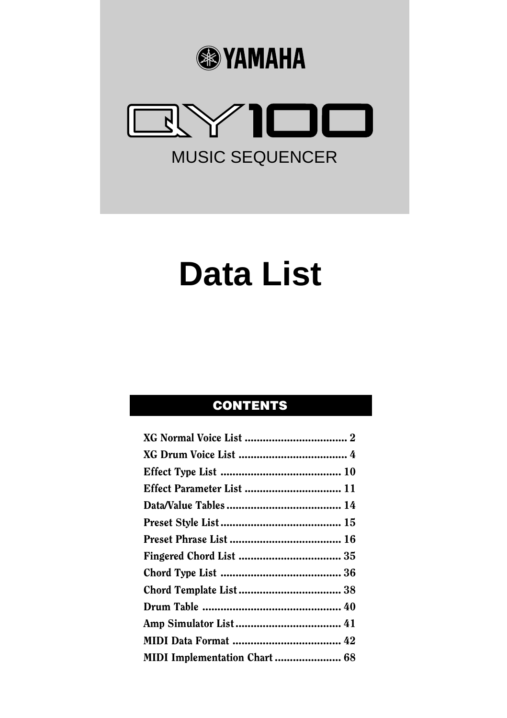



# **Data List**

### **CONTENTS**

| MIDI Implementation Chart  68 |  |
|-------------------------------|--|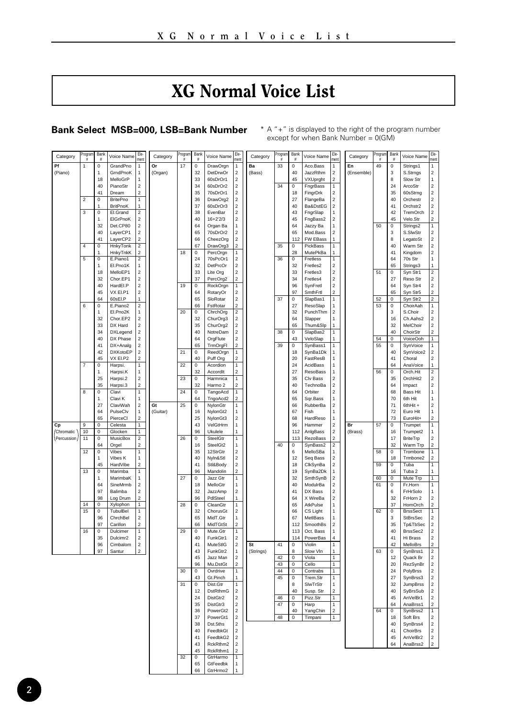## XG Normal Voice List

<span id="page-1-0"></span>**Bank Select MSB=000, LSB=Bank Number**  $* A " + " is displayed to the right of the program number   
except for when Bank Number = O(GM)$ 

|         | Category   | rogram         | Bani                 | Voice Name           | Fle<br>men                                         | Category | rogran<br># | Bank<br>#               | Voice Name               | Fle<br>men                                         | Category  | rogran   | Bank                                    | Voice Name            | Fle<br>men                                         | Category   | hogran          | Bank<br>Ĕ                    | Voice Name           | Fie<br>men                                         |
|---------|------------|----------------|----------------------|----------------------|----------------------------------------------------|----------|-------------|-------------------------|--------------------------|----------------------------------------------------|-----------|----------|-----------------------------------------|-----------------------|----------------------------------------------------|------------|-----------------|------------------------------|----------------------|----------------------------------------------------|
| Pf      |            | 1              | 0                    | GrandPno             | $\mathbf 1$                                        | Or       | 17          | $\pmb{0}$               | DrawOrgn                 | 1                                                  | Ba        | 33       | $\overline{0}$                          | Aco.Bass              | 1                                                  | En         | 49              | 0                            | Strings1             | 1                                                  |
| (Piano) |            |                | 1                    | GrndPnoK             | $\mathbf 1$                                        | (Organ)  |             | 32                      | DetDrwOr                 | $\mathbf 2$                                        | (Bass)    |          | 40                                      | JazzRthm              | $\mathbf 2$                                        | (Ensemble) |                 | 3                            | S.Stmgs              | 2                                                  |
|         |            |                | 18                   | MelloGrP             | 1                                                  |          |             | 33                      | 60sDrOr1                 | $\boldsymbol{2}$                                   |           |          | 45                                      | VXUprght              | $\mathbf 2$                                        |            |                 | 8                            | Slow Str             | 1                                                  |
|         |            |                | 40                   | PianoStr             | 2                                                  |          |             | 34                      | 60sDrOr2                 | $\mathbf 2$                                        |           | 34       | $^{\circ}$                              | FngrBass              | $\mathbf{1}$                                       |            |                 | 24                           | ArcoStr              | $\mathbf 2$                                        |
|         |            |                | 41                   | Dream                | $\overline{2}$                                     |          |             | 35                      | 70sDrOr1                 | $\overline{a}$                                     |           |          | 18                                      | FingrDrk              | $\overline{2}$                                     |            |                 | 35                           | 60sStrng             | $\overline{\mathbf{2}}$                            |
|         |            | $\overline{2}$ | $\overline{0}$       | <b>BritePno</b>      | $\overline{1}$                                     |          |             | 36                      | DrawOrg2                 | $\mathbf 2$                                        |           |          | 27                                      | FlangeBa              | $\overline{\mathbf{c}}$                            |            |                 | 40                           | Orchestr             | $\mathbf 2$                                        |
|         |            |                |                      | <b>BritPnoK</b>      | 1                                                  |          |             | 37                      | 60sDrOr3                 | $\mathbf 2$                                        |           |          | 40                                      | Ba&DstEG              | $\mathbf 2$                                        |            |                 | 41                           | Orchstr2             | $\mathbf 2$                                        |
|         |            | 3              | 0                    | El.Grand             | 2<br>$\mathbf 2$                                   |          |             | 38<br>40                | EvenBar                  | $\mathbf 2$<br>$\mathbf 2$                         |           |          | 43<br>45                                | FngrSlap              | 1                                                  |            |                 | 42                           | TremOrch             | $\mathbf 2$<br>$\overline{a}$                      |
|         |            |                | 32                   | EIGrPnoK<br>Det.CP80 | $\overline{\mathbf{c}}$                            |          |             | 64                      | $16 + 2'2/3$<br>Organ Ba | $\mathbf{1}$                                       |           |          | 64                                      | FngBass2<br>Jazzy Ba  | $\mathbf 2$<br>1                                   |            | $\overline{50}$ | 45<br>$\overline{0}$         | Velo.Str<br>Strings2 | 1                                                  |
|         |            |                | 40                   | LayerCP1             | $\overline{\mathbf{c}}$                            |          |             | 65                      | 70sDrOr2                 | $\overline{\mathbf{c}}$                            |           |          | 65                                      | Mod.Bass              | $\overline{\mathbf{c}}$                            |            |                 | 3                            | S.SlwStr             | $\overline{\mathbf{c}}$                            |
|         |            |                | 41                   | LayerCP2             | $\overline{\mathbf{c}}$                            |          |             | 66                      | CheezOrg                 | $\overline{\mathbf{c}}$                            |           |          | 112                                     | FW EBass              | 1                                                  |            |                 | 8                            | LegatoSt             | $\overline{\mathbf{2}}$                            |
|         |            | $\overline{4}$ | o                    | HnkyTonk             | $\overline{\mathbf{2}}$                            |          |             | 67                      | DrawOrg3                 | $\mathbf 2$                                        |           | 35       | $\mathbf 0$                             | PickBass              | 1                                                  |            |                 | 40                           | Warm Str             | $\overline{\mathbf{c}}$                            |
|         |            |                |                      | HnkyTnkK             | $\overline{\mathbf{c}}$                            |          | 18          | $\pmb{0}$               | PercOrgn                 | 1                                                  |           |          | 28                                      | MutePkBa              | 1                                                  |            |                 | 41                           | Kingdom              | $\mathbf 2$                                        |
|         |            | 5              | 0                    | E.Piano1             | 2                                                  |          |             | 24                      | 70sPcOr1                 | $\mathbf 2$                                        |           | 36       | $^{\circ}$                              | Fretless              | 1                                                  |            |                 | 64                           | 70s Str              | 1                                                  |
|         |            |                | 1                    | El.Pno1K             | $\mathbf{1}$                                       |          |             | 32                      | DetPrcOr                 | $\overline{\mathbf{c}}$                            |           |          | 32                                      | Fretles2              | $\overline{2}$                                     |            |                 | 65                           | Strings3             | 1                                                  |
|         |            |                | 18                   | MelloEP1             | $\mathbf 2$                                        |          |             | 33                      | Lite Org                 | $\overline{\mathbf{c}}$                            |           |          | 33                                      | Fretles3              | $\overline{\mathbf{c}}$                            |            | 51              | $\overline{\mathbf{0}}$      | Syn Str1             | $\overline{2}$                                     |
|         |            |                | 32                   | Chor.EP1             | $\overline{\mathbf{c}}$                            |          |             | 37                      | PercOrg2                 | $\overline{\mathbf{c}}$                            |           |          | 34                                      | Fretles4              | $\overline{\mathbf{c}}$                            |            |                 | 27                           | Reso Str             | $\overline{\mathbf{c}}$                            |
|         |            |                | 40                   | HardEl.P             | $\mathbf 2$                                        |          | 19          | $\pmb{0}$               | RockOrgn                 | 1                                                  |           |          | 96                                      | SynFretl              | $\mathbf 2$                                        |            |                 | 64                           | Syn Str4             | $\mathbf 2$                                        |
|         |            |                | 45                   | VX EI.P1             | $\mathbf 2$<br>$\ddot{\phantom{0}}$                |          |             | 64                      | RotaryOr                 | $\mathbf 2$                                        |           |          | 97                                      | SmthFrtl              | $\overline{2}$                                     |            |                 | 65                           | Syn Str5             | 2                                                  |
|         |            | $\overline{6}$ | 64<br>$\overline{0}$ | 60sEl.P<br>E.Piano2  | $\overline{2}$                                     |          |             | 65<br>66                | SloRotar<br>FstRotar     | $\overline{\mathbf{c}}$<br>$\overline{\mathbf{c}}$ |           | 37       | $\mathbf 0$<br>27                       | SlapBas1<br>ResoSlap  | 1<br>1                                             |            | 52<br>53        | 0<br>$\overline{\mathbf{0}}$ | Syn Str2<br>ChoirAah | $\mathbf 2$<br>1                                   |
|         |            |                | 1                    | El.Pno2K             | 1                                                  |          | 20          | $\mathbf 0$             | ChrchOrg                 | $\overline{\mathbf{c}}$                            |           |          | 32                                      | PunchThm              | $\mathbf 2$                                        |            |                 | 3                            | S.Choir              | $\overline{\mathbf{2}}$                            |
|         |            |                | 32                   | Chor.EP2             | 2                                                  |          |             | 32                      | ChurOrg3                 | $\overline{\mathbf{c}}$                            |           |          | 64                                      | Slapper               | 1                                                  |            |                 | 16                           | Ch.Aahs2             | $\overline{\mathbf{c}}$                            |
|         |            |                | 33                   | DX Hard              | 2                                                  |          |             | 35                      | ChurOrg2                 | $\mathbf 2$                                        |           |          | 65                                      | Thum&Slp              | 1                                                  |            |                 | 32                           | MelChoir             | $\mathbf 2$                                        |
|         |            |                | 34                   | <b>DXLegend</b>      | $\boldsymbol{2}$                                   |          |             | 40                      | NotreDam                 | $\mathbf 2$                                        |           | 38       | $^{\circ}$                              | SlapBas2              | 1                                                  |            |                 | 40                           | ChoirStr             | $\overline{\mathbf{c}}$                            |
|         |            |                | 40                   | DX Phase             | 2                                                  |          |             | 64                      | OrgFlute                 | $\mathbf 2$                                        |           |          | 43                                      | VeloSlap              | 1                                                  |            | 54              | 0                            | VoiceOoh             | $\mathbf 1$                                        |
|         |            |                | 41                   | DX+Analg             | $\mathbf 2$                                        |          |             | 65                      | TrmOrgFl                 | $\mathbf 2$                                        |           | 39       | $\overline{0}$                          | SynBass1              | 1                                                  |            | 55              | 0                            | SvnVoice             | 1                                                  |
|         |            |                | 42                   | <b>DXKotoEP</b>      | $\overline{\mathbf{c}}$                            |          | 21          | $\mathbf 0$             | ReedOrgn                 | 1                                                  |           |          | 18                                      | SynBa1Dk              | 1                                                  |            |                 | 40                           | SynVoice2            | $\mathbf 2$                                        |
|         |            |                | 45                   | VX EI.P2             | $\overline{a}$                                     |          |             | 40                      | Puff Org                 | $\overline{2}$                                     |           |          | 20                                      | FastResB              | 1                                                  |            |                 | 41                           | Choral               | $\overline{\mathbf{c}}$                            |
|         |            | 7              | 0                    | Harpsi.              | 1                                                  |          | 22          | $\mathbf 0$             | Acordion                 | 1                                                  |           |          | 24                                      | AcidBass              | 1                                                  |            |                 | 64                           | AnaVoice             | 1                                                  |
|         |            |                | 1<br>25              | Harpsi.K             | $\mathbf{1}$                                       |          |             | 32                      | Accordit                 | $\overline{z}$<br>1                                |           |          | 27<br>35                                | <b>ResoBass</b>       | 1                                                  |            | 56              | $\mathbf 0$<br>35            | Orch.Hit             | $\mathbf 2$                                        |
|         |            |                | 35                   | Harpsi.2<br>Harpsi.3 | $\overline{\mathbf{c}}$<br>$\overline{\mathbf{c}}$ |          | 23          | $\mathbf 0$<br>32       | Harmnica<br>Harmo 2      | $\overline{a}$                                     |           |          | 40                                      | Clv Bass<br>TechnoBa  | $\overline{\mathbf{c}}$<br>$\overline{\mathbf{c}}$ |            |                 | 64                           | OrchHit2<br>Impact   | $\overline{\mathbf{c}}$<br>$\overline{\mathbf{2}}$ |
|         |            | 8              | 0                    | Clavi                | 1                                                  |          | 24          | $\overline{\mathbf{0}}$ | TangoAcd                 | 1                                                  |           |          | 64                                      | Orbiter               | $\overline{\mathbf{c}}$                            |            |                 | 68                           | <b>Bass Hit</b>      | 1                                                  |
|         |            |                | 1                    | Clavi K              | $\mathbf 1$                                        |          |             | 64                      | TngoAcd2                 | $\overline{2}$                                     |           |          | 65                                      | Sqr.Bass              | 1                                                  |            |                 | 70                           | 6th Hit              | 1                                                  |
|         |            |                | 27                   | ClaviWah             | 2                                                  | Gt       | 25          | 0                       | NylonGtr                 | 1                                                  |           |          | 66                                      | RubberBa              | $\overline{\mathbf{c}}$                            |            |                 | 71                           | 6thHit +             | $\mathbf 2$                                        |
|         |            |                | 64                   | PulseClv             | 1                                                  | (Guitar) |             | 16                      | NylonGt2                 | $\mathbf{1}$                                       |           |          | 67                                      | Fish                  | $\overline{1}$                                     |            |                 | 72                           | Euro Hit             | 1                                                  |
|         |            |                | 65                   | PierceCl             | $\overline{\phantom{a}}$                           |          |             | 25                      | NylonGt3                 | $\overline{2}$                                     |           |          | 68                                      | HardReso              | 1                                                  |            |                 | 73                           | EuroHit+             | $\overline{2}$                                     |
| Cp      |            | $\overline{9}$ | 0                    | Celesta              | $\overline{1}$                                     |          |             | 43                      | VelGtHrm                 | 1                                                  |           |          | 96                                      | Hammer                | 2                                                  | Br         | 57              | 0                            | Trumpet              | 1                                                  |
|         | Chromatic  | 10             | $\overline{0}$       | Glocken              | $\overline{1}$                                     |          |             | 96                      | Ukulele                  | 1                                                  |           |          | 112                                     | AnlgBass              | $\overline{\mathbf{c}}$                            | (Brass)    |                 | 16                           | Trumpet2             | 1                                                  |
|         | Percussion | 11             | 0                    | MusicBox             | $\mathbf 2$                                        |          | 26          | $\mathbf 0$             | <b>SteelGtr</b>          | 1                                                  |           |          | 113                                     | RezoBass              | $\overline{\mathbf{c}}$                            |            |                 | 17                           | BriteTrp             | $\overline{\mathbf{2}}$                            |
|         |            |                | 64                   | Orgel                | $\overline{z}$                                     |          |             | 16                      | SteelGt2                 | 1                                                  |           | 40       | $\mathbf 0$                             | SynBass2              | $\overline{2}$                                     |            |                 | 32                           | Warm Trp             | $\overline{\mathbf{c}}$                            |
|         |            | 12             | $\Omega$             | Vibes<br>Vibes K     | $\overline{1}$<br>$\mathbf{1}$                     |          |             | 35<br>40                | 12StrGtr<br>Nyln&Stl     | $\overline{\mathbf{c}}$<br>$\bar{z}$               |           |          | 6<br>12                                 | MelloSBa<br>Seq Bass  | 1<br>$\overline{2}$                                |            | 58              | $\Omega$<br>18               | Trombone<br>Trmbone2 | 1<br>$\overline{\mathbf{c}}$                       |
|         |            |                | 1<br>45              | HardVibe             | $\mathbf 2$                                        |          |             | 41                      | Stl&Body                 | $\overline{\mathbf{c}}$                            |           |          | 18                                      | ClkSynBa              | 2                                                  |            | 59              | $\overline{0}$               | Tuba                 | 1                                                  |
|         |            | 13             | $\overline{0}$       | Marimba              | $\mathbf{1}$                                       |          |             | 96                      | Mandolin                 | $\overline{\mathbf{c}}$                            |           |          | 19                                      | SynBa2Dk              | 1                                                  |            |                 | 16                           | Tuba <sub>2</sub>    | 1                                                  |
|         |            |                | 1                    | MarimbaK             | 1                                                  |          | 27          | $\pmb{0}$               | Jazz Gtr                 | 1                                                  |           |          | 32                                      | SmthSynB              | $\mathbf 2$                                        |            | 60              | $\pmb{\mathsf{0}}$           | Mute Trp             | $\overline{1}$                                     |
|         |            |                | 64                   | SineMrmb             | $\boldsymbol{2}$                                   |          |             | 18                      | MelloGtr                 | $\mathbf{1}$                                       |           |          | 40                                      | ModulrBa              | $\overline{2}$                                     |            | 61              | $\bf 0$                      | Fr.Horn              | 1                                                  |
|         |            |                | 97                   | Balimba              | $\overline{\mathbf{c}}$                            |          |             | 32                      | JazzAmn                  | $\overline{a}$                                     |           |          | 41                                      | DX Bass               | $\overline{z}$                                     |            |                 | 6                            | <b>FrHrSolo</b>      | 1                                                  |
|         |            |                | 98                   | Log Drum             | $\overline{\mathbf{c}}$                            |          |             | 96                      | PdlSteel                 | 1                                                  |           |          | 64                                      | X WireBa              | $\overline{2}$                                     |            |                 | 32                           | FrHorn 2             | $\mathbf 2$                                        |
|         |            | 14             | $\mathbf 0$          | Xylophon             | $\mathbf{1}$                                       |          | 28          | $\mathbf 0$             | CleanGtr                 | 1                                                  |           |          | 65                                      | AtkPulse              | 1                                                  |            |                 | 37                           | HornOrch             | $\overline{\mathbf{c}}$                            |
|         |            | 15             | 0                    | TubulBel             | $\mathbf{1}$                                       |          |             | 32                      | ChorusGt                 | $\mathbf 2$                                        |           |          | 66                                      | CS Light              | 1                                                  |            | 62              | $\overline{\mathbf{0}}$      | <b>BrssSect</b>      | $\overline{1}$                                     |
|         |            |                | 96                   | ChrchBel             | $\mathbf 2$<br>$\overline{2}$                      |          |             | 65<br>66                | MidT.Gtr                 | 1<br>$\overline{2}$                                |           |          | 67                                      | MetlBass              | 1                                                  |            |                 | 3                            | <b>StBrsSec</b>      | $\mathbf 2$                                        |
|         |            | 16             | 97<br>$\overline{0}$ | Carillon<br>Dulcimer | $\overline{1}$                                     |          | 29          | $\overline{0}$          | MidTGtSt<br>Mute.Gtr     | $\overline{1}$                                     |           |          | 112<br>113                              | SmoothBs<br>Oct. Bass | $\overline{\phantom{a}}$<br>1                      |            |                 | 35<br>40                     | Tp&TbSec<br>BrssSec2 | $\mathbf 2$<br>$\bar{z}$                           |
|         |            |                | 35                   | Dulcimr2             | $\overline{\mathbf{c}}$                            |          |             | 40                      | FunkGtr1                 | $\overline{\mathbf{c}}$                            |           |          | 114                                     | PowerBas              | 4                                                  |            |                 | 41                           | Hi Brass             | $\overline{\mathbf{c}}$                            |
|         |            |                | 96                   | Cimbalom             | $\mathbf 2$                                        |          |             | 41                      | MuteStlG                 | $\overline{\mathbf{c}}$                            | St        | 41       | $\mathbf 0$                             | Violin                | 1                                                  |            |                 | 42                           | MelloBrs             | $\overline{\mathbf{c}}$                            |
|         |            |                | 97                   | Santur               | $\overline{\mathbf{c}}$                            |          |             | 43                      | FunkGtr2                 | 1                                                  | (Strings) |          | 8                                       | Slow VIn              | 1                                                  |            | 63              | 0                            | SynBrss1             | $\overline{2}$                                     |
|         |            |                |                      |                      |                                                    |          |             | 45                      | Jazz Man                 | $\mathbf 2$                                        |           | 42       | 0                                       | Viola                 | 1                                                  |            |                 | 12                           | Quack Br             | $\mathbf 2$                                        |
|         |            |                |                      |                      |                                                    |          |             | 96                      | Mu.DstGt                 | $\overline{\mathbf{c}}$                            |           | 43       | $\overline{0}$                          | Cello                 | $\overline{1}$                                     |            |                 | 20                           | RezSynBr             | $\mathbf 2$                                        |
|         |            |                |                      |                      |                                                    |          | 30          | $\overline{0}$          | Ovrdrive                 | 1                                                  |           | 44       | $\overline{0}$                          | Contrabs              | 1                                                  |            |                 | 24                           | PolyBrss             | $\mathbf 2$                                        |
|         |            |                |                      |                      |                                                    |          |             | 43                      | Gt.Pinch                 | 1                                                  |           | 45       | $\mathbf 0$                             | Trem.Str              | 1                                                  |            |                 | 27                           | SynBrss3             | $\overline{\mathbf{c}}$                            |
|         |            |                |                      |                      |                                                    |          | 31          | $\pmb{0}$               | Dist.Gtr                 | 1                                                  |           |          | 8                                       | SlwTrStr              | 1                                                  |            |                 | 32                           | JumpBrss             | $\mathbf 2$                                        |
|         |            |                |                      |                      |                                                    |          |             | 12                      | DstRthmG                 | $\mathbf 2$                                        |           |          | 40                                      | Susp. Str             | $\overline{2}$                                     |            |                 | 40                           | SyBrsSub             | $\mathbf 2$                                        |
|         |            |                |                      |                      |                                                    |          |             | 24<br>35                | DistGtr2<br>DistGtr3     | $\overline{\mathbf{c}}$<br>$\bar{z}$               |           | 46<br>47 | $^{\circ}$<br>$\overline{\mathfrak{o}}$ | Pizz.Str              | 1                                                  |            |                 | 45<br>64                     | AnVelBr1<br>AnaBrss1 | $\mathbf 2$<br>$\overline{\mathbf{c}}$             |
|         |            |                |                      |                      |                                                    |          |             | 36                      | PowerGt2                 | $\overline{\mathbf{c}}$                            |           |          | 40                                      | Harp<br>YangChin      | 1<br>$\overline{\mathbf{c}}$                       |            | 64              | $\bf 0$                      | SynBrss2             | 1                                                  |
|         |            |                |                      |                      |                                                    |          |             | 37                      | PowerGt1                 | $\overline{\mathbf{c}}$                            |           | 48       | 0                                       | Timpani               | 1                                                  |            |                 | 18                           | Soft Brs             | $\overline{\mathbf{2}}$                            |
|         |            |                |                      |                      |                                                    |          |             | 38                      | Dst.5ths                 | $\mathbf 2$                                        |           |          |                                         |                       |                                                    |            |                 | 40                           | SynBrss4             | $\mathbf 2$                                        |
|         |            |                |                      |                      |                                                    |          |             | 40                      | FeedbkGt                 | $\mathbf 2$                                        |           |          |                                         |                       |                                                    |            |                 | 41                           | ChoirBrs             | $\mathbf 2$                                        |
|         |            |                |                      |                      |                                                    |          |             | 41                      | FeedbkG2                 | $\mathbf 2$                                        |           |          |                                         |                       |                                                    |            |                 | 45                           | AnVelBr2             | $\mathbf 2$                                        |
|         |            |                |                      |                      |                                                    |          |             | 43                      | RckRthm2                 | $\overline{\mathbf{c}}$                            |           |          |                                         |                       |                                                    |            |                 | 64                           | AnaBrss2             | $\mathbf 2$                                        |
|         |            |                |                      |                      |                                                    |          |             | 45                      | RckRthm1                 | $\overline{\mathbf{c}}$                            |           |          |                                         |                       |                                                    |            |                 |                              |                      |                                                    |
|         |            |                |                      |                      |                                                    |          | 32          | $\overline{0}$          | GtrHarmo                 | 1                                                  |           |          |                                         |                       |                                                    |            |                 |                              |                      |                                                    |
|         |            |                |                      |                      |                                                    |          |             | 65                      | GtFeedbk                 | 1                                                  |           |          |                                         |                       |                                                    |            |                 |                              |                      |                                                    |
|         |            |                |                      |                      |                                                    |          |             | 66                      | GtrHrmo2                 | 1                                                  |           |          |                                         |                       |                                                    |            |                 |                              |                      |                                                    |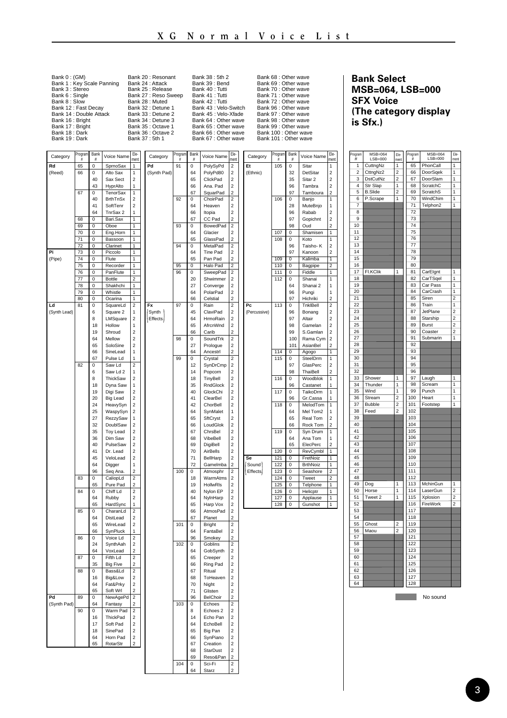| Bank 0: (GM)              | Bank 20 : Resonant   | Bank 38: 5th 2        | Bank 68 : Other wave  |
|---------------------------|----------------------|-----------------------|-----------------------|
| Bank 1: Key Scale Panning | Bank 24 : Attack     | Bank 39 : Bend        | Bank 69 : Other wave  |
| Bank 3 : Stereo           | Bank 25 : Release    | Bank 40 : Tutti       | Bank 70 : Other wave  |
| Bank 6 : Single           | Bank 27 : Reso Sweep | Bank 41 : Tutti       | Bank 71 : Other wave  |
| Bank 8: Slow              | Bank 28 : Muted      | Bank 42 : Tutti       | Bank 72 : Other wave  |
| Bank 12 : Fast Decav      | Bank 32 : Detune 1   | Bank 43 : Velo-Switch | Bank 96 : Other wave  |
| Bank 14 : Double Attack   | Bank 33 : Detune 2   | Bank 45 : Velo-Xfade  | Bank 97 : Other wave  |
| Bank 16 : Bright          | Bank 34 : Detune 3   | Bank 64 : Other wave  | Bank 98 : Other wave  |
| Bank 17: Bright           | Bank 35 : Octave 1   | Bank 65 : Other wave  | Bank 99 : Other wave  |
| Bank 18: Dark             | Bank 36 : Octave 2   | Bank 66 : Other wave  | Bank 100 : Other wave |
| Bank 19: Dark             | Bank 37: 5th 1       | Bank 67 : Other wave  | Bank 101 : Other wave |
|                           |                      |                       |                       |

**Bank Select MSB=064, LSB=000 SFX Voice (The category display is Sfx.)**

 $\overline{a}$ 

| Category     | Program               | <b>Bank</b><br>ă          | Voice Name                  | Fle-<br>ment                               | Category    | Program | <b>Bank</b><br>Ě.         | Voice Name                  | Fle-<br>men                                         | Category                  | Program    | Rank<br>£                  | Voice Name           | Fle-<br>men                      |  |
|--------------|-----------------------|---------------------------|-----------------------------|--------------------------------------------|-------------|---------|---------------------------|-----------------------------|-----------------------------------------------------|---------------------------|------------|----------------------------|----------------------|----------------------------------|--|
| Rd           | 65                    | O                         | SprnoSax                    | 1                                          | Pd          | 91      | $\mathbf 0$               | PolySyPd                    | $\overline{2}$                                      | Ft                        | 105        | $\overline{0}$             | Sitar                | 1                                |  |
| (Reed)       | 66                    | $\mathbf 0$               | Alto Sax                    | 1                                          | (Synth Pad) |         | 64                        | PolyPd80                    | $\overline{2}$                                      | (Ethnic)                  |            | 32                         | DetSitar             | $\overline{2}$                   |  |
|              |                       | 40                        | Sax Sect                    | $\overline{2}$                             |             |         | 65                        | ClickPad                    | $\overline{\mathbf{c}}$                             |                           |            | 35                         | Sitar <sub>2</sub>   | $\overline{a}$                   |  |
|              |                       | 43                        | HyprAlto                    | 1                                          |             |         | 66                        | Ana. Pad                    | $\overline{2}$                                      |                           |            | 96                         | Tambra               | $\overline{a}$                   |  |
|              | 67                    | $\overline{0}$<br>40      | TenorSax<br><b>BrthTnSx</b> | 1<br>$\overline{2}$                        |             | 92      | 67<br>$\mathbf 0$         | SquarPad<br>ChoirPad        | $\overline{\mathbf{c}}$<br>$\overline{\mathbf{c}}$  |                           | 106        | 97<br>0                    | Tamboura<br>Banjo    | $\mathbf 2$<br>1                 |  |
|              |                       | 41                        | SoftTenr                    | $\overline{\mathbf{c}}$                    |             |         | 64                        | Heaven                      | 2                                                   |                           |            | 28                         | MuteBnjo             | 1                                |  |
|              |                       | 64                        | TnrSax 2                    | 1                                          |             |         | 66                        | Itopia                      | $\overline{a}$                                      |                           |            | 96                         | Rabab                | 2                                |  |
|              | 68                    | $\overline{0}$            | Bari.Sax                    | Ŧ                                          |             |         | 67                        | CC Pad                      | $\overline{z}$                                      |                           |            | 97                         | Gopichnt             | $\overline{z}$                   |  |
|              | 69                    | $\overline{\mathfrak{o}}$ | Oboe                        | 1                                          |             | 93      | $\overline{\mathfrak{o}}$ | <b>BowedPad</b>             | $\overline{2}$                                      |                           |            | 98                         | Oud                  | $\overline{c}$                   |  |
|              | 70                    | $\overline{\mathfrak{o}}$ | Eng.Hom                     | $\overline{1}$                             |             |         | 64                        | Glacier                     | $\overline{2}$                                      |                           | 107        | $\overline{\mathfrak{o}}$  | Shamisen             | $\overline{1}$                   |  |
|              | 71                    | $\overline{0}$            | Bassoon                     | 1                                          |             |         | 65                        | GlassPad                    | $\mathfrak{p}$                                      |                           | 108        | $\Omega$                   | Koto                 | 1                                |  |
| Pi           | $\overline{72}$<br>73 | $\overline{\mathfrak{o}}$ | Clarinet                    | $\overline{1}$<br>1                        |             | 94      | $\overline{0}$<br>64      | MetalPad<br><b>Tine Pad</b> | $\overline{2}$                                      |                           |            | 96<br>97                   | Taisho-K             | $\overline{2}$<br>$\overline{2}$ |  |
| (Pipe)       | 74                    | O<br>0                    | Piccolo<br>Flute            | 1                                          |             |         | 65                        | Pan Pad                     | $\overline{\mathbf{c}}$<br>$\mathfrak{p}$           |                           | 109        | $\overline{0}$             | Kanoon<br>Kalimba    | ī                                |  |
|              | 75                    | $\circ$                   | Recorder                    | 1                                          |             | 95      | $\overline{0}$            | Halo Pad                    | $\overline{2}$                                      |                           | 110        | $\circ$                    | Bagpipe              | $\overline{2}$                   |  |
|              | 76                    | O                         | PanFlute                    | 1                                          |             | 96      | $\bf 0$                   | SweepPad                    | $\overline{a}$                                      |                           | 111        | 0                          | Fiddle               | 1                                |  |
|              | 77                    | $\overline{0}$            | Bottle                      | 2                                          |             |         | 20                        | Shwimmer                    | $\overline{2}$                                      |                           | 112        | $\overline{0}$             | Shanai               | ī                                |  |
|              | 78                    | $\overline{0}$            | Shakhchi                    | 1                                          |             |         | 27                        | Converge                    | $\overline{z}$                                      |                           |            | 64                         | Shanai 2             | 1                                |  |
|              | 79                    | $\mathbf 0$               | Whistle                     | 1                                          |             |         | 64                        | PolarPad                    | $\overline{\mathbf{c}}$<br>$\overline{\phantom{a}}$ |                           |            | 96                         | Pungi                | 1<br>2                           |  |
| Ld           | 80<br>81              | 0<br>$\overline{0}$       | Ocarina<br>SquareLd         | $\overline{1}$<br>$\overline{2}$           | Fx          | 97      | 66<br>$\Omega$            | Celstial<br>Rain            | $\overline{2}$                                      | Pc.                       | 113        | 97<br>$\Omega$             | Hichriki<br>TnklBell | $\overline{2}$                   |  |
| (Synth Lead) |                       | 6                         | Square 2                    | 1                                          | Synth       |         | 45                        | ClaviPad                    | $\overline{\mathbf{c}}$                             | (Percussive)              |            | 96                         | Bonang               | $\overline{a}$                   |  |
|              |                       | 8                         | LMSquare                    | $\overline{\mathbf{c}}$                    | Effects     |         | 64                        | HrmoRain                    | $\overline{\mathbf{c}}$                             |                           |            | 97                         | Altair               | $\mathbf 2$                      |  |
|              |                       | 18                        | Hollow                      | 1                                          |             |         | 65                        | AfrcnWnd                    | $\overline{2}$                                      |                           |            | 98                         | Gamelan              | $\overline{2}$                   |  |
|              |                       | 19                        | Shroud                      | $\overline{\phantom{a}}$                   |             |         | 66                        | Carib                       | $\overline{\phantom{a}}$                            |                           |            | 99                         | S Gamlan             | $\overline{2}$                   |  |
|              |                       | 64                        | Mellow                      | $\overline{2}$                             |             | 98      | $\mathbf 0$               | SoundTrk                    | $\overline{2}$                                      |                           |            | 100                        | Rama Cym             | $\overline{a}$                   |  |
|              |                       | 65                        | SoloSine                    | $\overline{2}$                             |             |         | 27                        | Prologue                    | $\overline{2}$                                      |                           |            | 101                        | AsianBel             | $\overline{\phantom{a}}$         |  |
|              |                       | 66<br>67                  | Sinel ead<br>Pulse Ld       | 1<br>1                                     |             | 99      | 64<br>$\overline{0}$      | Ancestri                    | $\overline{\phantom{a}}$<br>$\overline{2}$          |                           | 114<br>115 | $\Omega$<br>$\overline{0}$ | Agogo                | $\overline{1}$<br>1              |  |
|              | 82                    | $\overline{0}$            | Saw Ld                      | $\overline{2}$                             |             |         | 12                        | Crystal<br>SynDrCmp         | $\mathbf 2$                                         |                           |            | 97                         | SteelDrm<br>GlasPerc | $\mathbf 2$                      |  |
|              |                       | 6                         | Saw Ld 2                    | 1                                          |             |         | 14                        | Popcom                      | $\overline{\phantom{a}}$                            |                           |            | 98                         | ThaiBell             | $\overline{\phantom{a}}$         |  |
|              |                       | 8                         | ThickSaw                    | $\overline{\mathbf{c}}$                    |             |         | 18                        | <b>TinyBell</b>             | 2                                                   |                           | 116        | $\overline{0}$             | Woodblok             | $\overline{1}$                   |  |
|              |                       | 18                        | Dyna Saw                    | 1                                          |             |         | 35                        | RndGlock                    | 2                                                   |                           |            | 96                         | Castanet             | 1                                |  |
|              |                       | 19                        | Digi Saw                    | $\mathcal{P}$                              |             |         | 40                        | GlockChi                    | $\overline{\phantom{a}}$                            |                           | 117        | $\Omega$                   | TaikoDrm             | 1                                |  |
|              |                       | 20                        | <b>Big Lead</b>             | $\overline{a}$                             |             |         | 41                        | ClearBel                    | $\overline{\mathbf{c}}$                             |                           |            | 96                         | Gr.Cassa             | 1                                |  |
|              |                       | 24                        | HeavySyn                    | $\overline{2}$                             |             |         | 42<br>64                  | ChorBell                    | $\overline{2}$                                      |                           | 118        | $\overline{0}$<br>64       | MelodTom             | 1                                |  |
|              |                       | 25<br>27                  | WaspySyn<br>RezzySaw        | $\mathbf 2$<br>1                           |             |         | 65                        | SynMalet<br>SftCryst        | 1<br>$\overline{\mathbf{c}}$                        |                           |            | 65                         | Mel Tom2<br>Real Tom | 1<br>$\overline{2}$              |  |
|              |                       | 32                        | DoublSaw                    | $\overline{\mathbf{c}}$                    |             |         | 66                        | LoudGlok                    | $\overline{\mathbf{c}}$                             |                           |            | 66                         | Rock Tom             | $\overline{2}$                   |  |
|              |                       | 35                        | <b>Toy Lead</b>             | $\overline{\mathbf{c}}$                    |             |         | 67                        | ChrsBel                     | $\overline{\mathbf{c}}$                             |                           | 119        | 0                          | Syn Drum             | 1                                |  |
|              |                       | 36                        | Dim Saw                     | $\overline{2}$                             |             |         | 68                        | VibeBell                    | $\overline{2}$                                      |                           |            | 64                         | Ana Tom              | 1                                |  |
|              |                       | 40                        | PulseSaw                    | $\mathbf 2$                                |             |         | 69                        | DigiBell                    | $\mathbf 2$                                         |                           |            | 65                         | ElecPerc             | $\overline{2}$                   |  |
|              |                       | 41                        | Dr. Lead                    | $\overline{a}$                             |             |         | 70                        | AirBells                    | $\overline{\mathbf{2}}$                             |                           | 120        | 0                          | RevCymbl             | 1                                |  |
|              |                       | 45                        | Velol ead                   | $\overline{z}$                             |             |         | 71                        | BellHarn                    | $\overline{z}$                                      | $\overline{\mathbf{s}}$ e | 121        | $\overline{0}$             | FretNoiz             | 1                                |  |
|              |                       | 64<br>96                  | Digger<br>Seq Ana.          | $\mathbf{1}$<br>$\overline{2}$             |             | 100     | 72<br>O                   | Gamelmba<br>Atmosphr        | $\overline{2}$<br>$\overline{2}$                    | Sound<br>Effects          | 122<br>123 | $\overline{0}$<br>o        | BrthNoiz<br>Seashore | 1<br>$\overline{2}$              |  |
|              | $\overline{83}$       | $\Omega$                  | CaliopLd                    | 7                                          |             |         | 18                        | WarmAtms                    | $\overline{\phantom{a}}$                            |                           | 124        | 0                          | Tweet                | $\overline{ }$                   |  |
|              |                       | 65                        | Pure Pad                    | $\overline{2}$                             |             |         | 19                        | HollwRis                    | $\overline{\mathbf{c}}$                             |                           | 125        | $\overline{0}$             | Telphone             | 1                                |  |
|              | 84                    | o                         | Chiff Ld                    | $\overline{2}$                             |             |         | 40                        | Nylon EP                    | $\overline{\mathbf{c}}$                             |                           | 126        | $\circ$                    | Helicptr             | 1                                |  |
|              |                       | 64                        | Rubby                       | $\overline{2}$                             |             |         | 64                        | NyinHarp                    | $\overline{2}$                                      |                           | 127        | 0                          | Applause             | 1                                |  |
|              |                       | 65                        | HardSync                    | 1                                          |             |         | 65                        | Harp Vox                    | $\overline{\mathbf{c}}$                             |                           | 128        | $\overline{0}$             | Gunshot              | 1                                |  |
|              | 85                    | 0<br>64                   | CharanLd<br>DistLead        | $\overline{a}$<br>$\overline{2}$           |             |         | 66<br>67                  | AtmosPad<br>Planet          | $\overline{a}$<br>$\mathcal{L}$                     |                           |            |                            |                      |                                  |  |
|              |                       | 65                        | Wirel ead                   | $\overline{z}$                             |             | 101     | $\Omega$                  | Bright                      | $\overline{z}$                                      |                           |            |                            |                      |                                  |  |
|              |                       | 66                        | SynPluck                    | 1                                          |             |         | 64                        | FantaBel                    | $\overline{2}$                                      |                           |            |                            |                      |                                  |  |
|              | 86                    | $\mathbf 0$               | Voice Ld                    | $\overline{2}$                             |             |         | 96                        | Smokey                      | $\overline{\mathbf{c}}$                             |                           |            |                            |                      |                                  |  |
|              |                       | 24                        | SynthAah                    | $\overline{\phantom{a}}$                   |             | 102     | $\mathbf 0$               | Goblins                     | $\overline{2}$                                      |                           |            |                            |                      |                                  |  |
|              |                       | 64                        | VoxLead                     | $\overline{2}$                             |             |         | 64                        | GobSvnth                    | $\overline{\mathbf{c}}$                             |                           |            |                            |                      |                                  |  |
|              | 87                    | $\overline{0}$            | Fifth Ld                    | 2                                          |             |         | 65                        | Creeper                     | 2                                                   |                           |            |                            |                      |                                  |  |
|              | 88                    | 35<br>$\Omega$            | <b>Big Five</b><br>Bass&l d | $\overline{2}$<br>$\overline{\phantom{a}}$ |             |         | 66<br>67                  | Ring Pad<br>Ritual          | $\overline{2}$<br>$\overline{2}$                    |                           |            |                            |                      |                                  |  |
|              |                       | 16                        | Big&Low                     | $\overline{c}$                             |             |         | 68                        | ToHeaven                    | $\overline{c}$                                      |                           |            |                            |                      |                                  |  |
|              |                       | 64                        | Fat&Prky                    | $\overline{2}$                             |             |         | 70                        | Night                       | $\overline{\mathbf{c}}$                             |                           |            |                            |                      |                                  |  |
|              |                       | 65                        | Soft Wrl                    | $\overline{z}$                             |             |         | 71                        | Glisten                     | $\overline{z}$                                      |                           |            |                            |                      |                                  |  |
| Pd           | 89                    | Ö                         | NewAgePd                    | $\overline{2}$                             |             |         | 96                        | BelChoir                    | $\overline{2}$                                      |                           |            |                            |                      |                                  |  |
| (Synth Pad)  |                       | 64                        | Fantasy                     | $\overline{z}$                             |             | 103     | $\overline{0}$            | Echoes                      | 2                                                   |                           |            |                            |                      |                                  |  |
|              | 90                    | $\Omega$                  | Warm Pad                    | $\mathcal{P}$<br>$\overline{2}$            |             |         | R<br>14                   | Echoes <sub>2</sub>         | $\overline{\phantom{a}}$<br>$\overline{2}$          |                           |            |                            |                      |                                  |  |
|              |                       | 16<br>17                  | ThickPad<br>Soft Pad        | $\mathbf 2$                                |             |         | 64                        | Echo Pan<br>EchoBell        | $\mathbf 2$                                         |                           |            |                            |                      |                                  |  |
|              |                       | 18                        | SingPad                     | $\overline{\phantom{a}}$                   |             |         | 65                        | Big Pan                     | $\mathcal{P}$                                       |                           |            |                            |                      |                                  |  |
|              |                       | 64                        | Horn Pad                    | $\overline{\mathbf{c}}$                    |             |         | 66                        | SynPiano                    | $\overline{\mathbf{c}}$                             |                           |            |                            |                      |                                  |  |
|              |                       | 65                        | <b>RotarStr</b>             | $\overline{2}$                             |             |         | 67                        | Creation                    | $\overline{\mathbf{c}}$                             |                           |            |                            |                      |                                  |  |
|              |                       |                           |                             |                                            |             |         | 68                        | StarDust                    | $\overline{2}$                                      |                           |            |                            |                      |                                  |  |
|              |                       |                           |                             |                                            |             |         | 69                        | Reso&Pan                    | $\overline{a}$                                      |                           |            |                            |                      |                                  |  |
|              |                       |                           |                             |                                            |             | 104     | $\mathbf 0$               | Sci-Fi                      | $\overline{2}$                                      |                           |            |                            |                      |                                  |  |
|              |                       |                           |                             |                                            |             |         | 64                        | Starz                       | $\overline{\mathbf{c}}$                             |                           |            |                            |                      |                                  |  |
|              |                       |                           |                             |                                            |             |         |                           |                             |                                                     |                           |            |                            |                      |                                  |  |

| Program<br>#    | $MSB = 064$<br>$LSB=000$ | Ele                              | Program<br>#          | $MSB = 064$<br>$LSB=000$ | Fie<br>ment             |
|-----------------|--------------------------|----------------------------------|-----------------------|--------------------------|-------------------------|
| 1               | CuttngNz                 | ment<br>ï                        | 65                    | PhonCall                 | 1                       |
| $\overline{2}$  | CttngNz2                 | $\overline{a}$                   | 66                    | DoorSqek                 | 1                       |
| 3               | <b>DstCutNz</b>          | $\overline{a}$                   | 67                    | DoorSlam                 | ī                       |
| 4               | Str Slap                 | 1                                | 68                    | ScratchC                 | 1                       |
| 5               | <b>B.Slide</b>           | $\overline{c}$                   | 69                    | <b>ScratchS</b>          | 1                       |
|                 |                          | 1                                | $\overline{70}$       |                          | ī                       |
| 6               | P.Scrape                 |                                  |                       | WindChim                 |                         |
| 7               |                          |                                  | 71                    | Telphon2                 | 1                       |
| 8               |                          |                                  | 72                    |                          |                         |
| 9               |                          |                                  | 73                    |                          |                         |
| 10              |                          |                                  | 74                    |                          |                         |
| 11              |                          |                                  | $\overline{75}$       |                          |                         |
| $\overline{12}$ |                          |                                  | 76                    |                          |                         |
| 13              |                          |                                  | 77                    |                          |                         |
| 14              |                          |                                  | 78                    |                          |                         |
| 15              |                          |                                  | 79                    |                          |                         |
| 16              |                          |                                  | 80                    |                          |                         |
| $\overline{17}$ | FI.KClik                 | 1                                | 81                    | CarElgnt                 | i                       |
| 18              |                          |                                  | 82                    | CarTSgel                 | 1                       |
| 19              |                          |                                  | 83                    | Car Pass                 | 1                       |
| 20              |                          |                                  | 84                    | CarCrash                 | 1                       |
| 21              |                          |                                  | 85                    | Siren                    | $\overline{c}$          |
|                 |                          |                                  |                       |                          |                         |
| 22              |                          |                                  | 86                    | Train                    | 1                       |
| 23              |                          |                                  | 87                    | JetPlane                 | $\overline{c}$          |
| $\overline{24}$ |                          |                                  | 88                    | Starship                 | $\overline{\mathbf{2}}$ |
| 25              |                          |                                  | <b>R</b> <sub>9</sub> | <b>Burst</b>             | $\overline{c}$          |
| 26              |                          |                                  | 90                    | Coaster                  | $\overline{c}$          |
| 27              |                          |                                  | 91                    | Submarin                 | 1                       |
| 28              |                          |                                  | 92                    |                          |                         |
| 29              |                          |                                  | 93                    |                          |                         |
| 30              |                          |                                  | 94                    |                          |                         |
| 31              |                          |                                  | 95                    |                          |                         |
| 32              |                          |                                  | 96                    |                          |                         |
| 33              | Shower                   | 1                                | 97                    | Laugh                    | 1                       |
| 34              | Thunder                  | 1                                | 98                    | Scream                   | 1                       |
| 35              | Wind                     | 1                                | 99                    | Punch                    | i                       |
| 36              | Stream                   | $\overline{a}$                   | 100                   | Heart                    | i                       |
|                 |                          |                                  |                       |                          | 1                       |
| 37<br>38        | <b>Bubble</b>            | $\overline{a}$<br>$\overline{2}$ | 101<br>102            | Footstep                 |                         |
|                 | Feed                     |                                  |                       |                          |                         |
| .<br>39         |                          |                                  | 103                   |                          |                         |
| 40              |                          |                                  | 104                   |                          |                         |
| 41              |                          |                                  | 105                   |                          |                         |
| 42              |                          |                                  | 106                   |                          |                         |
| 43              |                          |                                  | 107                   |                          |                         |
| 44              |                          |                                  | 108                   |                          |                         |
| 45              |                          |                                  | 109                   |                          |                         |
| 46              |                          |                                  | 110                   |                          |                         |
| 47              |                          |                                  | 111                   |                          |                         |
| 48              |                          |                                  | 112                   |                          |                         |
| 49              | Dog                      | 1                                | 113                   | MchinGun                 | 1                       |
| 50              | Horse                    | 1                                | 114                   | LaserGun                 | $\overline{c}$          |
| 51              | Tweet 2                  | 1                                | 115                   | Xplosion                 | $\overline{2}$          |
| 52              |                          |                                  | 116                   | FireWork                 | 2                       |
| 53              |                          |                                  | 117                   |                          |                         |
| 54              |                          |                                  | 118                   |                          |                         |
| 55              |                          | 2                                | 119                   |                          |                         |
| 56              | Ghost<br>Maou            | $\overline{c}$                   | 120                   |                          |                         |
|                 |                          |                                  |                       |                          |                         |
| .<br>57         |                          |                                  | 121                   |                          |                         |
| 58              |                          |                                  | 122                   |                          |                         |
| 59              |                          |                                  | 123                   |                          |                         |
| 60              |                          |                                  | 124                   |                          |                         |
| 61              |                          |                                  | 125                   |                          |                         |
| 62              |                          |                                  | 126                   |                          |                         |
| 63              |                          |                                  | 127                   |                          |                         |
| 64              |                          |                                  | 128                   |                          |                         |
|                 |                          |                                  |                       | No sound                 |                         |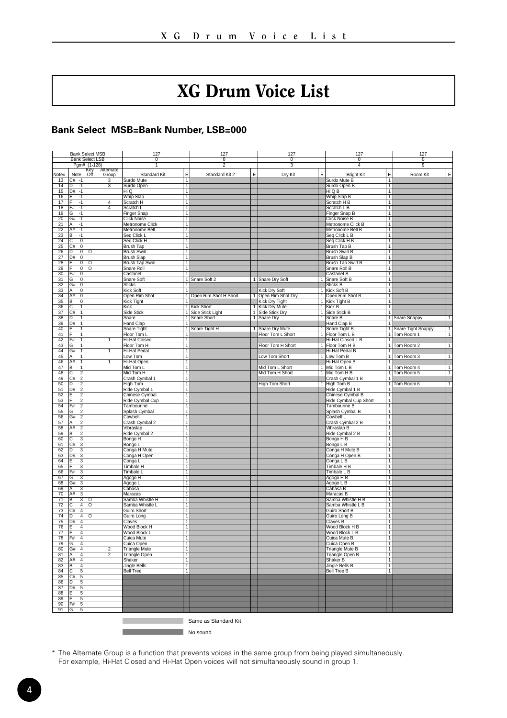### XG Drum Voice List

#### <span id="page-3-0"></span>**Bank Select MSB=Bank Number, LSB=000**

|                       | <b>Bank Select MSB</b>                                  |                         |                | 127                                |                     | 127                     |   | 127                                  |                | 127                                       |                                  | 127                       |                |
|-----------------------|---------------------------------------------------------|-------------------------|----------------|------------------------------------|---------------------|-------------------------|---|--------------------------------------|----------------|-------------------------------------------|----------------------------------|---------------------------|----------------|
|                       |                                                         | <b>Bank Select LSB</b>  |                | ᠊ᢆ                                 |                     | ᠊ᢆ                      |   | ᠊ᢆᢆ                                  |                | $\overline{\mathfrak{o}}$                 |                                  | $\overline{\mathfrak{o}}$ |                |
|                       |                                                         | Pgm# (1-128)<br>Key     | Alternate      |                                    |                     | 2                       |   |                                      |                | 4                                         |                                  | $\overline{9}$            |                |
| Note#                 | Note                                                    | Off                     | Group          | Standard Kit                       | E                   | Standard Kit 2          | E | Dry Kit                              | E              | <b>Bright Kit</b>                         | E                                | Room Kit                  | E              |
| 13                    | $C#$ -1                                                 |                         | 3              | Surdo Mute                         | Т                   |                         |   |                                      |                | Surdo Mute B                              | ┱                                |                           |                |
| 14                    | $\overline{\mathsf{D}}$<br>$\overline{1}$<br>D#<br>$-1$ |                         | 3              | Surdo Open<br>Hi Q                 | T                   |                         |   |                                      |                | Surdo Open B<br>Hi Q B                    | $\overline{1}$<br>$\overline{1}$ |                           |                |
| 15<br>16              | $-1$                                                    |                         |                | <b>Whip Slap</b>                   | $\overline{1}$<br>1 |                         |   |                                      |                | Whip Slap B                               | $\overline{1}$                   |                           |                |
| 17                    | -1                                                      |                         | $\overline{4}$ | Scratch H                          | T                   |                         |   |                                      |                | Scratch H B                               | T                                |                           |                |
| 18                    | F#<br>$-1$                                              |                         | 4              | Scratch L                          | т                   |                         |   |                                      |                | Scratch L B                               | т                                |                           |                |
| 19                    | G<br>-1                                                 |                         |                | Finger Snap                        | Τ                   |                         |   |                                      |                | Finger Snap B                             | T                                |                           |                |
| 20                    | G#<br>$-1$<br>A<br>$\overline{1}$                       |                         |                | Click Noise                        | $\overline{1}$      |                         |   |                                      |                | <b>Click Noise B</b>                      | $\overline{1}$                   |                           |                |
| 21<br>22              | A#<br>$-1$                                              |                         |                | Metronome Click<br>Metronome Bell  | T<br>1              |                         |   |                                      |                | Metronome Click B<br>Metronome Bell B     | $\overline{1}$<br>$\overline{1}$ |                           |                |
| 23                    | в<br>-1                                                 |                         |                | Seq Click L                        | T                   |                         |   |                                      |                | Seq Click L B                             | T                                |                           |                |
| $\overline{24}$       | $\overline{c}$<br>$\overline{0}$                        |                         |                | Seq Click H                        | T                   |                         |   |                                      |                | Seq Click H B                             | т                                |                           |                |
| 25                    | $\overline{C}$ #<br>이                                   |                         |                | <b>Brush Tap</b>                   | T                   |                         |   |                                      |                | <b>Brush Tap B</b>                        | т                                |                           |                |
| 26<br>27              | 0 <br>D<br>D#<br>$\overline{0}$                         | $\overline{\circ}$      |                | <b>Brush Swirl</b>                 | T<br>1              |                         |   |                                      |                | <b>Brush Swirl B</b>                      | $\overline{1}$<br>$\overline{1}$ |                           |                |
| 28                    | ग                                                       | $\overline{\circ}$      |                | Brush Slap<br>Brush Tap Swirl      | $\overline{1}$      |                         |   |                                      |                | <b>Brush Slap B</b><br>Brush Tap Swirl B  | $\overline{1}$                   |                           |                |
| 29                    | 이                                                       | ०                       |                | Snare Roll                         | т                   |                         |   |                                      |                | Snare Roll B                              | T                                |                           |                |
| $\overline{30}$       | F#<br>ō                                                 |                         |                | Castanet                           | т                   |                         |   |                                      |                | Castanet B                                | т                                |                           |                |
| 31                    | ⊽<br>G                                                  |                         |                | Snare Soft                         | T                   | Snare Soft 2            |   | 1 Snare Dry Soft                     | ┱              | Snare Soft B                              | T                                |                           |                |
| $\overline{32}$       | G#<br>$\overline{\mathfrak{o}}$<br>А                    |                         |                | <b>Sticks</b>                      | 7<br>1              |                         |   |                                      | 1              | Sticks B                                  | T<br>$\mathbf{1}$                |                           |                |
| 33<br>34              | $\Omega$<br>A#<br>$\overline{0}$                        |                         |                | Kick Soft<br>Open Rim Shot         |                     | 1 Open Rim Shot H Short |   | Kick Dry Soft<br>1 Open Rim Shot Dry |                | Kick Soft B<br>1 Open Rim Shot B          | $\overline{1}$                   |                           |                |
| 35                    | $\overline{B}$<br>$\overline{0}$                        |                         |                | <b>Kick Tight</b>                  | 1                   |                         |   | Kick Dry Tight                       |                | 1 Kick Tight B                            | $\overline{1}$                   |                           |                |
| 36                    | т<br>C                                                  |                         |                | Kick                               |                     | 1 Kick Short            |   | 1 Kick Dry Mute                      |                | 1 Kick B                                  | т                                |                           |                |
| 37                    | C#<br>Ŧ                                                 |                         |                | Side Stick                         |                     | 1 Side Stick Light      |   | 1 Side Stick Dry                     |                | 1 Side Stick B                            | т                                |                           |                |
| 38                    |                                                         |                         |                | Snare                              | $\overline{1}$      | Snare Short             |   | 1 Snare Dry                          | $\overline{1}$ | Snare B                                   | $\overline{1}$                   | Snare Snappy              | 1              |
| 39<br>40              | ╗<br>D#<br>1                                            |                         |                | <b>Hand Clap</b><br>Snare Tight    | 7                   | 1 Snare Tight H         |   | 1 Snare Dry Mute                     |                | Hand Clap B<br>1 Snare Tight B            | $\overline{1}$                   | 1 Snare Tight Snappy      | $\overline{1}$ |
| 41                    | Ŧ                                                       |                         |                | Floor Tom L                        | T                   |                         |   | Floor Tom L Short                    |                | 1 Floor Tom L B                           |                                  | 1 Tom Room 1              | T              |
| 42                    | т<br>F#                                                 |                         | ī              | Hi-Hat Closed                      | 1                   |                         |   |                                      |                | Hi-Hat Closed L B                         | 7                                |                           |                |
| 43                    | G<br>т                                                  |                         |                | Floor Tom H                        | T                   |                         |   | Floor Tom H Short                    |                | 1 Floor Tom H B                           | Τ                                | Tom Room 2                | ┱              |
| 44                    | G#<br>$\overline{1}$                                    |                         | Ŧ              | Hi-Hat Pedal                       | T                   |                         |   |                                      |                | Hi-Hat Pedal B                            | $\overline{1}$                   |                           |                |
| 45                    | 1<br>А<br>$\overline{1}$<br>A#                          |                         | 1              | Low Tom                            | $\overline{1}$      |                         |   | Low Tom Short                        | 1              | Low Tom B                                 | $\overline{1}$                   | 1 Tom Room 3              | $\overline{1}$ |
| 46<br>47              | B<br>Ŧ                                                  |                         |                | Hi-Hat Open<br>Mid Tom L           | 1<br>T              |                         |   | Mid Tom L Short                      |                | Hi-Hat Open B<br>1 Mid Tom L B            | T                                | Tom Room 4<br>ℸ           |                |
| 48                    | 7<br>С                                                  |                         |                | Mid Tom H                          | т                   |                         |   | Mid Tom H Short                      |                | 1 Mid Tom H B                             |                                  | 1 Tom Room 5              | T              |
| 49                    | $\frac{1}{2}$<br>C#                                     |                         |                | Crash Cymbal 1                     | T                   |                         |   |                                      |                | Crash Cymbal 1 B                          | 7                                |                           |                |
| 50                    | ъ<br>$\overline{2}$                                     |                         |                | <b>High Tom</b>                    | т                   |                         |   | <b>High Tom Short</b>                |                | 1 High Tom B                              | T                                | Tom Room 6                | ┯              |
| 51                    | D#<br>$\overline{2}$                                    |                         |                | Ride Cymbal 1                      | $\overline{1}$      |                         |   |                                      |                | Ride Cymbal 1 B                           | 1<br>Ŧ                           |                           |                |
| 52<br>53              | $\overline{2}$                                          |                         |                | Chinese Cymbal<br>Ride Cymbal Cup  | T<br>T              |                         |   |                                      |                | Chinese Cymbal B<br>Ride Cymbal Cup Short | T                                |                           |                |
| 54                    | $\overline{2}$<br>F#                                    |                         |                | Tambourine                         | T                   |                         |   |                                      |                | Tambourine B                              | T                                |                           |                |
| 55                    | 2<br>G                                                  |                         |                | Splash Cymbal                      | Τ                   |                         |   |                                      |                | Splash Cymbal B                           | Ŧ                                |                           |                |
| 56                    | G#<br>2                                                 |                         |                | Cowbell                            | т                   |                         |   |                                      |                | Cowbell L                                 | T                                |                           |                |
| 57                    | 2<br>Δ                                                  |                         |                | Crash Cymbal 2                     | 1                   |                         |   |                                      |                | Crash Cymbal 2 B                          | 1                                |                           |                |
| 58<br>59              | $\overline{2}$<br>A#<br>B                               |                         |                | Vibraslap<br>Ride Cymbal 2         | T<br>T              |                         |   |                                      |                | Vibraslap B<br>Ride Cymbal 2 B            | $\overline{1}$<br>7              |                           |                |
| 60                    | $\frac{2}{3}$                                           |                         |                | Bongo H                            | т                   |                         |   |                                      |                | Bongo H B                                 | T                                |                           |                |
| 61                    | $\overline{3}$<br>C#                                    |                         |                | Bongo L                            | T                   |                         |   |                                      |                | Bongo L B                                 | T                                |                           |                |
| 62                    | n<br>3                                                  |                         |                | Conga H Mute                       | Т                   |                         |   |                                      |                | Conga H Mute B                            | т                                |                           |                |
| 63                    | D#                                                      |                         |                | Conga H Open                       | T                   |                         |   |                                      |                | Conga H Open B                            | $\overline{1}$                   |                           |                |
| 64<br>65              | $\overline{3}$                                          |                         |                | Conga L<br><b>Timbale H</b>        | 1<br>T              |                         |   |                                      |                | Conga L B<br>Timbale H B                  | 1<br>$\overline{1}$              |                           |                |
| 66                    | F#<br>3                                                 |                         |                | Timbale L                          | T                   |                         |   |                                      |                | Timbale L B                               | T                                |                           |                |
| 67                    | 3<br>G                                                  |                         |                | Agogo H                            | T                   |                         |   |                                      |                | Agogo H B                                 | T                                |                           |                |
| 68                    | $\overline{3}$<br>G#                                    |                         |                | Agogo L                            | T                   |                         |   |                                      |                | Agogo L B                                 | 7                                |                           |                |
| 69                    | 3<br>А                                                  |                         |                | Cabasa                             | Τ                   |                         |   |                                      |                | Cabasa B                                  | ℸ                                |                           |                |
| 70                    | 3<br>A#                                                 |                         |                | Maracas                            | Τ                   |                         |   |                                      |                | Maracas B                                 | Ŧ                                |                           |                |
| 71<br>$\overline{72}$ | В<br>3<br>41<br>c                                       | ०<br>$\overline{\circ}$ |                | Samba Whistle H<br>Samba Whistle L | Т<br>T              |                         |   |                                      |                | Samba Whistle H B<br>Samba Whistle L B    | ┱<br>T                           |                           |                |
| $\overline{73}$       | C#<br>4                                                 |                         |                | Guiro Short                        | τ                   |                         |   |                                      |                | Guiro Short B                             | т                                |                           |                |
| $\overline{74}$       | ъ<br>41                                                 | ᢐ                       |                | Guiro Long                         | т                   |                         |   |                                      |                | Guiro Long B                              | T                                |                           |                |
| 75                    | D#<br>$\overline{4}$                                    |                         |                | Claves                             | $\overline{1}$      |                         |   |                                      |                | <b>Claves B</b>                           | $\overline{1}$                   |                           |                |
| 76                    | $\overline{4}$                                          |                         |                | Wood Block H                       | T                   |                         |   |                                      |                | Wood Block H B                            | T                                |                           |                |
| 77<br>78              | 4<br>F#<br>$\overline{4}$                               |                         |                | Wood Block L<br>Cuica Mute         | 1<br>T              |                         |   |                                      |                | Wood Block L B<br>Cuica Mute B            | $\overline{1}$<br>T              |                           |                |
| 79                    | $\overline{4}$<br>G                                     |                         |                | Cuica Open                         | T                   |                         |   |                                      |                | Cuica Open B                              | ₹                                |                           |                |
| 80                    | G#<br>$\overline{4}$                                    |                         | 2              | <b>Triangle Mute</b>               | т                   |                         |   |                                      |                | <b>Triangle Mute B</b>                    | т                                |                           |                |
| 81                    | 4<br>А                                                  |                         | 2              | Triangle Open                      | T                   |                         |   |                                      |                | Triangle Open B                           | $\overline{1}$                   |                           |                |
| 82                    | A#<br>4                                                 |                         |                | Shaker                             | 1                   |                         |   |                                      |                | Shaker B                                  | $\overline{1}$                   |                           |                |
| 83                    | ĪВ<br>$\overline{4}$                                    |                         |                | Jingle Bells                       | $\overline{1}$      |                         |   |                                      |                | Jingle Bells B                            | $\overline{1}$                   |                           |                |
| 84<br>85              | 5<br>5<br>C#                                            |                         |                | <b>Bell Tree</b>                   | T                   |                         |   |                                      |                | <b>Bell Tree B</b>                        | T                                |                           |                |
| 86                    | $\overline{5}$<br>n                                     |                         |                |                                    |                     |                         |   |                                      |                |                                           |                                  |                           |                |
| 87                    | D#<br>$\overline{5}$                                    |                         |                |                                    |                     |                         |   |                                      |                |                                           |                                  |                           |                |
| 88                    | 5                                                       |                         |                |                                    |                     |                         |   |                                      |                |                                           |                                  |                           |                |
| 89                    | 5<br>$\frac{1}{5}$<br>F#                                |                         |                |                                    |                     |                         |   |                                      |                |                                           |                                  |                           |                |
| $90^{1}$<br>91        | G<br>$\overline{5}$                                     |                         |                |                                    |                     |                         |   |                                      |                |                                           |                                  |                           |                |
|                       |                                                         |                         |                |                                    |                     |                         |   |                                      |                |                                           |                                  |                           |                |
|                       |                                                         |                         |                |                                    |                     | Same as Standard Kit    |   |                                      |                |                                           |                                  |                           |                |

**No sound**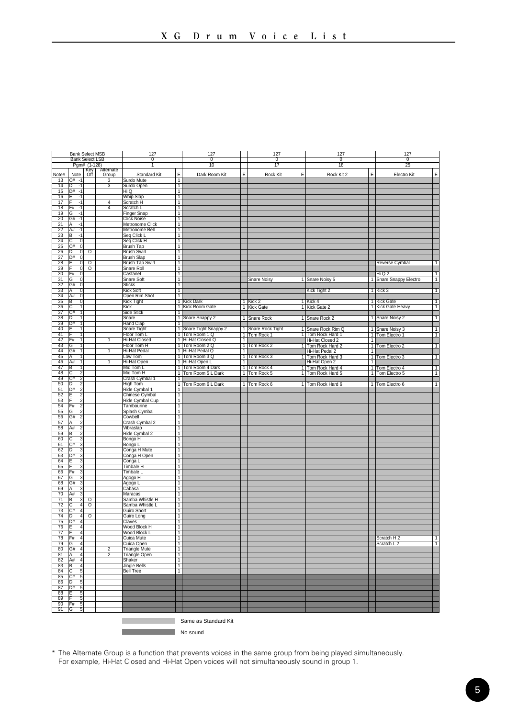|                          | <b>Bank Select MSB</b>                 |                                        |                | 127                                     |                     | 127                                  |                | 127                              |              | 127                                   |                | 127                              |                |
|--------------------------|----------------------------------------|----------------------------------------|----------------|-----------------------------------------|---------------------|--------------------------------------|----------------|----------------------------------|--------------|---------------------------------------|----------------|----------------------------------|----------------|
|                          |                                        | <b>Bank Select LSB</b><br>Pgm# (1-128) |                | $\overline{0}$<br>1                     |                     | $\overline{0}$<br>10                 |                | $\overline{\mathfrak{o}}$<br>17  |              | $\overline{0}$<br>18                  |                | $\overline{0}$<br>25             |                |
|                          |                                        | Key<br>Off                             | Alternate      |                                         |                     |                                      |                |                                  |              |                                       |                |                                  |                |
| Note#<br>$\overline{13}$ | Note<br>$C# - 1$                       |                                        | Group<br>3     | Standard Kit<br>Surdo Mute              | E<br>٦              | Dark Room Kit                        | E              | Rock Kit                         | E            | Rock Kit 2                            | E              | Electro Kit                      | E              |
| $\overline{14}$          | Īπ<br>$\overline{11}$                  |                                        | $\overline{3}$ | Surdo Open                              | ℸ                   |                                      |                |                                  |              |                                       |                |                                  |                |
| 15                       | $ D# - 1 $                             |                                        |                | Hi Q                                    | $\overline{1}$      |                                      |                |                                  |              |                                       |                |                                  |                |
| 16                       | $-1$<br>ĪΕ                             |                                        |                | Whip Slap                               | $\overline{1}$      |                                      |                |                                  |              |                                       |                |                                  |                |
| 17                       | ΤF<br>$\overline{11}$                  |                                        | $\overline{4}$ | Scratch H                               | ℸ                   |                                      |                |                                  |              |                                       |                |                                  |                |
| 18<br>19                 | F#<br>$-1$<br>ন<br>ন                   |                                        | $\overline{4}$ | Scratch L<br>Finger Snap                | $\overline{1}$<br>т |                                      |                |                                  |              |                                       |                |                                  |                |
| 20                       | G#<br>$-1$                             |                                        |                | <b>Click Noise</b>                      | $\overline{1}$      |                                      |                |                                  |              |                                       |                |                                  |                |
| 21                       | ΙA<br>$-1$                             |                                        |                | <b>Metronome Click</b>                  | $\overline{1}$      |                                      |                |                                  |              |                                       |                |                                  |                |
| $\frac{22}{23}$          | A#<br>$-1$                             |                                        |                | Metronome Bell                          | $\overline{1}$      |                                      |                |                                  |              |                                       |                |                                  |                |
|                          | ĪΒ<br>$-1$                             |                                        |                | Seq Click L                             | T                   |                                      |                |                                  |              |                                       |                |                                  |                |
| $\overline{24}$<br>25    | ΤC<br>ᅁ                                |                                        |                | Seq Click H                             | $\overline{1}$      |                                      |                |                                  |              |                                       |                |                                  |                |
| 26                       | ᅁ<br>C#<br>סן<br>$\overline{0}$        | ०                                      |                | Brush Tap<br><b>Brush Swirl</b>         | ℸ<br>T              |                                      |                |                                  |              |                                       |                |                                  |                |
| 27                       | D#<br>$\overline{0}$                   |                                        |                | <b>Brush Slap</b>                       | $\overline{1}$      |                                      |                |                                  |              |                                       |                |                                  |                |
| 28                       | $\overline{0}$<br>ΙE                   | $\circ$                                |                | Brush Tap Swirl                         | $\overline{1}$      |                                      |                |                                  |              |                                       |                | Reverse Cymbal                   | $\overline{1}$ |
| 29                       | न                                      | $\overline{\circ}$                     |                | Snare Roll                              | 7                   |                                      |                |                                  |              |                                       |                |                                  |                |
| $\frac{1}{30}$           | IF#<br>o                               |                                        |                | Castanet                                | ┓                   |                                      |                |                                  |              |                                       |                | HiQ2                             | т              |
| 31                       | TG<br>히<br>তা                          |                                        |                | Snare Soft<br><b>Sticks</b>             | -1                  |                                      |                | <b>Snare Noisy</b>               |              | 1 Snare Noisy 5                       |                | 1 Snare Snappy Electro           | ℸ              |
| 32                       | G#                                     |                                        |                |                                         | т                   |                                      |                |                                  |              |                                       |                |                                  |                |
| 33<br>$\overline{34}$    | $\overline{0}$<br>A<br>A#<br>তা        |                                        |                | Kick Soft<br>Open Rim Shot              | 1<br>ℸ              |                                      |                |                                  |              | Kick Tight 2                          |                | 1 Kick 3                         | T              |
| 35                       | ΙB<br>이                                |                                        |                | Kick Tight                              | ℸ                   | <b>Kick Dark</b>                     |                | 1 Kick 2                         |              | 1 Kick 4                              |                | 1 Kick Gate                      | т              |
| 36                       | с<br>т                                 |                                        |                | Kick                                    | T                   | Kick Room Gate                       |                | 1 Kick Gate                      |              | 1 Kick Gate 2                         |                | 1 Kick Gate Heavy                | T              |
| $\overline{37}$          | İC#<br>т                               |                                        |                | <b>Side Stick</b>                       | -1                  |                                      |                |                                  |              |                                       |                |                                  |                |
| 38                       | ID<br>T                                |                                        |                | Snare                                   | T                   | Snare Snappy 2                       |                | 1 Snare Rock                     |              | 1 Snare Rock 2                        |                | 1 Snare Noisy 2                  | T              |
| 39                       | D#                                     |                                        |                | <b>Hand Clap</b>                        | ℸ                   |                                      |                |                                  |              |                                       |                |                                  |                |
| 40<br>41                 | F<br>ΓF                                |                                        |                | Snare Tight<br>Floor Tom L              | -1<br>┱             | Snare Tight Snappy 2<br>Tom Room 1 Q | $\mathbf{1}$   | Snare Rock Tight<br>1 Tom Rock 1 | T            | Snare Rock Rim Q<br>1 Tom Rock Hard 1 | $\vert$ 1      | Snare Noisy 3<br>1 Tom Electro 1 | Τ<br>T         |
| 42                       | IF#<br>1                               |                                        | 1              | <b>Hi-Hat Closed</b>                    | т                   | Hi-Hat Closed Q                      | 7              |                                  |              | Hi-Hat Closed 2                       | $\mathbf{1}$   |                                  |                |
| 43                       | G<br>1                                 |                                        |                | Floor Tom H                             | Τ                   | Tom Room 2 Q                         | 1              | Tom Rock 2                       | $\mathbf{1}$ | Tom Rock Hard 2                       |                | 1 Tom Electro 2                  | $\overline{1}$ |
| 44                       | G#<br>т                                |                                        | 1              | Hi-Hat Pedal                            | ℸ                   | Hi-Hat Pedal Q                       | 7              |                                  |              | Hi-Hat Pedal 2                        | $\overline{1}$ |                                  |                |
| 45                       | A                                      |                                        |                | Low Tom                                 | $\overline{1}$      | Tom Room 3Q                          | $\overline{1}$ | Tom Rock 3                       |              | 1 Tom Rock Hard 3                     |                | 1 Tom Electro 3                  | Τ              |
| 46                       | A#<br>İв<br>T                          |                                        | т              | Hi-Hat Open                             | ℸ                   | Hi-Hat Open L                        | Ŧ              |                                  |              | Hi-Hat Open 2                         | ٦              |                                  |                |
| 47<br>48                 | $\overline{2}$                         |                                        |                | Mid Tom L                               | T                   | Tom Room 4 Dark                      | $\overline{1}$ | Tom Rock 4                       |              | 1 Tom Rock Hard 4                     |                | 1 Tom Electro 4                  | T              |
| 49                       | ŢС<br>C#<br>7                          |                                        |                | Mid Tom H<br>Crash Cymbal 1             | -1                  | 1 Tom Room 5 L Dark                  |                | 1 Tom Rock 5                     |              | 1 Tom Rock Hard 5                     |                | 1 Tom Electro 5                  | T              |
| 50                       | İσ<br>7                                |                                        |                | <b>High Tom</b>                         | $\overline{1}$      | Tom Room 6 L Dark                    |                | 1 Tom Rock 6                     |              | 1 Tom Rock Hard 6                     |                | 1 Tom Electro 6                  | T              |
| 51                       | D#<br>っ                                |                                        |                | Ride Cymbal 1                           | $\overline{1}$      |                                      |                |                                  |              |                                       |                |                                  |                |
| 52                       |                                        |                                        |                | Chinese Cymbal                          | -1                  |                                      |                |                                  |              |                                       |                |                                  |                |
| 53                       | Γc<br>っ                                |                                        |                | Ride Cymbal Cup                         | $\overline{1}$      |                                      |                |                                  |              |                                       |                |                                  |                |
| 54<br>55                 | F#<br>$\overline{2}$                   |                                        |                | Tambourine                              | $\overline{1}$<br>٦ |                                      |                |                                  |              |                                       |                |                                  |                |
| 56                       | IG<br>2<br>IG#                         |                                        |                | Splash Cymbal<br>Cowbell                | T                   |                                      |                |                                  |              |                                       |                |                                  |                |
| 57                       | $\overline{2}$<br>ĪΑ                   |                                        |                | Crash Cymbal 2                          | $\overline{1}$      |                                      |                |                                  |              |                                       |                |                                  |                |
| 58                       | A#<br>っ                                |                                        |                | Vibraslap                               | $\overline{1}$      |                                      |                |                                  |              |                                       |                |                                  |                |
| 59                       | B                                      |                                        |                | Ride Cymbal 2                           | ℸ                   |                                      |                |                                  |              |                                       |                |                                  |                |
| 60                       | ਟਿ<br>3                                |                                        |                | Bongo H                                 | ┱                   |                                      |                |                                  |              |                                       |                |                                  |                |
| 61                       | C#<br>3                                |                                        |                | Bongo L                                 | ℸ                   |                                      |                |                                  |              |                                       |                |                                  |                |
| 62<br>63                 | D<br>ID#<br>$\mathbf{\hat{z}}$         |                                        |                | Conga H Mute<br>Conga H Open            | T<br>$\overline{1}$ |                                      |                |                                  |              |                                       |                |                                  |                |
| 64                       | Έ<br>য়                                |                                        |                | Conga L                                 | $\overline{1}$      |                                      |                |                                  |              |                                       |                |                                  |                |
| 65                       | ١F<br>3                                |                                        |                | Timbale H                               | ℸ                   |                                      |                |                                  |              |                                       |                |                                  |                |
| 66                       | F#<br>3                                |                                        |                | Timbale L                               | ℸ                   |                                      |                |                                  |              |                                       |                |                                  |                |
| 67                       | ভি<br>3                                |                                        |                | Agogo H                                 | ℸ                   |                                      |                |                                  |              |                                       |                |                                  |                |
| 68<br>69                 | IG#<br>3<br>৽৽<br>ΙA                   |                                        |                | Agogo L                                 | $\overline{1}$<br>Ŧ |                                      |                |                                  |              |                                       |                |                                  |                |
| 70                       | A#<br>$\overline{3}$                   |                                        |                | Cabasa<br>Maracas                       | ┓                   |                                      |                |                                  |              |                                       |                |                                  |                |
| 71                       | B<br>3                                 | $\circ$                                |                | Samba Whistle H                         | -1                  |                                      |                |                                  |              |                                       |                |                                  |                |
| $\overline{72}$          | $\overline{4}$                         | $\overline{\circ}$                     |                | Samba Whistle L                         | T                   |                                      |                |                                  |              |                                       |                |                                  |                |
| $\overline{73}$          | TC#<br>$\overline{4}$                  |                                        |                | Guiro Short                             | ℸ                   |                                      |                |                                  |              |                                       |                |                                  |                |
| $\overline{74}$          | ℔<br>z                                 | ०                                      |                | Guiro Long                              | ┱                   |                                      |                |                                  |              |                                       |                |                                  |                |
| $\overline{75}$          | TD#<br>74<br>ĪΕ<br>4                   |                                        |                | Claves                                  | T<br>$\overline{1}$ |                                      |                |                                  |              |                                       |                |                                  |                |
| 76<br>77                 | ĪF<br>4                                |                                        |                | Wood Block H<br>Wood Block L            | $\overline{1}$      |                                      |                |                                  |              |                                       |                |                                  |                |
| 78                       | F#<br>4                                |                                        |                | Cuica Mute                              | $\overline{1}$      |                                      |                |                                  |              |                                       |                | Scratch H 2                      | 1              |
| 79                       | ΤG<br>$\overline{4}$                   |                                        |                | Cuica Open                              | 7                   |                                      |                |                                  |              |                                       |                | Scratch L <sub>2</sub>           | Τ              |
| 80                       | G#<br>41                               |                                        | $\overline{2}$ | <b>Triangle Mute</b>                    | Τ                   |                                      |                |                                  |              |                                       |                |                                  |                |
| 81                       | ĪA<br>4                                |                                        | $\overline{2}$ | Triangle Open                           | ┱                   |                                      |                |                                  |              |                                       |                |                                  |                |
| 82<br>83                 | A#<br>$\overline{4}$<br>$\overline{4}$ |                                        |                | Shaker                                  | 1<br>-1             |                                      |                |                                  |              |                                       |                |                                  |                |
| 84                       | lв<br>ГC<br>5                          |                                        |                | <b>Jingle Bells</b><br><b>Bell Tree</b> | $\overline{1}$      |                                      |                |                                  |              |                                       |                |                                  |                |
| 85                       | C#<br>5                                |                                        |                |                                         |                     |                                      |                |                                  |              |                                       |                |                                  |                |
| 86                       | tō<br>5                                |                                        |                |                                         |                     |                                      |                |                                  |              |                                       |                |                                  |                |
| 87                       | D#<br>$\overline{5}$                   |                                        |                |                                         |                     |                                      |                |                                  |              |                                       |                |                                  |                |
| 88                       | IF<br>5                                |                                        |                |                                         |                     |                                      |                |                                  |              |                                       |                |                                  |                |
| 89<br>90                 | ĪΕ<br>5<br>F#<br>5                     |                                        |                |                                         |                     |                                      |                |                                  |              |                                       |                |                                  |                |
| 91                       | ĪG<br>5                                |                                        |                |                                         |                     |                                      |                |                                  |              |                                       |                |                                  |                |
|                          |                                        |                                        |                |                                         |                     |                                      |                |                                  |              |                                       |                |                                  |                |
|                          |                                        |                                        |                |                                         |                     | Same as Standard Kit                 |                |                                  |              |                                       |                |                                  |                |
|                          |                                        |                                        |                |                                         |                     |                                      |                |                                  |              |                                       |                |                                  |                |
|                          |                                        |                                        |                |                                         |                     | No sound                             |                |                                  |              |                                       |                |                                  |                |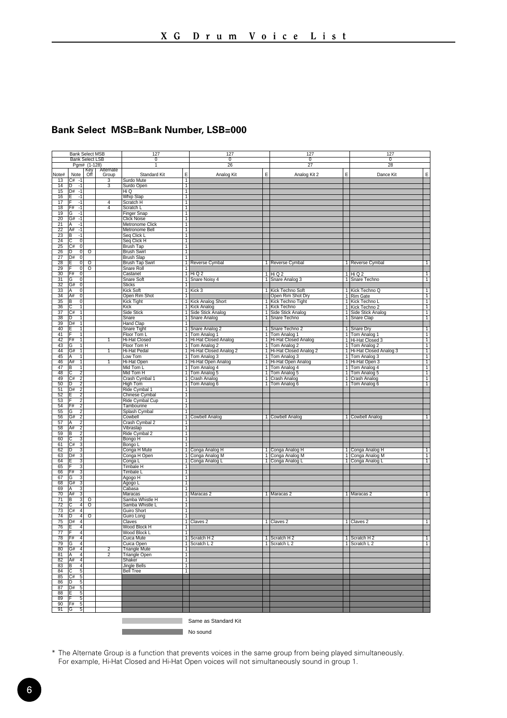#### **Bank Select MSB=Bank Number, LSB=000**

|                 |                       | <b>Bank Select MSB</b> |                    | 127                                 |                | 127                    |   | 127                                      |                | 127                      |                |
|-----------------|-----------------------|------------------------|--------------------|-------------------------------------|----------------|------------------------|---|------------------------------------------|----------------|--------------------------|----------------|
|                 |                       | <b>Bank Select LSB</b> |                    | $\overline{0}$                      |                | $\overline{0}$         |   | $\overline{0}$                           |                | 0                        |                |
|                 |                       | Pgm# (1-128)           |                    |                                     |                | 26                     |   | $\overline{27}$                          |                | 28                       |                |
| Note#           | Note                  | Öff                    | Alternate<br>Group | Standard Kit                        | E              | Analog Kit             | E | Analog Kit 2                             | E              | Dance Kit                | E              |
| 13              | $C# -1$               |                        | 3                  | Surdo Mute                          | Τ              |                        |   |                                          |                |                          |                |
| $\overline{14}$ | 'n<br>$-1$            |                        | 3                  | Surdo Open                          | $\overline{1}$ |                        |   |                                          |                |                          |                |
| 15              | D#<br>$-1$            |                        |                    | Hi Q                                | $\overline{1}$ |                        |   |                                          |                |                          |                |
| 16              | $\cdot$ 1             |                        |                    | Whip Slap                           | $\overline{1}$ |                        |   |                                          |                |                          |                |
| 17              | -1                    |                        | $\overline{4}$     | Scratch H                           | Ŧ              |                        |   |                                          |                |                          |                |
| 18              | F#<br>-1              |                        | $\overline{4}$     | Scratch L                           | ℸ              |                        |   |                                          |                |                          |                |
| 19              | G<br>-1               |                        |                    | Finger Snap                         | ┱              |                        |   |                                          |                |                          |                |
| $\overline{20}$ | G#<br>-1              |                        |                    | <b>Click Noise</b>                  | T              |                        |   |                                          |                |                          |                |
| 21              | ΙA<br>$-1$            |                        |                    | Metronome Click                     | $\overline{1}$ |                        |   |                                          |                |                          |                |
| 22              | lA#<br>$-1$           |                        |                    | Metronome Bell                      | $\overline{1}$ |                        |   |                                          |                |                          |                |
|                 | в<br>$-1$             |                        |                    | Seq Click L                         | $\overline{1}$ |                        |   |                                          |                |                          |                |
| $\frac{23}{24}$ | ō                     |                        |                    | Seq Click H                         | T              |                        |   |                                          |                |                          |                |
| 25              | C#<br>তা              |                        |                    | <b>Brush Tap</b>                    | ┱              |                        |   |                                          |                |                          |                |
| 26              | ъ<br>ण                | ठ                      |                    | <b>Brush Swirl</b>                  | -1             |                        |   |                                          |                |                          |                |
| 27              | D#<br>$^{\circ}$      |                        |                    | <b>Brush Slap</b>                   | $\mathbf{1}$   |                        |   |                                          |                |                          |                |
| 28              | $\overline{0}$        | $\overline{\circ}$     |                    | <b>Brush Tap Swirl</b>              | 1              | Reverse Cymbal         |   | 1 Reverse Cymbal                         |                | 1 Reverse Cymbal         | T              |
|                 | $\overline{0}$        | $\overline{\circ}$     |                    | Snare Roll                          | $\overline{1}$ |                        |   |                                          |                |                          |                |
| $\frac{29}{30}$ | ĪF#<br>$\overline{0}$ |                        |                    | Castanet                            |                | $1$ Hi Q 2             |   | $1$ Hi Q $2$                             |                | $1$ Hi Q $2$             | Τ              |
| $\overline{31}$ | G<br>তা               |                        |                    | Snare Soft                          | T              | Snare Noisy 4          |   | 1 Snare Analog 3                         |                | 1 Snare Techno           | T              |
| 32              | G#<br>⊽               |                        |                    | <b>Sticks</b>                       |                |                        |   |                                          |                |                          |                |
| 33              | A<br>$\overline{0}$   |                        |                    | Kick Soft                           | $\overline{1}$ | Kick <sub>3</sub>      |   | 1 Kick Techno Soft                       |                | 1 Kick Techno Q          | $\overline{1}$ |
| 34              | A#<br>$\overline{0}$  |                        |                    | Open Rim Shot                       | 1              |                        |   | Open Rim Shot Dry                        |                | 1 Rim Gate               |                |
| 35              | B<br>이                |                        |                    | Kick Tight                          |                | 1 Kick Analog Short    |   | 1 Kick Techno Tight                      |                | 1 Kick Techno L          |                |
| 36              |                       |                        |                    | Kick                                | 1              | <b>Kick Analog</b>     |   | 1 Kick Techno                            | $\overline{1}$ | Kick Techno 2            |                |
| $\overline{37}$ | İC#<br>피              |                        |                    | Side Stick                          |                | 1 Side Stick Analog    |   | 1 Side Stick Analog                      |                | 1 Side Stick Analog      | $\frac{1}{1}$  |
| 38              | m<br>1                |                        |                    | Snare                               |                | 1 Snare Analog         |   | 1 Snare Techno                           |                | 1 Snare Clap             |                |
| 39              | D#<br>Ŧ               |                        |                    | <b>Hand Clap</b>                    | $\mathbf{1}$   |                        |   |                                          |                |                          | Τ              |
| 40              |                       |                        |                    | Snare Tight                         | T              | Snare Analog 2         |   | 1 Snare Techno 2                         |                | 1 Snare Dry              | T              |
| 41              | F<br>$\overline{1}$   |                        |                    | Floor Tom L                         |                |                        |   | 1 Tom Analog 1                           |                | 1 Tom Analog 1           |                |
|                 | F#<br>ī               |                        |                    |                                     |                | 1 Tom Analog 1         |   |                                          |                |                          | $\frac{1}{1}$  |
| 42<br>43        |                       |                        | T                  | <b>Hi-Hat Closed</b><br>Floor Tom H | т              | 1 Hi-Hat Closed Analog |   | 1 Hi-Hat Closed Analog<br>1 Tom Analog 2 |                | 1 Hi-Hat Closed 3        |                |
| 44              | G<br>Ŧ                |                        | Ŧ                  |                                     | T              | Tom Analog 2           |   |                                          |                | 1 Tom Analog 2           |                |
|                 | G#                    |                        |                    | <b>Hi-Hat Pedal</b>                 |                | Hi-Hat Closed Analog 2 |   | 1 Hi-Hat Closed Analog 2                 |                | 1 Hi-Hat Closed Analog 3 |                |
| 45              | ΙA<br>11              |                        |                    | Low Tom                             |                | 1 Tom Analog 3         |   | 1 Tom Analog 3                           |                | 1 Tom Analog 3           | $\frac{1}{1}$  |
| 46              | lA#<br>1              |                        | 1                  | Hi-Hat Open                         |                | 1 Hi-Hat Open Analog   |   | 1 Hi-Hat Open Analog                     |                | 1 Hi-Hat Open 3          |                |
| 47              | В                     |                        |                    | Mid Tom L                           | T              | Tom Analog 4           |   | 1 Tom Analog 4                           |                | 1 Tom Analog 4           |                |
| 48              | ি<br>っ                |                        |                    | Mid Tom H                           | ┱              | Tom Analog 5           |   | 1 Tom Analog 5                           |                | 1 Tom Analog 5           |                |
| 49              | $\overline{2}$<br>C#  |                        |                    | Crash Cymbal 1                      |                | 1 Crash Analog         |   | 1 Crash Analog                           |                | 1 Crash Analog           |                |
| 50              | m                     |                        |                    | <b>High Tom</b>                     |                | 1 Tom Analog 6         |   | 1 Tom Analog 6                           |                | 1 Tom Analog 6           |                |
| $\overline{51}$ | D#<br>$\overline{2}$  |                        |                    | Ride Cymbal 1                       | 1              |                        |   |                                          |                |                          |                |
| 52              | 2                     |                        |                    | Chinese Cymbal                      | 7              |                        |   |                                          |                |                          |                |
| 53              |                       |                        |                    | Ride Cymbal Cup                     | $\overline{1}$ |                        |   |                                          |                |                          |                |
| 54              | F#<br>2               |                        |                    | Tambourine                          | ┓              |                        |   |                                          |                |                          |                |
| 55              | G                     |                        |                    | Splash Cymbal                       | 1              |                        |   |                                          |                |                          |                |
| 56              | G#<br>2               |                        |                    | Cowbell                             |                | 1 Cowbell Analog       |   | 1 Cowbell Analog                         |                | 1 Cowbell Analog         | ┯              |
| 57              | ΙA                    |                        |                    | Crash Cymbal 2                      | $\mathbf{1}$   |                        |   |                                          |                |                          |                |
| 58              | 2<br>lA#              |                        |                    | Vibraslap                           | 7              |                        |   |                                          |                |                          |                |
| 59              | B                     |                        |                    | Ride Cymbal 2                       | $\overline{1}$ |                        |   |                                          |                |                          |                |
| 60              | ΙC<br>3               |                        |                    | Bongo H                             | T              |                        |   |                                          |                |                          |                |
| 61              | C#<br>3               |                        |                    | Bongo L                             | 7              |                        |   |                                          |                |                          |                |
| 62              | D                     |                        |                    | Conga H Mute                        | Τ              | Conga Analog H         |   | 1 Conga Analog H                         |                | 1 Conga Analog H         | T              |
| 63              | D#<br>٦               |                        |                    | Conga H Open                        | $\overline{1}$ | Conga Analog M         |   | 1 Conga Analog M                         |                | 1 Conga Analog M         | T              |
| 64              | 3                     |                        |                    | Conga L                             |                | 1 Conga Analog L       |   | 1 Conga Analog L                         |                | 1 Conga Analog L         | ℸ              |
| 65              | 3                     |                        |                    | Timbale H                           | $\overline{1}$ |                        |   |                                          |                |                          |                |
| 66              | $\overline{3}$<br>F#  |                        |                    | Timbale L                           | ī              |                        |   |                                          |                |                          |                |
| 67              | ত<br>ঽ                |                        |                    | Agogo H                             | ┱              |                        |   |                                          |                |                          |                |
| 68              | G#<br>3               |                        |                    | Agogo L                             | -1             |                        |   |                                          |                |                          |                |
| 69              | A                     |                        |                    | Cabasa                              | ┱              |                        |   |                                          |                |                          |                |
| 70              | A#                    |                        |                    | Maracas                             | $\overline{1}$ | Maracas 2              |   | 1 Maracas 2                              |                | 1 Maracas 2              | $\overline{1}$ |
| $\overline{71}$ | B<br>ৰ                | $\overline{\circ}$     |                    | Samba Whistle H                     | $\overline{1}$ |                        |   |                                          |                |                          |                |
| 72              | $\overline{4}$        | $\overline{\circ}$     |                    | Samba Whistle L                     | 1              |                        |   |                                          |                |                          |                |
| $\overline{73}$ | 4<br>C#               |                        |                    | Guiro Short                         | Ŧ              |                        |   |                                          |                |                          |                |
| $\overline{74}$ | D<br>4                | $\overline{\circ}$     |                    | Guiro Long                          | Ŧ              |                        |   |                                          |                |                          |                |
| $\overline{75}$ | D#<br>4               |                        |                    | Claves                              |                | 1 Claves 2             |   | 1 Claves 2                               |                | 1 Claves 2               | T              |
| 76              | 4 <sup>1</sup>        |                        |                    | Wood Block H                        | $\mathbf{1}$   |                        |   |                                          |                |                          |                |
| 77              | $\overline{4}$        |                        |                    | Wood Block L                        | $\mathbf{1}$   |                        |   |                                          |                |                          |                |
| 78              | F#<br>4               |                        |                    | Cuica Mute                          | 1              | Scratch H 2            |   | 1 Scratch H 2                            |                | 1 Scratch H 2            | $\overline{1}$ |
| 79              | G<br>4                |                        |                    | Cuica Open                          | T              | Scratch L 2            |   | 1 Scratch L 2                            |                | 1 Scratch L 2            | Ŧ              |
| 80              | $\overline{4}$<br>G#  |                        | 7                  | <b>Triangle Mute</b>                | ℸ              |                        |   |                                          |                |                          |                |
| 81              | 4<br>A                |                        | $\overline{2}$     | Triangle Open                       | т              |                        |   |                                          |                |                          |                |
| 82              | A#<br>4               |                        |                    | Shaker                              | $\overline{1}$ |                        |   |                                          |                |                          |                |
| 83              | ΙB<br>$\overline{4}$  |                        |                    | <b>Jingle Bells</b>                 | $\overline{1}$ |                        |   |                                          |                |                          |                |
| 84              | С<br>5                |                        |                    | <b>Bell Tree</b>                    | $\overline{1}$ |                        |   |                                          |                |                          |                |
| 85              | $\overline{C#}$<br>5  |                        |                    |                                     |                |                        |   |                                          |                |                          |                |
| 86              | 'n                    |                        |                    |                                     |                |                        |   |                                          |                |                          |                |
| 87              | D#<br>3               |                        |                    |                                     |                |                        |   |                                          |                |                          |                |
| 88              | F<br>г,               |                        |                    |                                     |                |                        |   |                                          |                |                          |                |
| 89              | 5                     |                        |                    |                                     |                |                        |   |                                          |                |                          |                |
| 90              | $\overline{5}$<br>F#  |                        |                    |                                     |                |                        |   |                                          |                |                          |                |
| 91              | ভ<br>5                |                        |                    |                                     |                |                        |   |                                          |                |                          |                |
|                 |                       |                        |                    |                                     |                |                        |   |                                          |                |                          |                |
|                 |                       |                        |                    |                                     |                | Same as Standard Kit   |   |                                          |                |                          |                |

**No sound** No sound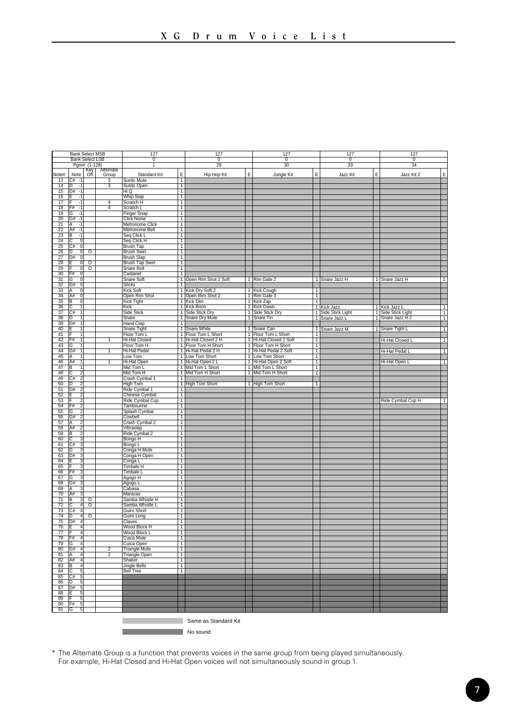|                       |                                  | <b>Bank Select MSB</b><br><b>Bank Select LSB</b> |                                  | 127<br>$\overline{0}$               |                                  | 127<br>$\overline{0}$                  |                | 127<br>$\overline{0}$                       |                     | 127<br>$\overline{0}$ |                | 127<br>$\overline{0}$ |                |
|-----------------------|----------------------------------|--------------------------------------------------|----------------------------------|-------------------------------------|----------------------------------|----------------------------------------|----------------|---------------------------------------------|---------------------|-----------------------|----------------|-----------------------|----------------|
|                       |                                  | Pgm# (1-128)                                     |                                  | 1                                   |                                  | 29                                     |                | 30                                          |                     | 33                    |                | 34                    |                |
|                       |                                  | Key<br>Off                                       | Alternate                        |                                     |                                  |                                        |                |                                             |                     |                       |                |                       |                |
| Note#<br>13           | Note<br>$C#$ -1                  |                                                  | Group<br>$\overline{\mathbf{3}}$ | Standard Kit<br>Surdo Mute          | E<br>T                           | Hip Hop Kit                            | E              | Jungle Kit                                  | E                   | Jazz Kit              | E              | Jazz Kit 2            | E              |
| 14                    | In<br>$-1$                       |                                                  | 3                                | Surdo Open                          | $\overline{1}$                   |                                        |                |                                             |                     |                       |                |                       |                |
| 15                    | $D# - 1$                         |                                                  |                                  | Hi Q                                | $\overline{1}$                   |                                        |                |                                             |                     |                       |                |                       |                |
| 16                    | 틑<br>$-1$                        |                                                  |                                  | Whip Slap                           | $\overline{1}$                   |                                        |                |                                             |                     |                       |                |                       |                |
| 17                    | -1                               |                                                  | $\overline{4}$                   | Scratch H                           | T                                |                                        |                |                                             |                     |                       |                |                       |                |
| 18                    | F#<br>$-1$                       |                                                  | $\overline{4}$                   | Scratch L                           | ℸ                                |                                        |                |                                             |                     |                       |                |                       |                |
| 19                    | ΤG<br>ज                          |                                                  |                                  | <b>Finger Snap</b>                  | ℸ                                |                                        |                |                                             |                     |                       |                |                       |                |
| 20<br>$\overline{21}$ | G#<br>$-1$<br>$-1$<br>IΑ         |                                                  |                                  | <b>Click Noise</b>                  | $\overline{1}$<br>$\overline{1}$ |                                        |                |                                             |                     |                       |                |                       |                |
| 22                    | A#<br>$\cdot$ 1                  |                                                  |                                  | Metronome Click<br>Metronome Bell   | $\overline{1}$                   |                                        |                |                                             |                     |                       |                |                       |                |
|                       | B<br>$-1$                        |                                                  |                                  | Seq Click L                         | T                                |                                        |                |                                             |                     |                       |                |                       |                |
| $\frac{23}{24}$       | tc<br>$\overline{0}$             |                                                  |                                  | Seq Click H                         | ℸ                                |                                        |                |                                             |                     |                       |                |                       |                |
| $\overline{25}$       | C# <br>$\overline{\mathfrak{o}}$ |                                                  |                                  | <b>Brush Tap</b>                    | ℸ                                |                                        |                |                                             |                     |                       |                |                       |                |
| 26                    | णि<br>᠊ᢐ                         | ठ                                                |                                  | <b>Brush Swirl</b>                  | T                                |                                        |                |                                             |                     |                       |                |                       |                |
| 27                    | D#<br>$\overline{0}$             |                                                  |                                  | <b>Brush Slap</b>                   | $\overline{1}$                   |                                        |                |                                             |                     |                       |                |                       |                |
| 28                    | ΙE<br>ō                          | $\overline{\circ}$                               |                                  | <b>Brush Tap Swirl</b>              | Ŧ                                |                                        |                |                                             |                     |                       |                |                       |                |
| $\frac{29}{30}$       | ĪF<br>$\overline{0}$<br>F#<br>ō  | $\overline{\circ}$                               |                                  | Snare Roll                          | $\overline{1}$<br>$\overline{1}$ |                                        |                |                                             |                     |                       |                |                       |                |
| 31                    | TG<br>$\overline{\mathfrak{o}}$  |                                                  |                                  | Castanet<br>Snare Soft              |                                  | 1 Open Rim Shot 2 Soft                 |                | 1 Rim Gate 2                                |                     | 1 Snare Jazz H        |                | 1 Snare Jazz H        | Τ              |
| $\overline{32}$       | G#<br>- 0                        |                                                  |                                  | <b>Sticks</b>                       | 7                                |                                        |                |                                             |                     |                       |                |                       |                |
| 33                    | A<br>$\overline{0}$              |                                                  |                                  | <b>Kick Soft</b>                    | $\overline{1}$                   | Kick Dry Soft 2                        |                | 1 Kick Cough                                | 1                   |                       |                |                       |                |
| 34                    | A#<br>$\overline{0}$             |                                                  |                                  | Open Rim Shot                       |                                  | 1 Open Rim Shot 2                      |                | 1 Rim Gate 3                                | T                   |                       |                |                       |                |
| 35                    | Iв<br>$\overline{0}$             |                                                  |                                  | Kick Tight                          |                                  | 1 Kick Dim                             |                | 1 Kick Zap                                  | $\overline{1}$      |                       |                |                       |                |
| 36                    | $\frac{C}{C#}$                   |                                                  |                                  | Kick                                | Τ                                | Kick Boon                              |                | 1 Kick Dawn                                 |                     | 1 Kick Jazz           | 1              | Kick Jazz L           | 1              |
| $\overline{37}$       | ℸ                                |                                                  |                                  | Side Stick                          | ┱                                | <b>Side Stick Dry</b>                  |                | 1 Side Stick Dry                            |                     | 1 Side Stick Light    | $\overline{1}$ | Side Stick Light      | T              |
| 38                    | ा                                |                                                  |                                  | Snare                               |                                  | 1 Snare Dry Mute                       |                | 1 Snare Tin                                 |                     | 1 Snare Jazz L        | $\overline{1}$ | Snare Jazz H 2        | T              |
| 39                    | ID#<br>$\overline{1}$            |                                                  |                                  | Hand Clap                           | $\overline{1}$                   |                                        |                |                                             |                     |                       |                |                       |                |
| 40                    | 1                                |                                                  |                                  | Snare Tight                         | T                                | Snare White                            | T              | Snare Can                                   |                     | 1 Snare Jazz M        |                | 1 Snare Tight L       | $\overline{1}$ |
| 41<br>42              | Ī۴<br>1<br>F#<br>ī               |                                                  | Ŧ                                | Floor Tom L                         | Ŧ                                | 1 Floor Tom L Short                    |                | 1 Floor Tom L Short                         | 1<br>Ŧ              |                       |                |                       |                |
| 43                    | ΤG                               |                                                  |                                  | <b>Hi-Hat Closed</b><br>Floor Tom H | $\overline{1}$                   | Hi-Hat Closed 2 H<br>Floor Tom H Short | $\overline{1}$ | 1 Hi-Hat Closed 2 Soft<br>Floor Tom H Short |                     |                       |                | Hi-Hat Closed L       | $\overline{1}$ |
| 44                    | †G#<br>ℸ                         |                                                  | т                                | <b>Hi-Hat Pedal</b>                 |                                  | 1 Hi-Hat Pedal 2 H                     |                | 1 Hi-Hat Pedal 2 Soft                       | $\overline{1}$<br>т |                       |                | Hi-Hat Pedal L        | ℸ              |
| 45                    | A<br>1                           |                                                  |                                  | Low Tom                             |                                  | 1 Low Tom Short                        |                | 1 Low Tom Short                             | $\overline{1}$      |                       |                |                       |                |
| 46                    | A#<br>1                          |                                                  | ī                                | Hi-Hat Open                         | T                                | Hi-Hat Open 2 L                        |                | 1 Hi-Hat Open 2 Soft                        | $\overline{1}$      |                       |                | Hi-Hat Open L         | $\overline{1}$ |
| 47                    | ĪΒ<br>Ŧ                          |                                                  |                                  | Mid Tom L                           | $\overline{1}$                   | Mid Tom L Short                        |                | 1 Mid Tom L Short                           | T                   |                       |                |                       |                |
| 48                    | ΓC<br>2                          |                                                  |                                  | Mid Tom H                           |                                  | 1 Mid Tom H Short                      |                | 1 Mid Tom H Short                           | T                   |                       |                |                       |                |
| 49                    | 2<br>C#                          |                                                  |                                  | Crash Cymbal 1                      | 7                                |                                        |                |                                             |                     |                       |                |                       |                |
| 50                    | চি<br>7                          |                                                  |                                  | <b>High Tom</b>                     | -1                               | <b>High Tom Short</b>                  |                | 1 High Tom Short                            | Ŧ                   |                       |                |                       |                |
| $\overline{51}$       | D#<br>$\overline{2}$             |                                                  |                                  | Ride Cymbal 1                       | $\overline{1}$                   |                                        |                |                                             |                     |                       |                |                       |                |
| 52                    | $\mathfrak{p}$<br>IF             |                                                  |                                  | Chinese Cymbal                      | $\overline{1}$                   |                                        |                |                                             |                     |                       |                |                       |                |
| 53                    |                                  |                                                  |                                  | Ride Cymbal Cup                     | $\overline{1}$                   |                                        |                |                                             |                     |                       |                | Ride Cymbal Cup H     | $\overline{1}$ |
| 54<br>$\overline{55}$ | F#<br>$\overline{2}$             |                                                  |                                  | Tambourine                          | $\overline{1}$<br>ℸ              |                                        |                |                                             |                     |                       |                |                       |                |
| 56                    | ĪG<br>2<br>2<br>G#               |                                                  |                                  | Splash Cymbal<br>Cowbell            | T                                |                                        |                |                                             |                     |                       |                |                       |                |
| 57                    | ĪA<br>$\overline{\phantom{a}}$   |                                                  |                                  | Crash Cymbal 2                      | $\overline{1}$                   |                                        |                |                                             |                     |                       |                |                       |                |
| 58                    | A#<br>$\overline{2}$             |                                                  |                                  | Vibraslap                           | $\overline{1}$                   |                                        |                |                                             |                     |                       |                |                       |                |
| 59                    | B<br>2                           |                                                  |                                  | Ride Cymbal 2                       | $\overline{1}$                   |                                        |                |                                             |                     |                       |                |                       |                |
| 60                    | tc<br>3                          |                                                  |                                  | Bongo H                             | $\overline{1}$                   |                                        |                |                                             |                     |                       |                |                       |                |
| 61                    | C#<br>3                          |                                                  |                                  | Bongo L                             | T                                |                                        |                |                                             |                     |                       |                |                       |                |
| 62                    | 3<br>ID                          |                                                  |                                  | Conga H Mute                        | T                                |                                        |                |                                             |                     |                       |                |                       |                |
| 63                    | D#<br>3                          |                                                  |                                  | Conga H Open                        | $\overline{1}$                   |                                        |                |                                             |                     |                       |                |                       |                |
| 64                    | ١F<br>3                          |                                                  |                                  | Conga L                             | $\overline{1}$                   |                                        |                |                                             |                     |                       |                |                       |                |
| 65                    | 3                                |                                                  |                                  | Timbale H                           | $\overline{1}$                   |                                        |                |                                             |                     |                       |                |                       |                |
| 66                    | F#<br>3<br>ि<br>3                |                                                  |                                  | Timbale L                           | T                                |                                        |                |                                             |                     |                       |                |                       |                |
| 67<br>68              | IG#<br>3                         |                                                  |                                  | Agogo H<br>Agogo L                  | ℸ<br>т                           |                                        |                |                                             |                     |                       |                |                       |                |
| 69                    | ΙĀ                               |                                                  |                                  | Cabasa                              | 7                                |                                        |                |                                             |                     |                       |                |                       |                |
| 70                    | A#<br>3                          |                                                  |                                  | Maracas                             | $\overline{1}$                   |                                        |                |                                             |                     |                       |                |                       |                |
| 71                    | B<br>3                           | Ō                                                |                                  | Samba Whistle H                     | T                                |                                        |                |                                             |                     |                       |                |                       |                |
| 72                    | 4<br>ΙC                          | $\overline{\circ}$                               |                                  | Samba Whistle L                     | $\overline{1}$                   |                                        |                |                                             |                     |                       |                |                       |                |
| $\overline{73}$       | tc#<br>74                        |                                                  |                                  |                                     | ┓                                |                                        |                |                                             |                     |                       |                |                       |                |
| 74                    | ℔<br>74                          | $\overline{\circ}$                               |                                  | Guiro Long                          | T                                |                                        |                |                                             |                     |                       |                |                       |                |
| $\overline{75}$       | D#<br>-4                         |                                                  |                                  | Claves                              | 7                                |                                        |                |                                             |                     |                       |                |                       |                |
| 76                    | 4<br>ΙF                          |                                                  |                                  | Wood Block H                        | $\overline{1}$                   |                                        |                |                                             |                     |                       |                |                       |                |
| 77                    | ΤF<br>4<br>$\overline{4}$        |                                                  |                                  | Wood Block L<br>Cuica Mute          | Ŧ<br>$\overline{1}$              |                                        |                |                                             |                     |                       |                |                       |                |
| 78<br>79              | F#<br>ΤG<br>4                    |                                                  |                                  | Cuica Open                          | T                                |                                        |                |                                             |                     |                       |                |                       |                |
| 80                    | TG#<br>$\overline{4}$            |                                                  | $\overline{2}$                   | <b>Triangle Mute</b>                | ℸ                                |                                        |                |                                             |                     |                       |                |                       |                |
| 81                    | ŢΑ<br>z                          |                                                  | $\overline{2}$                   | <b>Triangle Open</b>                | ┱                                |                                        |                |                                             |                     |                       |                |                       |                |
| 82                    | A#<br>4                          |                                                  |                                  | Shaker                              | $\overline{1}$                   |                                        |                |                                             |                     |                       |                |                       |                |
| 83                    | ΤB<br>4                          |                                                  |                                  | Jingle Bells                        | 1                                |                                        |                |                                             |                     |                       |                |                       |                |
| 84                    | 5<br>IC                          |                                                  |                                  | <b>Bell Tree</b>                    | $\overline{1}$                   |                                        |                |                                             |                     |                       |                |                       |                |
| 85                    | C#<br>D<br>5                     |                                                  |                                  |                                     |                                  |                                        |                |                                             |                     |                       |                |                       |                |
| 86                    | 5                                |                                                  |                                  |                                     |                                  |                                        |                |                                             |                     |                       |                |                       |                |
| 87                    | TD#<br>-5                        |                                                  |                                  |                                     |                                  |                                        |                |                                             |                     |                       |                |                       |                |
| 88                    | 5                                |                                                  |                                  |                                     |                                  |                                        |                |                                             |                     |                       |                |                       |                |
| 89<br>90              | 5<br>F#<br>5                     |                                                  |                                  |                                     |                                  |                                        |                |                                             |                     |                       |                |                       |                |
| 91                    | TG<br>5                          |                                                  |                                  |                                     |                                  |                                        |                |                                             |                     |                       |                |                       |                |
|                       |                                  |                                                  |                                  |                                     |                                  |                                        |                |                                             |                     |                       |                |                       |                |
|                       |                                  |                                                  |                                  |                                     |                                  | Same as Standard Kit                   |                |                                             |                     |                       |                |                       |                |
|                       |                                  |                                                  |                                  |                                     |                                  |                                        |                |                                             |                     |                       |                |                       |                |
|                       |                                  |                                                  |                                  |                                     |                                  | No sound                               |                |                                             |                     |                       |                |                       |                |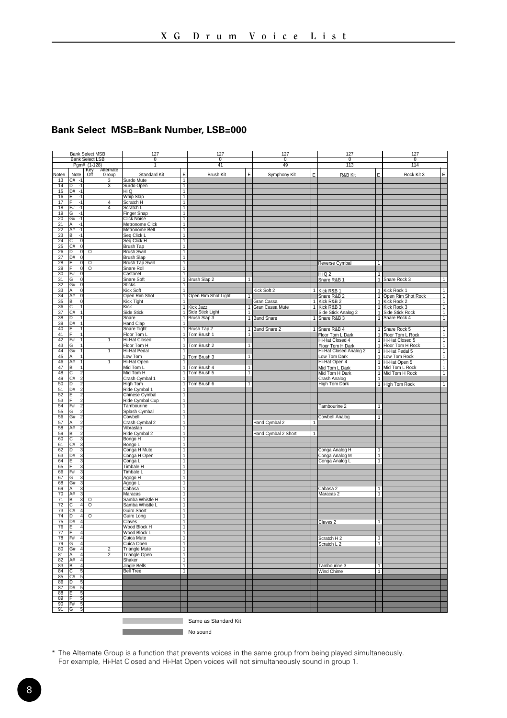#### **Bank Select MSB=Bank Number, LSB=000**

|                       | <b>Bank Select MSB</b>                          |                            |                | 127                                     |                                  | 127                               |                | 127                 |                | 127                             |                | 127                                                          |
|-----------------------|-------------------------------------------------|----------------------------|----------------|-----------------------------------------|----------------------------------|-----------------------------------|----------------|---------------------|----------------|---------------------------------|----------------|--------------------------------------------------------------|
|                       | <b>Bank Select LSB</b>                          |                            |                | $\overline{0}$                          |                                  | $\overline{0}$                    |                | 0                   |                | $\overline{0}$                  |                | 0                                                            |
|                       |                                                 | Pgm# (1-128)<br><b>Kev</b> | Alternate      | ٦                                       |                                  | 41                                |                | 49                  |                | 113                             |                | 114                                                          |
| Note#                 | Note                                            | Off                        | Group          | <b>Standard Kit</b>                     | E                                | <b>Brush Kit</b>                  | E              | Symphony Kit        | E              | R&B Kit                         | Ė              | E<br>Rock Kit 3                                              |
| 13                    | $C#$ -1                                         |                            | 3              | Surdo Mute                              | T                                |                                   |                |                     |                |                                 |                |                                                              |
| 14                    | D<br>$-1$<br>D#                                 |                            |                | Surdo Open                              | T                                |                                   |                |                     |                |                                 |                |                                                              |
| 15<br>16              | $-1$<br>$-1$                                    |                            |                | Hi Q<br><b>Whip Slap</b>                | T<br>$\overline{1}$              |                                   |                |                     |                |                                 |                |                                                              |
| 17                    | $-1$                                            |                            | $\overline{4}$ | Scratch H                               | T                                |                                   |                |                     |                |                                 |                |                                                              |
| 18                    | F#<br>-1                                        |                            | $\overline{4}$ | Scratch L                               | τ                                |                                   |                |                     |                |                                 |                |                                                              |
| 19                    | G<br>-1                                         |                            |                | Finger Snap                             | т                                |                                   |                |                     |                |                                 |                |                                                              |
| $\overline{20}$<br>21 | $G# -1$<br>$-1$                                 |                            |                | <b>Click Noise</b>                      | T                                |                                   |                |                     |                |                                 |                |                                                              |
| 22                    | IA.<br>A#<br>$-1$                               |                            |                | Metronome Click<br>Metronome Bell       | $\overline{1}$<br>$\mathbf{1}$   |                                   |                |                     |                |                                 |                |                                                              |
| 23                    | ĪΒ<br>$-1$                                      |                            |                | Seq Click L                             | T                                |                                   |                |                     |                |                                 |                |                                                              |
| $\overline{24}$       | $\overline{0}$<br>ГC                            |                            |                | Seq Click H                             | T                                |                                   |                |                     |                |                                 |                |                                                              |
| $\overline{25}$       | TC#<br>σ                                        |                            |                | <b>Brush Tap</b>                        | Τ                                |                                   |                |                     |                |                                 |                |                                                              |
| 26                    | চি<br>ō                                         | ত                          |                | <b>Brush Swirl</b>                      | T                                |                                   |                |                     |                |                                 |                |                                                              |
| 27<br>28              | D#<br>$\overline{0}$<br>$\overline{\mathbf{0}}$ | $\overline{0}$             |                | <b>Brush Slap</b><br>Brush Tap Swirl    | $\overline{1}$<br>T              |                                   |                |                     |                | Reverse Cymbal                  | 1              |                                                              |
| 29                    | $\overline{0}$                                  | $\overline{\circ}$         |                | Snare Roll                              | T                                |                                   |                |                     |                |                                 |                |                                                              |
| $\overline{30}$       | F#<br>$\overline{0}$                            |                            |                | Castanet                                | Τ                                |                                   |                |                     |                | HiQ2                            | $\overline{1}$ |                                                              |
| $\overline{31}$       | G<br>ο                                          |                            |                | Snare Soft                              |                                  | 1 Brush Slap 2                    | т              |                     |                | Snare R&B 1                     |                | 1 Snare Rock 3<br>$\overline{1}$                             |
| 32                    | G#<br>σ                                         |                            |                | <b>Sticks</b>                           | т                                |                                   |                |                     |                |                                 |                |                                                              |
| 33<br>34              | ١A<br>0<br>A#<br>$\overline{\mathbf{0}}$        |                            |                | Kick Soft<br>Open Rim Shot              | 1                                | 1 Open Rim Shot Light             | 1              | Kick Soft 2         | $\mathbf{1}$   | Kick R&B 1<br>Snare R&B 2       |                | 1 Kick Rock 1<br>T<br>1 Open Rim Shot Rock<br>$\overline{1}$ |
| 35                    | $\overline{0}$<br>ΙB                            |                            |                | Kick Tight                              | 1                                |                                   |                | Gran Cassa          | 1.             | Kick R&B 2                      |                | 1 Kick Rock 2<br>$\overline{1}$                              |
| 36                    | ⊺c                                              |                            |                | Kick                                    |                                  | 1 Kick Jazz<br>1 Side Stick Light |                | 1 Gran Cassa Mute   | $\overline{1}$ | Kick R&B 3                      |                | T<br>1 Kick Rock 3                                           |
| 37                    | İC#<br>Ŧ                                        |                            |                | Side Stick                              |                                  |                                   | $\overline{1}$ |                     |                | Side Stick Analog 2             |                | $\overline{1}$<br>1 Side Stick Rock                          |
| 38                    | D<br>1                                          |                            |                | Snare                                   |                                  | 1 Brush Slap 3                    |                | 1 Band Snare        | $\mathbf{1}$   | Snare R&B 3                     |                | 1 Snare Rock 4<br>T                                          |
| 39<br>40              | D#<br>1<br>IF<br>$\mathbf{1}$                   |                            |                | <b>Hand Clap</b><br>Snare Tight         | T                                | 1 Brush Tap 2                     |                | 1 Band Snare 2      | 1              |                                 |                | ٦<br>$\mathbf{1}$                                            |
| 41                    |                                                 |                            |                | Floor Tom L                             |                                  | 1 Tom Brush 1                     | 7              |                     |                | Snare R&B 4<br>Floor Tom L Dark |                | 1 Snare Rock 5<br>ℸ<br>1 Floor Tom L Rock                    |
| 42                    | F#<br>$\overline{1}$                            |                            | T              | <b>Hi-Hat Closed</b>                    | т                                |                                   |                |                     |                | Hi-Hat Closed 4                 |                | T<br>1 Hi-Hat Closed 5                                       |
| 43                    | G                                               |                            |                | Floor Tom H                             | Π                                | Tom Brush 2                       | $\overline{1}$ |                     |                | Floor Tom H Dark                |                | Τ<br>1 Floor Tom H Rock                                      |
| 44                    | İG#<br>Ŧ                                        |                            | т              | <b>Hi-Hat Pedal</b>                     | т                                |                                   |                |                     |                | Hi-Hat Closed Analog 2          |                | $\overline{1}$<br>1 Hi-Hat Pedal 5                           |
| 45<br>46              | lΑ<br>IA#<br>-1                                 |                            | 1              | Low Tom                                 | 1                                | 1 Tom Brush 3                     | $\overline{1}$ |                     |                | Low Tom Dark                    |                | 1 Low Tom Rock<br>T<br>$\overline{1}$                        |
| 47                    | Iв<br>$\overline{1}$                            |                            |                | Hi-Hat Open<br>Mid Tom L                |                                  | 1 Tom Brush 4                     | $\overline{1}$ |                     |                | Hi-Hat Open 4<br>Mid Tom L Dark |                | 1 Hi-Hat Open 5<br>1 Mid Tom L Rock<br>$\overline{1}$        |
| 48                    | टि<br>$\overline{2}$                            |                            |                | Mid Tom H                               |                                  | 1 Tom Brush 5                     | T              |                     |                | Mid Tom H Dark                  |                | 1 Mid Tom H Rock<br>$\overline{1}$                           |
| 49                    | $\overline{2}$<br>C#                            |                            |                | Crash Cymbal 1                          | т                                |                                   |                |                     |                | Crash Analog                    | $\overline{1}$ |                                                              |
| 50                    | ₪                                               |                            |                | High Tom                                |                                  | 1 Tom Brush 6                     | т              |                     |                | <b>High Tom Dark</b>            |                | 1 High Tom Rock<br>$\overline{1}$                            |
| 51<br>52              | $\overline{2}$<br>D#                            |                            |                | Ride Cymbal 1<br>Chinese Cymbal         | 1<br>T                           |                                   |                |                     |                |                                 |                |                                                              |
| 53                    | $\overline{2}$                                  |                            |                | Ride Cymbal Cup                         | $\overline{1}$                   |                                   |                |                     |                |                                 |                |                                                              |
| 54                    | 7<br>F#                                         |                            |                | Tambourine                              | T                                |                                   |                |                     |                | Tambourine 2                    | $\overline{1}$ |                                                              |
| $\overline{55}$       | $\overline{2}$<br>নে                            |                            |                | Splash Cymbal                           | T                                |                                   |                |                     |                |                                 |                |                                                              |
| 56                    | 2<br>G#                                         |                            |                | Cowbell                                 | т                                |                                   |                |                     |                | <b>Cowbell Analog</b>           | $\overline{1}$ |                                                              |
| 57                    | ヮ<br>А<br>$\overline{\phantom{a}}$              |                            |                | Crash Cymbal 2                          | T                                |                                   |                | Hand Cymbal 2       | -1             |                                 |                |                                                              |
| 58<br>59              | A#<br>ĪВ<br>$\overline{2}$                      |                            |                | Vibraslap<br>Ride Cymbal 2              | T<br>T                           |                                   |                | Hand Cymbal 2 Short | Ŧ              |                                 |                |                                                              |
| 60                    | C<br>٦                                          |                            |                | Bongo H                                 | T                                |                                   |                |                     |                |                                 |                |                                                              |
| 61                    | C#<br>3                                         |                            |                | Bongo L                                 | T                                |                                   |                |                     |                |                                 |                |                                                              |
| 62                    | İΰ<br>3                                         |                            |                | Conga H Mute                            | T                                |                                   |                |                     |                | Conga Analog H                  | $\overline{1}$ |                                                              |
| 63<br>64              | D#<br>З                                         |                            |                | Conga H Open                            | T<br>$\overline{1}$              |                                   |                |                     |                | Conga Analog M                  | 1<br>1         |                                                              |
| 65                    | з<br>٩                                          |                            |                | Conga L<br><b>Timbale H</b>             | T                                |                                   |                |                     |                | Conga Analog L                  |                |                                                              |
| 66                    | IF#<br>3                                        |                            |                | Timbale L                               | ℸ                                |                                   |                |                     |                |                                 |                |                                                              |
| 67                    | G<br>٦                                          |                            |                | Agogo H                                 | Τ                                |                                   |                |                     |                |                                 |                |                                                              |
| 68                    | G#<br>3                                         |                            |                | Agogo L                                 | Τ                                |                                   |                |                     |                |                                 |                |                                                              |
| 69                    | 3<br>IA<br>3                                    |                            |                | Cabasa                                  | т                                |                                   |                |                     |                | Cabasa 2                        | $\mathbf{1}$   |                                                              |
| 70<br>71              | A#<br>B<br>3                                    | 0                          |                | Maracas<br>Samba Whistle H              | T<br>T                           |                                   |                |                     |                | Maracas <sub>2</sub>            | T              |                                                              |
| $\overline{72}$       | ic<br>4                                         | $\overline{\circ}$         |                | Samba Whistle L                         | $\overline{1}$                   |                                   |                |                     |                |                                 |                |                                                              |
| $\overline{73}$       | İC#<br>74                                       |                            |                | Guiro Short                             | T                                |                                   |                |                     |                |                                 |                |                                                              |
| $\overline{74}$       | D<br>$\overline{4}$                             | ०                          |                | Guiro Long                              | T                                |                                   |                |                     |                |                                 |                |                                                              |
| $\overline{75}$       | D#<br>74                                        |                            |                | Claves                                  | т                                |                                   |                |                     |                | Claves <sub>2</sub>             | 1              |                                                              |
| 76<br>77              | 4<br>ĪF<br>$\overline{4}$                       |                            |                | Wood Block H<br>Wood Block L            | T<br>$\overline{1}$              |                                   |                |                     |                |                                 |                |                                                              |
| 78                    | F#<br>$\overline{4}$                            |                            |                | Cuica Mute                              | Ŧ.                               |                                   |                |                     |                | Scratch H 2                     | $\overline{1}$ |                                                              |
| 79                    | G<br>4                                          |                            |                | Cuica Open                              | T                                |                                   |                |                     |                | Scratch L 2                     | T              |                                                              |
| 80                    | İG#<br>74                                       |                            | $\overline{2}$ | <b>Triangle Mute</b>                    | T                                |                                   |                |                     |                |                                 |                |                                                              |
| 81                    | Ā<br>7                                          |                            | $\overline{2}$ | <b>Triangle Open</b>                    | т                                |                                   |                |                     |                |                                 |                |                                                              |
| 82                    | lA#<br>$\overline{4}$<br>ΙB<br>4                |                            |                | Shaker                                  | $\overline{1}$<br>$\overline{1}$ |                                   |                |                     |                |                                 | $\overline{1}$ |                                                              |
| 83<br>84              | Ιc<br>5                                         |                            |                | <b>Jingle Bells</b><br><b>Bell Tree</b> | $\overline{1}$                   |                                   |                |                     |                | Tambourine 3<br>Wind Chime      | $\overline{1}$ |                                                              |
| 85                    | 5<br>C#                                         |                            |                |                                         |                                  |                                   |                |                     |                |                                 |                |                                                              |
| 86                    | ΤD                                              |                            |                |                                         |                                  |                                   |                |                     |                |                                 |                |                                                              |
| 87                    | to#<br>3                                        |                            |                |                                         |                                  |                                   |                |                     |                |                                 |                |                                                              |
| 88                    | F<br>5                                          |                            |                |                                         |                                  |                                   |                |                     |                |                                 |                |                                                              |
| 89<br>90              | 5<br>5<br>IF#                                   |                            |                |                                         |                                  |                                   |                |                     |                |                                 |                |                                                              |
| 91                    | 5<br>G                                          |                            |                |                                         |                                  |                                   |                |                     |                |                                 |                |                                                              |
|                       |                                                 |                            |                |                                         |                                  |                                   |                |                     |                |                                 |                |                                                              |
|                       |                                                 |                            |                |                                         |                                  | Same as Standard Kit              |                |                     |                |                                 |                |                                                              |

**No sound**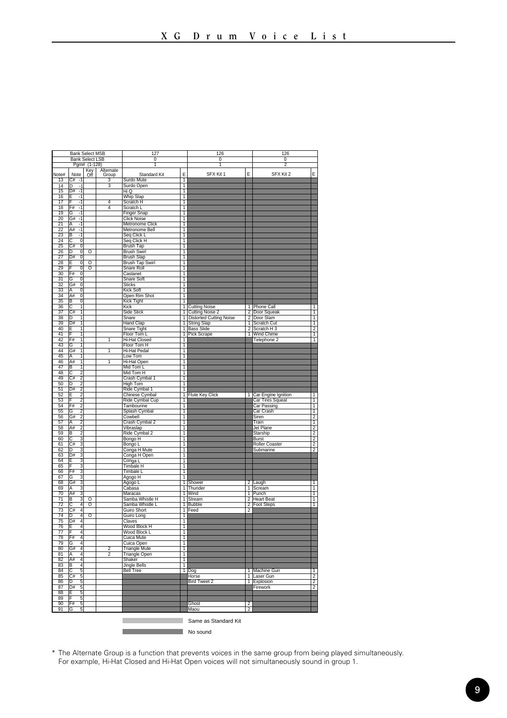|                                    | <b>Bank Select MSB</b>                                    |                    |                | 127                             |                     | 126                           |                | 126                                       |                     |
|------------------------------------|-----------------------------------------------------------|--------------------|----------------|---------------------------------|---------------------|-------------------------------|----------------|-------------------------------------------|---------------------|
|                                    | <b>Bank Select LSB</b>                                    |                    |                | $\overline{0}$                  |                     | $\overline{0}$                |                | $\overline{\mathfrak{o}}$                 |                     |
|                                    |                                                           | Pgm# (1-128)       | Alternate      | 1                               |                     | 1                             |                | 2                                         |                     |
| Note#                              | Note                                                      | Key<br>Off         | Group          | Standard Kit                    | E                   | SFX Kit 1                     | F              | SFX Kit 2                                 | E                   |
| 13                                 | C#<br>$\cdot$ 1                                           |                    | 3              | Surdo Mute                      | 1                   |                               |                |                                           |                     |
| 14                                 | ln<br>$\cdot$ 1                                           |                    | 3              | Surdo Open                      | ī                   |                               |                |                                           |                     |
| 15<br>16                           | $\overline{4}$<br>D#<br>Έ<br>न                            |                    |                | Hi Q<br>Whip Slap               | T<br>ī              |                               |                |                                           |                     |
| $\overline{17}$                    | ╔<br>7                                                    |                    | 4              | Scratch H                       | Ŧ                   |                               |                |                                           |                     |
| 18                                 | F#<br>$-1$                                                |                    | $\overline{4}$ | Scratch L                       | T                   |                               |                |                                           |                     |
| 19                                 | $-1$<br>lG                                                |                    |                | <b>Finger Snap</b>              | T                   |                               |                |                                           |                     |
| 20                                 | G#<br>-1                                                  |                    |                | <b>Click Noise</b>              | 1                   |                               |                |                                           |                     |
| $\overline{21}$                    | ΙĀ<br>$-1$                                                |                    |                | Metronome Click                 | T                   |                               |                |                                           |                     |
| $\overline{22}$<br>$\overline{23}$ | A#<br>ন                                                   |                    |                | Metronome Bell                  | T                   |                               |                |                                           |                     |
| $\overline{24}$                    | В<br>-1<br>टि<br>$\overline{\mathfrak{o}}$                |                    |                | Seq Click L<br>Seq Click H      | ī<br>T              |                               |                |                                           |                     |
| 25                                 | C#<br>O                                                   |                    |                | <b>Brush Tap</b>                | 1                   |                               |                |                                           |                     |
| 26                                 | D<br>0                                                    | ō                  |                | <b>Brush Swirl</b>              | 1                   |                               |                |                                           |                     |
| $\overline{27}$                    | $\overline{0}$<br>ĪD#                                     |                    |                | Brush Slap                      | $\overline{1}$      |                               |                |                                           |                     |
| $\overline{28}$                    | E<br>ō                                                    | $\overline{\circ}$ |                | Brush Tap Swirl                 | T                   |                               |                |                                           |                     |
| 29                                 | ō                                                         | ठ                  |                | Snare Roll                      | ī                   |                               |                |                                           |                     |
| 30                                 | ō<br>F#                                                   |                    |                | Castanet                        | т                   |                               |                |                                           |                     |
| 31                                 | ाड<br>ō<br>$\overline{0}$                                 |                    |                | Snare Soft<br><b>Sticks</b>     | T<br>T              |                               |                |                                           |                     |
| $\frac{32}{33}$                    | G#<br>Ō<br>A                                              |                    |                | Kick Soft                       | ī                   |                               |                |                                           |                     |
| $\overline{34}$                    | A#<br>Ō                                                   |                    |                | Open Rim Shot                   | T                   |                               |                |                                           |                     |
| $\overline{35}$                    | ō<br>īΒ                                                   |                    |                | Kick Tight                      | T                   |                               |                |                                           |                     |
| 36                                 | ट<br>7                                                    |                    |                | Kick                            |                     | 1 Cutting Noise               |                | 1 Phone Call                              | T                   |
| 37                                 | $\overline{C#}$<br>ī                                      |                    |                | Side Stick                      |                     | 1 Cutting Noise 2             |                | 2 Door Squeak                             | $\overline{1}$      |
| 38                                 | D<br>1                                                    |                    |                | Snare                           |                     | 1   Distorted Cutting Noise   |                | 2 Door Slam                               | $\overline{1}$      |
| 39                                 | D#<br>1                                                   |                    |                | <b>Hand Clap</b>                |                     | 1 String Slap<br>1 Bass Slide | 1              | Scratch Cut                               | T                   |
| 40<br>41                           | ĪΕ<br>ī<br>ī                                              |                    |                | Snare Tight<br>Floor Tom L      |                     | 1 Pick Scrape                 |                | 2 Scratch H 3<br>1 Wind Chime             | $\frac{2}{1}$       |
| 42                                 | F#<br>ī                                                   |                    | ī              | <b>Hi-Hat Closed</b>            | т                   |                               |                | Telephone 2                               | Ŧ                   |
| 43                                 | ΙG<br>1                                                   |                    |                | Floor Tom H                     | ī                   |                               |                |                                           |                     |
| 44                                 | G#<br>ī                                                   |                    | ī              | Hi-Hat Pedal                    | T                   |                               |                |                                           |                     |
| 45                                 | ī<br>IA                                                   |                    |                | Low Tom                         | T                   |                               |                |                                           |                     |
| 46                                 | A#<br>ī                                                   |                    | ī              | Hi-Hat Open                     | Ŧ                   |                               |                |                                           |                     |
| 47                                 | ĪΒ<br>ī                                                   |                    |                | Mid Tom L                       | T                   |                               |                |                                           |                     |
| 48                                 | Ō<br>$\overline{2}$                                       |                    |                | Mid Tom H                       | т                   |                               |                |                                           |                     |
| 49<br>50                           | $\overline{2}$<br>$\overline{C#}$<br>$\overline{2}$<br>ĪD |                    |                | Crash Cymbal 1                  | ī<br>T              |                               |                |                                           |                     |
| 51                                 | D#                                                        |                    |                | High Tom                        | 1                   |                               |                |                                           |                     |
| 52                                 | $\frac{2}{2}$<br>F                                        |                    |                | Ride Cymbal 1<br>Chinese Cymbal |                     | 1 Flute Key Click             |                |                                           | T                   |
| 53                                 | $\overline{2}$<br>╔                                       |                    |                | Ride Cymbal Cup                 | T                   |                               |                | 1 Car Engine Ignition<br>Car Tires Squeal | Ŧ                   |
| 54                                 | $\bar{2}$<br>F#                                           |                    |                | Tambourine                      | т                   |                               |                | Car Passing                               | T                   |
| $\overline{55}$                    | $\overline{2}$<br>ভ                                       |                    |                | Splash Cymbal                   | ī                   |                               |                | Car Crash                                 | T                   |
| 56                                 | $\frac{2}{2}$<br>G#                                       |                    |                | Cowbell                         | 1                   |                               |                | Siren                                     | $\frac{2}{1}$       |
| 57                                 | IA                                                        |                    |                | Crash Cymbal 2                  | T                   |                               |                | Train                                     |                     |
| 58<br>59                           | $\overline{2}$<br>A#<br>В                                 |                    |                | Vibraslap                       | ī<br>ī              |                               |                | <b>Jet Plane</b>                          |                     |
| 60                                 | $\frac{2}{3}$<br>ত                                        |                    |                | Ride Cymbal 2<br>Bongo H        | T                   |                               |                | Starship<br>Burst                         | $\frac{2}{2}$       |
| 61                                 | $\overline{C#}$<br>3                                      |                    |                | Bongo L                         | T                   |                               |                | Roller Coaster                            | $\overline{2}$      |
| 62                                 | D<br>3                                                    |                    |                | Conga H Mute                    | ī                   |                               |                | Submarine                                 | $\overline{2}$      |
| 63                                 | $\bar{3}$<br>D#                                           |                    |                | Conga H Open                    | Ŧ                   |                               |                |                                           |                     |
| 64                                 | $\overline{3}$<br>F                                       |                    |                | Conga L                         | Ŧ                   |                               |                |                                           |                     |
| 65                                 | š<br>F                                                    |                    |                | Timbale H                       | ī                   |                               |                |                                           |                     |
| 66                                 | ż<br>İF#                                                  |                    |                | <b>Timbale L</b>                | т                   |                               |                |                                           |                     |
| 67<br>68                           | G<br>3<br>3                                               |                    |                | Agogo H                         | T                   |                               |                |                                           | 1                   |
| 69                                 | G#<br>$\overline{3}$<br> A                                |                    |                | Agogo L<br>Cabasa               |                     | 1 Shower<br>1 Thunder         | 1              | 2 Laugh<br>Scream                         | 1                   |
| 70                                 | 3<br>A#                                                   |                    |                | Maracas                         |                     | 1 Wind                        |                | 1 Punch                                   | T                   |
| 71                                 | $\overline{3}$<br>ĪΒ                                      | $\overline{\circ}$ |                | Samba Whistle H                 |                     | 1 Stream                      |                | 2 Heart Beat                              | Ŧ                   |
| $\overline{72}$                    | 4<br>r                                                    | ०                  |                | Samba Whistle L                 |                     | 1 Bubble                      |                | 2 Foot Steps                              | T                   |
| $\overline{73}$                    | $\overline{C}$ #<br>4                                     |                    |                | Guiro Short                     |                     | 1 Feed                        | $\overline{2}$ |                                           |                     |
| 74                                 | D<br>4                                                    | $\overline{\circ}$ |                | Guiro Long                      | $\overline{1}$      |                               |                |                                           |                     |
| 75<br>76                           | D#<br>4<br>Ē<br>4                                         |                    |                | Claves<br>Wood Block H          | 1<br>$\overline{1}$ |                               |                |                                           |                     |
| 77                                 | 4                                                         |                    |                | Wood Block L                    | T                   |                               |                |                                           |                     |
| 78                                 | F#<br>4                                                   |                    |                | Cuica Mute                      | т                   |                               |                |                                           |                     |
| 79                                 | 4<br>নে                                                   |                    |                | Cuica Open                      | т                   |                               |                |                                           |                     |
| 80                                 | G#<br>4                                                   |                    | $\overline{2}$ | <b>Triangle Mute</b>            | 1                   |                               |                |                                           |                     |
| 81                                 | 4<br>A                                                    |                    | $\overline{2}$ | <b>Triangle Open</b>            | ī                   |                               |                |                                           |                     |
| 82                                 | 4<br>A#                                                   |                    |                | Shaker                          | Ŧ                   |                               |                |                                           |                     |
| 83                                 | B<br>4                                                    |                    |                | <b>Jingle Bells</b>             | T                   |                               |                |                                           |                     |
| 84<br>85                           | $\overline{5}$<br>ō<br>5                                  |                    |                | <b>Bell Tree</b>                |                     | 1 Dog                         |                | 1 Machine Gun                             | т<br>$\overline{2}$ |
| 86                                 | lC#<br>$\overline{5}$<br>ĪΘ                               |                    |                |                                 |                     | Horse<br><b>Bird Tweet 2</b>  | T              | Laser Gun<br>1 Explosion                  | $\overline{2}$      |
| 87                                 | 5<br>D#                                                   |                    |                |                                 |                     |                               |                | Firework                                  | $\overline{2}$      |
| 88                                 | E<br>5                                                    |                    |                |                                 |                     |                               |                |                                           |                     |
| 89                                 | İΕ<br>$\overline{5}$                                      |                    |                |                                 |                     |                               |                |                                           |                     |
| 90                                 | $\overline{5}$<br>F#                                      |                    |                |                                 |                     | Ghost                         | 2              |                                           |                     |
| 91                                 | 5<br>G                                                    |                    |                |                                 |                     | Maou                          | $\frac{1}{2}$  |                                           |                     |
|                                    |                                                           |                    |                |                                 |                     |                               |                |                                           |                     |
|                                    |                                                           |                    |                |                                 |                     | Same as Standard Kit          |                |                                           |                     |
|                                    |                                                           |                    |                |                                 |                     |                               |                |                                           |                     |
|                                    |                                                           |                    |                |                                 |                     | No sound                      |                |                                           |                     |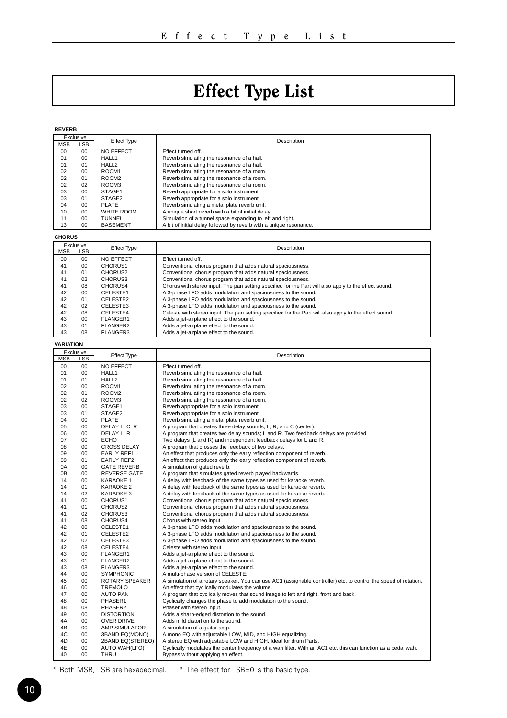## Effect Type List

<span id="page-9-0"></span>

| <b>REVERB</b>        |                                 |                                          |                                                                                                                                                                                  |
|----------------------|---------------------------------|------------------------------------------|----------------------------------------------------------------------------------------------------------------------------------------------------------------------------------|
| MSB                  | Exclusive<br>LSB                | <b>Effect Type</b>                       | Description                                                                                                                                                                      |
| 00                   | 00                              | NO EFFECT                                | Effect turned off.                                                                                                                                                               |
| 01                   | 00                              | HALL1                                    | Reverb simulating the resonance of a hall.                                                                                                                                       |
| 01                   | 01                              | HALL2                                    | Reverb simulating the resonance of a hall.                                                                                                                                       |
| 02                   | 0 <sub>0</sub>                  | ROOM1                                    | Reverb simulating the resonance of a room.                                                                                                                                       |
| 02<br>02             | 01<br>02                        | ROOM <sub>2</sub><br>ROOM3               | Reverb simulating the resonance of a room.<br>Reverb simulating the resonance of a room.                                                                                         |
| 03                   | 00                              | STAGE1                                   | Reverb appropriate for a solo instrument.                                                                                                                                        |
| 03                   | 01                              | STAGF <sub>2</sub>                       | Reverb appropriate for a solo instrument.                                                                                                                                        |
| 04                   | 00                              | PLATE                                    | Reverb simulating a metal plate reverb unit.                                                                                                                                     |
| 10                   | 00                              | WHITE ROOM                               | A unique short reverb with a bit of initial delay.                                                                                                                               |
| 11                   | <sub>00</sub><br>0 <sub>0</sub> | TUNNEL                                   | Simulation of a tunnel space expanding to left and right.                                                                                                                        |
| 13                   |                                 | <b>BASEMENT</b>                          | A bit of initial delay followed by reverb with a unique resonance.                                                                                                               |
| <b>CHORUS</b>        |                                 |                                          |                                                                                                                                                                                  |
| MSB                  | Exclusive<br>LSB                | <b>Effect Type</b>                       | Description                                                                                                                                                                      |
| 00                   | 0 <sub>0</sub>                  | NO EFFECT                                | Effect turned off.                                                                                                                                                               |
| 41                   | 00                              | CHORUS1                                  | Conventional chorus program that adds natural spaciousness.                                                                                                                      |
| 41                   | 01                              | CHORUS2                                  | Conventional chorus program that adds natural spaciousness.                                                                                                                      |
| 41<br>41             | 02<br>08                        | CHORUS3<br>CHORUS4                       | Conventional chorus program that adds natural spaciousness.<br>Chorus with stereo input. The pan setting specified for the Part will also apply to the effect sound.             |
| 42                   | 00                              | CELESTE1                                 | A 3-phase LFO adds modulation and spaciousness to the sound.                                                                                                                     |
| 42                   | 01                              | CELESTE2                                 | A 3-phase LFO adds modulation and spaciousness to the sound.                                                                                                                     |
| 42                   | 02                              | CELESTE3                                 | A 3-phase LFO adds modulation and spaciousness to the sound.                                                                                                                     |
| 42                   | 08                              | CELESTE4                                 | Celeste with stereo input. The pan setting specified for the Part will also apply to the effect sound.                                                                           |
| 43                   | 00                              | FLANGER1                                 | Adds a jet-airplane effect to the sound.                                                                                                                                         |
| 43<br>43             | 01<br>08                        | FLANGER2                                 | Adds a jet-airplane effect to the sound.<br>Adds a jet-airplane effect to the sound.                                                                                             |
|                      |                                 | FLANGER3                                 |                                                                                                                                                                                  |
| <b>VARIATION</b>     | Exclusive                       |                                          |                                                                                                                                                                                  |
| MSB                  | LSB                             | <b>Effect Type</b>                       | Description                                                                                                                                                                      |
| 00                   | 0 <sub>0</sub>                  | NO EFFECT                                | Fffect turned off.                                                                                                                                                               |
| 01                   | 00                              | HALL1                                    | Reverb simulating the resonance of a hall.                                                                                                                                       |
| 01<br>02             | 01<br><sub>00</sub>             | HALL2                                    | Reverb simulating the resonance of a hall.                                                                                                                                       |
| 02                   | 01                              | ROOM1<br>ROOM <sub>2</sub>               | Reverb simulating the resonance of a room.<br>Reverb simulating the resonance of a room.                                                                                         |
| 02                   | 02                              | ROOM3                                    | Reverb simulating the resonance of a room.                                                                                                                                       |
|                      |                                 |                                          |                                                                                                                                                                                  |
| 03                   | 00                              | STAGE1                                   |                                                                                                                                                                                  |
| 03                   | 01                              | STAGE2                                   | Reverb appropriate for a solo instrument.<br>Reverb appropriate for a solo instrument.                                                                                           |
| 04                   | 00                              | PLATE                                    | Reverb simulating a metal plate reverb unit.                                                                                                                                     |
| 05                   | 00                              | DELAY L, C, R                            | A program that creates three delay sounds; L, R, and C (center).                                                                                                                 |
| 06                   | 00                              | DELAY L, R                               | A program that creates two delay sounds; L and R. Two feedback delays are provided.                                                                                              |
| 07                   | 00                              | ECHO                                     | Two delays (L and R) and independent feedback delays for L and R.                                                                                                                |
| C <sub>8</sub><br>09 | 00<br>00                        | <b>CROSS DELAY</b>                       | A program that crosses the feedback of two delays.                                                                                                                               |
| 09                   | 01                              | EARLY REF1<br>EARLY REF2                 | An effect that produces only the early reflection component of reverb.<br>An effect that produces only the early reflection component of reverb.                                 |
| ΩA                   | nn                              | <b>GATE REVERB</b>                       | A simulation of gated reverb.                                                                                                                                                    |
| 0B                   | 00                              | <b>REVERSE GATE</b>                      | A program that simulates gated reverb played backwards.                                                                                                                          |
| 14                   | 00                              | KARAOKE 1                                | A delay with feedback of the same types as used for karaoke reverb.                                                                                                              |
| 14<br>14             | 01<br>02                        | <b>KARAOKE 2</b>                         | A delay with feedback of the same types as used for karaoke reverb.                                                                                                              |
| 41                   | 00                              | <b>KARAOKE 3</b><br>CHORUS1              | A delay with feedback of the same types as used for karaoke reverb.                                                                                                              |
| 41                   | 01                              | CHORUS2                                  | Conventional chorus program that adds natural spaciousness.<br>Conventional chorus program that adds natural spaciousness.                                                       |
| 41                   | 02                              | CHORUS3                                  | Conventional chorus program that adds natural spaciousness.                                                                                                                      |
| 41                   | 08                              | CHORUS4                                  | Chorus with stereo input.                                                                                                                                                        |
| 42                   | 00                              | CELESTE1                                 | A 3-phase LFO adds modulation and spaciousness to the sound.                                                                                                                     |
| 42                   | 01                              | CELESTE2                                 | A 3-phase LFO adds modulation and spaciousness to the sound.                                                                                                                     |
| 42<br>42             | 02<br>08                        | CELESTE3<br>CELESTE4                     | A 3-phase LFO adds modulation and spaciousness to the sound.                                                                                                                     |
| 43                   | 00                              | FI ANGER1                                | Celeste with stereo input.<br>Adds a jet-airplane effect to the sound.                                                                                                           |
| 43                   | 01                              | FLANGER2                                 | Adds a jet-airplane effect to the sound.                                                                                                                                         |
| 43                   | 08                              | FLANGER3                                 | Adds a jet-airplane effect to the sound.                                                                                                                                         |
| 44                   | 00                              | SYMPHONIC                                | A multi-phase version of CELESTE.                                                                                                                                                |
| 45                   | 00                              | <b>ROTARY SPEAKER</b>                    | A simulation of a rotary speaker. You can use AC1 (assignable controller) etc. to control the speed of rotation.                                                                 |
| 46<br>47             | 00<br>0 <sub>0</sub>            | <b>TREMOLO</b>                           | An effect that cyclically modulates the volume.                                                                                                                                  |
| 48                   | 0 <sub>0</sub>                  | <b>AUTO PAN</b><br>PHASER1               | A program that cyclically moves that sound image to left and right, front and back.<br>Cyclically changes the phase to add modulation to the sound.                              |
| 48                   | 08                              | PHASER2                                  | Phaser with stereo input.                                                                                                                                                        |
| 49                   | 00                              | <b>DISTORTION</b>                        | Adds a sharp-edged distortion to the sound.                                                                                                                                      |
| 4A                   | <sub>00</sub>                   | <b>OVER DRIVE</b>                        | Adds mild distortion to the sound.                                                                                                                                               |
| 4B                   | 0 <sub>0</sub>                  | <b>AMP SIMULATOR</b>                     | A simulation of a guitar amp.                                                                                                                                                    |
| 4C                   | 00                              | 3BAND EQ(MONO)                           | A mono EQ with adjustable LOW, MID, and HIGH equalizing.                                                                                                                         |
| 4D<br>4E             | 00<br>00                        | 2BAND EQ(STEREO)<br><b>AUTO WAH(LFO)</b> | A stereo EQ with adjustable LOW and HIGH. Ideal for drum Parts.<br>Cyclically modulates the center frequency of a wah filter. With an AC1 etc. this can function as a pedal wah. |

\* Both MSB, LSB are hexadecimal. \* The effect for LSB=0 is the basic type.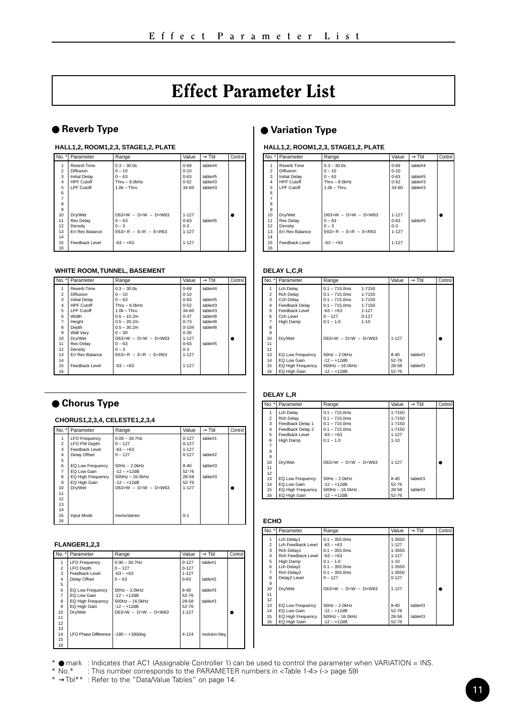### Effect Parameter List

#### **HALL1,2, ROOM1,2,3, STAGE1,2, PLATE**

|                | No. * Parameter      | Range                   | Value     | $\rightarrow$ TbI | Control |
|----------------|----------------------|-------------------------|-----------|-------------------|---------|
| 1              | Reverb Time          | $0.3 - 30.0s$           | $0 - 69$  | table#4           |         |
| $\overline{a}$ | Diffusion            | $0 - 10$                | $0 - 10$  |                   |         |
| $\overline{3}$ | <b>Initial Delay</b> | $0 - 63$                | $0 - 63$  | table#5           |         |
| $\overline{a}$ | <b>HPF Cutoff</b>    | $Thru - 8.0kHz$         | $0 - 52$  | table#3           |         |
| 5              | I PF Cutoff          | $1.0k - Thru$           | 34-60     | table#3           |         |
| 6              |                      |                         |           |                   |         |
| $\overline{7}$ |                      |                         |           |                   |         |
| 8              |                      |                         |           |                   |         |
| $\overline{9}$ |                      |                         |           |                   |         |
| 10             | Drv/Wet              | $D63>W - D=W - D< W63$  | $1 - 127$ |                   |         |
| 11             | Rev Delay            | $0 - 63$                | $0 - 63$  | table#5           |         |
| 12             | Density              | $0 - 3$                 | $0 - 3$   |                   |         |
| 13             | Fr/ Rev Balance      | $F63 > R - F=R - FcR63$ | 1-127     |                   |         |
| 14             |                      |                         |           |                   |         |
| 15             | Feedback Level       | $-63 - +63$             | 1-127     |                   |         |
| 16             |                      |                         |           |                   |         |

#### **WHITE ROOM, TUNNEL, BASEMENT**

| No.*                | Parameter            | Range                   | Value     | $\rightarrow$ Thi | Control |
|---------------------|----------------------|-------------------------|-----------|-------------------|---------|
|                     | Reverb Time          | $0.3 - 30.0s$           | $0 - 69$  | table#4           |         |
| $\mathfrak{p}$      | Diffusion            | $0 - 10$                | $0 - 10$  |                   |         |
| $\overline{3}$      | <b>Initial Delay</b> | $0 - 63$                | $0 - 63$  | table#5           |         |
| $\overline{\bf{4}}$ | <b>HPF Cutoff</b>    | $Thru - 8.0kHz$         | $0 - 52$  | table#3           |         |
| 5                   | I PF Cutoff          | $1.0k - Thru$           | 34-60     | table#3           |         |
| 6                   | Width                | $0.5 - 10.2m$           | $0 - 37$  | table#8           |         |
| $\overline{7}$      | Height               | $0.5 - 20.2$ m          | $0 - 73$  | table#8           |         |
| s.                  | Depth                | $0.5 - 30.2$ m          | $0 - 104$ | table#8           |         |
| 9                   | Wall Varv            | $0 - 30$                | $0 - 30$  |                   |         |
| 10                  | Drv/Wet              | $D63>W - D=W - D< W63$  | 1-127     |                   |         |
| 11                  | Rev Delay            | $0 - 63$                | $0 - 63$  | table#5           |         |
| 12                  | Density              | $0 - 3$                 | $0 - 3$   |                   |         |
| 13                  | Fr/ Rev Balance      | $F63 > R - F=R - FcR63$ | 1-127     |                   |         |
| 14                  |                      |                         |           |                   |         |
| 15                  | Feedback Level       | $-63 - +63$             | 1-127     |                   |         |
| 16                  |                      |                         |           |                   |         |

#### ● **Chorus Type**

#### **CHORUS1,2,3,4, CELESTE1,2,3,4**

| $\overline{N}$ o. $\overline{a}$ | Parameter            | Range                 | Value     | $\rightarrow$ Thi | Control |
|----------------------------------|----------------------|-----------------------|-----------|-------------------|---------|
|                                  | <b>LFO Frequency</b> | $0.00 - 39.7$ Hz      | 0.127     | table#1           |         |
| $\overline{2}$                   | LFO PM Depth         | $0 - 127$             | $0 - 127$ |                   |         |
| 3                                | Feedback Level       | $-63 - +63$           | $1 - 127$ |                   |         |
| $\ddot{4}$                       | Delay Offset         | $0 - 127$             | $0 - 127$ | table#2           |         |
| 5                                |                      |                       |           |                   |         |
| 6                                | EQ Low Frequency     | $50Hz - 20kHz$        | $8 - 40$  | table#3           |         |
| 7                                | EQ Low Gain          | $-12 - +12$ dB        | 52-76     |                   |         |
| 8                                | EQ High Frequency    | $500Hz - 16.0kHz$     | 28-58     | table#3           |         |
| 9                                | EQ High Gain         | $-12 - +12$ dB        | 52-76     |                   |         |
| 10                               | Drv/Wet              | $D63>W - D=W - D5W63$ | 1-127     |                   |         |
| 11                               |                      |                       |           |                   |         |
| 12                               |                      |                       |           |                   |         |
| 13                               |                      |                       |           |                   |         |
| 14                               |                      |                       |           |                   |         |
| 15                               | Input Mode           | mono/stereo           | $0 - 1$   |                   |         |
| 16                               |                      |                       |           |                   |         |

#### **FLANGER1,2,3**

|                         | No. *   Parameter      | Range                 | Value     | $\rightarrow$ Thi | Control |
|-------------------------|------------------------|-----------------------|-----------|-------------------|---------|
|                         | <b>LFO Frequency</b>   | $0.00 - 39.7$ Hz      | $0 - 127$ | table#1           |         |
| $\overline{a}$          | LFO Depth              | $0 - 127$             | $0 - 127$ |                   |         |
| $\overline{\mathbf{3}}$ | Feedback Level         | $-63 - +63$           | 1-127     |                   |         |
| $\ddot{4}$              | Delay Offset           | $0 - 63$              | $0 - 63$  | table#2           |         |
| 5                       |                        |                       |           |                   |         |
| 6                       | EQ Low Frequency       | $50Hz - 20kHz$        | $8 - 40$  | table#3           |         |
| 7                       | FO I ow Gain           | $-12 - +12dB$         | 52-76     |                   |         |
| $\mathbf{a}$            | EQ High Frequency      | $500$ Hz $- 16.0$ kHz | 28-58     | table#3           |         |
| $\overline{9}$          | EQ High Gain           | $-12 - +12$ dB        | 52-76     |                   |         |
| 10                      | Drv/Wet                | $D63>W - D=W - DcW63$ | 1-127     |                   |         |
| 11                      |                        |                       |           |                   |         |
| 12                      |                        |                       |           |                   |         |
| 13                      |                        |                       |           |                   |         |
| 14                      | LFO Phase Difference I | $-180 - +180$ dea     | 4-124     | resolution=3deg.  |         |
| 15                      |                        |                       |           |                   |         |
| 16                      |                        |                       |           |                   |         |

### <span id="page-10-0"></span>● **Reverb Type** ● **Variation Type**

#### **HALL1,2, ROOM1,2,3, STAGE1,2, PLATE**

| No.*           | Parameter            | Range                     | Value     | $\rightarrow$ Tbl | Control        |
|----------------|----------------------|---------------------------|-----------|-------------------|----------------|
|                | Reverb Time          | $0.3 - 30.0s$             | $0 - 69$  | table#4           |                |
| $\overline{2}$ | Diffusion            | $0 - 10$                  | $0 - 10$  |                   |                |
| 3              | <b>Initial Delay</b> | $0 - 63$                  | $0 - 63$  | table#5           |                |
| $\overline{a}$ | <b>HPF Cutoff</b>    | $T$ hru – 8 $0$ k $Hz$    | $0 - 52$  | table#3           |                |
| 5              | I PF Cutoff          | $1.0k - Thru$             | 34-60     | table#3           |                |
| 6              |                      |                           |           |                   |                |
| 7              |                      |                           |           |                   |                |
| 8              |                      |                           |           |                   |                |
| $\overline{9}$ |                      |                           |           |                   |                |
| 10             | Drv/Wet              | $D63>W - D=W - DcW63$     | 1-127     |                   | $\blacksquare$ |
| 11             | <b>Rev Delay</b>     | $0 - 63$                  | $0 - 63$  | table#5           |                |
| 12             | Density              | $0 - 3$                   | $0 - 3$   |                   |                |
| 13             | Fr/ Rev Balance      | $F63 > R - F_R = F_R R63$ | $1 - 127$ |                   |                |
| 14             |                      |                           |           |                   |                |
| 15             | Feedback Level       | $-63 - +63$               | 1-127     |                   |                |
| 16             |                      |                           |           |                   |                |

#### **DELAY L,C,R**

| No. *          | Parameter                | Range                 |           | Value     | $\rightarrow$ Thi | Control |
|----------------|--------------------------|-----------------------|-----------|-----------|-------------------|---------|
|                | Lch Delay                | $0.1 - 715$ 0ms       | 1-7150    |           |                   |         |
| $\mathfrak{p}$ | Rch Delay                | $0.1 - 715.0$ ms      | 1-7150    |           |                   |         |
| 3              | Cch Delay                | $0.1 - 715.0$ ms      | 1-7150    |           |                   |         |
| 4              | Feedback Delay           | $0.1 - 715$ 0ms       | 1-7150    |           |                   |         |
| 5              | Feedback Level           | $-63 - +63$           | 1-127     |           |                   |         |
| 6              | Cch I evel               | $0 - 127$             | $0 - 127$ |           |                   |         |
| 7              | High Damp                | $01 - 10$             | $1 - 10$  |           |                   |         |
| s.             |                          |                       |           |           |                   |         |
| 9              |                          |                       |           |           |                   |         |
| 10             | Drv/Wet                  | $D63>W - D=W - D5W63$ |           | $1 - 127$ |                   |         |
| 11             |                          |                       |           |           |                   |         |
| 12             |                          |                       |           |           |                   |         |
| 13             | EQ Low Frequency         | $50Hz - 2.0kHz$       |           | $8 - 40$  | table#3           |         |
| 14             | EQ Low Gain              | $-12 - +12$ dB        |           | 52-76     |                   |         |
| 15             | <b>EQ High Frequency</b> | $500Hz - 16.0kHz$     |           | 28-58     | table#3           |         |
| 16             | EQ High Gain             | $-12 - +12dB$         |           | 52-76     |                   |         |

#### **DELAY L,R**

| No. *          | Parameter         | Range                 | Value     | $\rightarrow$ TbI | Control |
|----------------|-------------------|-----------------------|-----------|-------------------|---------|
| 1              | Lch Delay         | $0.1 - 715$ 0ms       | 1-7150    |                   |         |
| $\overline{2}$ | Rch Delay         | $0.1 - 715.0$ ms      | 1-7150    |                   |         |
| $\overline{3}$ | Feedback Delay 1  | $0.1 - 715.0$ ms      | 1-7150    |                   |         |
| $\overline{4}$ | Feedback Delay 2  | $0.1 - 715$ 0ms       | 1-7150    |                   |         |
| 5              | Feedback Level    | $-63 - +63$           | 1-127     |                   |         |
| 6              | High Damp         | $01 - 10$             | $1 - 10$  |                   |         |
| $\overline{7}$ |                   |                       |           |                   |         |
| 8              |                   |                       |           |                   |         |
| $\mathbf{Q}$   |                   |                       |           |                   |         |
| 10             | Drv/Wet           | $D63>W - D=W - D5W63$ | $1 - 127$ |                   |         |
| 11             |                   |                       |           |                   |         |
| 12             |                   |                       |           |                   |         |
| 13             | EQ Low Frequency  | $50Hz - 2.0kHz$       | $8 - 40$  | table#3           |         |
| 14             | EQ Low Gain       | $-12 - +12$ dB        | 52-76     |                   |         |
| 15             | EQ High Frequency | $500Hz - 16.0kHz$     | 28-58     | fable#3           |         |
| 16             | EQ High Gain      | $-12 - +12dB$         | 52-76     |                   |         |
|                |                   |                       |           |                   |         |

#### **ECHO**

| No.*           | Parameter               | Range                 | Value     | $\rightarrow$ Thi | Control |
|----------------|-------------------------|-----------------------|-----------|-------------------|---------|
| 1              | Lch Delav1              | $0.1 - 355.0$ ms      | 1-3550    |                   |         |
| $\overline{2}$ | I ch Feedback Level     | $-63 - +63$           | $1 - 127$ |                   |         |
| 3              | Rch Delay1              | $0.1 - 355$ 0ms       | 1-3550    |                   |         |
| $\overline{4}$ | Rch Feedback Level      | $-63 - +63$           | 1-127     |                   |         |
| 5              | High Damp               | $0.1 - 1.0$           | $1 - 10$  |                   |         |
| 6              | Lch Delay2              | $0.1 - 355$ 0ms       | 1-3550    |                   |         |
| $\overline{7}$ | Rch Delay2              | $0.1 - 355$ 0ms       | 1-3550    |                   |         |
| 8              | Delay2 Level            | $0 - 127$             | $0 - 127$ |                   |         |
| $\overline{9}$ |                         |                       |           |                   |         |
| 10             | Drv/Wet                 | $D63>W - D=W - D5W63$ | $1 - 127$ |                   |         |
| 11             |                         |                       |           |                   |         |
| 12             |                         |                       |           |                   |         |
| 13             | <b>EQ Low Frequency</b> | $50Hz - 20kHz$        | $8 - 40$  | table#3           |         |
| 14             | EQ Low Gain             | $-12 - +12$ dB        | 52-76     |                   |         |
| 15             | EQ High Frequency       | $500Hz - 16.0kHz$     | 28-58     | table#3           |         |
| 16             | EQ High Gain            | $-12 - +12dB$         | 52-76     |                   |         |
|                |                         |                       |           |                   |         |

\* ● mark : Indicates that AC1 (Assignable Controller 1) can be used to control the parameter when VARIATION = INS.

\* No.\* : This number corresponds to the PARAMETER numbers in <Table 1-4> (-> page 59)

\* →Tbl\*\* : Refer to the "Data/Value Tables" on page 14.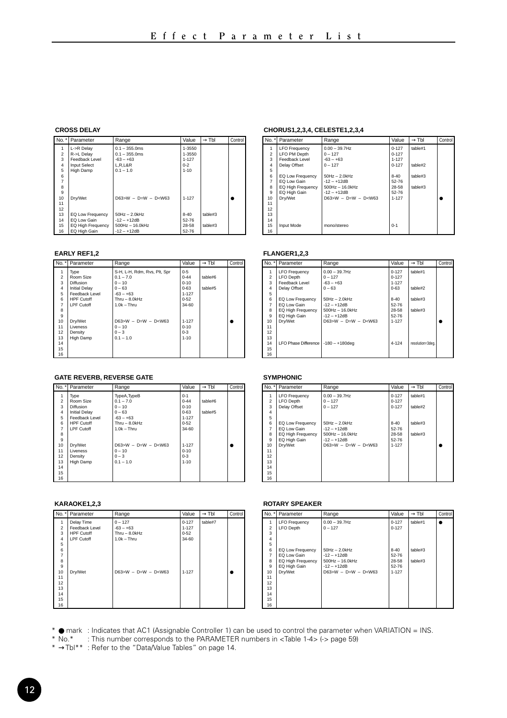#### **CROSS DELAY**

|                | No. * Parameter     | Range                 | Value     | $\rightarrow$ Tbl | Control |
|----------------|---------------------|-----------------------|-----------|-------------------|---------|
| 1              | L->R Delay          | $0.1 - 355.0$ ms      | 1-3550    |                   |         |
| $\overline{2}$ | R->L Delay          | $0.1 - 355.0$ ms      | 1-3550    |                   |         |
| $\overline{a}$ | Feedback Level      | $-63 - +63$           | 1-127     |                   |         |
| 4              | <b>Input Select</b> | L.R.L&R               | $0 - 2$   |                   |         |
| 5              | High Damp           | $0.1 - 1.0$           | $1 - 10$  |                   |         |
| 6              |                     |                       |           |                   |         |
| $\overline{7}$ |                     |                       |           |                   |         |
| 8              |                     |                       |           |                   |         |
| $\overline{9}$ |                     |                       |           |                   |         |
| 10             | Drv/Wet             | $D63>W - D=W - DcW63$ | 1-127     |                   |         |
| 11             |                     |                       |           |                   |         |
| 12             |                     |                       |           |                   |         |
| 13             | EQ Low Frequency    | $50Hz - 2.0kHz$       | $8 - 40$  | table#3           |         |
| 14             | EQ Low Gain         | $-12 - +12$ dB        | $52 - 76$ |                   |         |
| 15             | EQ High Frequency   | $500$ Hz $- 16.0$ kHz | 28-58     | $t$ able#3        |         |
| 16             | EQ High Gain        | $-12 - +12dB$         | $52 - 76$ |                   |         |

#### **EARLY REF1,2**

|                | No. *   Parameter    | Range                        | Value    | $\rightarrow$ Tbl | Control |
|----------------|----------------------|------------------------------|----------|-------------------|---------|
| 1              | Type                 | S-H. L-H. Rdm. Rvs. Plt. Spr | $0 - 5$  |                   |         |
| $\overline{a}$ | Room Size            | $01 - 70$                    | $0 - 44$ | table#6           |         |
| ă              | Diffusion            | $0 - 10$                     | $0 - 10$ |                   |         |
| 4              | <b>Initial Delay</b> | $0 - 63$                     | $0 - 63$ | table#5           |         |
| 5              | Feedback Level       | $-63 - +63$                  | 1-127    |                   |         |
| 6              | <b>HPF Cutoff</b>    | $Thru - 8.0kHz$              | $0 - 52$ |                   |         |
| 7              | <b>LPF Cutoff</b>    | $1.0k - Thru$                | 34-60    |                   |         |
| 8              |                      |                              |          |                   |         |
| $\overline{9}$ |                      |                              |          |                   |         |
| 10             | Drv/Wet              | $D63>W - D=W - D1$ W63       | 1-127    |                   |         |
| 11             | Liveness             | $0 - 10$                     | $0 - 10$ |                   |         |
| 12             | Density              | $0 - 3$                      | $0 - 3$  |                   |         |
| 13             | High Damp            | $0.1 - 1.0$                  | $1 - 10$ |                   |         |
| 14             |                      |                              |          |                   |         |
| 15             |                      |                              |          |                   |         |
| 16             |                      |                              |          |                   |         |

#### **GATE REVERB, REVERSE GATE**

|                | No. *   Parameter    | Range                  | Value     | $\rightarrow$ Tbl | Control |
|----------------|----------------------|------------------------|-----------|-------------------|---------|
| 1              | Type                 | TypeA, TypeB           | $0 - 1$   |                   |         |
| $\overline{a}$ | Room Size            | $0.1 - 7.0$            | $0 - 44$  | table#6           |         |
| $\overline{3}$ | Diffusion            | $0 - 10$               | $0 - 10$  |                   |         |
| 4              | <b>Initial Delay</b> | $0 - 63$               | $0 - 63$  | table#5           |         |
| 5              | Feedback Level       | $-63 - +63$            | $1 - 127$ |                   |         |
| 6              | <b>HPF Cutoff</b>    | $Thru - 8.0kHz$        | $0 - 52$  |                   |         |
| 7              | I PF Cutoff          | $10k - Thru$           | $34 - 60$ |                   |         |
| 8              |                      |                        |           |                   |         |
| $\overline{9}$ |                      |                        |           |                   |         |
| 10             | Drv/Wet              | $D63>W - D=W - D1$ W63 | $1 - 127$ |                   |         |
| 11             | I iveness            | $0 - 10$               | $0 - 10$  |                   |         |
| 12             | Density              | $0 - 3$                | $0 - 3$   |                   |         |
| 13             | High Damp            | $0.1 - 1.0$            | $1 - 10$  |                   |         |
| 14             |                      |                        |           |                   |         |
| 15             |                      |                        |           |                   |         |
| 16             |                      |                        |           |                   |         |

#### **KARAOKE1,2,3**

|                | No. *   Parameter | Range                  | Value     | $\rightarrow$ Tbl | Control |
|----------------|-------------------|------------------------|-----------|-------------------|---------|
| 1              | Delay Time        | $0 - 127$              | $0 - 127$ | table#7           |         |
| $\overline{2}$ | Feedback Level    | $-63 - +63$            | $1 - 127$ |                   |         |
| 3              | <b>HPF Cutoff</b> | $Thru - 8.0kHz$        | $0 - 52$  |                   |         |
| 4              | LPF Cutoff        | $1.0k - Thru$          | 34-60     |                   |         |
| 5              |                   |                        |           |                   |         |
| 6              |                   |                        |           |                   |         |
| $\overline{7}$ |                   |                        |           |                   |         |
| 8              |                   |                        |           |                   |         |
| $\overline{9}$ |                   |                        |           |                   |         |
| 10             | Dry/Wet           | $D63>W - D=W - D< W63$ | $1 - 127$ |                   | ۰       |
| 11             |                   |                        |           |                   |         |
| 12             |                   |                        |           |                   |         |
| 13             |                   |                        |           |                   |         |
| 14             |                   |                        |           |                   |         |
| 15             |                   |                        |           |                   |         |
| 16             |                   |                        |           |                   |         |

#### **CHORUS1,2,3,4, CELESTE1,2,3,4**

|                | No. * Parameter      | Range                 | Value     | $\rightarrow$ Thi | Control |
|----------------|----------------------|-----------------------|-----------|-------------------|---------|
|                | <b>LFO Frequency</b> | $0.00 - 39.7$ Hz      | $0 - 127$ | table#1           |         |
| $\overline{2}$ | LFO PM Depth         | $0 - 127$             | $0 - 127$ |                   |         |
| $\overline{a}$ | Feedback Level       | $-63 - +63$           | 1-127     |                   |         |
| 4              | Delay Offset         | $0 - 127$             | $0 - 127$ | table#2           |         |
| 5              |                      |                       |           |                   |         |
| 6              | EQ Low Frequency     | $50Hz - 2.0kHz$       | $8 - 40$  | table#3           |         |
| $\overline{7}$ | EQ Low Gain          | $-12 - +12$ dB        | 52-76     |                   |         |
| 8              | EQ High Frequency    | $500Hz - 16.0kHz$     | 28-58     | table#3           |         |
| 9              | EQ High Gain         | $-12 - +12$ dB        | 52-76     |                   |         |
| 10             | Drv/Wet              | $D63>W - D=W - DcW63$ | 1-127     |                   |         |
| 11             |                      |                       |           |                   |         |
| 12             |                      |                       |           |                   |         |
| 13             |                      |                       |           |                   |         |
| 14             |                      |                       |           |                   |         |
| 15             | Input Mode           | mono/stereo           | $0 - 1$   |                   |         |
| 16             |                      |                       |           |                   |         |

#### **FLANGER1,2,3**

| No. *          | Parameter                             | Range                 | Value     | $\rightarrow$ Thi | Control |
|----------------|---------------------------------------|-----------------------|-----------|-------------------|---------|
|                | <b>LFO Frequency</b>                  | $0.00 - 39.7$ Hz      | $0 - 127$ | table#1           |         |
| $\mathfrak{p}$ | <b>LFO</b> Depth                      | $0 - 127$             | $0 - 127$ |                   |         |
| 3              | Feedback Level                        | $-63 - +63$           | $1 - 127$ |                   |         |
| $\overline{a}$ | Delay Offset                          | $0 - 63$              | $0 - 63$  | table#2           |         |
| 5              |                                       |                       |           |                   |         |
| 6              | EQ Low Frequency                      | $50Hz - 20kHz$        | $8 - 40$  | table#3           |         |
| 7              | EQ Low Gain                           | $-12 - +12$ dB        | 52-76     |                   |         |
| s.             | <b>EQ High Frequency</b>              | $500Hz - 16.0kHz$     | 28-58     | table#3           |         |
| $\mathbf{Q}$   | EQ High Gain                          | $-12 - +12$ dB        | 52-76     |                   |         |
| 10             | Drv/Wet                               | $D63>W - D=W - DcW63$ | $1 - 127$ |                   |         |
| 11             |                                       |                       |           |                   |         |
| 12             |                                       |                       |           |                   |         |
| 13             |                                       |                       |           |                   |         |
| 14             | LFO Phase Difference   -180 - +180deg |                       | 4-124     | resolution=3deg.  |         |
| 15             |                                       |                       |           |                   |         |
| 16             |                                       |                       |           |                   |         |

#### **SYMPHONIC**

|                | No. * Parameter      | Range                 | Value     | $\rightarrow$ Thi | Control |
|----------------|----------------------|-----------------------|-----------|-------------------|---------|
| 1              | <b>LFO Frequency</b> | $0.00 - 39.7$ Hz      | $0 - 127$ | table#1           |         |
| $\overline{2}$ | LFO Depth            | $0 - 127$             | $0 - 127$ |                   |         |
| $\overline{3}$ | Delay Offset         | $0 - 127$             | $0 - 127$ | table#2           |         |
| 4              |                      |                       |           |                   |         |
| 5              |                      |                       |           |                   |         |
| 6              | EQ Low Frequency     | $50Hz - 20kHz$        | $8 - 40$  | F.#ahlatt         |         |
| 7              | EQ Low Gain          | $-12 - +12dB$         | 52-76     |                   |         |
| 8              | EQ High Frequency    | $500Hz - 160kHz$      | 28-58     | F.#ahlatt         |         |
| $\overline{9}$ | EQ High Gain         | $-12 - +12$ dB        | 52-76     |                   |         |
| 10             | Drv/Wet              | $D63>W - D=W - DcW63$ | $1 - 127$ |                   |         |
| 11             |                      |                       |           |                   |         |
| 12             |                      |                       |           |                   |         |
| 13             |                      |                       |           |                   |         |
| 14             |                      |                       |           |                   |         |
| 15             |                      |                       |           |                   |         |
| 16             |                      |                       |           |                   |         |

#### **ROTARY SPEAKER**

|                         | No. * Parameter      | Range                 | Value     | $\rightarrow$ Tbl | Control |
|-------------------------|----------------------|-----------------------|-----------|-------------------|---------|
|                         | <b>LFO Frequency</b> | $0.00 - 39.7$ Hz      | $0 - 127$ | table#1           |         |
| $\overline{2}$          | <b>LFO</b> Depth     | $0 - 127$             | $0 - 127$ |                   |         |
| $\overline{\mathbf{3}}$ |                      |                       |           |                   |         |
| $\overline{a}$          |                      |                       |           |                   |         |
| 5                       |                      |                       |           |                   |         |
| 6                       | EQ Low Frequency     | $50Hz - 2.0kHz$       | $8 - 40$  | table#3           |         |
| 7                       | EQ Low Gain          | $-12 - +12$ dB        | 52-76     |                   |         |
| $\mathbf{a}$            | EQ High Frequency    | $500Hz - 16.0kHz$     | 28-58     | F.#ahlatt         |         |
| 9                       | EQ High Gain         | $-12 - +12$ dB        | 52-76     |                   |         |
| 10                      | Drv/Wet              | $D63>W - D=W - DcW63$ | $1 - 127$ |                   |         |
| 11                      |                      |                       |           |                   |         |
| 12                      |                      |                       |           |                   |         |
| 13                      |                      |                       |           |                   |         |
| 14                      |                      |                       |           |                   |         |
| 15                      |                      |                       |           |                   |         |
| 16                      |                      |                       |           |                   |         |

\* ● mark : Indicates that AC1 (Assignable Controller 1) can be used to control the parameter when VARIATION = INS.

\* No.\* : This number corresponds to the PARAMETER numbers in <Table 1-4> (-> page 59) \* →Tbl\*\* : Refer to the "Data/Value Tables" on page 14.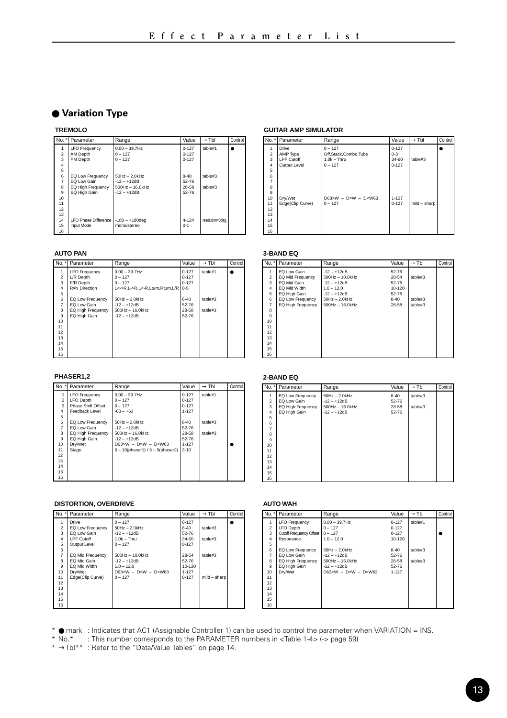#### ● **Variation Type**

#### **TREMOLO**

|                | No. * Parameter             | Range             | Value    | $\rightarrow$ Tbl | Control |
|----------------|-----------------------------|-------------------|----------|-------------------|---------|
| 1              | <b>LFO Frequency</b>        | $0.00 - 39.7$ Hz  | 0.127    | table#1           |         |
| $\overline{2}$ | AM Depth                    | $0 - 127$         | 0.127    |                   |         |
| $\overline{3}$ | PM Depth                    | $0 - 127$         | 0.127    |                   |         |
| $\overline{a}$ |                             |                   |          |                   |         |
| 5              |                             |                   |          |                   |         |
| 6              | EQ Low Frequency            | $50Hz - 2.0kHz$   | $8 - 40$ | table#3           |         |
| 7              | FO I ow Gain                | $-12 - +12dB$     | 52-76    |                   |         |
| 8              | <b>EQ High Frequency</b>    | $500Hz - 16.0kHz$ | 28-58    | table#3           |         |
| $\overline{9}$ | EQ High Gain                | $-12 - +12$ dB    | 52-76    |                   |         |
| 10             |                             |                   |          |                   |         |
| 11             |                             |                   |          |                   |         |
| 12             |                             |                   |          |                   |         |
| 13             |                             |                   |          |                   |         |
| 14             | <b>LFO Phase Difference</b> | $-180 - +180$ dea | 4-124    | resolution=3deg.  |         |
| 15             | Input Mode                  | mono/stereo       | $0 - 1$  |                   |         |
| 16             |                             |                   |          |                   |         |

#### **AUTO PAN**

| I No. * I      | Parameter            | Range                           | Value     | $\rightarrow$ TbI | Control |
|----------------|----------------------|---------------------------------|-----------|-------------------|---------|
|                | <b>LFO Frequency</b> | $0.00 - 39.7$ Hz                | $0 - 127$ | table#1           |         |
| $\overline{a}$ | L/R Depth            | $0 - 127$                       | $0 - 127$ |                   |         |
| $\overline{3}$ | F/R Depth            | $0 - 127$                       | $0 - 127$ |                   |         |
| 4              | <b>PAN Direction</b> | L<->R.L->R.L<-R.Lturn.Rturn.L/R | $0 - 5$   |                   |         |
| 5              |                      |                                 |           |                   |         |
| 6              | EQ Low Frequency     | $50Hz - 2.0kHz$                 | $8 - 40$  | table#3           |         |
| 7              | EQ Low Gain          | $-12 - +12dB$                   | 52-76     |                   |         |
| 8              | EQ High Frequency    | $500$ Hz $- 16.0$ kHz           | 28-58     | table#3           |         |
| $\mathbf{Q}$   | EQ High Gain         | $-12 - +12$ dB                  | 52-76     |                   |         |
| 10             |                      |                                 |           |                   |         |
| 11             |                      |                                 |           |                   |         |
| 12             |                      |                                 |           |                   |         |
| 13             |                      |                                 |           |                   |         |
| 14             |                      |                                 |           |                   |         |
| 15             |                      |                                 |           |                   |         |
| 16             |                      |                                 |           |                   |         |

#### **PHASER1,2**

| l No. * l      | Parameter                | Range                                  | Value     | $\rightarrow$ Tbl | Control |
|----------------|--------------------------|----------------------------------------|-----------|-------------------|---------|
|                | <b>LFO Frequency</b>     | $0.00 - 39.7$ Hz                       | $0 - 127$ | table#1           |         |
| $\mathfrak{p}$ | <b>LFO</b> Depth         | $0 - 127$                              | $0 - 127$ |                   |         |
| $\overline{3}$ | Phase Shift Offset       | $0 - 127$                              | $0 - 127$ |                   |         |
| 4              | Feedback Level           | $-63 - +63$                            | 1-127     |                   |         |
| 5              |                          |                                        |           |                   |         |
| 6              | <b>EQ Low Frequency</b>  | $50Hz - 2.0kHz$                        | $8 - 40$  | table#3           |         |
| 7              | EQ Low Gain              | $-12 - +12$ dB                         | 52-76     |                   |         |
| s.             | <b>EQ High Frequency</b> | $500Hz - 160kHz$                       | 28-58     | table#3           |         |
| $\mathbf{Q}$   | EQ High Gain             | $-12 - +12$ dB                         | 52-76     |                   |         |
| 10             | Drv/Wet                  | $D63>W - D=W - D< W63$                 | 1-127     |                   |         |
| 11             | Stage                    | $6 - 10$ (phaser1) / $3 - 5$ (phaser2) | $3 - 10$  |                   |         |
| 12             |                          |                                        |           |                   |         |
| 13             |                          |                                        |           |                   |         |
| 14             |                          |                                        |           |                   |         |
| 15             |                          |                                        |           |                   |         |
| 16             |                          |                                        |           |                   |         |

#### **DISTORTION, OVERDRIVE**

|                | No. *   Parameter | Range                  | Value     | $\rightarrow$ Tbl | Control |
|----------------|-------------------|------------------------|-----------|-------------------|---------|
|                | Drive             | $0 - 127$              | $0 - 127$ |                   |         |
| $\overline{2}$ | EQ Low Frequency  | $50Hz - 2.0kHz$        | $8 - 40$  | table#3           |         |
| 3              | EQ Low Gain       | $-12 - +12dB$          | 52-76     |                   |         |
| 4              | I PF Cutoff       | $1.0k - Thru$          | $34 - 60$ | table#3           |         |
| 5              | Output Level      | $0 - 127$              | $0 - 127$ |                   |         |
| 6              |                   |                        |           |                   |         |
| $\overline{7}$ | EQ Mid Frequency  | $500Hz - 10.0kHz$      | 28-54     | table#3           |         |
| s.             | EQ Mid Gain       | $-12 - +12dB$          | 52-76     |                   |         |
| $\mathbf{Q}$   | EQ Mid Width      | $10 - 120$             | 10-120    |                   |         |
| 10             | Drv/Wet           | $D63>W - D=W - D< W63$ | $1 - 127$ |                   |         |
| 11             | Edge(Clip Curve)  | $0 - 127$              | $0 - 127$ | mild - sharp      |         |
| 12             |                   |                        |           |                   |         |
| 13             |                   |                        |           |                   |         |
| 14             |                   |                        |           |                   |         |
| 15             |                   |                        |           |                   |         |
| 16             |                   |                        |           |                   |         |

#### **GUITAR AMP SIMULATOR**

|                                                                                      | No. * Parameter                                 | Range                                                           | Value                                      | $\rightarrow$ Thi | Control |
|--------------------------------------------------------------------------------------|-------------------------------------------------|-----------------------------------------------------------------|--------------------------------------------|-------------------|---------|
| 1<br>$\overline{2}$<br>$\overline{3}$<br>4<br>5                                      | Drive<br>AMP Type<br>LPF Cutoff<br>Output Level | $0 - 127$<br>Off,Stack,Combo,Tube<br>$1.0k - Thru$<br>$0 - 127$ | $0 - 127$<br>$0 - 3$<br>34-60<br>$0 - 127$ | table#3           |         |
| 6<br>$\overline{7}$<br>8<br>$\overline{9}$<br>10<br>11<br>12<br>13<br>14<br>15<br>16 | Drv/Wet<br>Edge(Clip Curve)                     | $D63>W - D=W - D< W63$<br>$0 - 127$                             | $1 - 127$<br>$0 - 127$                     | mild - sharp      |         |

#### **3-BAND EQ**

| No. *          | Parameter               | Range             | Value    | $\rightarrow$ Tbl | Control |
|----------------|-------------------------|-------------------|----------|-------------------|---------|
| 1              | EQ Low Gain             | $-12 - +12dB$     | 52-76    |                   |         |
| $\overline{2}$ | EQ Mid Frequency        | $500Hz - 10.0kHz$ | 28-54    | table#3           |         |
| 3              | EQ Mid Gain             | $-12 - +12dB$     | 52-76    |                   |         |
| 4              | EQ Mid Width            | $1.0 - 12.0$      | 10-120   |                   |         |
| 5              | EQ High Gain            | $-12 - +12dB$     | 52-76    |                   |         |
| 6              | <b>EQ Low Frequency</b> | $50Hz - 2.0kHz$   | $8 - 40$ | table#3           |         |
| 7              | EQ High Frequency       | $500Hz - 16.0kHz$ | 28-58    | table#3           |         |
| 8              |                         |                   |          |                   |         |
| $\mathbf{Q}$   |                         |                   |          |                   |         |
| 10             |                         |                   |          |                   |         |
| 11             |                         |                   |          |                   |         |
| 12             |                         |                   |          |                   |         |
| 13             |                         |                   |          |                   |         |
| 14             |                         |                   |          |                   |         |
| 15             |                         |                   |          |                   |         |
| 16             |                         |                   |          |                   |         |

#### **2-BAND EQ**

| No. *          | Parameter         | Range             | Value    | $\rightarrow$ Tbl | Control |
|----------------|-------------------|-------------------|----------|-------------------|---------|
| 1              | EQ Low Frequency  | $50Hz - 2.0kHz$   | $8 - 40$ | table#3           |         |
| $\overline{2}$ | EQ Low Gain       | $-12 - +12dB$     | 52-76    |                   |         |
| 3              | EQ High Frequency | $500Hz - 16.0kHz$ | 28-58    | table#3           |         |
| 4              | EQ High Gain      | $-12 - +12dB$     | 52-76    |                   |         |
| 5              |                   |                   |          |                   |         |
| 6              |                   |                   |          |                   |         |
| 7              |                   |                   |          |                   |         |
| g              |                   |                   |          |                   |         |
| $\mathbf{Q}$   |                   |                   |          |                   |         |
| 10             |                   |                   |          |                   |         |
| 11             |                   |                   |          |                   |         |
| 12             |                   |                   |          |                   |         |
| 13             |                   |                   |          |                   |         |
| 14             |                   |                   |          |                   |         |
| 15             |                   |                   |          |                   |         |
| 16             |                   |                   |          |                   |         |

#### **AUTO WAH**

| No. *          | Parameter               | Range                 | Value     | $\rightarrow$ Thi | Control |
|----------------|-------------------------|-----------------------|-----------|-------------------|---------|
|                | <b>LFO Frequency</b>    | $0.00 - 39.7$ Hz      | $0 - 127$ | table#1           |         |
| $\overline{a}$ | <b>LFO</b> Depth        | $0 - 127$             | $0 - 127$ |                   |         |
| 3              | Cutoff Frequency Offset | $0 - 127$             | $0 - 127$ |                   |         |
| 4              | Resonance               | $10 - 120$            | 10-120    |                   |         |
| 5              |                         |                       |           |                   |         |
| 6              | EQ Low Frequency        | $50Hz - 2.0kHz$       | $8 - 40$  | table#3           |         |
| 7              | EQ Low Gain             | $-12 - +12$ dB        | 52-76     |                   |         |
| g              | EQ High Frequency       | $500Hz - 16.0kHz$     | 28-58     | fable#3           |         |
| 9              | EQ High Gain            | $-12 - +12$ dB        | 52-76     |                   |         |
| 10             | Drv/Wet                 | $D63>W - D=W - D5W63$ | $1 - 127$ |                   |         |
| 11             |                         |                       |           |                   |         |
| 12             |                         |                       |           |                   |         |
| 13             |                         |                       |           |                   |         |
| 14             |                         |                       |           |                   |         |
| 15             |                         |                       |           |                   |         |
| 16             |                         |                       |           |                   |         |

\* ● mark : Indicates that AC1 (Assignable Controller 1) can be used to control the parameter when VARIATION = INS.

\* No.\* : This number corresponds to the PARAMETER numbers in <Table 1-4> (-> page 59) \* →Tbl\*\* : Refer to the "Data/Value Tables" on page 14.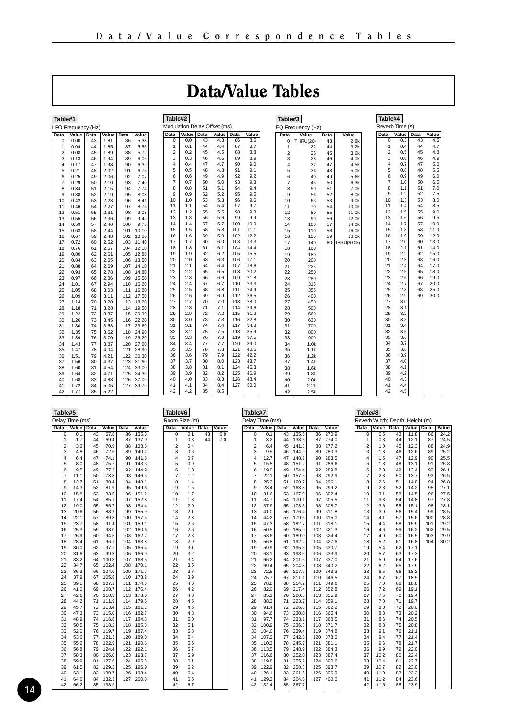## Data/Value Tables

<span id="page-13-0"></span>

| Table#1        |                   |          |              |            |                |  |
|----------------|-------------------|----------|--------------|------------|----------------|--|
|                | FO Frequency (Hz) |          |              |            |                |  |
| Data           | Value             | Data     | Value        | Data       | Value          |  |
| $\overline{0}$ | 0.00              | 43       | 1.81         | 86         | 5.38           |  |
| 1              | 0.04              | 44       | 1.85         | 87         | 5.55           |  |
| $\overline{2}$ | 0.08              | 45       | 1.89         | 88         | 5.72           |  |
| 3              | 0.13              | 46       | 1.94         | 89         | 6.06           |  |
| 4              | 0.17              | 47       | 1.98         | 90         | 6.39           |  |
| 5              | 0.21              | 48       | 2.02         | 91         | 6.73           |  |
| 6              | 0.25              | 49       | 2.06         | 92         | 7.07           |  |
| 7              | 0.29              | 50       | 2.10         | 93         | 7.40           |  |
| 8              | 0.34              | 51       | 2.15         | 94         | 7.74           |  |
| 9              | 0.38              | 52       | 2.19         | 95         | 8.08           |  |
| 10             | 0.42              | 53       | 2.23         | 96         | 8.41           |  |
| 11             | 0.46              | 54       | 2.27         | 97         | 8.75           |  |
| 12             | 0.51              | 55       | 2.31         | 98         | 9.08           |  |
| 13             | 0.55              | 56       | 2.36         | 99         | 9.42           |  |
| 14             | 0.59              | 57       | 2.40         | 100        | 9.76           |  |
| 15             | 0.63              | 58       | 2.44         | 101        | 10.10          |  |
| 16             | 0.67              | 59       | 2.48         | 102        | 10.80          |  |
| 17             | 0.72              | 60       | 2.52         | 103        | 11.40          |  |
| 18             | 0.76              | 61       | 2.57         | 104        | 12.10          |  |
| 19             | 0.80              | 62       | 2.61         | 105        | 12.80          |  |
| 20             | 0.84              | 63       | 2.65         | 106        | 13.50          |  |
| 21             | 0.88              | 64       | 2.69         | 107        | 14.10          |  |
| 22             | 0.93              | 65       | 2.78         | 108        | 14.80          |  |
| 23<br>24       | 0.97              | 66<br>67 | 2.86         | 109<br>110 | 15.50<br>16.20 |  |
|                | 1.01              |          | 2.94         |            |                |  |
| 25             | 1.05              | 68       | 3.03         | 111        | 16.80<br>17.50 |  |
| 26             | 1.09              | 69       | 3.11<br>3.20 | 112<br>113 |                |  |
| 27<br>28       | 1.14              | 70<br>71 |              | 114        | 18.20<br>19.50 |  |
| 29             | 1.18<br>1.22      | 72       | 3.28<br>3.37 | 115        | 20.90          |  |
| 30             | 1.26              | 73       | 3.45         | 116        | 22.20          |  |
| 31             | 1.30              | 74       | 3.53         | 117        | 23.60          |  |
| 32             | 1.35              | 75       | 3.62         | 118        | 24.90          |  |
| 33             | 1.39              | 76       | 3.70         | 119        | 26.20          |  |
| 34             | 1.43              | 77       | 3.87         | 120        | 27.60          |  |
| 35             | 1.47              | 78       | 4.04         | 121        | 28.90          |  |
| 36             | 1.51              | 79       | 4.21         | 122        | 30.30          |  |
| 37             | 1.56              | 80       | 4.37         | 123        | 31.60          |  |
| 38             | 1.60              | 81       | 4.54         | 124        | 33.00          |  |
| 39             | 1.64              | 82       | 4.71         | 125        | 34.30          |  |
| 40             | 1.68              | 83       | 4.88         | 126        | 37.00          |  |
| 41             | 1.72              | 84       | 5.05         | 127        | 39.70          |  |
| 42             | 1.77              | 85       | 5.22         |            |                |  |
|                |                   |          |              |            |                |  |

|                           | Table#2                      |      |       |      |       |  |
|---------------------------|------------------------------|------|-------|------|-------|--|
|                           | Modulation Delay Offset (ms) |      |       |      |       |  |
| Data                      | Value                        | Data | Value | Data | Value |  |
| $\overline{\mathfrak{o}}$ | 0.0                          | 43   | 4.3   | 86   | 8.6   |  |
| 1                         | 0.1                          | 44   | 4.4   | 87   | 8.7   |  |
| $\overline{c}$            | 0.2                          | 45   | 4.5   | 88   | 8.8   |  |
| 3                         | 0.3                          | 46   | 4.6   | 89   | 8.9   |  |
| 4                         | 0.4                          | 47   | 4.7   | 90   | 9.0   |  |
| 5                         | 0.5                          | 48   | 4.8   | 91   | 9.1   |  |
| 6                         | 0.6                          | 49   | 4.9   | 92   | 9.2   |  |
| 7                         | 0.7                          | 50   | 5.0   | 93   | 9.3   |  |
| 8                         | 0.8                          | 51   | 5.1   | 94   | 9.4   |  |
| 9                         | 0.9                          | 52   | 5.2   | 95   | 9.5   |  |
| 10                        | 1.0                          | 53   | 5.3   | 96   | 9.6   |  |
| 11                        | 1.1                          | 54   | 5.4   | 97   | 9.7   |  |
| 12                        | 1.2                          | 55   | 5.5   | 98   | 9.8   |  |
| 13                        | 1.3                          | 56   | 5.6   | 99   | 9.9   |  |
| 14                        | 1.4                          | 57   | 5.7   | 100  | 10.0  |  |
| 15                        | 1.5                          | 58   | 5.8   | 101  | 11.1  |  |
| 16                        | 1.6                          | 59   | 5.9   | 102  | 12.2  |  |
| 17                        | 1.7                          | 60   | 6.0   | 103  | 13.3  |  |
| 18                        | 1.8                          | 61   | 6.1   | 104  | 14.4  |  |
| 19                        | 1.9                          | 62   | 6.2   | 105  | 15.5  |  |
| 20                        | 2.0                          | 63   | 6.3   | 106  | 17.1  |  |
| 21                        | 2.1                          | 64   | 6.4   | 107  | 18.6  |  |
| 22                        | 2.2                          | 65   | 6.5   | 108  | 20.2  |  |
| 23                        | 2.3                          | 66   | 6.6   | 109  | 21.8  |  |
| 24                        | 2.4                          | 67   | 6.7   | 110  | 23.3  |  |
| 25                        | 2.5                          | 68   | 6.8   | 111  | 24.9  |  |
| 26                        | 2.6                          | 69   | 6.9   | 112  | 26.5  |  |
| 27                        | 2.7                          | 70   | 7.0   | 113  | 28.0  |  |
| 28                        | 2.8                          | 71   | 7.1   | 114  | 29.6  |  |
| 29                        | 2.9                          | 72   | 7.2   | 115  | 31.2  |  |
| 30                        | 3.0                          | 73   | 7.3   | 116  | 32.8  |  |
| 31                        | 3.1                          | 74   | 7.4   | 117  | 34.3  |  |
| 32                        | 3.2                          | 75   | 7.5   | 118  | 35.9  |  |
| 33                        | 3.3                          | 76   | 7.6   | 119  | 37.5  |  |
| 34                        | 3.4                          | 77   | 7.7   | 120  | 39.0  |  |
| 35                        | 3.5                          | 78   | 7.8   | 121  | 40.6  |  |
| 36                        | 3.6                          | 79   | 7.9   | 122  | 42.2  |  |
| 37                        | 3.7                          | 80   | 8.0   | 123  | 43.7  |  |
| 38                        | 3.8                          | 81   | 8.1   | 124  | 45.3  |  |
| 39                        | 3.9                          | 82   | 8.2   | 125  | 46.9  |  |
| 40                        | 4.0                          | 83   | 8.3   | 126  | 48.4  |  |
| 41                        | 4.1                          | 84   | 8.4   | 127  | 50.0  |  |
| 42                        | 4.2                          | 85   | 8.5   |      |       |  |

| Table#3        |                   |          |                      |
|----------------|-------------------|----------|----------------------|
|                | EQ Frequency (Hz) |          |                      |
| Data           | Value             | Data     | Value                |
| 0              | <b>THRU(20)</b>   | 43       | 2.8k                 |
| 1              | 22                | 44       | 3.2k                 |
| $\overline{c}$ | 25                | 45       | 3.6k                 |
| 3              | 28                | 46       | 4.0k                 |
| 4              | 32                | 47       | 4.5k                 |
| 5              | 36                | 48       | 5.0k                 |
| 6              | 40                | 49       | 5.6k                 |
| 7              | 45                | 50       | 6.3k                 |
| 8              | 50                | 51       | 7.0k                 |
| 9              | 56                | 52       | 8.0k                 |
| 10             | 63                | 53       | 9.0k                 |
| 11             | 70                | 54       | 10.0k                |
| 12             | 80                | 55       | 11.0k                |
| 13<br>14       | 90<br>100         | 56       | 12.0k<br>14.0k       |
| 15             | 110               | 57<br>58 | 16.0k                |
|                | 125               |          |                      |
| 16<br>17       | 140               | 59<br>60 | 18.0k<br>THRU(20.0k) |
| 18             | 160               |          |                      |
| 19             | 180               |          |                      |
| 20             | 200               |          |                      |
| 21             | 225               |          |                      |
| 22             | 250               |          |                      |
| 23             | 280               |          |                      |
| 24             | 315               |          |                      |
| 25             | 355               |          |                      |
| 26             | 400               |          |                      |
| 27             | 450               |          |                      |
| 28             | 500               |          |                      |
| 29             | 560               |          |                      |
| 30             | 630               |          |                      |
| 31             | 700               |          |                      |
| 32             | 800               |          |                      |
| 33             | 900               |          |                      |
| 34             | 1.0k              |          |                      |
| 35             | 1.1k              |          |                      |
| 36             | 1.2k              |          |                      |
| 37             | 1.4k              |          |                      |
| 38             | 1.6k              |          |                      |
| 39<br>40       | 1.8k<br>2.0k      |          |                      |
| 41             | 2.2k              |          |                      |
| 42             | 2.5k              |          |                      |
|                |                   |          |                      |

|                | Table#4         |                 |              |  |  |  |
|----------------|-----------------|-----------------|--------------|--|--|--|
|                | Reverb Time (s) |                 |              |  |  |  |
| Data           | Value           | Data            | Value        |  |  |  |
| 0              | 0.3             | $\overline{43}$ | 4.6          |  |  |  |
| 1              | 0.4             | 44              | 4.7          |  |  |  |
| $\overline{2}$ | 0.5             | 45              | 4.8          |  |  |  |
| 3              | 0.6             | 46              | 4.9          |  |  |  |
| 4<br>5         | 0.7<br>0.8      | 47<br>48        | 5.0<br>5.5   |  |  |  |
| 6              | 0.9             | 49              | 6.0          |  |  |  |
| 7              | 1.0             | 50              | 6.5          |  |  |  |
| 8              | 1.1             | 51              | 7.0          |  |  |  |
| 9              | 1.2             | 52              | 7.5          |  |  |  |
| 10             | 1.3             | 53              | 8.0          |  |  |  |
| 11             | 1.4             | 54              | 8.5          |  |  |  |
| 12             | 1.5             | 55              | 9.0          |  |  |  |
| 13             | 1.6             | 56              | 9.5          |  |  |  |
| 14             | 1.7             | 57              | 10.0         |  |  |  |
| 15             | 1.8             | 58              | 11.0         |  |  |  |
| 16             | 1.9             | 59              | 12.0         |  |  |  |
| 17             | 2.0             | 60              | 13.0         |  |  |  |
| 18             | 2.1             | 61              | 14.0         |  |  |  |
| 19             | 2.2             | 62              | 15.0         |  |  |  |
| 20             | 2.3             | 63              | 16.0         |  |  |  |
| 21             | 2.4             | 64              | 17.0         |  |  |  |
| 22             | 2.5             | 65              | 18.0         |  |  |  |
| 23             | 2.6             | 66              | 19.0         |  |  |  |
| 24<br>25       | 2.7<br>2.8      | 67<br>68        | 20.0<br>25.0 |  |  |  |
| 26             | 2.9             | 69              | 30.0         |  |  |  |
| 27             | 3.0             |                 |              |  |  |  |
| 28             | 3.1             |                 |              |  |  |  |
| 29             | 3.2             |                 |              |  |  |  |
| 30             | 3.3             |                 |              |  |  |  |
| 31             | 3.4             |                 |              |  |  |  |
| 32             | 3.5             |                 |              |  |  |  |
| 33             | 3.6             |                 |              |  |  |  |
| 34             | 3.7             |                 |              |  |  |  |
| 35             | 3.8             |                 |              |  |  |  |
| 36             | 3.9             |                 |              |  |  |  |
| 37             | 4.0             |                 |              |  |  |  |
| 38             | 4.1             |                 |              |  |  |  |
| 39             | 4.2             |                 |              |  |  |  |
| 40             | 4.3             |                 |              |  |  |  |
| 41             | 4.4             |                 |              |  |  |  |
| 42             | 4.5             |                 |              |  |  |  |

| Table#5        |                 |      |       |      |       |
|----------------|-----------------|------|-------|------|-------|
|                | Delay Time (ms) |      |       |      |       |
| Data           | Value           | Data | Value | Data | Value |
| 0              | 0.1             | 43   | 67.8  | 86   | 135.5 |
| 1              | 1.7             | 44   | 69.4  | 87   | 137.0 |
| $\overline{2}$ | 3.2             | 45   | 70.9  | 88   | 138.6 |
| 3              | 4.8             | 46   | 72.5  | 89   | 140.2 |
| 4              | 6.4             | 47   | 74.1  | 90   | 141.8 |
| 5              | 8.0             | 48   | 75.7  | 91   | 143.3 |
| 6              | 9.5             | 49   | 77.2  | 92   | 144.9 |
| $\overline{7}$ | 11.1            | 50   | 78.8  | 93   | 146.5 |
| 8              | 12.7            | 51   | 80.4  | 94   | 148.1 |
| 9              | 14.3            | 52   | 81.9  | 95   | 149.6 |
| 10             | 15.8            | 53   | 83.5  | 96   | 151.2 |
| 11             | 17.4            | 54   | 85.1  | 97   | 152.8 |
| 12             | 19.0            | 55   | 86.7  | 98   | 154.4 |
| 13             | 20.6            | 56   | 88.2  | 99   | 155.9 |
| 14             | 22.1            | 57   | 89.8  | 100  | 157.5 |
| 15             | 23.7            | 58   | 91.4  | 101  | 159.1 |
| 16             | 25.3            | 59   | 93.0  | 102  | 160.6 |
| 17             | 26.9            | 60   | 94.5  | 103  | 162.2 |
| 18             | 28.4            | 61   | 96.1  | 104  | 163.8 |
| 19             | 30.0            | 62   | 97.7  | 105  | 165.4 |
| 20             | 31.6            | 63   | 99.3  | 106  | 166.9 |
| 21             | 33.2            | 64   | 100.8 | 107  | 168.5 |
| 22             | 34.7            | 65   | 102.4 | 108  | 170.1 |
| 23             | 36.3            | 66   | 104.0 | 109  | 171.7 |
| 24             | 37.9            | 67   | 105.6 | 110  | 173.2 |
| 25             | 39.5            | 68   | 107.1 | 111  | 174.8 |
| 26             | 41.0            | 69   | 108.7 | 112  | 176.4 |
| 27             | 42.6            | 70   | 110.3 | 113  | 178.0 |
| 28             | 44.2            | 71   | 111.9 | 114  | 179.5 |
| 29             | 45.7            | 72   | 113.4 | 115  | 181.1 |
| 30             | 47.3            | 73   | 115.0 | 116  | 182.7 |
| 31             | 48.9            | 74   | 116.6 | 117  | 184.3 |
| 32             | 50.5            | 75   | 118.2 | 118  | 185.8 |
| 33             | 52.0            | 76   | 119.7 | 119  | 187.4 |
| 34             | 53.6            | 77   | 121.3 | 120  | 189.0 |
| 35             | 55.2            | 78   | 122.9 | 121  | 190.6 |
| 36             | 56.8            | 79   | 124.4 | 122  | 192.1 |
| 37             | 58.3            | 80   | 126.0 | 123  | 193.7 |
| 38             | 59.9            | 81   | 127.6 | 124  | 195.3 |
| 39             | 61.5            | 82   | 129.2 | 125  | 196.9 |
| 40             | 63.1            | 83   | 130.7 | 126  | 198.4 |
| 41             | 64.6            | 84   | 132.3 | 127  | 200.0 |
| 42             | 66.2            | 85   | 133.9 |      |       |

| Table#6  |                      |      |       |  |  |  |  |  |
|----------|----------------------|------|-------|--|--|--|--|--|
|          | <b>Room Size (m)</b> |      |       |  |  |  |  |  |
|          |                      |      |       |  |  |  |  |  |
| Data     | Value                | Data | Value |  |  |  |  |  |
| 0<br>1   | 0.1                  | 43   | 6.8   |  |  |  |  |  |
|          | 0.3                  | 44   | 7.0   |  |  |  |  |  |
| 2        | 0.4                  |      |       |  |  |  |  |  |
| 3<br>4   | 0.6<br>0.7           |      |       |  |  |  |  |  |
| 5        | 0.9                  |      |       |  |  |  |  |  |
| 6        | 1.0                  |      |       |  |  |  |  |  |
| 7        | 1.2                  |      |       |  |  |  |  |  |
| 8        | 1.4                  |      |       |  |  |  |  |  |
| 9        | 1.5                  |      |       |  |  |  |  |  |
| 10       | 1.7                  |      |       |  |  |  |  |  |
| 11       | 1.8                  |      |       |  |  |  |  |  |
| 12       | 2.0                  |      |       |  |  |  |  |  |
| 13       | 2.1                  |      |       |  |  |  |  |  |
| 14       | 2.3                  |      |       |  |  |  |  |  |
| 15       | 2.5                  |      |       |  |  |  |  |  |
| 16       | 2.6                  |      |       |  |  |  |  |  |
| 17       | 2.8                  |      |       |  |  |  |  |  |
| 18       | 2.9                  |      |       |  |  |  |  |  |
| 19       | 3.1                  |      |       |  |  |  |  |  |
| 20       | 3.2                  |      |       |  |  |  |  |  |
| 21       | 3.4                  |      |       |  |  |  |  |  |
| 22       | 3.5                  |      |       |  |  |  |  |  |
| 23       | 3.7                  |      |       |  |  |  |  |  |
| 24       | 3.9                  |      |       |  |  |  |  |  |
| 25       | 4.0                  |      |       |  |  |  |  |  |
| 26       | 4.2                  |      |       |  |  |  |  |  |
| 27       | 4.3                  |      |       |  |  |  |  |  |
| 28       | 4.5                  |      |       |  |  |  |  |  |
| 29       | 4.6                  |      |       |  |  |  |  |  |
| 30       | 4.8                  |      |       |  |  |  |  |  |
| 31       | 5.0                  |      |       |  |  |  |  |  |
| 32<br>33 | 5.1                  |      |       |  |  |  |  |  |
| 34       | 5.3<br>5.4           |      |       |  |  |  |  |  |
| 35       | 5.6                  |      |       |  |  |  |  |  |
| 36       | 5.7                  |      |       |  |  |  |  |  |
| 37       | 5.9                  |      |       |  |  |  |  |  |
| 38       | 6.1                  |      |       |  |  |  |  |  |
| 39       | 6.2                  |      |       |  |  |  |  |  |
| 40       | 6.4                  |      |       |  |  |  |  |  |
| 41       | 6.5                  |      |       |  |  |  |  |  |
| 42       | 6.7                  |      |       |  |  |  |  |  |
|          |                      |      |       |  |  |  |  |  |

|                | Table#7         |      |       |      |       |  |  |
|----------------|-----------------|------|-------|------|-------|--|--|
|                | Delay Time (ms) |      |       |      |       |  |  |
| Data           | Value           | Data | Value | Data | Value |  |  |
| 0              | 0.1             | 43   | 135.5 | 86   | 270.9 |  |  |
| 1              | 3.2             | 44   | 138.6 | 87   | 274.0 |  |  |
| $\overline{c}$ | 6.4             | 45   | 141.8 | 88   | 277.2 |  |  |
| 3              | 9.5             | 46   | 144.9 | 89   | 280.3 |  |  |
| 4              | 12.7            | 47   | 148.1 | 90   | 283.5 |  |  |
| 5              | 15.8            | 48   | 151.2 | 91   | 286.6 |  |  |
| 6              | 19.0            | 49   | 154.4 | 92   | 289.8 |  |  |
| 7              | 22.1            | 50   | 157.5 | 93   | 292.9 |  |  |
| 8              | 25.3            | 51   | 160.7 | 94   | 296.1 |  |  |
| 9              | 28.4            | 52   | 163.8 | 95   | 299.2 |  |  |
| 10             | 31.6            | 53   | 167.0 | 96   | 302.4 |  |  |
| 11             | 34.7            | 54   | 170.1 | 97   | 305.5 |  |  |
| $12^{12}$      | 37.9            | 55   | 173.3 | 98   | 308.7 |  |  |
| 13             | 41.0            | 56   | 176.4 | 99   | 311.8 |  |  |
| 14             | 44.2            | 57   | 179.6 | 100  | 315.0 |  |  |
| 15             | 47.3            | 58   | 182.7 | 101  | 318.1 |  |  |
| 16             | 50.5            | 59   | 185.9 | 102  | 321.3 |  |  |
| 17             | 53.6            | 60   | 189.0 | 103  | 324.4 |  |  |
| 18             | 56.8            | 61   | 192.2 | 104  | 327.6 |  |  |
| 19             | 59.9            | 62   | 195.3 | 105  | 330.7 |  |  |
| 20             | 63.1            | 63   | 198.5 | 106  | 333.9 |  |  |
| 21             | 66.2            | 64   | 201.6 | 107  | 337.0 |  |  |
| 22             | 69.4            | 65   | 204.8 | 108  | 340.2 |  |  |
| 23             | 72.5            | 66   | 207.9 | 109  | 343.3 |  |  |
| 24             | 75.7            | 67   | 211.1 | 110  | 346.5 |  |  |
| 25             | 78.8            | 68   | 214.2 | 111  | 349.6 |  |  |
| 26             | 82.0            | 69   | 217.4 | 112  | 352.8 |  |  |
| 27             | 85.1            | 70   | 220.5 | 113  | 355.9 |  |  |
| 28             | 88.3            | 71   | 223.7 | 114  | 359.1 |  |  |
| 29             | 91.4            | 72   | 226.8 | 115  | 362.2 |  |  |
| 30             | 94.6            | 73   | 230.0 | 116  | 365.4 |  |  |
| 31             | 97.7            | 74   | 233.1 | 117  | 368.5 |  |  |
| 32             | 100.9           | 75   | 236.3 | 118  | 371.7 |  |  |
| 33             | 104.0           | 76   | 239.4 | 119  | 374.8 |  |  |
| 34             | 107.2           | 77   | 242.6 | 120  | 378.0 |  |  |
| 35             | 110.3           | 78   | 245.7 | 121  | 381.1 |  |  |
| 36             | 113.5           | 79   | 248.9 | 122  | 384.3 |  |  |
| 37             | 116.6           | 80   | 252.0 | 123  | 387.4 |  |  |
| 38             | 119.8           | 81   | 255.2 | 124  | 390.6 |  |  |
| 39             | 122.9           | 82   | 258.3 | 125  | 393.7 |  |  |
| 40             | 126.1           | 83   | 261.5 | 126  | 396.9 |  |  |
| 41             | 129.2           | 84   | 264.6 | 127  | 400.0 |  |  |
| 42             | 132.4           | 85   | 267.7 |      |       |  |  |

| Table#8        |            |                                 |              |      |       |
|----------------|------------|---------------------------------|--------------|------|-------|
|                |            | Reverb Width; Depth; Height (m) |              |      |       |
| Data           | Value      | Data                            | Value        | Data | Value |
| 0              | 0.5        | 43                              | 11.8         | 86   | 24.2  |
| 1              | 0.8        | 44                              | 12.1         | 87   | 24.5  |
| $\overline{a}$ | 1.0        | 45                              | 12.3         | 88   | 24.9  |
| 3              | 1.3        | 46                              | 12.6         | 89   | 25.2  |
| 4              | 1.5        | 47                              | 12.9         | 90   | 25.5  |
| 5              | 1.8        | 48                              | 13.1         | 91   | 25.8  |
| 6              | 2.0        | 49                              | 13.4         | 92   | 26.1  |
| $\overline{7}$ | 2.3        | 50                              | 13.7         | 93   | 26.5  |
| 8              | 2.6        | 51                              | 14.0         | 94   | 26.8  |
| 9              | 2.8        | 52                              | 14.2         | 95   | 27.1  |
| 10             | 3.1        | 53                              | 14.5         | 96   | 27.5  |
| 11             | 3.3        | 54                              | 14.8         | 97   | 27.8  |
| 12             | 3.6        | 55                              | 15.1         | 98   | 28.1  |
| 13             | 3.9        | 56                              | 15.4         | 99   | 28.5  |
| 14             | 4.1        | 57                              | 15.6         | 100  | 28.8  |
| 15             | 4.4        | 58                              | 15.9         | 101  | 29.2  |
| 16             | 4.6        | 59                              | 16.2         | 102  | 29.5  |
| 17             | 4.9        | 60                              | 16.5         | 103  | 29.9  |
| 18             | 5.2        | 61                              | 16.8         | 104  | 30.2  |
| 19             | 5.4        | 62                              | 17.1         |      |       |
| 20             | 5.7        | 63                              | 17.3         |      |       |
| 21             | 5.9        | 64                              | 17.6         |      |       |
| 22             | 6.2        | 65                              | 17.9         |      |       |
| 23             | 6.5        | 66                              | 18.2         |      |       |
| 24             | 6.7        | 67                              | 18.5         |      |       |
| 25             | 7.0        | 68                              | 18.8         |      |       |
| 26<br>27       | 7.2        | 69<br>70                        | 19.1<br>19.4 |      |       |
| 28             | 7.5<br>7.8 | 71                              | 19.7         |      |       |
| 29             | 8.0        | 72                              | 20.0         |      |       |
| 30             | 8.3        | 73                              | 20.2         |      |       |
| 31             | 8.6        | 74                              | 20.5         |      |       |
| 32             | 8.8        | 75                              | 20.8         |      |       |
| 33             | 9.1        | 76                              | 21.1         |      |       |
| 34             | 9.4        | 77                              | 21.4         |      |       |
| 35             | 9.6        | 78                              | 21.7         |      |       |
| 36             | 9.9        | 79                              | 22.0         |      |       |
| 37             | 10.2       | 80                              | 22.4         |      |       |
| 38             | 10.4       | 81                              | 22.7         |      |       |
| 39             | 10.7       | 82                              | 23.0         |      |       |
| 40             | 11.0       | 83                              | 23.3         |      |       |
| 41             | 11.2       | 84                              | 23.6         |      |       |
| 42             | 11.5       | 85                              | 23.9         |      |       |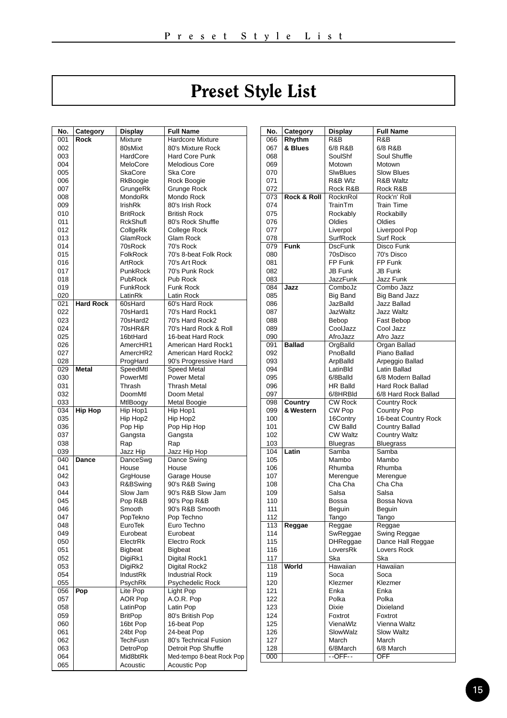## Preset Style List

<span id="page-14-0"></span>

| 001<br>Hardcore Mixture<br>Rock<br>Mixture<br>002<br>80sMixt<br>80's Mixture Rock<br>003<br>HardCore<br>Hard Core Punk<br>004<br>MeloCore<br><b>Melodious Core</b><br>005<br>SkaCore<br>Ska Core<br>006<br>Rock Boogie<br>RkBoogie<br>007<br>GrungeRk<br>Grunge Rock<br>008<br>MondoRk<br>Mondo Rock<br>IrishRk<br>80's Irish Rock<br>009<br>010<br><b>BritRock</b><br><b>British Rock</b><br>011<br><b>RckShufl</b><br>80's Rock Shuffle<br>012<br>CollgeRk<br>College Rock<br>013<br>GlamRock<br>Glam Rock<br>70sRock<br>70's Rock<br>014<br>70's 8-beat Folk Rock<br>015<br><b>FolkRock</b><br>016<br>ArtRock<br>70's Art Rock<br>70's Punk Rock<br>017<br>PunkRock<br>018<br>PubRock<br>Pub Rock<br><b>Funk Rock</b><br>019<br>FunkRock<br>Latin Rock<br>020<br>LatinRk<br>021<br><b>Hard Rock</b><br>60sHard<br>60's Hard Rock<br>70's Hard Rock1<br>022<br>70sHard1<br>023<br>70sHard2<br>70's Hard Rock2<br>024<br>70sHR&R<br>70's Hard Rock & Roll<br>16btHard<br>025<br>16-beat Hard Rock<br>AmercHR1<br>American Hard Rock1<br>026<br>American Hard Rock2<br>027<br>AmercHR2<br>028<br>ProgHard<br>90's Progressive Hard<br><b>Metal</b><br>029<br>SpeedMtl<br><b>Speed Metal</b><br>030<br>PowerMtl<br>Power Metal<br>031<br>Thrash<br><b>Thrash Metal</b><br>032<br>Doom Metal<br>DoomMtl<br>033<br>MtlBoogy<br>Metal Boogie<br><b>Hip Hop</b><br>Hip Hop1<br>034<br>Hip Hop1<br>Hip Hop2<br>035<br>Hip Hop2<br>036<br>Pop Hip<br>Pop Hip Hop<br>037<br>Gangsta<br>Gangsta<br>038<br>Rap<br>Rap<br>039<br>Jazz Hip Hop<br>Jazz Hip<br>040<br>Dance<br>DanceSwg<br>Dance Swing<br>041<br>House<br>House<br>042<br>GrgHouse<br>Garage House<br>90's R&B Swing<br>043<br>R&BSwing<br>90's R&B Slow Jam<br>044<br>Slow Jam<br>90's Pop R&B<br>045<br>Pop R&B<br>90's R&B Smooth<br>046<br>Smooth<br>047<br>PopTekno<br>Pop Techno<br>048<br>Euro Techno<br>EuroTek<br>049<br>Eurobeat<br>Eurobeat<br>ElectrRk<br>050<br>Electro Rock<br>051<br>Bigbeat<br>Bigbeat<br>052<br>DigiRk1<br>Digital Rock1<br>053<br>DigiRk2<br>Digital Rock2<br>054<br>IndustRk<br><b>Industrial Rock</b><br>055<br>PsychRk<br>Psychedelic Rock<br>Pop<br>Lite Pop<br>056<br>Light Pop<br>057<br><b>AOR Pop</b><br>A.O.R. Pop<br>058<br>LatinPop<br>Latin Pop<br>059<br><b>BritPop</b><br>80's British Pop<br>16bt Pop<br>16-beat Pop<br>060<br>061<br>24bt Pop<br>24-beat Pop<br>062<br>TechFusn<br>80's Technical Fusion<br>063<br>DetroPop<br>Detroit Pop Shuffle<br>064<br>Mid8btRk<br>Med-tempo 8-beat Rock Pop<br>065<br>Acoustic<br><b>Acoustic Pop</b> | No. | Category | Display | <b>Full Name</b> |
|---------------------------------------------------------------------------------------------------------------------------------------------------------------------------------------------------------------------------------------------------------------------------------------------------------------------------------------------------------------------------------------------------------------------------------------------------------------------------------------------------------------------------------------------------------------------------------------------------------------------------------------------------------------------------------------------------------------------------------------------------------------------------------------------------------------------------------------------------------------------------------------------------------------------------------------------------------------------------------------------------------------------------------------------------------------------------------------------------------------------------------------------------------------------------------------------------------------------------------------------------------------------------------------------------------------------------------------------------------------------------------------------------------------------------------------------------------------------------------------------------------------------------------------------------------------------------------------------------------------------------------------------------------------------------------------------------------------------------------------------------------------------------------------------------------------------------------------------------------------------------------------------------------------------------------------------------------------------------------------------------------------------------------------------------------------------------------------------------------------------------------------------------------------------------------------------------------------------------------------------------------------------------------------------------------------------------------------------------------------------------------------------------------------------------------------------------------------------------------------------------------------------------------------------------|-----|----------|---------|------------------|
|                                                                                                                                                                                                                                                                                                                                                                                                                                                                                                                                                                                                                                                                                                                                                                                                                                                                                                                                                                                                                                                                                                                                                                                                                                                                                                                                                                                                                                                                                                                                                                                                                                                                                                                                                                                                                                                                                                                                                                                                                                                                                                                                                                                                                                                                                                                                                                                                                                                                                                                                                   |     |          |         |                  |
|                                                                                                                                                                                                                                                                                                                                                                                                                                                                                                                                                                                                                                                                                                                                                                                                                                                                                                                                                                                                                                                                                                                                                                                                                                                                                                                                                                                                                                                                                                                                                                                                                                                                                                                                                                                                                                                                                                                                                                                                                                                                                                                                                                                                                                                                                                                                                                                                                                                                                                                                                   |     |          |         |                  |
|                                                                                                                                                                                                                                                                                                                                                                                                                                                                                                                                                                                                                                                                                                                                                                                                                                                                                                                                                                                                                                                                                                                                                                                                                                                                                                                                                                                                                                                                                                                                                                                                                                                                                                                                                                                                                                                                                                                                                                                                                                                                                                                                                                                                                                                                                                                                                                                                                                                                                                                                                   |     |          |         |                  |
|                                                                                                                                                                                                                                                                                                                                                                                                                                                                                                                                                                                                                                                                                                                                                                                                                                                                                                                                                                                                                                                                                                                                                                                                                                                                                                                                                                                                                                                                                                                                                                                                                                                                                                                                                                                                                                                                                                                                                                                                                                                                                                                                                                                                                                                                                                                                                                                                                                                                                                                                                   |     |          |         |                  |
|                                                                                                                                                                                                                                                                                                                                                                                                                                                                                                                                                                                                                                                                                                                                                                                                                                                                                                                                                                                                                                                                                                                                                                                                                                                                                                                                                                                                                                                                                                                                                                                                                                                                                                                                                                                                                                                                                                                                                                                                                                                                                                                                                                                                                                                                                                                                                                                                                                                                                                                                                   |     |          |         |                  |
|                                                                                                                                                                                                                                                                                                                                                                                                                                                                                                                                                                                                                                                                                                                                                                                                                                                                                                                                                                                                                                                                                                                                                                                                                                                                                                                                                                                                                                                                                                                                                                                                                                                                                                                                                                                                                                                                                                                                                                                                                                                                                                                                                                                                                                                                                                                                                                                                                                                                                                                                                   |     |          |         |                  |
|                                                                                                                                                                                                                                                                                                                                                                                                                                                                                                                                                                                                                                                                                                                                                                                                                                                                                                                                                                                                                                                                                                                                                                                                                                                                                                                                                                                                                                                                                                                                                                                                                                                                                                                                                                                                                                                                                                                                                                                                                                                                                                                                                                                                                                                                                                                                                                                                                                                                                                                                                   |     |          |         |                  |
|                                                                                                                                                                                                                                                                                                                                                                                                                                                                                                                                                                                                                                                                                                                                                                                                                                                                                                                                                                                                                                                                                                                                                                                                                                                                                                                                                                                                                                                                                                                                                                                                                                                                                                                                                                                                                                                                                                                                                                                                                                                                                                                                                                                                                                                                                                                                                                                                                                                                                                                                                   |     |          |         |                  |
|                                                                                                                                                                                                                                                                                                                                                                                                                                                                                                                                                                                                                                                                                                                                                                                                                                                                                                                                                                                                                                                                                                                                                                                                                                                                                                                                                                                                                                                                                                                                                                                                                                                                                                                                                                                                                                                                                                                                                                                                                                                                                                                                                                                                                                                                                                                                                                                                                                                                                                                                                   |     |          |         |                  |
|                                                                                                                                                                                                                                                                                                                                                                                                                                                                                                                                                                                                                                                                                                                                                                                                                                                                                                                                                                                                                                                                                                                                                                                                                                                                                                                                                                                                                                                                                                                                                                                                                                                                                                                                                                                                                                                                                                                                                                                                                                                                                                                                                                                                                                                                                                                                                                                                                                                                                                                                                   |     |          |         |                  |
|                                                                                                                                                                                                                                                                                                                                                                                                                                                                                                                                                                                                                                                                                                                                                                                                                                                                                                                                                                                                                                                                                                                                                                                                                                                                                                                                                                                                                                                                                                                                                                                                                                                                                                                                                                                                                                                                                                                                                                                                                                                                                                                                                                                                                                                                                                                                                                                                                                                                                                                                                   |     |          |         |                  |
|                                                                                                                                                                                                                                                                                                                                                                                                                                                                                                                                                                                                                                                                                                                                                                                                                                                                                                                                                                                                                                                                                                                                                                                                                                                                                                                                                                                                                                                                                                                                                                                                                                                                                                                                                                                                                                                                                                                                                                                                                                                                                                                                                                                                                                                                                                                                                                                                                                                                                                                                                   |     |          |         |                  |
|                                                                                                                                                                                                                                                                                                                                                                                                                                                                                                                                                                                                                                                                                                                                                                                                                                                                                                                                                                                                                                                                                                                                                                                                                                                                                                                                                                                                                                                                                                                                                                                                                                                                                                                                                                                                                                                                                                                                                                                                                                                                                                                                                                                                                                                                                                                                                                                                                                                                                                                                                   |     |          |         |                  |
|                                                                                                                                                                                                                                                                                                                                                                                                                                                                                                                                                                                                                                                                                                                                                                                                                                                                                                                                                                                                                                                                                                                                                                                                                                                                                                                                                                                                                                                                                                                                                                                                                                                                                                                                                                                                                                                                                                                                                                                                                                                                                                                                                                                                                                                                                                                                                                                                                                                                                                                                                   |     |          |         |                  |
|                                                                                                                                                                                                                                                                                                                                                                                                                                                                                                                                                                                                                                                                                                                                                                                                                                                                                                                                                                                                                                                                                                                                                                                                                                                                                                                                                                                                                                                                                                                                                                                                                                                                                                                                                                                                                                                                                                                                                                                                                                                                                                                                                                                                                                                                                                                                                                                                                                                                                                                                                   |     |          |         |                  |
|                                                                                                                                                                                                                                                                                                                                                                                                                                                                                                                                                                                                                                                                                                                                                                                                                                                                                                                                                                                                                                                                                                                                                                                                                                                                                                                                                                                                                                                                                                                                                                                                                                                                                                                                                                                                                                                                                                                                                                                                                                                                                                                                                                                                                                                                                                                                                                                                                                                                                                                                                   |     |          |         |                  |
|                                                                                                                                                                                                                                                                                                                                                                                                                                                                                                                                                                                                                                                                                                                                                                                                                                                                                                                                                                                                                                                                                                                                                                                                                                                                                                                                                                                                                                                                                                                                                                                                                                                                                                                                                                                                                                                                                                                                                                                                                                                                                                                                                                                                                                                                                                                                                                                                                                                                                                                                                   |     |          |         |                  |
|                                                                                                                                                                                                                                                                                                                                                                                                                                                                                                                                                                                                                                                                                                                                                                                                                                                                                                                                                                                                                                                                                                                                                                                                                                                                                                                                                                                                                                                                                                                                                                                                                                                                                                                                                                                                                                                                                                                                                                                                                                                                                                                                                                                                                                                                                                                                                                                                                                                                                                                                                   |     |          |         |                  |
|                                                                                                                                                                                                                                                                                                                                                                                                                                                                                                                                                                                                                                                                                                                                                                                                                                                                                                                                                                                                                                                                                                                                                                                                                                                                                                                                                                                                                                                                                                                                                                                                                                                                                                                                                                                                                                                                                                                                                                                                                                                                                                                                                                                                                                                                                                                                                                                                                                                                                                                                                   |     |          |         |                  |
|                                                                                                                                                                                                                                                                                                                                                                                                                                                                                                                                                                                                                                                                                                                                                                                                                                                                                                                                                                                                                                                                                                                                                                                                                                                                                                                                                                                                                                                                                                                                                                                                                                                                                                                                                                                                                                                                                                                                                                                                                                                                                                                                                                                                                                                                                                                                                                                                                                                                                                                                                   |     |          |         |                  |
|                                                                                                                                                                                                                                                                                                                                                                                                                                                                                                                                                                                                                                                                                                                                                                                                                                                                                                                                                                                                                                                                                                                                                                                                                                                                                                                                                                                                                                                                                                                                                                                                                                                                                                                                                                                                                                                                                                                                                                                                                                                                                                                                                                                                                                                                                                                                                                                                                                                                                                                                                   |     |          |         |                  |
|                                                                                                                                                                                                                                                                                                                                                                                                                                                                                                                                                                                                                                                                                                                                                                                                                                                                                                                                                                                                                                                                                                                                                                                                                                                                                                                                                                                                                                                                                                                                                                                                                                                                                                                                                                                                                                                                                                                                                                                                                                                                                                                                                                                                                                                                                                                                                                                                                                                                                                                                                   |     |          |         |                  |
|                                                                                                                                                                                                                                                                                                                                                                                                                                                                                                                                                                                                                                                                                                                                                                                                                                                                                                                                                                                                                                                                                                                                                                                                                                                                                                                                                                                                                                                                                                                                                                                                                                                                                                                                                                                                                                                                                                                                                                                                                                                                                                                                                                                                                                                                                                                                                                                                                                                                                                                                                   |     |          |         |                  |
|                                                                                                                                                                                                                                                                                                                                                                                                                                                                                                                                                                                                                                                                                                                                                                                                                                                                                                                                                                                                                                                                                                                                                                                                                                                                                                                                                                                                                                                                                                                                                                                                                                                                                                                                                                                                                                                                                                                                                                                                                                                                                                                                                                                                                                                                                                                                                                                                                                                                                                                                                   |     |          |         |                  |
|                                                                                                                                                                                                                                                                                                                                                                                                                                                                                                                                                                                                                                                                                                                                                                                                                                                                                                                                                                                                                                                                                                                                                                                                                                                                                                                                                                                                                                                                                                                                                                                                                                                                                                                                                                                                                                                                                                                                                                                                                                                                                                                                                                                                                                                                                                                                                                                                                                                                                                                                                   |     |          |         |                  |
|                                                                                                                                                                                                                                                                                                                                                                                                                                                                                                                                                                                                                                                                                                                                                                                                                                                                                                                                                                                                                                                                                                                                                                                                                                                                                                                                                                                                                                                                                                                                                                                                                                                                                                                                                                                                                                                                                                                                                                                                                                                                                                                                                                                                                                                                                                                                                                                                                                                                                                                                                   |     |          |         |                  |
|                                                                                                                                                                                                                                                                                                                                                                                                                                                                                                                                                                                                                                                                                                                                                                                                                                                                                                                                                                                                                                                                                                                                                                                                                                                                                                                                                                                                                                                                                                                                                                                                                                                                                                                                                                                                                                                                                                                                                                                                                                                                                                                                                                                                                                                                                                                                                                                                                                                                                                                                                   |     |          |         |                  |
|                                                                                                                                                                                                                                                                                                                                                                                                                                                                                                                                                                                                                                                                                                                                                                                                                                                                                                                                                                                                                                                                                                                                                                                                                                                                                                                                                                                                                                                                                                                                                                                                                                                                                                                                                                                                                                                                                                                                                                                                                                                                                                                                                                                                                                                                                                                                                                                                                                                                                                                                                   |     |          |         |                  |
|                                                                                                                                                                                                                                                                                                                                                                                                                                                                                                                                                                                                                                                                                                                                                                                                                                                                                                                                                                                                                                                                                                                                                                                                                                                                                                                                                                                                                                                                                                                                                                                                                                                                                                                                                                                                                                                                                                                                                                                                                                                                                                                                                                                                                                                                                                                                                                                                                                                                                                                                                   |     |          |         |                  |
|                                                                                                                                                                                                                                                                                                                                                                                                                                                                                                                                                                                                                                                                                                                                                                                                                                                                                                                                                                                                                                                                                                                                                                                                                                                                                                                                                                                                                                                                                                                                                                                                                                                                                                                                                                                                                                                                                                                                                                                                                                                                                                                                                                                                                                                                                                                                                                                                                                                                                                                                                   |     |          |         |                  |
|                                                                                                                                                                                                                                                                                                                                                                                                                                                                                                                                                                                                                                                                                                                                                                                                                                                                                                                                                                                                                                                                                                                                                                                                                                                                                                                                                                                                                                                                                                                                                                                                                                                                                                                                                                                                                                                                                                                                                                                                                                                                                                                                                                                                                                                                                                                                                                                                                                                                                                                                                   |     |          |         |                  |
|                                                                                                                                                                                                                                                                                                                                                                                                                                                                                                                                                                                                                                                                                                                                                                                                                                                                                                                                                                                                                                                                                                                                                                                                                                                                                                                                                                                                                                                                                                                                                                                                                                                                                                                                                                                                                                                                                                                                                                                                                                                                                                                                                                                                                                                                                                                                                                                                                                                                                                                                                   |     |          |         |                  |
|                                                                                                                                                                                                                                                                                                                                                                                                                                                                                                                                                                                                                                                                                                                                                                                                                                                                                                                                                                                                                                                                                                                                                                                                                                                                                                                                                                                                                                                                                                                                                                                                                                                                                                                                                                                                                                                                                                                                                                                                                                                                                                                                                                                                                                                                                                                                                                                                                                                                                                                                                   |     |          |         |                  |
|                                                                                                                                                                                                                                                                                                                                                                                                                                                                                                                                                                                                                                                                                                                                                                                                                                                                                                                                                                                                                                                                                                                                                                                                                                                                                                                                                                                                                                                                                                                                                                                                                                                                                                                                                                                                                                                                                                                                                                                                                                                                                                                                                                                                                                                                                                                                                                                                                                                                                                                                                   |     |          |         |                  |
|                                                                                                                                                                                                                                                                                                                                                                                                                                                                                                                                                                                                                                                                                                                                                                                                                                                                                                                                                                                                                                                                                                                                                                                                                                                                                                                                                                                                                                                                                                                                                                                                                                                                                                                                                                                                                                                                                                                                                                                                                                                                                                                                                                                                                                                                                                                                                                                                                                                                                                                                                   |     |          |         |                  |
|                                                                                                                                                                                                                                                                                                                                                                                                                                                                                                                                                                                                                                                                                                                                                                                                                                                                                                                                                                                                                                                                                                                                                                                                                                                                                                                                                                                                                                                                                                                                                                                                                                                                                                                                                                                                                                                                                                                                                                                                                                                                                                                                                                                                                                                                                                                                                                                                                                                                                                                                                   |     |          |         |                  |
|                                                                                                                                                                                                                                                                                                                                                                                                                                                                                                                                                                                                                                                                                                                                                                                                                                                                                                                                                                                                                                                                                                                                                                                                                                                                                                                                                                                                                                                                                                                                                                                                                                                                                                                                                                                                                                                                                                                                                                                                                                                                                                                                                                                                                                                                                                                                                                                                                                                                                                                                                   |     |          |         |                  |
|                                                                                                                                                                                                                                                                                                                                                                                                                                                                                                                                                                                                                                                                                                                                                                                                                                                                                                                                                                                                                                                                                                                                                                                                                                                                                                                                                                                                                                                                                                                                                                                                                                                                                                                                                                                                                                                                                                                                                                                                                                                                                                                                                                                                                                                                                                                                                                                                                                                                                                                                                   |     |          |         |                  |
|                                                                                                                                                                                                                                                                                                                                                                                                                                                                                                                                                                                                                                                                                                                                                                                                                                                                                                                                                                                                                                                                                                                                                                                                                                                                                                                                                                                                                                                                                                                                                                                                                                                                                                                                                                                                                                                                                                                                                                                                                                                                                                                                                                                                                                                                                                                                                                                                                                                                                                                                                   |     |          |         |                  |
|                                                                                                                                                                                                                                                                                                                                                                                                                                                                                                                                                                                                                                                                                                                                                                                                                                                                                                                                                                                                                                                                                                                                                                                                                                                                                                                                                                                                                                                                                                                                                                                                                                                                                                                                                                                                                                                                                                                                                                                                                                                                                                                                                                                                                                                                                                                                                                                                                                                                                                                                                   |     |          |         |                  |
|                                                                                                                                                                                                                                                                                                                                                                                                                                                                                                                                                                                                                                                                                                                                                                                                                                                                                                                                                                                                                                                                                                                                                                                                                                                                                                                                                                                                                                                                                                                                                                                                                                                                                                                                                                                                                                                                                                                                                                                                                                                                                                                                                                                                                                                                                                                                                                                                                                                                                                                                                   |     |          |         |                  |
|                                                                                                                                                                                                                                                                                                                                                                                                                                                                                                                                                                                                                                                                                                                                                                                                                                                                                                                                                                                                                                                                                                                                                                                                                                                                                                                                                                                                                                                                                                                                                                                                                                                                                                                                                                                                                                                                                                                                                                                                                                                                                                                                                                                                                                                                                                                                                                                                                                                                                                                                                   |     |          |         |                  |
|                                                                                                                                                                                                                                                                                                                                                                                                                                                                                                                                                                                                                                                                                                                                                                                                                                                                                                                                                                                                                                                                                                                                                                                                                                                                                                                                                                                                                                                                                                                                                                                                                                                                                                                                                                                                                                                                                                                                                                                                                                                                                                                                                                                                                                                                                                                                                                                                                                                                                                                                                   |     |          |         |                  |
|                                                                                                                                                                                                                                                                                                                                                                                                                                                                                                                                                                                                                                                                                                                                                                                                                                                                                                                                                                                                                                                                                                                                                                                                                                                                                                                                                                                                                                                                                                                                                                                                                                                                                                                                                                                                                                                                                                                                                                                                                                                                                                                                                                                                                                                                                                                                                                                                                                                                                                                                                   |     |          |         |                  |
|                                                                                                                                                                                                                                                                                                                                                                                                                                                                                                                                                                                                                                                                                                                                                                                                                                                                                                                                                                                                                                                                                                                                                                                                                                                                                                                                                                                                                                                                                                                                                                                                                                                                                                                                                                                                                                                                                                                                                                                                                                                                                                                                                                                                                                                                                                                                                                                                                                                                                                                                                   |     |          |         |                  |
|                                                                                                                                                                                                                                                                                                                                                                                                                                                                                                                                                                                                                                                                                                                                                                                                                                                                                                                                                                                                                                                                                                                                                                                                                                                                                                                                                                                                                                                                                                                                                                                                                                                                                                                                                                                                                                                                                                                                                                                                                                                                                                                                                                                                                                                                                                                                                                                                                                                                                                                                                   |     |          |         |                  |
|                                                                                                                                                                                                                                                                                                                                                                                                                                                                                                                                                                                                                                                                                                                                                                                                                                                                                                                                                                                                                                                                                                                                                                                                                                                                                                                                                                                                                                                                                                                                                                                                                                                                                                                                                                                                                                                                                                                                                                                                                                                                                                                                                                                                                                                                                                                                                                                                                                                                                                                                                   |     |          |         |                  |
|                                                                                                                                                                                                                                                                                                                                                                                                                                                                                                                                                                                                                                                                                                                                                                                                                                                                                                                                                                                                                                                                                                                                                                                                                                                                                                                                                                                                                                                                                                                                                                                                                                                                                                                                                                                                                                                                                                                                                                                                                                                                                                                                                                                                                                                                                                                                                                                                                                                                                                                                                   |     |          |         |                  |
|                                                                                                                                                                                                                                                                                                                                                                                                                                                                                                                                                                                                                                                                                                                                                                                                                                                                                                                                                                                                                                                                                                                                                                                                                                                                                                                                                                                                                                                                                                                                                                                                                                                                                                                                                                                                                                                                                                                                                                                                                                                                                                                                                                                                                                                                                                                                                                                                                                                                                                                                                   |     |          |         |                  |
|                                                                                                                                                                                                                                                                                                                                                                                                                                                                                                                                                                                                                                                                                                                                                                                                                                                                                                                                                                                                                                                                                                                                                                                                                                                                                                                                                                                                                                                                                                                                                                                                                                                                                                                                                                                                                                                                                                                                                                                                                                                                                                                                                                                                                                                                                                                                                                                                                                                                                                                                                   |     |          |         |                  |
|                                                                                                                                                                                                                                                                                                                                                                                                                                                                                                                                                                                                                                                                                                                                                                                                                                                                                                                                                                                                                                                                                                                                                                                                                                                                                                                                                                                                                                                                                                                                                                                                                                                                                                                                                                                                                                                                                                                                                                                                                                                                                                                                                                                                                                                                                                                                                                                                                                                                                                                                                   |     |          |         |                  |
|                                                                                                                                                                                                                                                                                                                                                                                                                                                                                                                                                                                                                                                                                                                                                                                                                                                                                                                                                                                                                                                                                                                                                                                                                                                                                                                                                                                                                                                                                                                                                                                                                                                                                                                                                                                                                                                                                                                                                                                                                                                                                                                                                                                                                                                                                                                                                                                                                                                                                                                                                   |     |          |         |                  |
|                                                                                                                                                                                                                                                                                                                                                                                                                                                                                                                                                                                                                                                                                                                                                                                                                                                                                                                                                                                                                                                                                                                                                                                                                                                                                                                                                                                                                                                                                                                                                                                                                                                                                                                                                                                                                                                                                                                                                                                                                                                                                                                                                                                                                                                                                                                                                                                                                                                                                                                                                   |     |          |         |                  |
|                                                                                                                                                                                                                                                                                                                                                                                                                                                                                                                                                                                                                                                                                                                                                                                                                                                                                                                                                                                                                                                                                                                                                                                                                                                                                                                                                                                                                                                                                                                                                                                                                                                                                                                                                                                                                                                                                                                                                                                                                                                                                                                                                                                                                                                                                                                                                                                                                                                                                                                                                   |     |          |         |                  |
|                                                                                                                                                                                                                                                                                                                                                                                                                                                                                                                                                                                                                                                                                                                                                                                                                                                                                                                                                                                                                                                                                                                                                                                                                                                                                                                                                                                                                                                                                                                                                                                                                                                                                                                                                                                                                                                                                                                                                                                                                                                                                                                                                                                                                                                                                                                                                                                                                                                                                                                                                   |     |          |         |                  |
|                                                                                                                                                                                                                                                                                                                                                                                                                                                                                                                                                                                                                                                                                                                                                                                                                                                                                                                                                                                                                                                                                                                                                                                                                                                                                                                                                                                                                                                                                                                                                                                                                                                                                                                                                                                                                                                                                                                                                                                                                                                                                                                                                                                                                                                                                                                                                                                                                                                                                                                                                   |     |          |         |                  |
|                                                                                                                                                                                                                                                                                                                                                                                                                                                                                                                                                                                                                                                                                                                                                                                                                                                                                                                                                                                                                                                                                                                                                                                                                                                                                                                                                                                                                                                                                                                                                                                                                                                                                                                                                                                                                                                                                                                                                                                                                                                                                                                                                                                                                                                                                                                                                                                                                                                                                                                                                   |     |          |         |                  |
|                                                                                                                                                                                                                                                                                                                                                                                                                                                                                                                                                                                                                                                                                                                                                                                                                                                                                                                                                                                                                                                                                                                                                                                                                                                                                                                                                                                                                                                                                                                                                                                                                                                                                                                                                                                                                                                                                                                                                                                                                                                                                                                                                                                                                                                                                                                                                                                                                                                                                                                                                   |     |          |         |                  |
|                                                                                                                                                                                                                                                                                                                                                                                                                                                                                                                                                                                                                                                                                                                                                                                                                                                                                                                                                                                                                                                                                                                                                                                                                                                                                                                                                                                                                                                                                                                                                                                                                                                                                                                                                                                                                                                                                                                                                                                                                                                                                                                                                                                                                                                                                                                                                                                                                                                                                                                                                   |     |          |         |                  |
|                                                                                                                                                                                                                                                                                                                                                                                                                                                                                                                                                                                                                                                                                                                                                                                                                                                                                                                                                                                                                                                                                                                                                                                                                                                                                                                                                                                                                                                                                                                                                                                                                                                                                                                                                                                                                                                                                                                                                                                                                                                                                                                                                                                                                                                                                                                                                                                                                                                                                                                                                   |     |          |         |                  |
|                                                                                                                                                                                                                                                                                                                                                                                                                                                                                                                                                                                                                                                                                                                                                                                                                                                                                                                                                                                                                                                                                                                                                                                                                                                                                                                                                                                                                                                                                                                                                                                                                                                                                                                                                                                                                                                                                                                                                                                                                                                                                                                                                                                                                                                                                                                                                                                                                                                                                                                                                   |     |          |         |                  |
|                                                                                                                                                                                                                                                                                                                                                                                                                                                                                                                                                                                                                                                                                                                                                                                                                                                                                                                                                                                                                                                                                                                                                                                                                                                                                                                                                                                                                                                                                                                                                                                                                                                                                                                                                                                                                                                                                                                                                                                                                                                                                                                                                                                                                                                                                                                                                                                                                                                                                                                                                   |     |          |         |                  |
|                                                                                                                                                                                                                                                                                                                                                                                                                                                                                                                                                                                                                                                                                                                                                                                                                                                                                                                                                                                                                                                                                                                                                                                                                                                                                                                                                                                                                                                                                                                                                                                                                                                                                                                                                                                                                                                                                                                                                                                                                                                                                                                                                                                                                                                                                                                                                                                                                                                                                                                                                   |     |          |         |                  |
|                                                                                                                                                                                                                                                                                                                                                                                                                                                                                                                                                                                                                                                                                                                                                                                                                                                                                                                                                                                                                                                                                                                                                                                                                                                                                                                                                                                                                                                                                                                                                                                                                                                                                                                                                                                                                                                                                                                                                                                                                                                                                                                                                                                                                                                                                                                                                                                                                                                                                                                                                   |     |          |         |                  |

| No. | Category               | <b>Display</b>  | <b>Full Name</b>     |
|-----|------------------------|-----------------|----------------------|
| 066 | Rhythm                 | R&B             | R&B                  |
| 067 | & Blues                | 6/8 R&B         | 6/8 R&B              |
| 068 |                        | SoulShf         | Soul Shuffle         |
| 069 |                        | Motown          | Motown               |
| 070 |                        | SlwBlues        | <b>Slow Blues</b>    |
| 071 |                        | R&B Wlz         | R&B Waltz            |
| 072 |                        | Rock R&B        | Rock R&B             |
| 073 | <b>Rock &amp; Roll</b> | RocknRol        | Rock'n' Roll         |
| 074 |                        | TrainTm         | <b>Train Time</b>    |
| 075 |                        | Rockably        | Rockabilly           |
| 076 |                        | Oldies          | Oldies               |
| 077 |                        | Liverpol        | Liverpool Pop        |
| 078 |                        | SurfRock        | Surf Rock            |
| 079 | Funk                   | <b>DscFunk</b>  | Disco Funk           |
| 080 |                        | 70sDisco        | 70's Disco           |
| 081 |                        | FP Funk         | FP Funk              |
| 082 |                        | <b>JB Funk</b>  | JB Funk              |
| 083 |                        | JazzFunk        | Jazz Funk            |
| 084 | Jazz                   | ComboJz         | Combo Jazz           |
| 085 |                        | <b>Big Band</b> | Big Band Jazz        |
| 086 |                        | JazBalld        | Jazz Ballad          |
| 087 |                        | <b>JazWaltz</b> | <b>Jazz Waltz</b>    |
| 088 |                        | Bebop           | Fast Bebop           |
| 089 |                        | CoolJazz        | Cool Jazz            |
| 090 |                        | AfroJazz        | Afro Jazz            |
| 091 | <b>Ballad</b>          | OrgBalld        | Organ Ballad         |
| 092 |                        | PnoBalld        | Piano Ballad         |
| 093 |                        | ArpBalld        | Arpeggio Ballad      |
| 094 |                        | LatinBld        | Latin Ballad         |
| 095 |                        | 6/8Balld        | 6/8 Modern Ballad    |
| 096 |                        | <b>HR Balld</b> | Hard Rock Ballad     |
| 097 |                        | 6/8HRBId        | 6/8 Hard Rock Ballad |
| 098 | Country                | <b>CW Rock</b>  | <b>Country Rock</b>  |
| 099 | & Western              | CW Pop          | <b>Country Pop</b>   |
| 100 |                        | 16Contry        | 16-beat Country Rock |
| 101 |                        | CW Balld        | Country Ballad       |
| 102 |                        | <b>CW Waltz</b> | <b>Country Waltz</b> |
| 103 |                        | Bluegras        | Bluegrass            |
| 104 | Latin                  | Samba           | Samba                |
| 105 |                        | Mambo           | Mambo                |
| 106 |                        | Rhumba          | Rhumba               |
| 107 |                        | Merengue        | Merengue             |
| 108 |                        | Cha Cha         | Cha Cha              |
| 109 |                        | Salsa           | Salsa                |
| 110 |                        | Bossa           | Bossa Nova           |
| 111 |                        | Beguin          | Beguin               |
| 112 |                        | Tango           | Tango                |
| 113 | Reggae                 | Reggae          | Reggae               |
| 114 |                        | SwReggae        | Swing Reggae         |
| 115 |                        | DHReggae        | Dance Hall Reggae    |
| 116 |                        | LoversRk        | <b>Lovers Rock</b>   |
| 117 |                        | Ska             | Ska                  |
| 118 | World                  | Hawaiian        | Hawaiian             |
| 119 |                        | Soca            | Soca                 |
| 120 |                        | Klezmer         | Klezmer              |
| 121 |                        | Enka            | Enka                 |
| 122 |                        | Polka           | Polka                |
| 123 |                        | <b>Dixie</b>    | Dixieland            |
| 124 |                        | Foxtrot         | Foxtrot              |
| 125 |                        | VienaWlz        | Vienna Waltz         |
| 126 |                        | SlowWalz        | Slow Waltz           |
| 127 |                        | March           | March                |
| 128 |                        | 6/8March        | 6/8 March            |
| 000 |                        | $-OFF-$         | OFF                  |
|     |                        |                 |                      |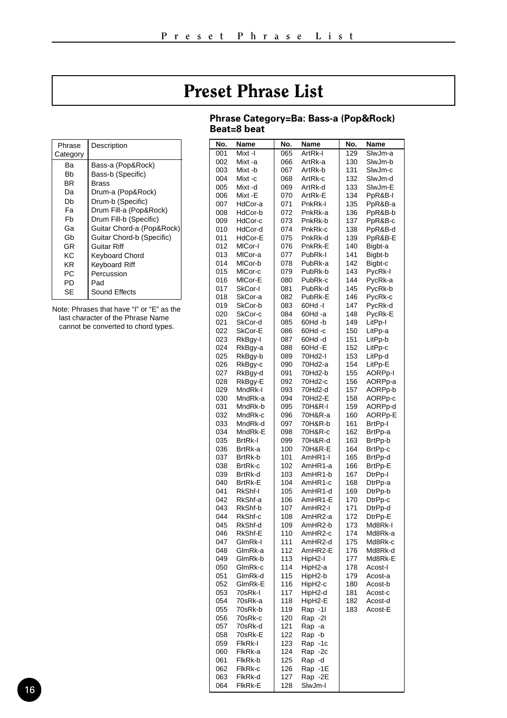### Preset Phrase List

#### **Phrase Category=Ba: Bass-a (Pop&Rock) Beat=8 beat**

<span id="page-15-0"></span>

| Phrase<br>Category | Description               |
|--------------------|---------------------------|
| Bа                 | Bass-a (Pop&Rock)         |
| Bb                 | Bass-b (Specific)         |
| BR                 | Brass                     |
| Da                 | Drum-a (Pop&Rock)         |
| Db                 | Drum-b (Specific)         |
| Fа                 | Drum Fill-a (Pop&Rock)    |
| Fb                 | Drum Fill-b (Specific)    |
| Gа                 | Guitar Chord-a (Pop&Rock) |
| Gh                 | Guitar Chord-b (Specific) |
| GR                 | Guitar Riff               |
| ΚC                 | Keyboard Chord            |
| ΚR                 | Keyboard Riff             |
| РC                 | Percussion                |
| PD                 | Pad                       |
| SE                 | Sound Effects             |

Note: Phrases that have "I" or "E" as the last character of the Phrase Name cannot be converted to chord types.

| No.<br>001 | Name<br>Mixt-I     | No.<br>065 | Name<br>ArtRk-I    | No.<br>129 | Name<br>SlwJm-a    |
|------------|--------------------|------------|--------------------|------------|--------------------|
| 002        | Mixt -a            | 066        | ArtRk-a            | 130        | SlwJm-b            |
| 003        | Mixt -b            | 067        | ArtRk-b            | 131        | SlwJm-c            |
| 004        | Mixt-c             | 068        | ArtRk-c            | 132        | SlwJm-d            |
| 005        | Mixt -d            | 069        | ArtRk-d            | 133        | SlwJm-E            |
| 006        | Mixt-E             | 070        | ArtRk-E            | 134        | PpR&B-I            |
| 007        | HdCor-a            | 071        | PnkRk-I            | 135        | PpR&B-a            |
| 008        | HdCor-b            | 072        | PnkRk-a            | 136        | PpR&B-b            |
| 009        | HdCor-c            | 073        | PnkRk-b            | 137        | PpR&B-c            |
| 010        | HdCor-d            | 074        | PnkRk-c            | 138        | PpR&B-d            |
| 011        | HdCor-E            | 075        | PnkRk-d            | 139        | PpR&B-E            |
| 012        | MICor-I            | 076        | PnkRk-E            | 140        | Bigbt-a            |
| 013        | MICor-a            | 077        | PubRk-I            | 141        | Bigbt-b            |
| 014        | MICor-b            | 078        | PubRk-a            | 142        | Bigbt-c            |
| 015        | MICor-c            | 079        | PubRk-b<br>PubRk-c | 143<br>144 | PycRk-I            |
| 016<br>017 | MICor-E<br>SkCor-I | 080<br>081 | PubRk-d            | 145        | PycRk-a<br>PycRk-b |
| 018        | SkCor-a            | 082        | PubRk-E            | 146        | PycRk-c            |
| 019        | SkCor-b            | 083        | 60Hd -I            | 147        | PycRk-d            |
| 020        | SkCor-c            | 084        | 60Hd -a            | 148        | PycRk-E            |
| 021        | SkCor-d            | 085        | 60Hd-b             | 149        | LitPp-I            |
| 022        | SkCor-E            | 086        | 60Hd-c             | 150        | LitPp-a            |
| 023        | RkBgy-I            | 087        | 60Hd -d            | 151        | LitPp-b            |
| 024        | RkBgy-a            | 088        | 60Hd -E            | 152        | LitPp-c            |
| 025        | RkBgy-b            | 089        | 70Hd2-I            | 153        | LitPp-d            |
| 026        | RkBgy-c            | 090        | 70Hd2-a            | 154        | LitPp-E            |
| 027        | RkBqy-d            | 091        | 70Hd2-b            | 155        | AORPp-I            |
| 028        | RkBgy-E            | 092        | 70Hd2-c            | 156        | AORPp-a            |
| 029        | MndRk-I            | 093        | 70Hd2-d            | 157        | AORPp-b            |
| 030        | MndRk-a            | 094        | 70Hd2-E            | 158<br>159 | AORPp-c<br>AORPp-d |
| 031<br>032 | MndRk-b<br>MndRk-c | 095<br>096 | 70H&R-I<br>70H&R-a | 160        | AORPp-E            |
| 033        | MndRk-d            | 097        | 70H&R-b            | 161        | BrtPp-I            |
| 034        | MndRk-E            | 098        | 70H&R-c            | 162        | BrtPp-a            |
| 035        | <b>BrtRk-I</b>     | 099        | 70H&R-d            | 163        | BrtPp-b            |
| 036        | BrtRk-a            | 100        | 70H&R-E            | 164        | BrtPp-c            |
| 037        | BrtRk-b            | 101        | AmHR1-I            | 165        | BrtPp-d            |
| 038        | BrtRk-c            | 102        | AmHR1-a            | 166        | BrtPp-E            |
| 039        | BrtRk-d            | 103        | AmHR1-b            | 167        | DtrPp-I            |
| 040        | <b>BrtRk-E</b>     | 104        | AmHR1-c            | 168        | DtrPp-a            |
| 041        | RkShf-I            | 105        | AmHR1-d            | 169        | DtrPp-b            |
| 042        | RkShf-a            | 106        | AmHR1-E            | 170        | DtrPp-c            |
| 043<br>044 | RkShf-b<br>RkShf-c | 107<br>108 | AmHR2-I<br>AmHR2-a | 171<br>172 | DtrPp-d<br>DtrPp-E |
| 045        | RkShf-d            | 109        | AmHR2-b            | 173        | Md8Rk-I            |
| 046        | RkShf-E            | 110        | AmHR2-c            | 174        | Md8Rk-a            |
| 047        | GlmRk-I            | 111        | AmHR2-d            | 175        | Md8Rk-c            |
| 048        | GlmRk-a            | 112        | AmHR2-E            | 176        | Md8Rk-d            |
| 049        | GlmRk-b            | 113        | HipH2-I            | 177        | Md8Rk-E            |
| 050        | GlmRk-c            | 114        | HipH2-a            | 178        | Acost-I            |
| 051        | GlmRk-d            | 115        | HipH2-b            | 179        | Acost-a            |
| 052        | GlmRk-E            | 116        | HipH2-c            | 180        | Acost-b            |
| 053        | 70sRk-l            | 117        | HipH2-d            | 181        | Acost-c            |
| 054        | 70sRk-a            | 118        | HipH2-E            | 182        | Acost-d            |
| 055<br>056 | 70sRk-b<br>70sRk-c | 119<br>120 | Rap -11            | 183        | Acost-E            |
| 057        | 70sRk-d            | 121        | Rap -2I<br>Rap -a  |            |                    |
| 058        | 70sRk-E            | 122        | Rap -b             |            |                    |
| 059        | FIkRk-I            | 123        | Rap -1c            |            |                    |
| 060        | FlkRk-a            | 124        | Rap -2c            |            |                    |
| 061        | FlkRk-b            | 125        | Rap -d             |            |                    |
| 062        | FlkRk-c            | 126        | Rap -1E            |            |                    |
| 063        | FlkRk-d            | 127        | Rap -2E            |            |                    |
| 064        | FikRk-E            | 128        | SlwJm-l            |            |                    |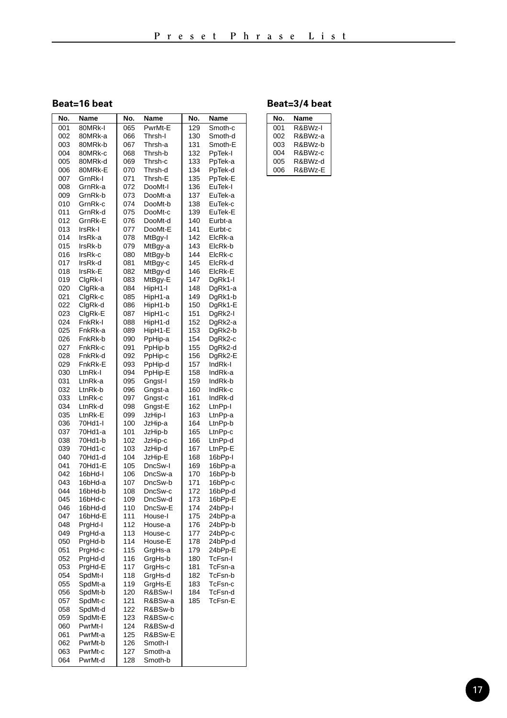#### **Beat=16 beat**

| 129<br>001<br>80MRk-I<br>065<br>PwrMt-E<br>Smoth-c<br>130<br>002<br>066<br>Smoth-d<br>80MRk-a<br>Thrsh-I<br>003<br>80MRk-b<br>067<br>Thrsh-a<br>131<br>Smoth-E<br>004<br>80MRk-c<br>068<br>132<br>Thrsh-b<br>PpTek-I<br>005<br>80MRk-d<br>069<br>133<br>PpTek-a<br>Thrsh-c<br>070<br>134<br>006<br>80MRk-E<br>Thrsh-d<br>PpTek-d<br>GrnRk-I<br>071<br>Thrsh-E<br>135<br>007<br>PpTek-E<br>008<br>GrnRk-a<br>072<br>DooMt-I<br>136<br>EuTek-I<br>073<br>137<br>009<br>GrnRk-b<br>DooMt-a<br>EuTek-a<br>010<br>GrnRk-c<br>074<br>DooMt-b<br>138<br>EuTek-c<br>075<br>139<br>011<br>GrnRk-d<br>DooMt-c<br>EuTek-E<br>076<br>140<br>012<br>GrnRk-E<br>DooMt-d<br>Eurbt-a<br>013<br>077<br>141<br>IrsRk-I<br>DooMt-E<br>Eurbt-c<br>014<br>078<br>142<br>IrsRk-a<br>MtBgy-I<br>ElcRk-a<br>015<br>079<br>143<br>IrsRk-b<br>MtBqy-a<br>ElcRk-b<br>144<br>016<br>IrsRk-c<br>080<br>MtBgy-b<br>ElcRk-c<br>145<br>017<br>IrsRk-d<br>081<br>MtBgy-c<br>ElcRk-d<br>018<br>IrsRk-E<br>082<br>146<br>ElcRk-E<br>MtBgy-d<br>019<br>ClgRk-I<br>083<br>MtBgy-E<br>147<br>DgRk1-I<br>084<br>148<br>020<br>ClgRk-a<br>HipH1-I<br>DgRk1-a<br>021<br>ClgRk-c<br>085<br>HipH1-a<br>149<br>DgRk1-b<br>150<br>022<br>ClgRk-d<br>086<br>HipH1-b<br>DgRk1-E<br>023<br>087<br>151<br>ClgRk-E<br>HipH1-c<br>DgRk2-I<br>024<br>152<br>FnkRk-l<br>088<br>HipH1-d<br>DgRk2-a<br>025<br>089<br>153<br>DgRk2-b<br>FnkRk-a<br>HipH1-E<br>026<br>FnkRk-b<br>090<br>PpHip-a<br>154<br>DgRk2-c<br>027<br>FnkRk-c<br>091<br>PpHip-b<br>155<br>DgRk2-d<br>156<br>028<br>FnkRk-d<br>092<br>PpHip-c<br>DgRk2-E<br>029<br>FnkRk-E<br>093<br>PpHip-d<br>157<br>IndRk-I<br>030<br>LtnRk-I<br>094<br>158<br>IndRk-a<br>PpHip-E<br>031<br>LtnRk-a<br>095<br>159<br>IndRk-b<br>Gngst-I<br>032<br>LtnRk-b<br>160<br>IndRk-c<br>096<br>Gngst-a<br>033<br>LtnRk-c<br>097<br>161<br>IndRk-d<br>Gngst-c<br>034<br>LtnRk-d<br>098<br>Gngst-E<br>162<br>LtnPp-I<br>035<br>LtnRk-E<br>099<br>JzHip-I<br>163<br>LtnPp-a<br>036<br>70Hd1-I<br>100<br>JzHip-a<br>164<br>LtnPp-b<br>037<br>70Hd1-a<br>101<br>165<br>JzHip-b<br>LtnPp-c<br>038<br>70Hd1-b<br>102<br>166<br>LtnPp-d<br>JzHip-c<br>039<br>70Hd1-c<br>103<br>167<br>LtnPp-E<br>JzHip-d<br>040<br>70Hd1-d<br>104<br>JzHip-E<br>168<br>16bPp-I<br>041<br>70Hd1-E<br>105<br>DncSw-I<br>169<br>16bPp-a<br>106<br>170<br>042<br>16bHd-l<br>DncSw-a<br>16bPp-b<br>107<br>171<br>043<br>16bHd-a<br>DncSw-b<br>16bPp-c<br>044<br>16bHd-b<br>108<br>DncSw-c<br>172<br>16bPp-d<br>045<br>109<br>173<br>16bHd-c<br>DncSw-d<br>16bPp-E<br>046<br>16bHd-d<br>110<br>DncSw-E<br>174<br>24bPp-I<br>111<br>175<br>047<br>16bHd-E<br>House-I<br>24bPp-a<br>048<br>112<br>176<br>24bPp-b<br>PrgHd-I<br>House-a<br>049<br>PrgHd-a<br>113<br>House-c<br>177<br>24bPp-c<br>050<br>114<br>178<br>PrgHd-b<br>House-E<br>24bPp-d<br>051<br>PrgHd-c<br>115<br>GrgHs-a<br>179<br>24bPp-E<br>116<br>052<br>PrgHd-d<br>GrgHs-b<br>180<br>TcFsn-l<br>053<br>117<br>PrgHd-E<br>GrgHs-c<br>181<br>TcFsn-a<br>054<br>118<br>182<br>TcFsn-b<br>SpdMt-I<br>GrgHs-d<br>119<br>183<br>TcFsn-c<br>055<br>SpdMt-a<br>GrgHs-E<br>120<br>184<br>TcFsn-d<br>056<br>SpdMt-b<br>R&BSw-I<br>185<br>057<br>SpdMt-c<br>121<br>R&BSw-a<br>TcFsn-E<br>122<br>058<br>SpdMt-d<br>R&BSw-b<br>059<br>123<br>SpdMt-E<br>R&BSw-c<br>060<br>PwrMt-I<br>124<br>R&BSw-d<br>061<br>125<br>R&BSw-E<br>PwrMt-a<br>062<br>PwrMt-b<br>126<br>Smoth-I<br>PwrMt-c<br>063<br>127<br>Smoth-a<br>064<br>PwrMt-d<br>128<br>Smoth-b | No. | Name | No. | Name | No. | Name |
|----------------------------------------------------------------------------------------------------------------------------------------------------------------------------------------------------------------------------------------------------------------------------------------------------------------------------------------------------------------------------------------------------------------------------------------------------------------------------------------------------------------------------------------------------------------------------------------------------------------------------------------------------------------------------------------------------------------------------------------------------------------------------------------------------------------------------------------------------------------------------------------------------------------------------------------------------------------------------------------------------------------------------------------------------------------------------------------------------------------------------------------------------------------------------------------------------------------------------------------------------------------------------------------------------------------------------------------------------------------------------------------------------------------------------------------------------------------------------------------------------------------------------------------------------------------------------------------------------------------------------------------------------------------------------------------------------------------------------------------------------------------------------------------------------------------------------------------------------------------------------------------------------------------------------------------------------------------------------------------------------------------------------------------------------------------------------------------------------------------------------------------------------------------------------------------------------------------------------------------------------------------------------------------------------------------------------------------------------------------------------------------------------------------------------------------------------------------------------------------------------------------------------------------------------------------------------------------------------------------------------------------------------------------------------------------------------------------------------------------------------------------------------------------------------------------------------------------------------------------------------------------------------------------------------------------------------------------------------------------------------------------------------------------------------------------------------------------------------------------------------------------------------------------------------------------------------------------------------------------------------------------------------------------------------------------------------------------------------------------------------------------------------------------------------------------------------------------|-----|------|-----|------|-----|------|
|                                                                                                                                                                                                                                                                                                                                                                                                                                                                                                                                                                                                                                                                                                                                                                                                                                                                                                                                                                                                                                                                                                                                                                                                                                                                                                                                                                                                                                                                                                                                                                                                                                                                                                                                                                                                                                                                                                                                                                                                                                                                                                                                                                                                                                                                                                                                                                                                                                                                                                                                                                                                                                                                                                                                                                                                                                                                                                                                                                                                                                                                                                                                                                                                                                                                                                                                                                                                                                                                |     |      |     |      |     |      |
|                                                                                                                                                                                                                                                                                                                                                                                                                                                                                                                                                                                                                                                                                                                                                                                                                                                                                                                                                                                                                                                                                                                                                                                                                                                                                                                                                                                                                                                                                                                                                                                                                                                                                                                                                                                                                                                                                                                                                                                                                                                                                                                                                                                                                                                                                                                                                                                                                                                                                                                                                                                                                                                                                                                                                                                                                                                                                                                                                                                                                                                                                                                                                                                                                                                                                                                                                                                                                                                                |     |      |     |      |     |      |
|                                                                                                                                                                                                                                                                                                                                                                                                                                                                                                                                                                                                                                                                                                                                                                                                                                                                                                                                                                                                                                                                                                                                                                                                                                                                                                                                                                                                                                                                                                                                                                                                                                                                                                                                                                                                                                                                                                                                                                                                                                                                                                                                                                                                                                                                                                                                                                                                                                                                                                                                                                                                                                                                                                                                                                                                                                                                                                                                                                                                                                                                                                                                                                                                                                                                                                                                                                                                                                                                |     |      |     |      |     |      |
|                                                                                                                                                                                                                                                                                                                                                                                                                                                                                                                                                                                                                                                                                                                                                                                                                                                                                                                                                                                                                                                                                                                                                                                                                                                                                                                                                                                                                                                                                                                                                                                                                                                                                                                                                                                                                                                                                                                                                                                                                                                                                                                                                                                                                                                                                                                                                                                                                                                                                                                                                                                                                                                                                                                                                                                                                                                                                                                                                                                                                                                                                                                                                                                                                                                                                                                                                                                                                                                                |     |      |     |      |     |      |
|                                                                                                                                                                                                                                                                                                                                                                                                                                                                                                                                                                                                                                                                                                                                                                                                                                                                                                                                                                                                                                                                                                                                                                                                                                                                                                                                                                                                                                                                                                                                                                                                                                                                                                                                                                                                                                                                                                                                                                                                                                                                                                                                                                                                                                                                                                                                                                                                                                                                                                                                                                                                                                                                                                                                                                                                                                                                                                                                                                                                                                                                                                                                                                                                                                                                                                                                                                                                                                                                |     |      |     |      |     |      |
|                                                                                                                                                                                                                                                                                                                                                                                                                                                                                                                                                                                                                                                                                                                                                                                                                                                                                                                                                                                                                                                                                                                                                                                                                                                                                                                                                                                                                                                                                                                                                                                                                                                                                                                                                                                                                                                                                                                                                                                                                                                                                                                                                                                                                                                                                                                                                                                                                                                                                                                                                                                                                                                                                                                                                                                                                                                                                                                                                                                                                                                                                                                                                                                                                                                                                                                                                                                                                                                                |     |      |     |      |     |      |
|                                                                                                                                                                                                                                                                                                                                                                                                                                                                                                                                                                                                                                                                                                                                                                                                                                                                                                                                                                                                                                                                                                                                                                                                                                                                                                                                                                                                                                                                                                                                                                                                                                                                                                                                                                                                                                                                                                                                                                                                                                                                                                                                                                                                                                                                                                                                                                                                                                                                                                                                                                                                                                                                                                                                                                                                                                                                                                                                                                                                                                                                                                                                                                                                                                                                                                                                                                                                                                                                |     |      |     |      |     |      |
|                                                                                                                                                                                                                                                                                                                                                                                                                                                                                                                                                                                                                                                                                                                                                                                                                                                                                                                                                                                                                                                                                                                                                                                                                                                                                                                                                                                                                                                                                                                                                                                                                                                                                                                                                                                                                                                                                                                                                                                                                                                                                                                                                                                                                                                                                                                                                                                                                                                                                                                                                                                                                                                                                                                                                                                                                                                                                                                                                                                                                                                                                                                                                                                                                                                                                                                                                                                                                                                                |     |      |     |      |     |      |
|                                                                                                                                                                                                                                                                                                                                                                                                                                                                                                                                                                                                                                                                                                                                                                                                                                                                                                                                                                                                                                                                                                                                                                                                                                                                                                                                                                                                                                                                                                                                                                                                                                                                                                                                                                                                                                                                                                                                                                                                                                                                                                                                                                                                                                                                                                                                                                                                                                                                                                                                                                                                                                                                                                                                                                                                                                                                                                                                                                                                                                                                                                                                                                                                                                                                                                                                                                                                                                                                |     |      |     |      |     |      |
|                                                                                                                                                                                                                                                                                                                                                                                                                                                                                                                                                                                                                                                                                                                                                                                                                                                                                                                                                                                                                                                                                                                                                                                                                                                                                                                                                                                                                                                                                                                                                                                                                                                                                                                                                                                                                                                                                                                                                                                                                                                                                                                                                                                                                                                                                                                                                                                                                                                                                                                                                                                                                                                                                                                                                                                                                                                                                                                                                                                                                                                                                                                                                                                                                                                                                                                                                                                                                                                                |     |      |     |      |     |      |
|                                                                                                                                                                                                                                                                                                                                                                                                                                                                                                                                                                                                                                                                                                                                                                                                                                                                                                                                                                                                                                                                                                                                                                                                                                                                                                                                                                                                                                                                                                                                                                                                                                                                                                                                                                                                                                                                                                                                                                                                                                                                                                                                                                                                                                                                                                                                                                                                                                                                                                                                                                                                                                                                                                                                                                                                                                                                                                                                                                                                                                                                                                                                                                                                                                                                                                                                                                                                                                                                |     |      |     |      |     |      |
|                                                                                                                                                                                                                                                                                                                                                                                                                                                                                                                                                                                                                                                                                                                                                                                                                                                                                                                                                                                                                                                                                                                                                                                                                                                                                                                                                                                                                                                                                                                                                                                                                                                                                                                                                                                                                                                                                                                                                                                                                                                                                                                                                                                                                                                                                                                                                                                                                                                                                                                                                                                                                                                                                                                                                                                                                                                                                                                                                                                                                                                                                                                                                                                                                                                                                                                                                                                                                                                                |     |      |     |      |     |      |
|                                                                                                                                                                                                                                                                                                                                                                                                                                                                                                                                                                                                                                                                                                                                                                                                                                                                                                                                                                                                                                                                                                                                                                                                                                                                                                                                                                                                                                                                                                                                                                                                                                                                                                                                                                                                                                                                                                                                                                                                                                                                                                                                                                                                                                                                                                                                                                                                                                                                                                                                                                                                                                                                                                                                                                                                                                                                                                                                                                                                                                                                                                                                                                                                                                                                                                                                                                                                                                                                |     |      |     |      |     |      |
|                                                                                                                                                                                                                                                                                                                                                                                                                                                                                                                                                                                                                                                                                                                                                                                                                                                                                                                                                                                                                                                                                                                                                                                                                                                                                                                                                                                                                                                                                                                                                                                                                                                                                                                                                                                                                                                                                                                                                                                                                                                                                                                                                                                                                                                                                                                                                                                                                                                                                                                                                                                                                                                                                                                                                                                                                                                                                                                                                                                                                                                                                                                                                                                                                                                                                                                                                                                                                                                                |     |      |     |      |     |      |
|                                                                                                                                                                                                                                                                                                                                                                                                                                                                                                                                                                                                                                                                                                                                                                                                                                                                                                                                                                                                                                                                                                                                                                                                                                                                                                                                                                                                                                                                                                                                                                                                                                                                                                                                                                                                                                                                                                                                                                                                                                                                                                                                                                                                                                                                                                                                                                                                                                                                                                                                                                                                                                                                                                                                                                                                                                                                                                                                                                                                                                                                                                                                                                                                                                                                                                                                                                                                                                                                |     |      |     |      |     |      |
|                                                                                                                                                                                                                                                                                                                                                                                                                                                                                                                                                                                                                                                                                                                                                                                                                                                                                                                                                                                                                                                                                                                                                                                                                                                                                                                                                                                                                                                                                                                                                                                                                                                                                                                                                                                                                                                                                                                                                                                                                                                                                                                                                                                                                                                                                                                                                                                                                                                                                                                                                                                                                                                                                                                                                                                                                                                                                                                                                                                                                                                                                                                                                                                                                                                                                                                                                                                                                                                                |     |      |     |      |     |      |
|                                                                                                                                                                                                                                                                                                                                                                                                                                                                                                                                                                                                                                                                                                                                                                                                                                                                                                                                                                                                                                                                                                                                                                                                                                                                                                                                                                                                                                                                                                                                                                                                                                                                                                                                                                                                                                                                                                                                                                                                                                                                                                                                                                                                                                                                                                                                                                                                                                                                                                                                                                                                                                                                                                                                                                                                                                                                                                                                                                                                                                                                                                                                                                                                                                                                                                                                                                                                                                                                |     |      |     |      |     |      |
|                                                                                                                                                                                                                                                                                                                                                                                                                                                                                                                                                                                                                                                                                                                                                                                                                                                                                                                                                                                                                                                                                                                                                                                                                                                                                                                                                                                                                                                                                                                                                                                                                                                                                                                                                                                                                                                                                                                                                                                                                                                                                                                                                                                                                                                                                                                                                                                                                                                                                                                                                                                                                                                                                                                                                                                                                                                                                                                                                                                                                                                                                                                                                                                                                                                                                                                                                                                                                                                                |     |      |     |      |     |      |
|                                                                                                                                                                                                                                                                                                                                                                                                                                                                                                                                                                                                                                                                                                                                                                                                                                                                                                                                                                                                                                                                                                                                                                                                                                                                                                                                                                                                                                                                                                                                                                                                                                                                                                                                                                                                                                                                                                                                                                                                                                                                                                                                                                                                                                                                                                                                                                                                                                                                                                                                                                                                                                                                                                                                                                                                                                                                                                                                                                                                                                                                                                                                                                                                                                                                                                                                                                                                                                                                |     |      |     |      |     |      |
|                                                                                                                                                                                                                                                                                                                                                                                                                                                                                                                                                                                                                                                                                                                                                                                                                                                                                                                                                                                                                                                                                                                                                                                                                                                                                                                                                                                                                                                                                                                                                                                                                                                                                                                                                                                                                                                                                                                                                                                                                                                                                                                                                                                                                                                                                                                                                                                                                                                                                                                                                                                                                                                                                                                                                                                                                                                                                                                                                                                                                                                                                                                                                                                                                                                                                                                                                                                                                                                                |     |      |     |      |     |      |
|                                                                                                                                                                                                                                                                                                                                                                                                                                                                                                                                                                                                                                                                                                                                                                                                                                                                                                                                                                                                                                                                                                                                                                                                                                                                                                                                                                                                                                                                                                                                                                                                                                                                                                                                                                                                                                                                                                                                                                                                                                                                                                                                                                                                                                                                                                                                                                                                                                                                                                                                                                                                                                                                                                                                                                                                                                                                                                                                                                                                                                                                                                                                                                                                                                                                                                                                                                                                                                                                |     |      |     |      |     |      |
|                                                                                                                                                                                                                                                                                                                                                                                                                                                                                                                                                                                                                                                                                                                                                                                                                                                                                                                                                                                                                                                                                                                                                                                                                                                                                                                                                                                                                                                                                                                                                                                                                                                                                                                                                                                                                                                                                                                                                                                                                                                                                                                                                                                                                                                                                                                                                                                                                                                                                                                                                                                                                                                                                                                                                                                                                                                                                                                                                                                                                                                                                                                                                                                                                                                                                                                                                                                                                                                                |     |      |     |      |     |      |
|                                                                                                                                                                                                                                                                                                                                                                                                                                                                                                                                                                                                                                                                                                                                                                                                                                                                                                                                                                                                                                                                                                                                                                                                                                                                                                                                                                                                                                                                                                                                                                                                                                                                                                                                                                                                                                                                                                                                                                                                                                                                                                                                                                                                                                                                                                                                                                                                                                                                                                                                                                                                                                                                                                                                                                                                                                                                                                                                                                                                                                                                                                                                                                                                                                                                                                                                                                                                                                                                |     |      |     |      |     |      |
|                                                                                                                                                                                                                                                                                                                                                                                                                                                                                                                                                                                                                                                                                                                                                                                                                                                                                                                                                                                                                                                                                                                                                                                                                                                                                                                                                                                                                                                                                                                                                                                                                                                                                                                                                                                                                                                                                                                                                                                                                                                                                                                                                                                                                                                                                                                                                                                                                                                                                                                                                                                                                                                                                                                                                                                                                                                                                                                                                                                                                                                                                                                                                                                                                                                                                                                                                                                                                                                                |     |      |     |      |     |      |
|                                                                                                                                                                                                                                                                                                                                                                                                                                                                                                                                                                                                                                                                                                                                                                                                                                                                                                                                                                                                                                                                                                                                                                                                                                                                                                                                                                                                                                                                                                                                                                                                                                                                                                                                                                                                                                                                                                                                                                                                                                                                                                                                                                                                                                                                                                                                                                                                                                                                                                                                                                                                                                                                                                                                                                                                                                                                                                                                                                                                                                                                                                                                                                                                                                                                                                                                                                                                                                                                |     |      |     |      |     |      |
|                                                                                                                                                                                                                                                                                                                                                                                                                                                                                                                                                                                                                                                                                                                                                                                                                                                                                                                                                                                                                                                                                                                                                                                                                                                                                                                                                                                                                                                                                                                                                                                                                                                                                                                                                                                                                                                                                                                                                                                                                                                                                                                                                                                                                                                                                                                                                                                                                                                                                                                                                                                                                                                                                                                                                                                                                                                                                                                                                                                                                                                                                                                                                                                                                                                                                                                                                                                                                                                                |     |      |     |      |     |      |
|                                                                                                                                                                                                                                                                                                                                                                                                                                                                                                                                                                                                                                                                                                                                                                                                                                                                                                                                                                                                                                                                                                                                                                                                                                                                                                                                                                                                                                                                                                                                                                                                                                                                                                                                                                                                                                                                                                                                                                                                                                                                                                                                                                                                                                                                                                                                                                                                                                                                                                                                                                                                                                                                                                                                                                                                                                                                                                                                                                                                                                                                                                                                                                                                                                                                                                                                                                                                                                                                |     |      |     |      |     |      |
|                                                                                                                                                                                                                                                                                                                                                                                                                                                                                                                                                                                                                                                                                                                                                                                                                                                                                                                                                                                                                                                                                                                                                                                                                                                                                                                                                                                                                                                                                                                                                                                                                                                                                                                                                                                                                                                                                                                                                                                                                                                                                                                                                                                                                                                                                                                                                                                                                                                                                                                                                                                                                                                                                                                                                                                                                                                                                                                                                                                                                                                                                                                                                                                                                                                                                                                                                                                                                                                                |     |      |     |      |     |      |
|                                                                                                                                                                                                                                                                                                                                                                                                                                                                                                                                                                                                                                                                                                                                                                                                                                                                                                                                                                                                                                                                                                                                                                                                                                                                                                                                                                                                                                                                                                                                                                                                                                                                                                                                                                                                                                                                                                                                                                                                                                                                                                                                                                                                                                                                                                                                                                                                                                                                                                                                                                                                                                                                                                                                                                                                                                                                                                                                                                                                                                                                                                                                                                                                                                                                                                                                                                                                                                                                |     |      |     |      |     |      |
|                                                                                                                                                                                                                                                                                                                                                                                                                                                                                                                                                                                                                                                                                                                                                                                                                                                                                                                                                                                                                                                                                                                                                                                                                                                                                                                                                                                                                                                                                                                                                                                                                                                                                                                                                                                                                                                                                                                                                                                                                                                                                                                                                                                                                                                                                                                                                                                                                                                                                                                                                                                                                                                                                                                                                                                                                                                                                                                                                                                                                                                                                                                                                                                                                                                                                                                                                                                                                                                                |     |      |     |      |     |      |
|                                                                                                                                                                                                                                                                                                                                                                                                                                                                                                                                                                                                                                                                                                                                                                                                                                                                                                                                                                                                                                                                                                                                                                                                                                                                                                                                                                                                                                                                                                                                                                                                                                                                                                                                                                                                                                                                                                                                                                                                                                                                                                                                                                                                                                                                                                                                                                                                                                                                                                                                                                                                                                                                                                                                                                                                                                                                                                                                                                                                                                                                                                                                                                                                                                                                                                                                                                                                                                                                |     |      |     |      |     |      |
|                                                                                                                                                                                                                                                                                                                                                                                                                                                                                                                                                                                                                                                                                                                                                                                                                                                                                                                                                                                                                                                                                                                                                                                                                                                                                                                                                                                                                                                                                                                                                                                                                                                                                                                                                                                                                                                                                                                                                                                                                                                                                                                                                                                                                                                                                                                                                                                                                                                                                                                                                                                                                                                                                                                                                                                                                                                                                                                                                                                                                                                                                                                                                                                                                                                                                                                                                                                                                                                                |     |      |     |      |     |      |
|                                                                                                                                                                                                                                                                                                                                                                                                                                                                                                                                                                                                                                                                                                                                                                                                                                                                                                                                                                                                                                                                                                                                                                                                                                                                                                                                                                                                                                                                                                                                                                                                                                                                                                                                                                                                                                                                                                                                                                                                                                                                                                                                                                                                                                                                                                                                                                                                                                                                                                                                                                                                                                                                                                                                                                                                                                                                                                                                                                                                                                                                                                                                                                                                                                                                                                                                                                                                                                                                |     |      |     |      |     |      |
|                                                                                                                                                                                                                                                                                                                                                                                                                                                                                                                                                                                                                                                                                                                                                                                                                                                                                                                                                                                                                                                                                                                                                                                                                                                                                                                                                                                                                                                                                                                                                                                                                                                                                                                                                                                                                                                                                                                                                                                                                                                                                                                                                                                                                                                                                                                                                                                                                                                                                                                                                                                                                                                                                                                                                                                                                                                                                                                                                                                                                                                                                                                                                                                                                                                                                                                                                                                                                                                                |     |      |     |      |     |      |
|                                                                                                                                                                                                                                                                                                                                                                                                                                                                                                                                                                                                                                                                                                                                                                                                                                                                                                                                                                                                                                                                                                                                                                                                                                                                                                                                                                                                                                                                                                                                                                                                                                                                                                                                                                                                                                                                                                                                                                                                                                                                                                                                                                                                                                                                                                                                                                                                                                                                                                                                                                                                                                                                                                                                                                                                                                                                                                                                                                                                                                                                                                                                                                                                                                                                                                                                                                                                                                                                |     |      |     |      |     |      |
|                                                                                                                                                                                                                                                                                                                                                                                                                                                                                                                                                                                                                                                                                                                                                                                                                                                                                                                                                                                                                                                                                                                                                                                                                                                                                                                                                                                                                                                                                                                                                                                                                                                                                                                                                                                                                                                                                                                                                                                                                                                                                                                                                                                                                                                                                                                                                                                                                                                                                                                                                                                                                                                                                                                                                                                                                                                                                                                                                                                                                                                                                                                                                                                                                                                                                                                                                                                                                                                                |     |      |     |      |     |      |
|                                                                                                                                                                                                                                                                                                                                                                                                                                                                                                                                                                                                                                                                                                                                                                                                                                                                                                                                                                                                                                                                                                                                                                                                                                                                                                                                                                                                                                                                                                                                                                                                                                                                                                                                                                                                                                                                                                                                                                                                                                                                                                                                                                                                                                                                                                                                                                                                                                                                                                                                                                                                                                                                                                                                                                                                                                                                                                                                                                                                                                                                                                                                                                                                                                                                                                                                                                                                                                                                |     |      |     |      |     |      |
|                                                                                                                                                                                                                                                                                                                                                                                                                                                                                                                                                                                                                                                                                                                                                                                                                                                                                                                                                                                                                                                                                                                                                                                                                                                                                                                                                                                                                                                                                                                                                                                                                                                                                                                                                                                                                                                                                                                                                                                                                                                                                                                                                                                                                                                                                                                                                                                                                                                                                                                                                                                                                                                                                                                                                                                                                                                                                                                                                                                                                                                                                                                                                                                                                                                                                                                                                                                                                                                                |     |      |     |      |     |      |
|                                                                                                                                                                                                                                                                                                                                                                                                                                                                                                                                                                                                                                                                                                                                                                                                                                                                                                                                                                                                                                                                                                                                                                                                                                                                                                                                                                                                                                                                                                                                                                                                                                                                                                                                                                                                                                                                                                                                                                                                                                                                                                                                                                                                                                                                                                                                                                                                                                                                                                                                                                                                                                                                                                                                                                                                                                                                                                                                                                                                                                                                                                                                                                                                                                                                                                                                                                                                                                                                |     |      |     |      |     |      |
|                                                                                                                                                                                                                                                                                                                                                                                                                                                                                                                                                                                                                                                                                                                                                                                                                                                                                                                                                                                                                                                                                                                                                                                                                                                                                                                                                                                                                                                                                                                                                                                                                                                                                                                                                                                                                                                                                                                                                                                                                                                                                                                                                                                                                                                                                                                                                                                                                                                                                                                                                                                                                                                                                                                                                                                                                                                                                                                                                                                                                                                                                                                                                                                                                                                                                                                                                                                                                                                                |     |      |     |      |     |      |
|                                                                                                                                                                                                                                                                                                                                                                                                                                                                                                                                                                                                                                                                                                                                                                                                                                                                                                                                                                                                                                                                                                                                                                                                                                                                                                                                                                                                                                                                                                                                                                                                                                                                                                                                                                                                                                                                                                                                                                                                                                                                                                                                                                                                                                                                                                                                                                                                                                                                                                                                                                                                                                                                                                                                                                                                                                                                                                                                                                                                                                                                                                                                                                                                                                                                                                                                                                                                                                                                |     |      |     |      |     |      |
|                                                                                                                                                                                                                                                                                                                                                                                                                                                                                                                                                                                                                                                                                                                                                                                                                                                                                                                                                                                                                                                                                                                                                                                                                                                                                                                                                                                                                                                                                                                                                                                                                                                                                                                                                                                                                                                                                                                                                                                                                                                                                                                                                                                                                                                                                                                                                                                                                                                                                                                                                                                                                                                                                                                                                                                                                                                                                                                                                                                                                                                                                                                                                                                                                                                                                                                                                                                                                                                                |     |      |     |      |     |      |
|                                                                                                                                                                                                                                                                                                                                                                                                                                                                                                                                                                                                                                                                                                                                                                                                                                                                                                                                                                                                                                                                                                                                                                                                                                                                                                                                                                                                                                                                                                                                                                                                                                                                                                                                                                                                                                                                                                                                                                                                                                                                                                                                                                                                                                                                                                                                                                                                                                                                                                                                                                                                                                                                                                                                                                                                                                                                                                                                                                                                                                                                                                                                                                                                                                                                                                                                                                                                                                                                |     |      |     |      |     |      |
|                                                                                                                                                                                                                                                                                                                                                                                                                                                                                                                                                                                                                                                                                                                                                                                                                                                                                                                                                                                                                                                                                                                                                                                                                                                                                                                                                                                                                                                                                                                                                                                                                                                                                                                                                                                                                                                                                                                                                                                                                                                                                                                                                                                                                                                                                                                                                                                                                                                                                                                                                                                                                                                                                                                                                                                                                                                                                                                                                                                                                                                                                                                                                                                                                                                                                                                                                                                                                                                                |     |      |     |      |     |      |
|                                                                                                                                                                                                                                                                                                                                                                                                                                                                                                                                                                                                                                                                                                                                                                                                                                                                                                                                                                                                                                                                                                                                                                                                                                                                                                                                                                                                                                                                                                                                                                                                                                                                                                                                                                                                                                                                                                                                                                                                                                                                                                                                                                                                                                                                                                                                                                                                                                                                                                                                                                                                                                                                                                                                                                                                                                                                                                                                                                                                                                                                                                                                                                                                                                                                                                                                                                                                                                                                |     |      |     |      |     |      |
|                                                                                                                                                                                                                                                                                                                                                                                                                                                                                                                                                                                                                                                                                                                                                                                                                                                                                                                                                                                                                                                                                                                                                                                                                                                                                                                                                                                                                                                                                                                                                                                                                                                                                                                                                                                                                                                                                                                                                                                                                                                                                                                                                                                                                                                                                                                                                                                                                                                                                                                                                                                                                                                                                                                                                                                                                                                                                                                                                                                                                                                                                                                                                                                                                                                                                                                                                                                                                                                                |     |      |     |      |     |      |
|                                                                                                                                                                                                                                                                                                                                                                                                                                                                                                                                                                                                                                                                                                                                                                                                                                                                                                                                                                                                                                                                                                                                                                                                                                                                                                                                                                                                                                                                                                                                                                                                                                                                                                                                                                                                                                                                                                                                                                                                                                                                                                                                                                                                                                                                                                                                                                                                                                                                                                                                                                                                                                                                                                                                                                                                                                                                                                                                                                                                                                                                                                                                                                                                                                                                                                                                                                                                                                                                |     |      |     |      |     |      |
|                                                                                                                                                                                                                                                                                                                                                                                                                                                                                                                                                                                                                                                                                                                                                                                                                                                                                                                                                                                                                                                                                                                                                                                                                                                                                                                                                                                                                                                                                                                                                                                                                                                                                                                                                                                                                                                                                                                                                                                                                                                                                                                                                                                                                                                                                                                                                                                                                                                                                                                                                                                                                                                                                                                                                                                                                                                                                                                                                                                                                                                                                                                                                                                                                                                                                                                                                                                                                                                                |     |      |     |      |     |      |
|                                                                                                                                                                                                                                                                                                                                                                                                                                                                                                                                                                                                                                                                                                                                                                                                                                                                                                                                                                                                                                                                                                                                                                                                                                                                                                                                                                                                                                                                                                                                                                                                                                                                                                                                                                                                                                                                                                                                                                                                                                                                                                                                                                                                                                                                                                                                                                                                                                                                                                                                                                                                                                                                                                                                                                                                                                                                                                                                                                                                                                                                                                                                                                                                                                                                                                                                                                                                                                                                |     |      |     |      |     |      |
|                                                                                                                                                                                                                                                                                                                                                                                                                                                                                                                                                                                                                                                                                                                                                                                                                                                                                                                                                                                                                                                                                                                                                                                                                                                                                                                                                                                                                                                                                                                                                                                                                                                                                                                                                                                                                                                                                                                                                                                                                                                                                                                                                                                                                                                                                                                                                                                                                                                                                                                                                                                                                                                                                                                                                                                                                                                                                                                                                                                                                                                                                                                                                                                                                                                                                                                                                                                                                                                                |     |      |     |      |     |      |
|                                                                                                                                                                                                                                                                                                                                                                                                                                                                                                                                                                                                                                                                                                                                                                                                                                                                                                                                                                                                                                                                                                                                                                                                                                                                                                                                                                                                                                                                                                                                                                                                                                                                                                                                                                                                                                                                                                                                                                                                                                                                                                                                                                                                                                                                                                                                                                                                                                                                                                                                                                                                                                                                                                                                                                                                                                                                                                                                                                                                                                                                                                                                                                                                                                                                                                                                                                                                                                                                |     |      |     |      |     |      |
|                                                                                                                                                                                                                                                                                                                                                                                                                                                                                                                                                                                                                                                                                                                                                                                                                                                                                                                                                                                                                                                                                                                                                                                                                                                                                                                                                                                                                                                                                                                                                                                                                                                                                                                                                                                                                                                                                                                                                                                                                                                                                                                                                                                                                                                                                                                                                                                                                                                                                                                                                                                                                                                                                                                                                                                                                                                                                                                                                                                                                                                                                                                                                                                                                                                                                                                                                                                                                                                                |     |      |     |      |     |      |
|                                                                                                                                                                                                                                                                                                                                                                                                                                                                                                                                                                                                                                                                                                                                                                                                                                                                                                                                                                                                                                                                                                                                                                                                                                                                                                                                                                                                                                                                                                                                                                                                                                                                                                                                                                                                                                                                                                                                                                                                                                                                                                                                                                                                                                                                                                                                                                                                                                                                                                                                                                                                                                                                                                                                                                                                                                                                                                                                                                                                                                                                                                                                                                                                                                                                                                                                                                                                                                                                |     |      |     |      |     |      |
|                                                                                                                                                                                                                                                                                                                                                                                                                                                                                                                                                                                                                                                                                                                                                                                                                                                                                                                                                                                                                                                                                                                                                                                                                                                                                                                                                                                                                                                                                                                                                                                                                                                                                                                                                                                                                                                                                                                                                                                                                                                                                                                                                                                                                                                                                                                                                                                                                                                                                                                                                                                                                                                                                                                                                                                                                                                                                                                                                                                                                                                                                                                                                                                                                                                                                                                                                                                                                                                                |     |      |     |      |     |      |
|                                                                                                                                                                                                                                                                                                                                                                                                                                                                                                                                                                                                                                                                                                                                                                                                                                                                                                                                                                                                                                                                                                                                                                                                                                                                                                                                                                                                                                                                                                                                                                                                                                                                                                                                                                                                                                                                                                                                                                                                                                                                                                                                                                                                                                                                                                                                                                                                                                                                                                                                                                                                                                                                                                                                                                                                                                                                                                                                                                                                                                                                                                                                                                                                                                                                                                                                                                                                                                                                |     |      |     |      |     |      |
|                                                                                                                                                                                                                                                                                                                                                                                                                                                                                                                                                                                                                                                                                                                                                                                                                                                                                                                                                                                                                                                                                                                                                                                                                                                                                                                                                                                                                                                                                                                                                                                                                                                                                                                                                                                                                                                                                                                                                                                                                                                                                                                                                                                                                                                                                                                                                                                                                                                                                                                                                                                                                                                                                                                                                                                                                                                                                                                                                                                                                                                                                                                                                                                                                                                                                                                                                                                                                                                                |     |      |     |      |     |      |
|                                                                                                                                                                                                                                                                                                                                                                                                                                                                                                                                                                                                                                                                                                                                                                                                                                                                                                                                                                                                                                                                                                                                                                                                                                                                                                                                                                                                                                                                                                                                                                                                                                                                                                                                                                                                                                                                                                                                                                                                                                                                                                                                                                                                                                                                                                                                                                                                                                                                                                                                                                                                                                                                                                                                                                                                                                                                                                                                                                                                                                                                                                                                                                                                                                                                                                                                                                                                                                                                |     |      |     |      |     |      |
|                                                                                                                                                                                                                                                                                                                                                                                                                                                                                                                                                                                                                                                                                                                                                                                                                                                                                                                                                                                                                                                                                                                                                                                                                                                                                                                                                                                                                                                                                                                                                                                                                                                                                                                                                                                                                                                                                                                                                                                                                                                                                                                                                                                                                                                                                                                                                                                                                                                                                                                                                                                                                                                                                                                                                                                                                                                                                                                                                                                                                                                                                                                                                                                                                                                                                                                                                                                                                                                                |     |      |     |      |     |      |
|                                                                                                                                                                                                                                                                                                                                                                                                                                                                                                                                                                                                                                                                                                                                                                                                                                                                                                                                                                                                                                                                                                                                                                                                                                                                                                                                                                                                                                                                                                                                                                                                                                                                                                                                                                                                                                                                                                                                                                                                                                                                                                                                                                                                                                                                                                                                                                                                                                                                                                                                                                                                                                                                                                                                                                                                                                                                                                                                                                                                                                                                                                                                                                                                                                                                                                                                                                                                                                                                |     |      |     |      |     |      |
|                                                                                                                                                                                                                                                                                                                                                                                                                                                                                                                                                                                                                                                                                                                                                                                                                                                                                                                                                                                                                                                                                                                                                                                                                                                                                                                                                                                                                                                                                                                                                                                                                                                                                                                                                                                                                                                                                                                                                                                                                                                                                                                                                                                                                                                                                                                                                                                                                                                                                                                                                                                                                                                                                                                                                                                                                                                                                                                                                                                                                                                                                                                                                                                                                                                                                                                                                                                                                                                                |     |      |     |      |     |      |
|                                                                                                                                                                                                                                                                                                                                                                                                                                                                                                                                                                                                                                                                                                                                                                                                                                                                                                                                                                                                                                                                                                                                                                                                                                                                                                                                                                                                                                                                                                                                                                                                                                                                                                                                                                                                                                                                                                                                                                                                                                                                                                                                                                                                                                                                                                                                                                                                                                                                                                                                                                                                                                                                                                                                                                                                                                                                                                                                                                                                                                                                                                                                                                                                                                                                                                                                                                                                                                                                |     |      |     |      |     |      |
|                                                                                                                                                                                                                                                                                                                                                                                                                                                                                                                                                                                                                                                                                                                                                                                                                                                                                                                                                                                                                                                                                                                                                                                                                                                                                                                                                                                                                                                                                                                                                                                                                                                                                                                                                                                                                                                                                                                                                                                                                                                                                                                                                                                                                                                                                                                                                                                                                                                                                                                                                                                                                                                                                                                                                                                                                                                                                                                                                                                                                                                                                                                                                                                                                                                                                                                                                                                                                                                                |     |      |     |      |     |      |

| No. | Name    |
|-----|---------|
| 001 | R&BWz-I |
| 002 | R&BWz-a |
| 003 | R&BWz-b |
| 004 | R&BWz-c |
| 005 | R&BWz-d |
| 006 | R&BWz-E |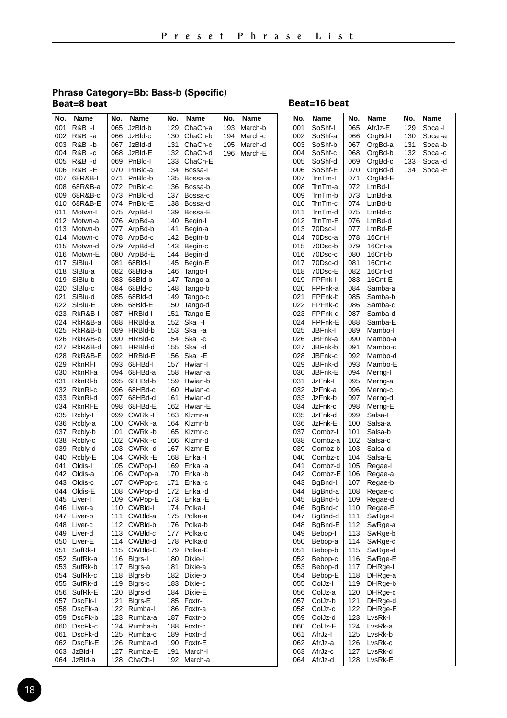#### **Phrase Category=Bb: Bass-b (Specific) Beat=8 beat**

### **Beat=16 beat**

| No. | Name              | No. | Name        | No. | Name        | No. | Name        | No. | Name    | No. | Name    | No. | Name    |
|-----|-------------------|-----|-------------|-----|-------------|-----|-------------|-----|---------|-----|---------|-----|---------|
| 001 | R&B -I            | 065 | JzBld-b     | 129 | ChaCh-a     | 193 | March-b     | 001 | SoShf-I | 065 | AfrJz-E | 129 | Soca -I |
| 002 | R&B -a            | 066 | JzBld-c     | 130 | ChaCh-b     | 194 | March-c     | 002 | SoShf-a | 066 | OrgBd-I | 130 | Soca -a |
| 003 | R&B -b            | 067 | JzBld-d     | 131 | ChaCh-c     | 195 | March-d     | 003 | SoShf-b | 067 | OrgBd-a | 131 | Soca -b |
| 004 | R&B-c             |     | 068 JzBld-E |     | 132 ChaCh-d |     | 196 March-E | 004 | SoShf-c | 068 | OrgBd-b | 132 | Soca-c  |
| 005 | R&B -d            | 069 | PnBld-l     | 133 | ChaCh-E     |     |             | 005 | SoShf-d | 069 | OrgBd-c | 133 | Soca -d |
| 006 | <b>R&amp;B -E</b> |     | 070 PnBld-a | 134 | Bossa-I     |     |             | 006 | SoShf-E | 070 | OrgBd-d | 134 | Soca -E |
| 007 | 68R&B-I           | 071 | PnBld-b     | 135 | Bossa-a     |     |             | 007 | TrnTm-I | 071 | OrgBd-E |     |         |
| 008 | 68R&B-a           |     | 072 PnBld-c | 136 | Bossa-b     |     |             | 008 | TrnTm-a | 072 | LtnBd-I |     |         |
| 009 | 68R&B-c           |     | 073 PnBld-d | 137 | Bossa-c     |     |             | 009 | TrnTm-b | 073 | LtnBd-a |     |         |
| 010 | 68R&B-E           | 074 | PnBld-E     | 138 | Bossa-d     |     |             | 010 | TrnTm-c | 074 | LtnBd-b |     |         |
| 011 | Motwn-I           | 075 | ArpBd-I     | 139 | Bossa-E     |     |             | 011 | TrnTm-d | 075 | LtnBd-c |     |         |
| 012 | Motwn-a           | 076 | ArpBd-a     | 140 | Begin-I     |     |             | 012 | TrnTm-E | 076 | LtnBd-d |     |         |
| 013 | Motwn-b           |     | 077 ArpBd-b | 141 | Begin-a     |     |             | 013 | 70Dsc-I | 077 | LtnBd-E |     |         |
| 014 | Motwn-c           | 078 | ArpBd-c     | 142 | Begin-b     |     |             | 014 | 70Dsc-a | 078 | 16Cnt-l |     |         |
| 015 | Motwn-d           |     | 079 ArpBd-d | 143 | Begin-c     |     |             | 015 | 70Dsc-b | 079 | 16Cnt-a |     |         |
| 016 | Motwn-E           |     | 080 ArpBd-E | 144 | Begin-d     |     |             | 016 | 70Dsc-c | 080 | 16Cnt-b |     |         |
| 017 | SIBlu-I           | 081 | 68Bld-l     | 145 | Begin-E     |     |             | 017 | 70Dsc-d | 081 | 16Cnt-c |     |         |
| 018 | SIBlu-a           | 082 | 68Bld-a     | 146 | Tango-I     |     |             | 018 | 70Dsc-E | 082 | 16Cnt-d |     |         |
| 019 | SIBlu-b           |     | 083 68Bld-b | 147 | Tango-a     |     |             | 019 | FPFnk-I | 083 | 16Cnt-E |     |         |
| 020 | SIBlu-c           | 084 | 68Bld-c     | 148 | Tango-b     |     |             | 020 | FPFnk-a | 084 | Samba-a |     |         |
| 021 | SIBlu-d           |     | 085 68Bld-d | 149 | Tango-c     |     |             | 021 | FPFnk-b | 085 | Samba-b |     |         |
| 022 | SIBIu-E           |     | 086 68Bld-E | 150 | Tango-d     |     |             | 022 | FPFnk-c | 086 | Samba-c |     |         |
| 023 | RkR&B-I           | 087 | HRBId-I     | 151 | Tango-E     |     |             | 023 | FPFnk-d | 087 | Samba-d |     |         |
| 024 | RkR&B-a           | 088 | HRBId-a     | 152 | Ska -l      |     |             | 024 | FPFnk-E | 088 | Samba-E |     |         |
| 025 | RkR&B-b           | 089 | HRBId-b     | 153 | Ska -a      |     |             | 025 | JBFnk-I | 089 | Mambo-I |     |         |
| 026 | RkR&B-c           |     | 090 HRBId-c | 154 | Ska -c      |     |             | 026 | JBFnk-a | 090 | Mambo-a |     |         |
| 027 | RkR&B-d           | 091 | HRBId-d     | 155 | Ska -d      |     |             | 027 | JBFnk-b | 091 | Mambo-c |     |         |
| 028 | RkR&B-E           |     | 092 HRBId-E | 156 | Ska -E      |     |             | 028 | JBFnk-c | 092 | Mambo-d |     |         |
| 029 | RknRI-I           |     | 093 68HBd-I | 157 | Hwian-I     |     |             | 029 | JBFnk-d | 093 | Mambo-E |     |         |
| 030 | RknRI-a           |     | 094 68HBd-a | 158 | Hwian-a     |     |             | 030 | JBFnk-E | 094 | Merng-I |     |         |
| 031 | RknRI-b           |     | 095 68HBd-b | 159 | Hwian-b     |     |             | 031 | JzFnk-l | 095 | Merng-a |     |         |
| 032 | RknRI-c           | 096 | 68HBd-c     | 160 | Hwian-c     |     |             | 032 | JzFnk-a | 096 | Merng-c |     |         |
| 033 | RknRI-d           | 097 | 68HBd-d     | 161 | Hwian-d     |     |             | 033 | JzFnk-b | 097 | Merng-d |     |         |
| 034 | RknRI-E           |     | 098 68HBd-E |     | 162 Hwian-E |     |             | 034 | JzFnk-c | 098 | Merng-E |     |         |
| 035 | Rcbly-I           | 099 | CWRk-I      | 163 | Klzmr-a     |     |             | 035 | JzFnk-d | 099 | Salsa-I |     |         |
| 036 | Rcbly-a           |     | 100 CWRk-a  |     | 164 Klzmr-b |     |             | 036 | JzFnk-E | 100 | Salsa-a |     |         |
| 037 | Rcbly-b           | 101 | CWRk-b      |     | 165 Klzmr-c |     |             | 037 | Combz-I | 101 | Salsa-b |     |         |
| 038 | Rcbly-c           |     | 102 CWRk-c  | 166 | Klzmr-d     |     |             | 038 | Combz-a | 102 | Salsa-c |     |         |
| 039 | Rcbly-d           |     | 103 CWRk-d  | 167 | Klzmr-E     |     |             | 039 | Combz-b | 103 | Salsa-d |     |         |
| 040 | Rcbly-E           |     | 104 CWRk-E  | 168 | Enka -l     |     |             | 040 | Combz-c | 104 | Salsa-E |     |         |
| 041 | Oldis-I           |     | 105 CWPop-I | 169 | Enka -a     |     |             | 041 | Combz-d | 105 | Regae-I |     |         |
| 042 | Oldis-a           |     | 106 CWPop-a | 170 | Enka -b     |     |             | 042 | Combz-E | 106 | Regae-a |     |         |
| 043 | Oldis-c           |     | 107 CWPop-c |     | 171 Enka-c  |     |             | 043 | BgBnd-I | 107 | Regae-b |     |         |
| 044 | Oldis-E           |     | 108 CWPop-d | 172 | Enka -d     |     |             | 044 | BgBnd-a | 108 | Regae-c |     |         |
| 045 | Liver-I           |     | 109 CWPop-E | 173 | Enka -E     |     |             | 045 | BgBnd-b | 109 | Regae-d |     |         |
| 046 | Liver-a           |     | 110 CWBId-I | 174 | Polka-I     |     |             | 046 | BgBnd-c | 110 | Regae-E |     |         |
| 047 | Liver-b           |     | 111 CWBld-a | 175 | Polka-a     |     |             | 047 | BgBnd-d | 111 | SwRge-I |     |         |
| 048 | Liver-c           |     | 112 CWBld-b | 176 | Polka-b     |     |             | 048 | BgBnd-E | 112 | SwRge-a |     |         |
| 049 | Liver-d           | 113 | CWBld-c     | 177 | Polka-c     |     |             | 049 | Bebop-I | 113 | SwRge-b |     |         |
| 050 | Liver-E           |     | 114 CWBld-d | 178 | Polka-d     |     |             | 050 | Bebop-a | 114 | SwRge-c |     |         |
| 051 | SufRk-I           |     | 115 CWBId-E | 179 | Polka-E     |     |             | 051 | Bebop-b | 115 | SwRge-d |     |         |
| 052 | SufRk-a           |     | 116 Blgrs-I |     | 180 Dixie-I |     |             | 052 | Bebop-c | 116 | SwRge-E |     |         |
| 053 | SufRk-b           | 117 | Bigrs-a     | 181 | Dixie-a     |     |             | 053 | Bebop-d | 117 | DHRge-I |     |         |
| 054 | SufRk-c           | 118 | Blgrs-b     | 182 | Dixie-b     |     |             | 054 | Bebop-E | 118 | DHRge-a |     |         |
| 055 | SufRk-d           | 119 | Bigrs-c     | 183 | Dixie-c     |     |             | 055 | ColJz-I | 119 | DHRge-b |     |         |
| 056 | SufRk-E           | 120 | Bigrs-d     | 184 | Dixie-E     |     |             | 056 | ColJz-a | 120 | DHRge-c |     |         |
| 057 | DscFk-I           | 121 | Bigrs-E     | 185 | Foxtr-I     |     |             | 057 | ColJz-b | 121 | DHRge-d |     |         |
| 058 | DscFk-a           | 122 | Rumba-l     | 186 | Foxtr-a     |     |             | 058 | ColJz-c | 122 | DHRge-E |     |         |
| 059 | DscFk-b           | 123 | Rumba-a     |     | 187 Foxtr-b |     |             | 059 | ColJz-d | 123 | LvsRk-I |     |         |
| 060 | DscFk-c           | 124 | Rumba-b     | 188 | Foxtr-c     |     |             | 060 | ColJz-E | 124 | LvsRk-a |     |         |
| 061 | DscFk-d           | 125 | Rumba-c     | 189 | Foxtr-d     |     |             | 061 | AfrJz-I | 125 | LvsRk-b |     |         |
| 062 | DscFk-E           | 126 | Rumba-d     | 190 | Foxtr-E     |     |             | 062 | AfrJz-a | 126 | LvsRk-c |     |         |
| 063 | JzBld-l           | 127 | Rumba-E     | 191 | March-I     |     |             | 063 | AfrJz-c | 127 | LvsRk-d |     |         |
| 064 | JzBld-a           | 128 | ChaCh-I     |     | 192 March-a |     |             | 064 | AfrJz-d | 128 | LvsRk-E |     |         |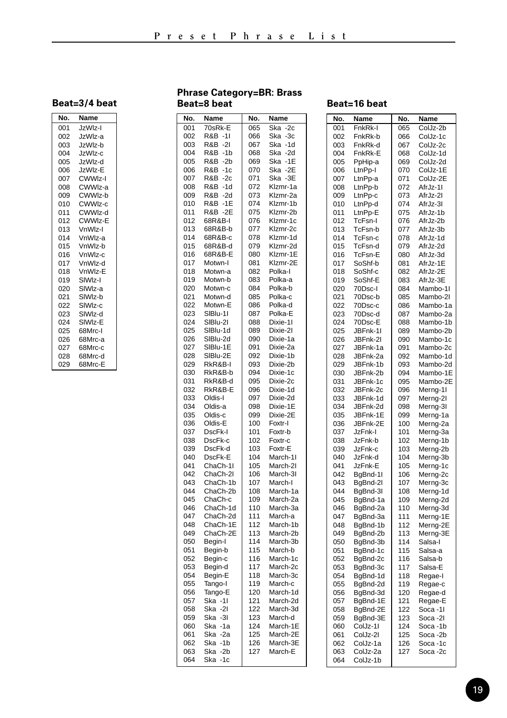| No. | Name                |
|-----|---------------------|
| 001 | JzWlz-I             |
| 002 | JzWlz-a             |
| 003 | JzWlz-b             |
| 004 | JzWlz-c             |
| 005 | JzWlz-d             |
| 006 | JzWlz-E             |
| 007 | CWWIz-I             |
| 008 | CWWlz-a             |
| 009 | CWWlz-b             |
| 010 | CWWIz-c             |
| 011 | CWWlz-d             |
| 012 | CWWIz-E             |
| 013 | VnWlz-I             |
| 014 | VnWlz-a             |
| 015 | VnWlz-b             |
| 016 | VnWlz-c             |
| 017 | VnWlz-d             |
| 018 | VnWlz-E             |
| 019 | SIWIz-I             |
| 020 | SIWIz-a             |
| 021 | SIW <sub>Iz-b</sub> |
| 022 | SIWIz-c             |
| 023 | SIWIz-d             |
| 024 | SIWIz-E             |
| 025 | 68Mrc-I             |
| 026 | 68Mrc-a             |
| 027 | 68Mrc-c             |
| 028 | 68Mrc-d             |
| 029 | 68Mrc-E             |

#### **Phrase Category=BR: Brass Beat=8 beat**

| No. | Name         | No. | Name         |
|-----|--------------|-----|--------------|
| 001 | 70sRk-E      | 065 | Ska<br>$-2c$ |
| 002 | $-11$<br>R&B | 066 | $-3c$<br>Ska |
| 003 | $-21$<br>R&B | 067 | Ska<br>$-1d$ |
| 004 | $-1b$<br>R&B | 068 | Ska<br>$-2d$ |
| 005 | R&B<br>$-2b$ | 069 | Ska<br>$-1E$ |
| 006 | R&B<br>$-1c$ | 070 | Ska<br>$-2E$ |
| 007 | R&B<br>$-2c$ | 071 | Ska<br>$-3E$ |
| 008 | R&B<br>$-1d$ | 072 | Klzmr-1a     |
| 009 | R&B<br>$-2d$ | 073 | Klzmr-2a     |
| 010 | R&B<br>$-1E$ | 074 | Klzmr-1b     |
| 011 | R&B<br>$-2E$ | 075 | Klzmr-2b     |
| 012 | 68R&B-I      | 076 | Klzmr-1c     |
| 013 | 68R&B-b      | 077 | Klzmr-2c     |
| 014 | 68R&B-c      | 078 | Klzmr-1d     |
| 015 | 68R&B-d      | 079 | Klzmr-2d     |
| 016 | 68R&B-E      | 080 | Klzmr-1E     |
| 017 | Motwn-I      | 081 | Klzmr-2E     |
| 018 | Motwn-a      | 082 | Polka-l      |
| 019 | Motwn-b      | 083 | Polka-a      |
| 020 | Motwn-c      | 084 | Polka-b      |
| 021 | Motwn-d      | 085 | Polka-c      |
| 022 | Motwn-E      | 086 | Polka-d      |
| 023 | SIBlu-11     | 087 | Polka-E      |
| 024 | SIBIu-2I     | 088 | Dixie-11     |
| 025 | SIBlu-1d     | 089 | Dixie-2l     |
| 026 | SIBlu-2d     | 090 | Dixie-1a     |
| 027 | SIBlu-1E     | 091 | Dixie-2a     |
| 028 | SIBlu-2E     | 092 | Dixie-1b     |
| 029 | RkR&B-I      | 093 | Dixie-2b     |
| 030 | RkR&B-b      | 094 | Dixie-1c     |
| 031 | RkR&B-d      | 095 | Dixie-2c     |
| 032 | RkR&B-E      | 096 | Dixie-1d     |
| 033 | Oldis-I      | 097 | Dixie-2d     |
| 034 | Oldis-a      | 098 | Dixie-1E     |
| 035 | Oldis-c      | 099 | Dixie-2E     |
| 036 | Oldis-E      | 100 | Foxtr-I      |
| 037 | DscFk-I      | 101 | Foxtr-b      |
| 038 | DscFk-c      | 102 | Foxtr-c      |
| 039 | DscFk-d      | 103 | Foxtr-E      |
| 040 | DscFk-E      | 104 | March-11     |
| 041 | ChaCh-1I     | 105 | March-21     |
| 042 | ChaCh-2I     | 106 | March-3I     |
| 043 | ChaCh-1b     | 107 | March-I      |
| 044 | ChaCh-2b     | 108 | March-1a     |
| 045 | ChaCh-c      | 109 | March-2a     |
| 046 | ChaCh-1d     | 110 | March-3a     |
| 047 | ChaCh-2d     | 111 | March-a      |
| 048 | ChaCh-1E     | 112 | March-1b     |
| 049 | ChaCh-2E     | 113 | March-2b     |
| 050 | Begin-I      | 114 | March-3b     |
| 051 | Begin-b      | 115 | March-b      |
| 052 | Begin-c      | 116 | March-1c     |
| 053 | Begin-d      | 117 | March-2c     |
| 054 | Begin-E      | 118 | March-3c     |
| 055 | Tango-I      | 119 | March-c      |
| 056 | Tango-E      | 120 | March-1d     |
| 057 | $-11$<br>Ska | 121 | March-2d     |
| 058 | Ska<br>$-21$ | 122 | March-3d     |
| 059 | $-31$<br>Ska | 123 | March-d      |
| 060 | Ska<br>$-1a$ | 124 | March-1E     |
| 061 | Ska<br>$-2a$ | 125 | March-2E     |
| 062 | Ska<br>$-1b$ | 126 | March-3E     |
| 063 | Ska<br>$-2b$ | 127 | March-E      |
| 064 | Ska<br>$-1c$ |     |              |

### **Beat=16 beat**

| No.        | Name               | .<br>No.   | Name                         |
|------------|--------------------|------------|------------------------------|
| 001        | FnkRk-I            | 065        | $\overline{\text{ColJz-2b}}$ |
| 002        | FnkRk-b            | 066        | ColJz-1c                     |
| 003        | FnkRk-d            | 067        | ColJz-2c                     |
| 004        | FnkRk-E            | 068        | ColJz-1d                     |
| 005        | PpHip-a            | 069        | ColJz-2d                     |
| 006        | LtnPp-I            | 070        | ColJz-1E                     |
| 007        |                    | 071        |                              |
| 008        | LtnPp-a<br>LtnPp-b | 072        | ColJz-2E<br>AfrJz-11         |
| 009        |                    | 073        | AfrJz-21                     |
|            | LtnPp-c            |            |                              |
| 010<br>011 | LtnPp-d            | 074        | AfrJz-3I                     |
|            | LtnPp-E            | 075        | AfrJz-1b                     |
| 012        | TcFsn-I            | 076        | AfrJz-2b                     |
| 013        | TcFsn-b            | 077        | AfrJz-3b                     |
| 014<br>015 | TcFsn-c            | 078<br>079 | AfrJz-1d                     |
|            | TcFsn-d            |            | AfrJz-2d                     |
| 016        | TcFsn-E            | 080        | AfrJz-3d                     |
| 017        | SoShf-b            | 081        | AfrJz-1E                     |
| 018        | SoShf-c            | 082        | AfrJz-2E                     |
| 019        | SoShf-E            | 083        | AfrJz-3E                     |
| 020        | 70Dsc-l            | 084        | Mambo-1I                     |
| 021        | 70Dsc-b            | 085        | Mambo-2I                     |
| 022        | 70Dsc-c            | 086        | Mambo-1a                     |
| 023        | 70Dsc-d            | 087        | Mambo-2a                     |
| 024        | 70Dsc-E            | 088        | Mambo-1b                     |
| 025        | JBFnk-1I           | 089        | Mambo-2b                     |
| 026        | JBFnk-2I           | 090        | Mambo-1c                     |
| 027        | JBFnk-1a           | 091        | Mambo-2c                     |
| 028        | JBFnk-2a           | 092        | Mambo-1d                     |
| 029        | JBFnk-1b           | 093        | Mambo-2d                     |
| 030        | JBFnk-2b           | 094        | Mambo-1E                     |
| 031        | JBFnk-1c           | 095        | Mambo-2E                     |
| 032        | JBFnk-2c           | 096        | Merng-1I                     |
| 033        | JBFnk-1d           | 097        | Merng-2I                     |
| 034        | JBFnk-2d           | 098        | Merng-3I                     |
| 035        | JBFnk-1E           | 099        | Merng-1a                     |
| 036        | JBFnk-2E           | 100        | Merng-2a                     |
| 037        | JzFnk-l            | 101        | Merng-3a                     |
| 038        | JzFnk-b            | 102        | Merng-1b                     |
| 039        | JzFnk-c            | 103        | Merng-2b                     |
| 040        | JzFnk-d            | 104        | Merng-3b                     |
| 041        | JzFnk-E            | 105        | Merng-1c                     |
| 042        | BgBnd-1I           | 106        | Merng-2c                     |
| 043        | BgBnd-2I           | 107        | Merng-3c                     |
| 044        | BgBnd-3I           | 108        | Merng-1d                     |
| 045        | BgBnd-1a           | 109        | Merng-2d                     |
| 046        | BgBnd-2a           | 110        | Merng-3d                     |
| 047        | BqBnd-3a           | 111        | Merng-1E                     |
| 048        | BgBnd-1b           | 112        | Merng-2E                     |
| 049        | BgBnd-2b           | 113        | Merng-3E                     |
| 050        | BqBnd-3b           | 114        | Salsa-I                      |
| 051        | BgBnd-1c           | 115        | Salsa-a                      |
| 052        | BqBnd-2c           | 116        | Salsa-b                      |
| 053        | BgBnd-3c           | 117        | Salsa-E                      |
| 054        | BgBnd-1d           | 118        | Regae-I                      |
| 055        | BgBnd-2d           | 119        | Regae-c                      |
| 056        | BgBnd-3d           | 120        | Regae-d                      |
| 057        | BgBnd-1E           | 121        | Regae-E                      |
| 058        | BgBnd-2E           | 122        | Soca-11                      |
| 059        | BgBnd-3E           | 123        | Soca-21                      |
| 060        | ColJz-11           | 124        | Soca-1b                      |
| 061        | ColJz-21           | 125        | Soca-2b                      |
| 062        | ColJz-1a           | 126        | Soca-1c                      |
| 063        | ColJz-2a           | 127        | Soca-2c                      |
| 064        | ColJz-1b           |            |                              |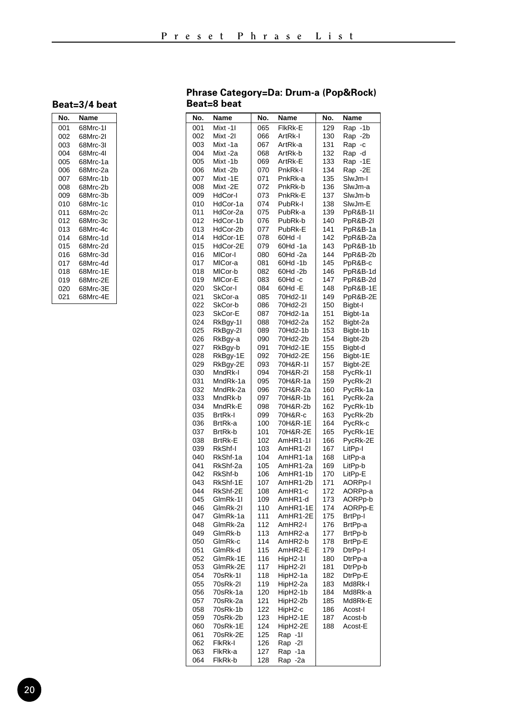| No.        | Name     |
|------------|----------|
| 001        | 68Mrc-11 |
| 002        | 68Mrc-21 |
| 003        | 68Mrc-31 |
| 004        | 68Mrc-41 |
| 005        | 68Mrc-1a |
| 006        | 68Mrc-2a |
| 007        | 68Mrc-1b |
| 008        | 68Mrc-2b |
| <b>009</b> | 68Mrc-3b |
| 010        | 68Mrc-1c |
| 011        | 68Mrc-2c |
| 012        | 68Mrc-3c |
| 013        | 68Mrc-4c |
| 014        | 68Mrc-1d |
| 015        | 68Mrc-2d |
| 016        | 68Mrc-3d |
| 017        | 68Mrc-4d |
| 018        | 68Mrc-1F |
| 019        | 68Mrc-2E |
| ሰ2በ        | 68Mrc-3E |
| 021        | 68Mrc-4F |

#### **Phrase Category=Da: Drum-a (Pop&Rock) Beat=8 beat**

| No.        | Name                 | No.        | Name                 | No.        | Name                            |
|------------|----------------------|------------|----------------------|------------|---------------------------------|
| 001        | Mixt-11              | 065        | FlkRk-E              | 129        | Rap -1b                         |
| 002        | Mixt-2I              | 066        | ArtRk-l              | 130        | Rap<br>$-2b$                    |
| 003        | Mixt-1a              | 067        | ArtRk-a              | 131        | Rap<br>-c                       |
| 004        | Mixt-2a              | 068        | ArtRk-b              | 132        | Rap<br>-d                       |
| 005        | Mixt-1b              | 069        | ArtRk-E              | 133        | Rap -1E                         |
| 006        | Mixt-2b              | 070        | PnkRk-I              | 134        | Rap -2E                         |
| 007        | Mixt-1E              | 071        | PnkRk-a              | 135        | SlwJm-I                         |
| 008        | Mixt-2E              | 072        | PnkRk-b              | 136        | SlwJm-a                         |
| 009        | HdCor-I              | 073        | PnkRk-E              | 137        | SlwJm-b                         |
| 010        | HdCor-1a             | 074        | PubRk-I              | 138        | SlwJm-E                         |
| 011<br>012 | HdCor-2a<br>HdCor-1b | 075<br>076 | PubRk-a<br>PubRk-b   | 139<br>140 | PpR&B-1I<br><b>PpR&amp;B-2I</b> |
| 013        | HdCor-2b             | 077        | PubRk-E              | 141        | PpR&B-1a                        |
| 014        | HdCor-1E             | 078        | 60Hd -I              | 142        | PpR&B-2a                        |
| 015        | HdCor-2E             | 079        | 60Hd -1a             | 143        | PpR&B-1b                        |
| 016        | MICor-I              | 080        | 60Hd -2a             | 144        | PpR&B-2b                        |
| 017        | MICor-a              | 081        | 60Hd-1b              | 145        | PpR&B-c                         |
| 018        | MICor-b              | 082        | 60Hd-2b              | 146        | PpR&B-1d                        |
| 019        | MICor-E              | 083        | 60Hd-c               | 147        | PpR&B-2d                        |
| 020        | SkCor-I              | 084        | 60Hd -E              | 148        | PpR&B-1E                        |
| 021        | SkCor-a              | 085        | 70Hd2-11             | 149        | PpR&B-2E                        |
| 022        | SkCor-b              | 086        | 70Hd2-2I             | 150        | Bigbt-I                         |
| 023        | SkCor-E              | 087        | 70Hd2-1a             | 151        | Bigbt-1a                        |
| 024        | RkBgy-1I             | 088        | 70Hd2-2a             | 152        | Bigbt-2a                        |
| 025        | RkBgy-2I             | 089        | 70Hd2-1b             | 153        | Bigbt-1b                        |
| 026        | RkBgy-a              | 090        | 70Hd2-2b             | 154        | Bigbt-2b                        |
| 027        | RkBgy-b              | 091        | 70Hd2-1E             | 155        | Bigbt-d                         |
| 028        | RkBgy-1E             | 092        | 70Hd2-2E             | 156        | Bigbt-1E                        |
| 029<br>030 | RkBgy-2E<br>MndRk-I  | 093<br>094 | 70H&R-1I<br>70H&R-2I | 157<br>158 | Bigbt-2E                        |
| 031        | MndRk-1a             | 095        | 70H&R-1a             | 159        | PycRk-1I<br>PycRk-2I            |
| 032        | MndRk-2a             | 096        | 70H&R-2a             | 160        | PycRk-1a                        |
| 033        | MndRk-b              | 097        | 70H&R-1b             | 161        | PycRk-2a                        |
| 034        | MndRk-E              | 098        | 70H&R-2b             | 162        | PycRk-1b                        |
| 035        | <b>BrtRk-I</b>       | 099        | 70H&R-c              | 163        | PycRk-2b                        |
| 036        | BrtRk-a              | 100        | 70H&R-1E             | 164        | PycRk-c                         |
| 037        | BrtRk-b              | 101        | 70H&R-2E             | 165        | PycRk-1E                        |
| 038        | <b>BrtRk-E</b>       | 102        | AmHR1-1I             | 166        | PycRk-2E                        |
| 039        | RkShf-I              | 103        | AmHR1-2I             | 167        | LitPp-I                         |
| 040        | RkShf-1a             | 104        | AmHR1-1a             | 168        | LitPp-a                         |
| 041        | RkShf-2a             | 105        | AmHR1-2a             | 169        | LitPp-b                         |
| 042        | RkShf-b              | 106        | AmHR1-1b             | 170        | LitPp-E                         |
| 043        | RkShf-1E             | 107        | AmHR1-2b             | 171        | AORPp-I                         |
| 044<br>045 | RkShf-2E             | 108        | AmHR1-c              | 172        | AORPp-a                         |
| 046        | GlmRk-11<br>GlmRk-21 | 109<br>110 | AmHR1-d<br>AmHR1-1E  | 173<br>174 | AORPp-b                         |
| 047        | GlmRk-1a             | 111        | AmHR1-2E             | 175        | AORPp-E<br>BrtPp-I              |
| 048        | GlmRk-2a             | 112        | AmHR2-I              | 176        | BrtPp-a                         |
| 049        | GlmRk-b              | 113        | AmHR2-a              | 177        | BrtPp-b                         |
| 050        | GlmRk-c              | 114        | AmHR2-b              | 178        | BrtPp-E                         |
| 051        | GlmRk-d              | 115        | AmHR2-E              | 179        | DtrPp-I                         |
| 052        | GlmRk-1E             | 116        | HipH2-1I             | 180        | DtrPp-a                         |
| 053        | GlmRk-2E             | 117        | HipH2-2I             | 181        | DtrPp-b                         |
| 054        | 70sRk-11             | 118        | HipH2-1a             | 182        | DtrPp-E                         |
| 055        | 70sRk-2I             | 119        | HipH2-2a             | 183        | Md8Rk-I                         |
| 056        | 70sRk-1a             | 120        | HipH2-1b             | 184        | Md8Rk-a                         |
| 057        | 70sRk-2a             | 121        | HipH2-2b             | 185        | Md8Rk-E                         |
| 058        | 70sRk-1b             | 122        | HipH2-c              | 186        | Acost-I                         |
| 059        | 70sRk-2b             | 123        | HipH2-1E             | 187        | Acost-b                         |
| 060        | 70sRk-1E             | 124        | HipH2-2E             | 188        | Acost-E                         |
| 061        | 70sRk-2E             | 125        | Rap -11              |            |                                 |
| 062<br>063 | FIkRk-I<br>FlkRk-a   | 126<br>127 | Rap -21<br>Rap -1a   |            |                                 |
| 064        | FlkRk-b              | 128        | Rap -2a              |            |                                 |
|            |                      |            |                      |            |                                 |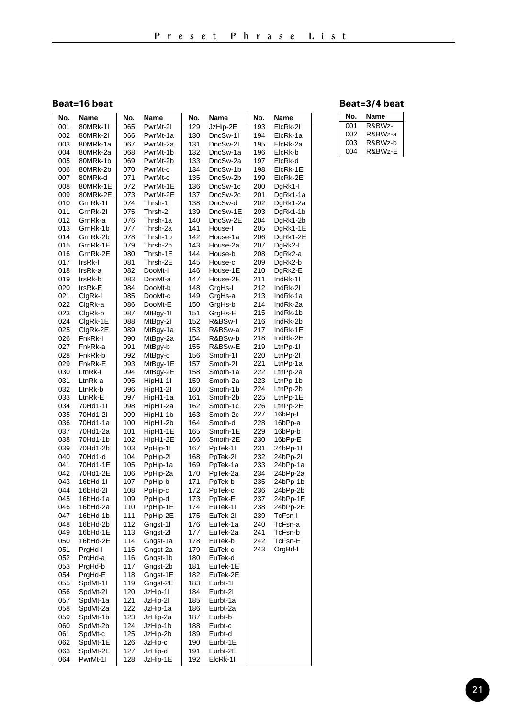**Beat=16 beat**

| No. | Name     | No. | Name     | No.<br>Name     |          | No. | Name     |
|-----|----------|-----|----------|-----------------|----------|-----|----------|
| 001 | 80MRk-1I | 065 | PwrMt-2I | 129<br>JzHip-2E |          | 193 | ElcRk-2I |
| 002 | 80MRk-2I | 066 | PwrMt-1a | 130             | DncSw-11 | 194 | ElcRk-1a |
| 003 | 80MRk-1a | 067 | PwrMt-2a | 131             | DncSw-2I | 195 | ElcRk-2a |
| 004 | 80MRk-2a | 068 | PwrMt-1b | 132             | DncSw-1a | 196 | ElcRk-b  |
| 005 | 80MRk-1b | 069 | PwrMt-2b | 133             | DncSw-2a | 197 | ElcRk-d  |
| 006 | 80MRk-2b | 070 | PwrMt-c  | 134             | DncSw-1b | 198 | ElcRk-1E |
| 007 | 80MRk-d  | 071 | PwrMt-d  | 135             | DncSw-2b | 199 | ElcRk-2E |
| 008 | 80MRk-1E | 072 | PwrMt-1E | 136             | DncSw-1c | 200 | DgRk1-I  |
| 009 | 80MRk-2E | 073 | PwrMt-2E | 137             | DncSw-2c | 201 | DgRk1-1a |
| 010 | GrnRk-11 | 074 | Thrsh-11 | 138             | DncSw-d  | 202 | DgRk1-2a |
| 011 | GrnRk-2I | 075 | Thrsh-2l | 139             | DncSw-1E | 203 | DgRk1-1b |
| 012 | GrnRk-a  | 076 | Thrsh-1a | 140             | DncSw-2E | 204 | DgRk1-2b |
| 013 | GrnRk-1b | 077 | Thrsh-2a | 141             | House-I  | 205 | DgRk1-1E |
| 014 | GrnRk-2b | 078 | Thrsh-1b | 142             | House-1a | 206 | DgRk1-2E |
| 015 | GrnRk-1E | 079 | Thrsh-2b | 143             | House-2a | 207 | DgRk2-I  |
| 016 | GrnRk-2E | 080 | Thrsh-1E | 144             | House-b  | 208 | DgRk2-a  |
| 017 | IrsRk-I  | 081 | Thrsh-2E | 145             | House-c  | 209 | DgRk2-b  |
| 018 | IrsRk-a  | 082 | DooMt-I  | 146             | House-1E | 210 | DgRk2-E  |
| 019 | IrsRk-b  | 083 | DooMt-a  | 147             | House-2E | 211 | IndRk-11 |
| 020 | IrsRk-E  | 084 | DooMt-b  | 148             | GrgHs-I  | 212 | IndRk-2I |
| 021 | ClgRk-I  | 085 | DooMt-c  | 149             | GrgHs-a  | 213 | IndRk-1a |
| 022 | ClgRk-a  | 086 | DooMt-E  | 150             | GrgHs-b  | 214 | IndRk-2a |
| 023 | ClgRk-b  | 087 | MtBgy-1I | 151             | GrgHs-E  | 215 | IndRk-1b |
| 024 | ClgRk-1E | 088 | MtBgy-2I | 152             | R&BSw-I  | 216 | IndRk-2b |
| 025 | ClgRk-2E | 089 | MtBgy-1a | 153             | R&BSw-a  | 217 | IndRk-1E |
| 026 | FnkRk-I  | 090 | MtBgy-2a | 154             | R&BSw-b  | 218 | IndRk-2E |
| 027 | FnkRk-a  | 091 | MtBgy-b  | 155             | R&BSw-E  | 219 | LtnPp-11 |
| 028 | FnkRk-b  | 092 | MtBgy-c  | 156             | Smoth-11 | 220 | LtnPp-2I |
| 029 | FnkRk-E  | 093 | MtBgy-1E | 157             | Smoth-2I | 221 | LtnPp-1a |
| 030 | LtnRk-I  | 094 | MtBgy-2E | 158             | Smoth-1a | 222 | LtnPp-2a |
| 031 | LtnRk-a  | 095 | HipH1-1I | 159             | Smoth-2a | 223 | LtnPp-1b |
| 032 | LtnRk-b  | 096 | HipH1-2I | 160             | Smoth-1b | 224 | LtnPp-2b |
| 033 | LtnRk-E  | 097 | HipH1-1a | 161             | Smoth-2b | 225 | LtnPp-1E |
| 034 | 70Hd1-1I | 098 | HipH1-2a | 162             | Smoth-1c | 226 | LtnPp-2E |
| 035 | 70Hd1-2I | 099 | HipH1-1b | 163             | Smoth-2c | 227 | 16bPp-l  |
| 036 | 70Hd1-1a | 100 | HipH1-2b | 164             | Smoth-d  | 228 | 16bPp-a  |
| 037 | 70Hd1-2a | 101 | HipH1-1E | 165             | Smoth-1E | 229 | 16bPp-b  |
| 038 | 70Hd1-1b | 102 | HipH1-2E | 166             | Smoth-2E | 230 | 16bPp-E  |
| 039 | 70Hd1-2b | 103 | PpHip-11 | 167             | PpTek-1I | 231 | 24bPp-11 |
| 040 | 70Hd1-d  | 104 | PpHip-2I | 168             | PpTek-2I | 232 | 24bPp-2l |
| 041 | 70Hd1-1E | 105 | PpHip-1a | 169             | PpTek-1a | 233 | 24bPp-1a |
| 042 | 70Hd1-2E | 106 | PpHip-2a | 170             | PpTek-2a | 234 | 24bPp-2a |
| 043 | 16bHd-1I | 107 | PpHip-b  | 171             | PpTek-b  | 235 | 24bPp-1b |
| 044 | 16bHd-2l | 108 | PpHip-c  | 172             | PpTek-c  | 236 | 24bPp-2b |
| 045 | 16bHd-1a | 109 | PpHip-d  | 173             | PpTek-E  | 237 | 24bPp-1E |
| 046 | 16bHd-2a | 110 | PpHip-1E | 174             | EuTek-1I | 238 | 24bPp-2E |
| 047 | 16bHd-1b | 111 | PpHip-2E | 175             | EuTek-2I | 239 | TcFsn-I  |
| 048 | 16bHd-2b | 112 | Gngst-11 | 176             | EuTek-1a | 240 | TcFsn-a  |
| 049 | 16bHd-1E | 113 | Gngst-2I | 177             | EuTek-2a | 241 | TcFsn-b  |
| 050 | 16bHd-2E | 114 | Gngst-1a | 178             | EuTek-b  | 242 | TcFsn-E  |
| 051 | PrgHd-I  | 115 | Gngst-2a | 179             | EuTek-c  | 243 | OrgBd-I  |
| 052 | PrgHd-a  | 116 | Gngst-1b | 180             | EuTek-d  |     |          |
| 053 | PrgHd-b  | 117 | Gngst-2b | 181             | EuTek-1E |     |          |
| 054 | PrgHd-E  | 118 | Gngst-1E | 182             | EuTek-2E |     |          |
| 055 | SpdMt-11 | 119 | Gngst-2E | 183             | Eurbt-11 |     |          |
| 056 | SpdMt-2I | 120 | JzHip-11 | 184             | Eurbt-2I |     |          |
| 057 | SpdMt-1a | 121 | JzHip-21 | 185             | Eurbt-1a |     |          |
| 058 | SpdMt-2a | 122 | JzHip-1a | 186             | Eurbt-2a |     |          |
| 059 | SpdMt-1b | 123 | JzHip-2a | 187             | Eurbt-b  |     |          |
| 060 | SpdMt-2b | 124 | JzHip-1b | 188             | Eurbt-c  |     |          |
| 061 | SpdMt-c  | 125 | JzHip-2b | 189             | Eurbt-d  |     |          |
| 062 | SpdMt-1E | 126 | JzHip-c  | 190             | Eurbt-1E |     |          |
| 063 | SpdMt-2E | 127 | JzHip-d  | 191             | Eurbt-2E |     |          |
| 064 | PwrMt-11 | 128 | JzHip-1E | 192             | ElcRk-11 |     |          |
|     |          |     |          |                 |          |     |          |

| No. | Name    |
|-----|---------|
| 001 | R&BWz-I |
| 002 | R&BWz-a |
| 003 | R&BWz-b |
| 004 | R&BWz-E |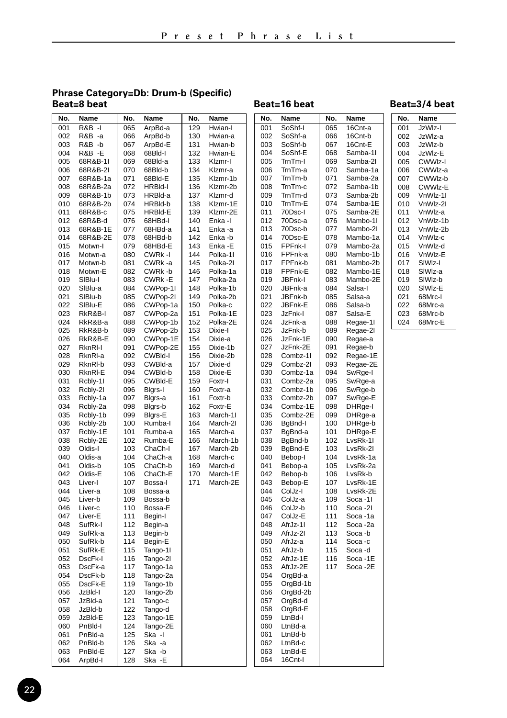## **Phrase Category=Db: Drum-b (Specific)**

#### Beat=16 beat

| No.        | Name               | No.        | Name               | No.        | Name               | No.        | Name                 | No.        | Name                | No. | Name     |
|------------|--------------------|------------|--------------------|------------|--------------------|------------|----------------------|------------|---------------------|-----|----------|
| 001        | <b>R&amp;B -I</b>  | 065        | ArpBd-a            | 129        | Hwian-I            | 001        | SoShf-I              | 065        | 16Cnt-a             | 001 | JzWlz-I  |
| 002        | R&B-a              | 066        | ArpBd-b            | 130        | Hwian-a            | 002        | SoShf-a              | 066        | 16Cnt-b             | 002 | JzWlz-a  |
| 003        | R&B -b             | 067        | ArpBd-E            | 131        | Hwian-b            | 003        | SoShf-b              | 067        | 16Cnt-E             | 003 | JzWIz-b  |
| 004        | R&B -E             | 068        | 68Bld-I            | 132        | Hwian-E            | 004        | SoShf-E              | 068        | Samba-1I            | 004 | JzWIz-E  |
| 005        | 68R&B-1I           | 069        | 68Bld-a            | 133        | Klzmr-I            | 005        | TrnTm-I              | 069        | Samba-2I            | 005 | CWWIz-I  |
| 006        | 68R&B-2I           | 070        | 68Bld-b            | 134        | Klzmr-a            | 006        | TrnTm-a              | 070        | Samba-1a            | 006 | CWWlz-a  |
| 007        | 68R&B-1a           | 071        | 68Bld-E            | 135        | Klzmr-1b           | 007        | TrnTm-b              | 071        | Samba-2a            | 007 | CWWIz-b  |
| 008        | 68R&B-2a           | 072        | HRBId-I            | 136        | Klzmr-2b           | 008        | TrnTm-c              | 072        | Samba-1b            | 008 | CWWIz-E  |
| 009        | 68R&B-1b           | 073        | HRBId-a            | 137        | Klzmr-d            | 009        | TrnTm-d              | 073        | Samba-2b            | 009 | VnWlz-11 |
| 010        | 68R&B-2b           | 074        | HRBId-b            | 138        | Klzmr-1E           | 010        | TrnTm-E              | 074        | Samba-1E            | 010 | VnWlz-2l |
| 011        | 68R&B-c            | 075        | <b>HRBId-E</b>     | 139        | Klzmr-2E           | 011        | 70Dsc-l              | 075        | Samba-2E            | 011 | VnWlz-a  |
| 012        | 68R&B-d            | 076        | 68HBd-l            | 140        | Enka-I             | 012        | 70Dsc-a              | 076        | Mambo-1I            | 012 | VnWlz-1b |
| 013        | 68R&B-1E           | 077        | 68HBd-a            | 141        | Enka -a            | 013        | 70Dsc-b              | 077        | Mambo-2I            | 013 | VnWlz-2b |
| 014        | 68R&B-2E           | 078        | 68HBd-b            | 142        | Enka-b             | 014        | 70Dsc-E              | 078        | Mambo-1a            | 014 | VnWlz-c  |
| 015        | Motwn-I            | 079        | 68HBd-E            | 143        | Enka -E            | 015        | FPFnk-l              | 079        | Mambo-2a            | 015 | VnWlz-d  |
| 016        | Motwn-a            | 080        | CWRk-I             | 144        | Polka-11           | 016        | FPFnk-a              | 080        | Mambo-1b            | 016 | VnWlz-E  |
| 017        | Motwn-b            | 081        | CWRk-a             | 145        | Polka-21           | 017        | FPFnk-b              | 081        | Mambo-2b            | 017 | SIWIz-I  |
| 018        | Motwn-E            | 082        | CWRk-b             | 146        | Polka-1a           | 018        | FPFnk-E              | 082        | Mambo-1E            | 018 | SIWIz-a  |
| 019        | SIBlu-I            | 083        | CWRk-E             | 147        | Polka-2a           | 019        | JBFnk-l              | 083        | Mambo-2E            | 019 | SIWIz-b  |
| 020        | SIBlu-a            | 084        | CWPop-11           | 148        | Polka-1b           | 020        | JBFnk-a              | 084        | Salsa-I             | 020 | SIWIz-E  |
| 021        | SIBlu-b            | 085        | CWPop-2I           | 149        | Polka-2b           | 021        | JBFnk-b              | 085        | Salsa-a             | 021 | 68Mrc-I  |
| 022        | SIBlu-E            | 086        | CWPop-1a           | 150        | Polka-c            | 022        | JBFnk-E              | 086        | Salsa-b             | 022 | 68Mrc-a  |
| 023        | RkR&B-I            | 087        | CWPop-2a           | 151        | Polka-1E           | 023        | JzFnk-l              | 087        | Salsa-E             | 023 | 68Mrc-b  |
| 024        | RkR&B-a            | 088        | CWPop-1b           | 152        | Polka-2E           | 024        | JzFnk-a              | 088        | Regae-1I            | 024 | 68Mrc-E  |
| 025        | RkR&B-b            | 089        | CWPop-2b           | 153        | Dixie-I            | 025        | JzFnk-b              | 089        | Regae-2I            |     |          |
| 026        | RkR&B-E            | 090        | CWPop-1E           | 154        | Dixie-a            | 026        | JzFnk-1E             | 090        | Regae-a             |     |          |
| 027        | RknRI-I            | 091        | CWPop-2E           | 155        | Dixie-1b           | 027        | JzFnk-2E             | 091        | Regae-b             |     |          |
| 028        | RknRI-a            | 092        | CWBId-I            | 156        | Dixie-2b           | 028        | Combz-1I             | 092        | Regae-1E            |     |          |
| 029<br>030 | RknRI-b<br>RknRI-E | 093<br>094 | CWBId-a<br>CWBId-b | 157<br>158 | Dixie-d<br>Dixie-E | 029<br>030 | Combz-2I<br>Combz-1a | 093<br>094 | Regae-2E<br>SwRge-I |     |          |
| 031        | Rcbly-11           | 095        | CWBId-E            | 159        | Foxtr-I            | 031        | Combz-2a             | 095        | SwRge-a             |     |          |
| 032        | Rcbly-21           | 096        | Blgrs-I            | 160        | Foxtr-a            | 032        | Combz-1b             | 096        | SwRge-b             |     |          |
| 033        | Rcbly-1a           | 097        | Blgrs-a            | 161        | Foxtr-b            | 033        | Combz-2b             | 097        | SwRge-E             |     |          |
| 034        | Rcbly-2a           | 098        | Blgrs-b            | 162        | Foxtr-E            | 034        | Combz-1E             | 098        | DHRge-I             |     |          |
| 035        | Rcbly-1b           | 099        | Blgrs-E            | 163        | March-11           | 035        | Combz-2E             | 099        | DHRge-a             |     |          |
| 036        | Rcbly-2b           | 100        | Rumba-l            | 164        | March-2I           | 036        | BgBnd-I              | 100        | DHRge-b             |     |          |
| 037        | Rcbly-1E           | 101        | Rumba-a            | 165        | March-a            | 037        | BgBnd-a              | 101        | DHRge-E             |     |          |
| 038        | Rcbly-2E           | 102        | Rumba-E            | 166        | March-1b           | 038        | BgBnd-b              | 102        | LvsRk-1I            |     |          |
| 039        | Oldis-I            | 103        | ChaCh-I            | 167        | March-2b           | 039        | BgBnd-E              | 103        | LvsRk-2I            |     |          |
| 040        | Oldis-a            | 104        | ChaCh-a            | 168        | March-c            | 040        | Bebop-I              | 104        | LvsRk-1a            |     |          |
| 041        | Oldis-b            | 105        | ChaCh-b            | 169        | March-d            | 041        | Bebop-a              | 105        | LvsRk-2a            |     |          |
| 042        | Oldis-E            | 106        | ChaCh-E            | 170        | March-1E           | 042        | Bebop-b              | 106        | LvsRk-b             |     |          |
| 043        | Liver-I            | 107        | Bossa-I            | 171        | March-2E           | 043        | Bebop-E              | 107        | LvsRk-1E            |     |          |
| 044        | Liver-a            | 108        | Bossa-a            |            |                    | 044        | ColJz-I              | 108        | LvsRk-2E            |     |          |
| 045        | Liver-b            | 109        | Bossa-b            |            |                    | 045        | ColJz-a              | 109        | Soca -11            |     |          |
| 046        | Liver-c            | 110        | Bossa-E            |            |                    | 046        | ColJz-b              | 110        | Soca -21            |     |          |
| 047        | Liver-E            | 111        | Begin-I            |            |                    | 047        | ColJz-E              | 111        | Soca-1a             |     |          |
| 048        | SufRk-I            | 112        | Begin-a            |            |                    | 048        | AfrJz-11             | 112        | Soca-2a             |     |          |
| 049        | SufRk-a            | 113        | Begin-b            |            |                    | 049        | AfrJz-21             | 113        | Soca-b              |     |          |
| 050        | SufRk-b            | 114        | Begin-E            |            |                    | 050        | AfrJz-a              | 114        | Soca-c              |     |          |
| 051        | SufRk-E            | 115        | Tango-11           |            |                    | 051        | AfrJz-b              | 115        | Soca -d             |     |          |
| 052        | DscFk-I            | 116        | Tango-21           |            |                    | 052        | AfrJz-1E             | 116        | Soca -1E            |     |          |
| 053        | DscFk-a            | 117        | Tango-1a           |            |                    | 053        | AfrJz-2E             | 117        | Soca -2E            |     |          |
| 054        | DscFk-b            | 118        | Tango-2a           |            |                    | 054        | OrgBd-a              |            |                     |     |          |
| 055        | DscFk-E            | 119        | Tango-1b           |            |                    | 055        | OrgBd-1b             |            |                     |     |          |
| 056        | JzBld-I            | 120        | Tango-2b           |            |                    | 056        | OrgBd-2b             |            |                     |     |          |
| 057        | JzBld-a            | 121        | Tango-c            |            |                    | 057        | OrgBd-d              |            |                     |     |          |
| 058        | JzBld-b            | 122        | Tango-d            |            |                    | 058        | OrgBd-E              |            |                     |     |          |
| 059        | JzBld-E            | 123        | Tango-1E           |            |                    | 059        | LtnBd-l              |            |                     |     |          |
| 060        | PnBld-I            | 124        | Tango-2E           |            |                    | 060        | LtnBd-a              |            |                     |     |          |
| 061        | PnBld-a            | 125<br>126 | Ska -l             |            |                    | 061        | LtnBd-b              |            |                     |     |          |
| 062<br>063 | PnBld-b<br>PnBld-E | 127        | Ska -a<br>Ska -b   |            |                    | 062<br>063 | LtnBd-c<br>LtnBd-E   |            |                     |     |          |
| 064        | ArpBd-I            | 128        | Ska -E             |            |                    | 064        | 16Cnt-I              |            |                     |     |          |
|            |                    |            |                    |            |                    |            |                      |            |                     |     |          |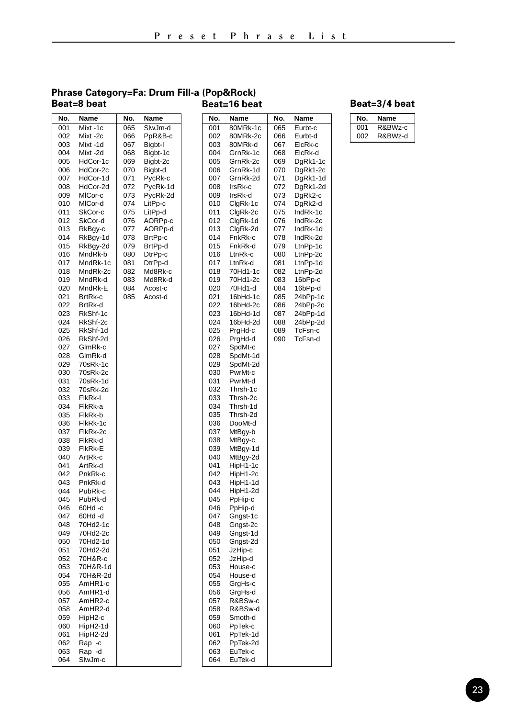#### **Phrase Category=Fa: Drum Fill-a (Pop&Rock) Beat=8 beat**

| No. | Name     | No. | Name     | No. | Name     | No. | Name   |
|-----|----------|-----|----------|-----|----------|-----|--------|
| 001 | Mixt-1c  | 065 | SlwJm-d  | 001 | 80MRk-1c | 065 | Eurbt- |
| 002 | Mixt-2c  | 066 | PpR&B-c  | 002 | 80MRk-2c | 066 | Eurbt- |
| 003 | Mixt-1d  | 067 | Bigbt-I  | 003 | 80MRk-d  | 067 | ElcRk- |
| 004 | Mixt-2d  | 068 | Bigbt-1c | 004 | GrnRk-1c | 068 | ElcRk- |
| 005 | HdCor-1c | 069 | Bigbt-2c | 005 | GrnRk-2c | 069 | DgRk1  |
| 006 | HdCor-2c | 070 | Bigbt-d  | 006 | GrnRk-1d | 070 | DgRk1  |
|     |          |     |          |     |          |     |        |
| 007 | HdCor-1d | 071 | PycRk-c  | 007 | GrnRk-2d | 071 | DgRk1  |
| 008 | HdCor-2d | 072 | PycRk-1d | 008 | IrsRk-c  | 072 | DgRk1  |
| 009 | MICor-c  | 073 | PycRk-2d | 009 | IrsRk-d  | 073 | DgRk2  |
| 010 | MICor-d  | 074 | LitPp-c  | 010 | ClgRk-1c | 074 | DgRk2  |
| 011 | SkCor-c  | 075 | LitPp-d  | 011 | ClgRk-2c | 075 | IndRk- |
| 012 | SkCor-d  | 076 | AORPp-c  | 012 | ClgRk-1d | 076 | IndRk- |
| 013 | RkBgy-c  | 077 | AORPp-d  | 013 | ClgRk-2d | 077 | IndRk- |
| 014 | RkBgy-1d | 078 | BrtPp-c  | 014 | FnkRk-c  | 078 | IndRk- |
| 015 | RkBgy-2d | 079 | BrtPp-d  | 015 | FnkRk-d  | 079 | LtnPp- |
| 016 | MndRk-b  | 080 | DtrPp-c  | 016 | LtnRk-c  | 080 | LtnPp- |
| 017 | MndRk-1c | 081 | DtrPp-d  | 017 | LtnRk-d  | 081 | LtnPp- |
| 018 | MndRk-2c | 082 | Md8Rk-c  | 018 | 70Hd1-1c | 082 | LtnPp- |
| 019 | MndRk-d  | 083 | Md8Rk-d  | 019 | 70Hd1-2c | 083 | 16bPp  |
| 020 | MndRk-E  | 084 | Acost-c  | 020 | 70Hd1-d  | 084 | 16bPp  |
| 021 | BrtRk-c  | 085 | Acost-d  | 021 | 16bHd-1c | 085 | 24bPp  |
| 022 | BrtRk-d  |     |          | 022 | 16bHd-2c | 086 | 24bPp  |
| 023 | RkShf-1c |     |          | 023 | 16bHd-1d | 087 | 24bPp  |
| 024 | RkShf-2c |     |          | 024 | 16bHd-2d | 088 | 24bPp  |
| 025 | RkShf-1d |     |          | 025 | PraHd-c  | 089 | TcFsn  |
|     |          |     |          | 026 |          | 090 | TcFsn  |
| 026 | RkShf-2d |     |          | 027 | PrgHd-d  |     |        |
| 027 | GlmRk-c  |     |          |     | SpdMt-c  |     |        |
| 028 | GlmRk-d  |     |          | 028 | SpdMt-1d |     |        |
| 029 | 70sRk-1c |     |          | 029 | SpdMt-2d |     |        |
| 030 | 70sRk-2c |     |          | 030 | PwrMt-c  |     |        |
| 031 | 70sRk-1d |     |          | 031 | PwrMt-d  |     |        |
| 032 | 70sRk-2d |     |          | 032 | Thrsh-1c |     |        |
| 033 | FikRk-I  |     |          | 033 | Thrsh-2c |     |        |
| 034 | FlkRk-a  |     |          | 034 | Thrsh-1d |     |        |
| 035 | FlkRk-b  |     |          | 035 | Thrsh-2d |     |        |
| 036 | FlkRk-1c |     |          | 036 | DooMt-d  |     |        |
| 037 | FlkRk-2c |     |          | 037 | MtBgy-b  |     |        |
| 038 | FlkRk-d  |     |          | 038 | MtBgy-c  |     |        |
| 039 | FIKRK-E  |     |          | 039 | MtBgy-1d |     |        |
| 040 | ArtRk-c  |     |          | 040 | MtBgy-2d |     |        |
| 041 | ArtRk-d  |     |          | 041 | HipH1-1c |     |        |
| 042 | PnkRk-c  |     |          | 042 | HipH1-2c |     |        |
| 043 | PnkRk-d  |     |          | 043 | HipH1-1d |     |        |
| 044 | PubRk-c  |     |          | 044 | HipH1-2d |     |        |
| 045 | PubRk-d  |     |          | 045 | PpHip-c  |     |        |
| 046 | 60Hd-c   |     |          | 046 | PpHip-d  |     |        |
| 047 | 60Hd-d   |     |          | 047 | Gngst-1c |     |        |
| 048 | 70Hd2-1c |     |          | 048 | Gngst-2c |     |        |
| 049 | 70Hd2-2c |     |          | 049 | Gngst-1d |     |        |
| 050 | 70Hd2-1d |     |          | 050 | Gngst-2d |     |        |
| 051 | 70Hd2-2d |     |          | 051 | JzHip-c  |     |        |
| 052 | 70H&R-c  |     |          | 052 | JzHip-d  |     |        |
| 053 | 70H&R-1d |     |          | 053 | House-c  |     |        |
| 054 | 70H&R-2d |     |          | 054 | House-d  |     |        |
| 055 |          |     |          | 055 |          |     |        |
|     | AmHR1-c  |     |          |     | GrgHs-c  |     |        |
| 056 | AmHR1-d  |     |          | 056 | GrgHs-d  |     |        |
| 057 | AmHR2-c  |     |          | 057 | R&BSw-c  |     |        |
| 058 | AmHR2-d  |     |          | 058 | R&BSw-d  |     |        |
| 059 | HipH2-c  |     |          | 059 | Smoth-d  |     |        |
| 060 | HipH2-1d |     |          | 060 | PpTek-c  |     |        |
| 061 | HipH2-2d |     |          | 061 | PpTek-1d |     |        |
| 062 | Rap -c   |     |          | 062 | PpTek-2d |     |        |
| 063 | Rap -d   |     |          | 063 | EuTek-c  |     |        |
| 064 | SlwJm-c  |     |          | 064 | EuTek-d  |     |        |
|     |          |     |          |     |          |     |        |

#### **Beat=16 beat Beat=3/4 beat**

065 Eurbt-c<br>066 Eurbt-d 066 Eurbt-d<br>067 ElcRk-c 067 ElcRk-c<br>068 ElcRk-d 068 ElcRk-d<br>069 DaRk1-1 069 DgRk1-1c<br>070 DaRk1-2c 070 DgRk1-2c<br>071 DgRk1-1d 071 DgRk1-1d<br>072 DgRk1-2d 072 DgRk1-2d<br>073 DgRk2-c 073 DgRk2-c<br>074 DgRk2-d 074 DgRk2-d<br>075 IndRk-1c 075 IndRk-1c<br>076 IndRk-2c 076 IndRk-2c<br>077 IndRk-1d 077 IndRk-1d<br>078 IndRk-2d 078 IndRk-2d<br>079 LtnPp-1c 079 LtnPp-1c<br>080 LtnPp-2c 080 LtnPp-2c<br>081 LtnPp-1d 081 LtnPp-1d<br>082 LtnPp-2d 082 LtnPp-2d<br>083 16bPp-c 083 16bPp-c<br>084 16bPp-d  $16bPp-d$ 085 24bPp-1c<br>086 24bPp-2c 086 24bPp-2c<br>087 24bPp-1d 087 24bPp-1d<br>088 24bPp-2d 088 24bPp-2d<br>089 TcFsn-c 089 TcFsn-c<br>090 TcFsn-d TcFsn-d

| No. | Name    |
|-----|---------|
| 001 | R&BWz-c |
| ററാ | R&BWz-d |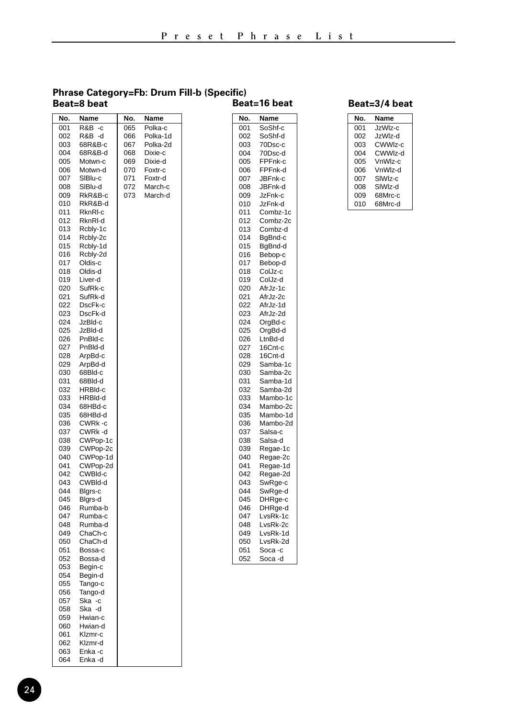#### **Phrase Category=Fb: Drum Fill-b (Specific) Beat=8 beat Beat=16 beat Beat=3/4 beat**

| No.        | Name               | No. | Name     |
|------------|--------------------|-----|----------|
| 001        | R&B<br>-c          | 065 | Polka-c  |
| 002        | R&B<br>-d          | 066 | Polka-1d |
| 003        | 68R&B-c            | 067 | Polka-2d |
| 004        | 68R&B-d            | 068 | Dixie-c  |
| 005        | Motwn-c            | 069 | Dixie-d  |
| 006        | Motwn-d            | 070 | Foxtr-c  |
| 007        | SIBlu-c            | 071 | Foxtr-d  |
| 008        | SIBlu-d            | 072 | March-c  |
| 009        | RkR&B-c            | 073 | March-d  |
| 010        | RkR&B-d            |     |          |
| 011        | RknRI-c            |     |          |
| 012        | RknRI-d            |     |          |
| 013        | Rcbly-1c           |     |          |
| 014        | Rcbly-2c           |     |          |
| 015        | Rcbly-1d           |     |          |
| 016        | Rcbly-2d           |     |          |
| 017        | Oldis-c            |     |          |
| 018        | Oldis-d            |     |          |
| 019        | Liver-d            |     |          |
| 020        | SufRk-c            |     |          |
| 021        | SufRk-d            |     |          |
| 022        | DscFk-c            |     |          |
| 023        | DscFk-d            |     |          |
| 024        | JzBld-c            |     |          |
| 025        | JzBld-d            |     |          |
| 026        | PnBld-c            |     |          |
| 027        | PnBld-d            |     |          |
| 028        | ArpBd-c            |     |          |
| 029        | ArpBd-d            |     |          |
| 030        | 68Bld-c            |     |          |
| 031        | 68Bld-d            |     |          |
| 032        | HRBId-c            |     |          |
| 033        | HRBId-d            |     |          |
| 034        | 68HBd-c            |     |          |
| 035        | 68HBd-d            |     |          |
| 036        | CWRk-c             |     |          |
| 037        | CWRk-d             |     |          |
| 038        | CWPop-1c           |     |          |
| 039        | CWPop-2c           |     |          |
| 040        | CWPop-1d           |     |          |
| 041        | CWPop-2d           |     |          |
| 042        | CWBld-c            |     |          |
| 043        | CWBId-d            |     |          |
| 044        | Blgrs-c            |     |          |
| 045        | Blgrs-d            |     |          |
| 046        | Rumba-b            |     |          |
| 047        | Rumba-c            |     |          |
| 048<br>049 | Rumba-d            |     |          |
| 050        | ChaCh-c<br>ChaCh-d |     |          |
| 051        | Bossa-c            |     |          |
| 052        | Bossa-d            |     |          |
| 053        | Begin-c            |     |          |
| 054        | Begin-d            |     |          |
| 055        | Tango-c            |     |          |
| 056        | Tango-d            |     |          |
| 057        | Ska<br>$-C$        |     |          |
| 058        | Ska<br>-d          |     |          |
| 059        | Hwian-c            |     |          |
| 060        | Hwian-d            |     |          |
| 061        | Klzmr-c            |     |          |
| 062        | Klzmr-d            |     |          |
| 063        | Enka -c            |     |          |
| 064        | Enka -d            |     |          |

| No. | Name       |
|-----|------------|
| 001 | SoShf-c    |
| 002 | SoShf-d    |
| 003 | 70Dsc-c    |
| 004 | 70Dsc-d    |
| 005 | FPFnk-c    |
| 006 | FPFnk-d    |
| 007 | JBFnk-c    |
| 008 | JBFnk-d    |
| 009 | JzFnk-c    |
| 010 | JzFnk-d    |
| 011 | Combz-1c   |
| 012 |            |
|     | Combz-2c   |
| 013 | Combz-d    |
| 014 | BgBnd-c    |
| 015 | BgBnd-d    |
| 016 | Bebop-c    |
| 017 | Bebop-d    |
| 018 | ColJz-c    |
| 019 | ColJz-d    |
| 020 | AfrJz-1c   |
| 021 | AfrJz-2c   |
| 022 | AfrJz-1d   |
| 023 | AfrJz-2d   |
| 024 | OrgBd-c    |
| 025 | OrgBd-d    |
| 026 | LtnBd-d    |
| 027 | 16Cnt-c    |
| 028 | 16Cnt-d    |
| 029 | Samba-1c   |
| 030 | Samba-2c   |
| 031 | Samba-1d   |
| 032 | Samba-2d   |
| 033 | Mambo-1c   |
| 034 | Mambo-2c   |
| 035 | Mambo-1d   |
| 036 | Mambo-2d   |
| 037 | Salsa-c    |
| 038 | Salsa-d    |
| 039 |            |
| 040 | Regae-1c   |
|     | Regae-2c   |
| 041 | Regae-1d   |
| 042 | Regae-2d   |
| 043 | SwRge-c    |
| 044 | SwRge-d    |
| 045 | DHRge-c    |
| 046 | DHRge-d    |
| 047 | LvsRk-1c   |
| 048 | LvsRk-2c   |
| 049 | LvsRk-1d   |
| 050 | LvsRk-2d   |
| 051 | Soca-c     |
| 052 | Soca<br>-d |

| No. | Name                |
|-----|---------------------|
| 001 | JzWlz-c             |
| 002 | .lzWlz-d            |
| 003 | CWWIz-c             |
| 004 | CWWIz-d             |
| 005 | VnWlz-c             |
| 006 | VnWlz-d             |
| 007 | SIW <sub>Iz-c</sub> |
| 008 | SIW <sub>Iz-d</sub> |
| 009 | 68Mrc-c             |
| 010 | 68Mrc-d             |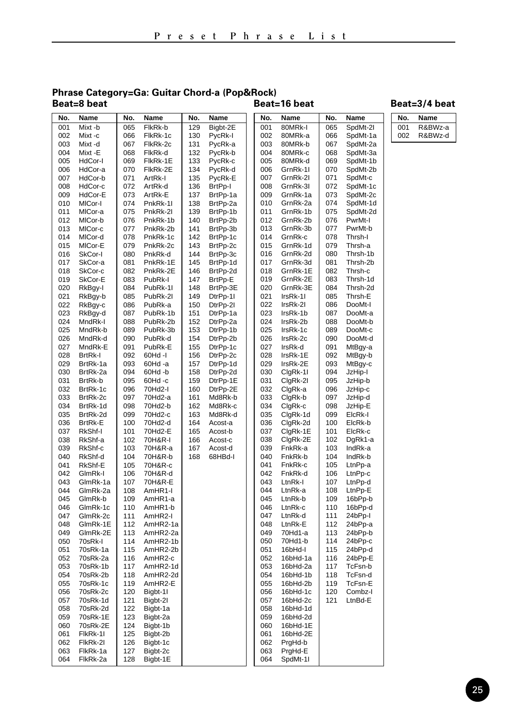## **Phrase Category=Ga: Guitar Chord-a (Pop&Rock)**

### Beat=16 beat

| No.        | Name                 | No.        | Name                 | No.        | Name                 | No.        | Name                 | No.        | Name                | No. | Name    |
|------------|----------------------|------------|----------------------|------------|----------------------|------------|----------------------|------------|---------------------|-----|---------|
| 001        | Mixt-b               | 065        | FlkRk-b              | 129        | Bigbt-2E             | 001        | 80MRk-I              | 065        | SpdMt-2I            | 001 | R&BWz-a |
| 002        | Mixt-c               | 066        | FlkRk-1c             | 130        | PycRk-I              | 002        | 80MRk-a              | 066        | SpdMt-1a            | 002 | R&BWz-d |
| 003        | Mixt -d              | 067        | FlkRk-2c             | 131        | PycRk-a              | 003        | 80MRk-b              | 067        | SpdMt-2a            |     |         |
| 004        | Mixt -E              | 068        | FlkRk-d              | 132        | PycRk-b              | 004        | 80MRk-c              | 068        | SpdMt-3a            |     |         |
| 005        | HdCor-I              | 069        | FlkRk-1E             | 133        | PycRk-c              | 005        | 80MRk-d              | 069        | SpdMt-1b            |     |         |
| 006        | HdCor-a              | 070        | FIkRk-2E             | 134        | PycRk-d              | 006        | GrnRk-11             | 070        | SpdMt-2b            |     |         |
| 007        | HdCor-b              | 071        | ArtRk-I              | 135        | PycRk-E              | 007        | GrnRk-2I             | 071        | SpdMt-c             |     |         |
| 008        | HdCor-c              | 072        | ArtRk-d              | 136        | BrtPp-I              | 008        | GrnRk-3I             | 072        | SpdMt-1c            |     |         |
| 009        | HdCor-E              | 073        | ArtRk-E              | 137        | BrtPp-1a             | 009        | GrnRk-1a             | 073        | SpdMt-2c            |     |         |
| 010        | MICor-I              | 074        | PnkRk-11             | 138        | BrtPp-2a             | 010        | GrnRk-2a             | 074        | SpdMt-1d            |     |         |
| 011<br>012 | MICor-a<br>MICor-b   | 075<br>076 | PnkRk-2I<br>PnkRk-1b | 139<br>140 | BrtPp-1b<br>BrtPp-2b | 011<br>012 | GrnRk-1b<br>GrnRk-2b | 075<br>076 | SpdMt-2d<br>PwrMt-I |     |         |
| 013        | MICor-c              | 077        | PnkRk-2b             | 141        | BrtPp-3b             | 013        | GrnRk-3b             | 077        | PwrMt-b             |     |         |
| 014        | MICor-d              | 078        | PnkRk-1c             | 142        | BrtPp-1c             | 014        | GrnRk-c              | 078        | Thrsh-I             |     |         |
| 015        | MICor-E              | 079        | PnkRk-2c             | 143        | BrtPp-2c             | 015        | GrnRk-1d             | 079        | Thrsh-a             |     |         |
| 016        | SkCor-I              | 080        | PnkRk-d              | 144        | BrtPp-3c             | 016        | GrnRk-2d             | 080        | Thrsh-1b            |     |         |
| 017        | SkCor-a              | 081        | PnkRk-1E             | 145        | BrtPp-1d             | 017        | GrnRk-3d             | 081        | Thrsh-2b            |     |         |
| 018        | SkCor-c              | 082        | PnkRk-2E             | 146        | BrtPp-2d             | 018        | GrnRk-1E             | 082        | Thrsh-c             |     |         |
| 019        | SkCor-E              | 083        | PubRk-I              | 147        | BrtPp-E              | 019        | GrnRk-2E             | 083        | Thrsh-1d            |     |         |
| 020        | RkBgy-I              | 084        | PubRk-11             | 148        | BrtPp-3E             | 020        | GrnRk-3E             | 084        | Thrsh-2d            |     |         |
| 021        | RkBgy-b              | 085        | PubRk-2I             | 149        | DtrPp-11             | 021        | IrsRk-1I             | 085        | Thrsh-E             |     |         |
| 022        | RkBgy-c              | 086        | PubRk-a              | 150        | DtrPp-21             | 022        | IrsRk-2I             | 086        | DooMt-I             |     |         |
| 023        | RkBgy-d              | 087        | PubRk-1b             | 151        | DtrPp-1a             | 023        | IrsRk-1b             | 087        | DooMt-a             |     |         |
| 024        | MndRk-I              | 088        | PubRk-2b             | 152        | DtrPp-2a             | 024        | IrsRk-2b             | 088        | DooMt-b             |     |         |
| 025        | MndRk-b              | 089        | PubRk-3b             | 153        | DtrPp-1b             | 025        | IrsRk-1c             | 089        | DooMt-c             |     |         |
| 026        | MndRk-d              | 090        | PubRk-d              | 154        | DtrPp-2b             | 026        | IrsRk-2c             | 090        | DooMt-d             |     |         |
| 027        | MndRk-E              | 091        | PubRk-E              | 155        | DtrPp-1c             | 027        | IrsRk-d              | 091        | MtBgy-a             |     |         |
| 028        | <b>BrtRk-I</b>       | 092        | 60Hd -I              | 156        | DtrPp-2c             | 028        | IrsRk-1E             | 092        | MtBgy-b             |     |         |
| 029<br>030 | BrtRk-1a<br>BrtRk-2a | 093<br>094 | 60Hd -a<br>60Hd -b   | 157<br>158 | DtrPp-1d<br>DtrPp-2d | 029<br>030 | IrsRk-2E<br>ClgRk-11 | 093<br>094 | MtBgy-c<br>JzHip-I  |     |         |
| 031        | BrtRk-b              | 095        | 60Hd -c              | 159        | DtrPp-1E             | 031        | ClgRk-2I             | 095        | JzHip-b             |     |         |
| 032        | BrtRk-1c             | 096        | 70Hd2-I              | 160        | DtrPp-2E             | 032        | ClgRk-a              | 096        | JzHip-c             |     |         |
| 033        | BrtRk-2c             | 097        | 70Hd2-a              | 161        | Md8Rk-b              | 033        | ClgRk-b              | 097        | JzHip-d             |     |         |
| 034        | BrtRk-1d             | 098        | 70Hd2-b              | 162        | Md8Rk-c              | 034        | ClgRk-c              | 098        | JzHip-E             |     |         |
| 035        | BrtRk-2d             | 099        | 70Hd2-c              | 163        | Md8Rk-d              | 035        | ClgRk-1d             | 099        | ElcRk-I             |     |         |
| 036        | BrtRk-E              | 100        | 70Hd2-d              | 164        | Acost-a              | 036        | ClgRk-2d             | 100        | ElcRk-b             |     |         |
| 037        | RkShf-I              | 101        | 70Hd2-E              | 165        | Acost-b              | 037        | ClgRk-1E             | 101        | ElcRk-c             |     |         |
| 038        | RkShf-a              | 102        | 70H&R-I              | 166        | Acost-c              | 038        | ClgRk-2E             | 102        | DgRk1-a             |     |         |
| 039        | RkShf-c              | 103        | 70H&R-a              | 167        | Acost-d              | 039        | FnkRk-a              | 103        | IndRk-a             |     |         |
| 040        | RkShf-d              | 104        | 70H&R-b              | 168        | 68HBd-I              | 040        | FnkRk-b              | 104        | IndRk-b             |     |         |
| 041        | RkShf-E              | 105        | 70H&R-c              |            |                      | 041        | FnkRk-c              | 105        | LtnPp-a             |     |         |
| 042        | GlmRk-I              | 106        | 70H&R-d              |            |                      | 042        | FnkRk-d              | 106        | LtnPp-c             |     |         |
| 043<br>044 | GlmRk-1a<br>GlmRk-2a | 107<br>108 | 70H&R-E<br>AmHR1-I   |            |                      | 043<br>044 | LtnRk-l              | 107<br>108 | LtnPp-d<br>LtnPp-E  |     |         |
| 045        | GlmRk-b              | 109        | AmHR1-a              |            |                      | 045        | LtnRk-a<br>LtnRk-b   | 109        | 16bPp-b             |     |         |
| 046        | GlmRk-1c             | 110        | AmHR1-b              |            |                      | 046        | LtnRk-c              | 110        | 16bPp-d             |     |         |
| 047        | GlmRk-2c             | 111        | AmHR2-I              |            |                      | 047        | LtnRk-d              | 111        | 24bPp-l             |     |         |
| 048        | GlmRk-1E             | 112        | AmHR2-1a             |            |                      | 048        | LtnRk-E              | 112        | 24bPp-a             |     |         |
| 049        | GlmRk-2E             | 113        | AmHR2-2a             |            |                      | 049        | 70Hd1-a              | 113        | 24bPp-b             |     |         |
| 050        | 70sRk-l              | 114        | AmHR2-1b             |            |                      | 050        | 70Hd1-b              | 114        | 24bPp-c             |     |         |
| 051        | 70sRk-1a             | 115        | AmHR2-2b             |            |                      | 051        | 16bHd-l              | 115        | 24bPp-d             |     |         |
| 052        | 70sRk-2a             | 116        | AmHR2-c              |            |                      | 052        | 16bHd-1a             | 116        | 24bPp-E             |     |         |
| 053        | 70sRk-1b             | 117        | AmHR2-1d             |            |                      | 053        | 16bHd-2a             | 117        | TcFsn-b             |     |         |
| 054        | 70sRk-2b             | 118        | AmHR2-2d             |            |                      | 054        | 16bHd-1b             | 118        | TcFsn-d             |     |         |
| 055        | 70sRk-1c             | 119        | AmHR2-E              |            |                      | 055        | 16bHd-2b             | 119        | TcFsn-E             |     |         |
| 056        | 70sRk-2c             | 120        | Bigbt-11             |            |                      | 056        | 16bHd-1c             | 120        | Combz-I             |     |         |
| 057<br>058 | 70sRk-1d             | 121<br>122 | Bigbt-2l             |            |                      | 057<br>058 | 16bHd-2c             | 121        | LtnBd-E             |     |         |
| 059        | 70sRk-2d<br>70sRk-1E | 123        | Bigbt-1a<br>Bigbt-2a |            |                      | 059        | 16bHd-1d<br>16bHd-2d |            |                     |     |         |
| 060        | 70sRk-2E             | 124        | Bigbt-1b             |            |                      | 060        | 16bHd-1E             |            |                     |     |         |
| 061        | FIkRk-1I             | 125        | Bigbt-2b             |            |                      | 061        | 16bHd-2E             |            |                     |     |         |
| 062        | FIkRk-2I             | 126        | Bigbt-1c             |            |                      | 062        | PrgHd-b              |            |                     |     |         |
| 063        | FlkRk-1a             | 127        | Bigbt-2c             |            |                      | 063        | PrgHd-E              |            |                     |     |         |
| 064        | FlkRk-2a             | 128        | Bigbt-1E             |            |                      | 064        | SpdMt-11             |            |                     |     |         |
|            |                      |            |                      |            |                      |            |                      |            |                     |     |         |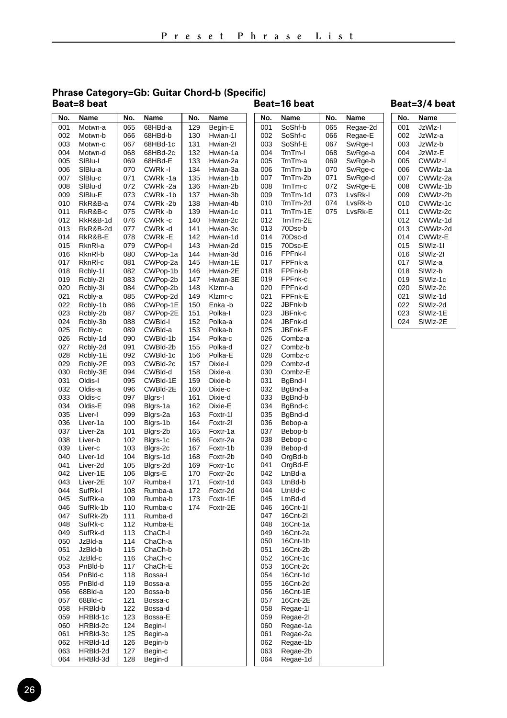#### **Phrase Category=Gb: Guitar Chord-b (Specific) Beat=8 beat Beat=16 beat**

#### 001 JzWlz-I<br>002 JzWlz-a 002 JzWlz-a 1zMlz-b 004 JzWlz-E<br>005 CWWlz-005 CWWIz-I 006 CWWlz-1a 007 CWWlz-2a<br>008 CWWlz-1b 008 CWWIz-1b<br>009 CWWIz-2b 009 CWWlz-2b<br>010 CWWlz-1c 010 CWWIz-1c<br>011 CWWIz-2c 011 CWWIz-2c CWM<sub>17-1d</sub> 013 CWWIz-2d<br>014 CWWIz-E 014 CWWIz-E 015 SlWlz-1I 016 SIWIz-2I 017 SIWIz-a<br>018 SIWIz-b 018 SIWIz-b<br>019 SIWIz-1 019 SIWIz-1c SIMI<sub>7-2c</sub> 021 SIWIz-1d<br>022 SIWIz-2d 022 SIWIz-2d<br>023 SIWIz-1E SIM<sub>Iz-1</sub>F 024 SlWlz-2E **No. Name** 001 Motwn-a 002 Motwn-b<br>003 Motwn-c Motwn-c 004 Motwn-d<br>005 SIBlu-l 005 SIBlu-I<br>006 SIBlu-a 006 SIBlu-a<br>007 SIBlu-c 007 SIBlu-c<br>008 SIBlu-d 008 SIBlu-d<br>009 SIBlu-E 009 SIBlu-E<br>010 RkR&B-010 RkR&B-a<br>011 RkR&B-c 011 RkR&B-c<br>012 RkR&B-1 012 RkR&B-1d 013 RkR&B-2d<br>014 RkR&B-E 014 RkR&B-E<br>015 RknRI-a 015 RknRl-a 016 RknRl-b 017 RknRI-c<br>018 Rcblv-11 Rcbly-1I 019 Rcbly-2l<br>020 Rcbly-3l Rcbly-3I 021 Rcbly-a<br>022 Rcbly-1 022 Rcbly-1b<br>023 Rcbly-2b 023 Rcbly-2b<br>024 Rcbly-3b Rcbly-3b 025 Rcbly-c<br>026 Rcbly-1 026 Rcbly-1d<br>027 Rcbly-2d Rcbly-2d 028 Rcbly-1E<br>029 Rcbly-2E 029 Rcbly-2E<br>030 Rcbly-3E Rcbly-3E 031 Oldis-I<br>032 Oldis-a 032 Oldis-a<br>033 Oldis-c Oldis-c 034 Oldis-E<br>035 Liver-I 035 Liver-I 036 Liver-1a 037 Liver-2a 038 Liver-b<br>039 Liver-c 039 Liver-c<br>040 Liver-1 040 Liver-1d<br>041 Liver-2d Liver-2d 042 Liver-1E<br>043 Liver-2F 043 Liver-2E<br>044 SufRk-I SufRk-I 045 SufRk-a<br>046 SufRk-1 046 SufRk-1b<br>047 SufRk-2b SufRk-2b 048 SufRk-c<br>049 SufRk-d 049 SufRk-d<br>050 JzBld-a 050 JzBld-a 051 JzBld-b<br>052 JzBld-c 052 JzBld-c<br>053 PoBld-b 053 PnBld-b<br>054 PnBld-c 054 PnBld-c<br>055 PnBld-d 055 PnBld-d<br>056 68Bld-a 056 68Bld-a 057 68Bld-c<br>058 HRBld-t 058 HRBld-b<br>059 HRBld-1 HRBId-1c 060 HRBId-2c<br>061 HRBId-3c 061 HRBld-3c<br>062 HRBld-1d 062 HRBId-1d<br>063 HRBId-2d 063 HRBId-2d<br>064 HRBId-3d HRBId-3d 065 68HBd-a 066 68HBd-b  $68$ HBd-1c 068 68HBd-2c<br>069 68HBd-E 069 68HBd-E 070 CWRk -I 071 CWRk-1a<br>072 CWRk-2a 072 CWRk-2a<br>073 CWRk-1b 073 CWRk -1b<br>074 CWRk -2b 074 CWRk-2b<br>075 CWRk-b 075 CWRk-b<br>076 CWRk-c CWR<sub>k</sub> -c 077 CWRk -d<br>078 CWRk -E 078 CWRk-E CWPop-I 080 CWPop-1a 081 CWPop-2a CWPop-1b 083 CWPop-2b<br>084 CWPop-2b CWPop-2b 085 CWPop-2d<br>086 CWPop-1E 086 CWPop-1E 087 CWPop-2E CWBId-I 089 CWBld-a<br>090 CWBld-1I 090 CWBld-1b CWBI<sub>d-2b</sub> 092 CWBld-1c<br>093 CWBld-2c 093 CWBld-2c<br>094 CWBld-d CWBId-d 095 CWBld-1E 096 CWBld-2E<br>097 Blars-I Blgrs-I 098 Blgrs-1a Blgrs-2a 100 Blgrs-1b 101 Blgrs-2b 102 Blgrs-1c 103 Blgrs-2c<br>104 Blgrs-1d 104 Blgrs-1d<br>105 Blgrs-2d Blgrs-2d 106 Blgrs-E<br>107 Rumba-107 Rumba-I<br>108 Rumba-a Rumba-a 109 Rumba-b<br>110 Rumba-c Rumba-c 111 Rumba-d 112 Rumba-E 113 ChaCh-I<br>114 ChaCh-a ChaCh-a 115 ChaCh-b<br>116 ChaCh-c ChaCh-c 117 ChaCh-E<br>118 Bossa-I 118 Bossa-I<br>119 Bossa-a 119 Bossa-a<br>120 Bossa-b Rossa-b 121 Bossa-c<br>122 Bossa-d 122 Bossa-d<br>123 Bossa-E 123 Bossa-E 124 Begin-I<br>125 Begin-a 125 Begin-a Begin-b 127 Begin-c<br>128 Begin-d Begin-d 129 Begin-E<br>130 Hwian-1 130 Hwian-1|<br>131 Hwian-2| Hwian-2I 132 Hwian-1a<br>133 Hwian-2a 133 Hwian-2a<br>134 Hwian-3a 134 Hwian-3a<br>135 Hwian-1h 135 Hwian-1b<br>136 Hwian-2b 136 Hwian-2b<br>137 Hwian-3b Hwian-3b 138 Hwian-4b<br>139 Hwian-1c 139 Hwian-1c<br>140 Hwian-2c Hwian-2c 141 Hwian-3c<br>142 Hwian-1d 142 Hwian-1d<br>143 Hwian-2d Hwian-2d 144 Hwian-3d 145 Hwian-1E<br>146 Hwian-2E Hwian-2E 147 Hwian-3E<br>148 Klzmr-a Klzmr-a 149 Klzmr-c<br>150 Enka -b 150 Enka -b<br>151 Polka-l 151 Polka-I<br>152 Polka-a 152 Polka-a 153 Polka-b<br>154 Polka-c 154 Polka-c<br>155 Polka-d 155 Polka-d 156 Polka-E<br>157 Dixie-I 157 Dixie-I<br>158 Dixie-a Dixie-a 159 Dixie-b<br>160 Dixie-c 160 Dixie-c<br>161 Dixie-d Dixie-d 162 Dixie-E<br>163 Eoxtr-11 Foxtr-1I 164 Foxtr-2I 165 Foxtr-1a 166 Foxtr-2a 167 Foxtr-1b<br>168 Foxtr-2b 168 Foxtr-2b<br>169 Foxtr-1c Foxtr-1c 170 Foxtr-2c<br>171 Foxtr-1d 171 Foxtr-1d<br>172 Foxtr-2d 172 Foxtr-2d 173 Foxtr-1E Foxtr-2E **No. Name No. Name No. Name** 001 SoShf-b 002 SoShf-c<br>003 SoShf-E SoShf-E 004 TrnTm-I<br>005 TrnTm-a 005 TrnTm-a TrnTm-1h 007 TrnTm-2b<br>008 TrnTm-c 008 TrnTm-c<br>009 TrnTm-1 009 TrnTm-1d<br>010 TrnTm-2d 010 TrnTm-2d<br>011 TrnTm-1F 011 TrnTm-1E<br>012 TrnTm-2E TrnTm-2F 013 70Dsc-b<br>014 70Dsc-d 014 70Dsc-d<br>015 70Dsc-E  $70Dsc-E$ 016 FPFnk-I 017 FPFnk-a 018 FPFnk-b 019 FPFnk-c<br>020 FPFnk-d 020 FPFnk-d<br>021 FPFnk-F 021 FPFnk-E<br>022 JBFnk-b 022 JBFnk-b<br>023 JBFnk-c 023 JBFnk-c<br>024 JBFnk-d 024 JBFnk-d 025 JBFnk-E<br>026 Combz-a 026 Combz-a 027 Combz-b<br>028 Combz-c 028 Combz-c<br>029 Combz-d 029 Combz-d<br>030 Combz-E Combz-E 031 BgBnd-I<br>032 BgBnd-a 032 BgBnd-a BgBnd-b 034 BgBnd-c<br>035 BgBnd-d BgBnd-d 036 Bebop-a 037 Bebop-b 038 Bebop-c<br>039 Bebop-d 039 Bebop-d<br>040 OrgBd-h 040 OrgBd-b<br>041 OrgBd-E OrgBd-E 042 LtnBd-a<br>043 LtnBd-h 043 LtnBd-b<br>044 LtnBd-c 044 LtnBd-c<br>045 LtnBd-d 045 LtnBd-d<br>046 16Cnt-1 046 16Cnt-1I<br>047 16Cnt-2I 16Cnt-2I 048 16Cnt-1a 049 16Cnt-2a<br>050 16Cnt-1b 050 16Cnt-1b 051 16Cnt-2b<br>052 16Cnt-1c 052 16Cnt-1c<br>053 16Cnt-2c 053 16Cnt-2c<br>054 16Cnt-1d 054 16Cnt-1d<br>055 16Cnt-2d 055 16Cnt-2d<br>056 16Cnt-1E 16Cnt-1E 057 16Cnt-2E<br>058 Regae-1I 058 Regae-1I<br>059 Regae-2I Regae-2I 060 Regae-1a<br>061 Regae-2a 061 Regae-2a<br>062 Regae-1b 062 Regae-1b<br>063 Regae-2b 063 Regae-2b<br>064 Regae-1d Regae-1d 065 Regae-2d 066 Regae-E<br>067 SwRge-I SwRge-I 068 SwRge-a 069 SwRge-b SwRge-c 071 SwRge-d<br>072 SwRge-E 072 SwRge-E<br>073 LysRk-I 073 LvsRk-I<br>074 LvsRk-b 074 LvsRk-b<br>075 LvsRk-F LvsRk-F **No. Name No. Name**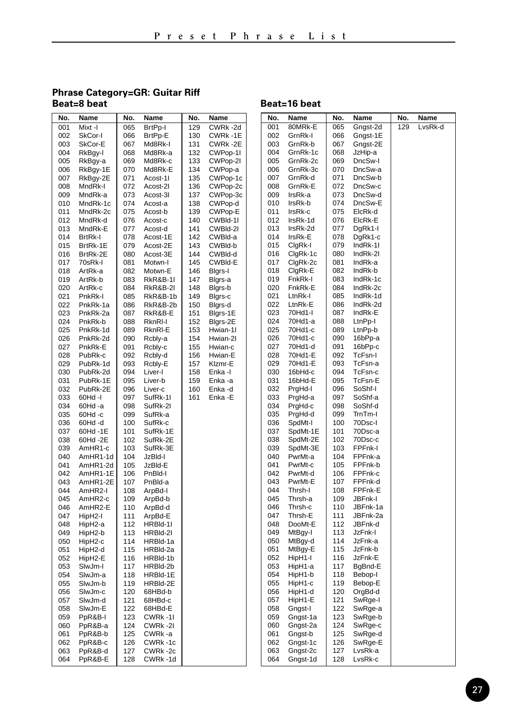## **Phrase Category=GR: Guitar Riff**

| No. | Name           | No. | Name                | No. | Name     | No. | Name    |
|-----|----------------|-----|---------------------|-----|----------|-----|---------|
|     |                |     |                     |     |          |     |         |
| 001 | Mixt-I         | 065 | BrtPp-I             | 129 | CWRk-2d  | 001 | 80MRI   |
| 002 | SkCor-I        | 066 | BrtPp-E             | 130 | CWRk -1E | 002 | GrnRk   |
| 003 | SkCor-E        | 067 | Md8Rk-I             | 131 | CWRk-2E  | 003 | GrnRk   |
| 004 | RkBgy-I        | 068 | Md8Rk-a             | 132 | CWPop-1I | 004 | GrnRk   |
| 005 | RkBgy-a        | 069 | Md8Rk-c             | 133 | CWPop-2I | 005 | GrnRk   |
| 006 | RkBgy-1E       | 070 | Md8Rk-E             | 134 | CWPop-a  | 006 | GrnRk   |
| 007 | RkBgy-2E       | 071 | Acost-11            | 135 | CWPop-1c | 007 | GrnRk   |
| 008 | MndRk-I        | 072 | Acost-21            | 136 | CWPop-2c | 008 | GrnRk   |
| 009 | MndRk-a        | 073 | Acost-31            | 137 | CWPop-3c | 009 | IrsRk-a |
| 010 | MndRk-1c       | 074 | Acost-a             | 138 | CWPop-d  | 010 | IrsRk-I |
| 011 | MndRk-2c       | 075 | Acost-b             | 139 | CWPop-E  | 011 | IrsRk-o |
| 012 | MndRk-d        | 076 | Acost-c             | 140 | CWBId-11 | 012 | IrsRk-  |
| 013 | MndRk-E        | 077 | Acost-d             | 141 | CWBId-2I | 013 | IrsRk-2 |
| 014 | <b>BrtRk-I</b> | 078 | Acost-1E            | 142 | CWBId-a  | 014 | IrsRk-I |
| 015 | BrtRk-1E       | 079 | Acost-2E            | 143 | CWBId-b  | 015 | ClgRk-  |
| 016 |                | 080 |                     | 144 | CWBId-d  | 016 | ClgRk-  |
|     | BrtRk-2E       |     | Acost-3E            |     |          | 017 |         |
| 017 | 70sRk-I        | 081 | Motwn-I             | 145 | CWBId-E  |     | ClgRk-  |
| 018 | ArtRk-a        | 082 | Motwn-E             | 146 | Bigrs-I  | 018 | ClgRk-  |
| 019 | ArtRk-b        | 083 | <b>RkR&amp;B-1I</b> | 147 | Blgrs-a  | 019 | FnkRk   |
| 020 | ArtRk-c        | 084 | <b>RkR&amp;B-2I</b> | 148 | Bigrs-b  | 020 | FnkRk   |
| 021 | PnkRk-I        | 085 | RkR&B-1b            | 149 | Bigrs-c  | 021 | LtnRk-  |
| 022 | PnkRk-1a       | 086 | RkR&B-2b            | 150 | Blgrs-d  | 022 | LtnRk-  |
| 023 | PnkRk-2a       | 087 | RkR&B-E             | 151 | Blgrs-1E | 023 | 70Hd1   |
| 024 | PnkRk-b        | 088 | RknRI-I             | 152 | Blgrs-2E | 024 | 70Hd1   |
| 025 | PnkRk-1d       | 089 | RknRI-E             | 153 | Hwian-11 | 025 | 70Hd1   |
| 026 | PnkRk-2d       | 090 | Rcbly-a             | 154 | Hwian-2I | 026 | 70Hd1   |
| 027 | PnkRk-E        | 091 | Rcbly-c             | 155 | Hwian-c  | 027 | 70Hd1   |
| 028 | PubRk-c        | 092 | Rcbly-d             | 156 | Hwian-E  | 028 | 70Hd1   |
| 029 | PubRk-1d       | 093 | Rcbly-E             | 157 | Klzmr-E  | 029 | 70Hd1   |
| 030 | PubRk-2d       | 094 | Liver-I             | 158 | Enka -l  | 030 | 16bHd   |
| 031 | PubRk-1E       | 095 | Liver-b             | 159 | Enka -a  | 031 | 16bHd   |
| 032 | PubRk-2E       | 096 | Liver-c             | 160 | Enka -d  | 032 | PrgHd   |
| 033 | 60Hd -I        | 097 | SufRk-11            | 161 | Enka -E  | 033 | PrgHd   |
| 034 | 60Hd -a        | 098 | SufRk-2I            |     |          | 034 | PrgHd   |
| 035 | 60Hd-c         | 099 | SufRk-a             |     |          | 035 | PraHd   |
| 036 | 60Hd-d         | 100 | SufRk-c             |     |          | 036 | SpdMt   |
| 037 | 60Hd -1E       | 101 | SufRk-1E            |     |          | 037 | SpdMt   |
| 038 | 60Hd -2E       | 102 | SufRk-2E            |     |          | 038 | SpdMt   |
| 039 | AmHR1-c        | 103 | SufRk-3E            |     |          | 039 | SpdMt   |
| 040 | AmHR1-1d       | 104 | JzBld-l             |     |          | 040 | PwrMt   |
| 041 | AmHR1-2d       | 105 | JzBld-E             |     |          | 041 | PwrMt   |
| 042 | AmHR1-1E       | 106 | PnBld-I             |     |          | 042 | PwrMt   |
| 043 | AmHR1-2E       | 107 | PnBld-a             |     |          | 043 | PwrMt   |
| 044 | AmHR2-I        | 108 | ArpBd-I             |     |          | 044 | Thrsh-  |
| 045 | AmHR2-c        | 109 | ArpBd-b             |     |          | 045 | Thrsh-  |
| 046 | AmHR2-E        | 110 | ArpBd-d             |     |          | 046 | Thrsh-  |
| 047 | HipH2-I        | 111 | ArpBd-E             |     |          | 047 | Thrsh-  |
| 048 | HipH2-a        | 112 | HRBId-11            |     |          | 048 | DooMt   |
| 049 | HipH2-b        | 113 | HRBId-2I            |     |          | 049 | MtBgy   |
| 050 | HipH2-c        | 114 | HRBId-1a            |     |          | 050 | MtBgy   |
| 051 | HipH2-d        | 115 | HRBId-2a            |     |          | 051 | MtBgy   |
| 052 | HipH2-E        | 116 | HRBId-1b            |     |          | 052 | HipH1   |
| 053 | SlwJm-I        | 117 | HRBId-2b            |     |          | 053 | HipH1   |
| 054 | SlwJm-a        | 118 | HRBId-1E            |     |          | 054 | HipH1   |
| 055 | SlwJm-b        | 119 | HRBId-2E            |     |          | 055 | HipH1   |
| 056 | SlwJm-c        | 120 | 68HBd-b             |     |          | 056 | HipH1   |
| 057 | SlwJm-d        | 121 | 68HBd-c             |     |          | 057 | HipH1   |
| 058 | SlwJm-E        | 122 | 68HBd-E             |     |          | 058 | Gngst-  |
| 059 | PpR&B-I        | 123 | CWRk-11             |     |          | 059 | Gngst-  |
| 060 | PpR&B-a        | 124 | CWRk-2I             |     |          | 060 | Gngst-  |
| 061 | PpR&B-b        | 125 | CWRk-a              |     |          | 061 | Gngst-  |
| 062 | PpR&B-c        | 126 | CWRk-1c             |     |          | 062 | Gngst-  |
| 063 | PpR&B-d        | 127 | CWRk -2c            |     |          | 063 | Gngst-  |
| 064 | PpR&B-E        | 128 | CWRk-1d             |     |          | 064 | Gngst-  |
|     |                |     |                     |     |          |     |         |

#### Beat=16 beat

| No.        | Name               | No.        | Name               | No. | Name    |
|------------|--------------------|------------|--------------------|-----|---------|
| 001        | 80MRk-E            | 065        | Gngst-2d           | 129 | LvsRk-d |
| 002        | GrnRk-I            | 066        | Gngst-1E           |     |         |
| 003        | GrnRk-b            | 067        | Gngst-2E           |     |         |
| 004        | GrnRk-1c           | 068        | JzHip-a            |     |         |
| 005        | GrnRk-2c           | 069        | DncSw-I            |     |         |
| 006        | GrnRk-3c           | 070        | DncSw-a            |     |         |
| 007        | GrnRk-d            | 071        | DncSw-b            |     |         |
| 008        | GrnRk-E            | 072        | DncSw-c            |     |         |
| 009        | IrsRk-a            | 073        | DncSw-d            |     |         |
| 010        | IrsRk-b            | 074        | DncSw-E            |     |         |
| 011        | IrsRk-c            | 075        | ElcRk-d            |     |         |
| 012        | IrsRk-1d           | 076        | ElcRk-E            |     |         |
| 013        | IrsRk-2d           | 077        | DgRk1-I            |     |         |
| 014        | IrsRk-E            | 078        | DgRk1-c            |     |         |
| 015        | ClgRk-I            | 079        | IndRk-1I           |     |         |
| 016        | ClgRk-1c           | 080        | IndRk-2I           |     |         |
| 017        | ClgRk-2c           | 081        | IndRk-a            |     |         |
| 018        | ClgRk-E            | 082        | IndRk-b            |     |         |
| 019        | FnkRk-I            | 083        | IndRk-1c           |     |         |
| 020        | FnkRk-E            | 084        | IndRk-2c           |     |         |
| 021        | LtnRk-I            | 085        | IndRk-1d           |     |         |
| 022        | LtnRk-E            | 086        | IndRk-2d           |     |         |
| 023        | 70Hd1-l            | 087        | IndRk-E            |     |         |
| 024        | 70Hd1-a            | 088        | LtnPp-I            |     |         |
| 025        | 70Hd1-c            | 089        | LtnPp-b            |     |         |
| 026        | 70Hd1-c            | 090        | 16bPp-a            |     |         |
| 027        | 70Hd1-d            | 091        | 16bPp-c            |     |         |
| 028        | 70Hd1-E            | 092        | TcFsn-I            |     |         |
| 029        | 70Hd1-E            | 093        | TcFsn-a            |     |         |
| 030        | 16bHd-c            | 094        | TcFsn-c            |     |         |
| 031        | 16bHd-E            | 095        | TcFsn-E            |     |         |
| 032        | PrgHd-I            | 096        | SoShf-I            |     |         |
| 033        | PrgHd-a            | 097        | SoShf-a            |     |         |
| 034        | PrgHd-c            | 098        | SoShf-d            |     |         |
| 035        | PraHd-d            | 099        | TrnTm-I            |     |         |
| 036        | SpdMt-I            | 100        | 70Dsc-I            |     |         |
| 037        | SpdMt-1E           | 101        | 70Dsc-a            |     |         |
| 038        | SpdMt-2E           | 102        | 70Dsc-c            |     |         |
| 039        | SpdMt-3E           | 103        | FPFnk-I            |     |         |
| 040        | PwrMt-a            | 104        | FPFnk-a            |     |         |
| 041        | PwrMt-c            | 105        | FPFnk-b<br>FPFnk-c |     |         |
| 042        | PwrMt-d            | 106        |                    |     |         |
| 043<br>044 | PwrMt-E            | 107<br>108 | FPFnk-d<br>FPFnk-E |     |         |
| 045        | Thrsh-I<br>Thrsh-a | 109        | JBFnk-l            |     |         |
| 046        | Thrsh-c            | 110        | JBFnk-1a           |     |         |
| 047        | Thrsh-E            | 111        | JBFnk-2a           |     |         |
| 048        | DooMt-E            | 112        | JBFnk-d            |     |         |
| 049        | MtBgy-I            | 113        | JzFnk-l            |     |         |
| 050        | MtBgy-d            | 114        | JzFnk-a            |     |         |
| 051        | MtBgy-E            | 115        | JzFnk-b            |     |         |
| 052        | HipH1-I            | 116        | JzFnk-E            |     |         |
| 053        | HipH1-a            | 117        | BgBnd-E            |     |         |
| 054        | HipH1-b            | 118        | Bebop-I            |     |         |
| 055        | HipH1-c            | 119        | Bebop-E            |     |         |
| 056        | HipH1-d            | 120        | OrgBd-d            |     |         |
| 057        | HipH1-E            | 121        | SwRge-I            |     |         |
| 058        | Gngst-I            | 122        | SwRge-a            |     |         |
| 059        | Gngst-1a           | 123        | SwRge-b            |     |         |
| 060        | Gngst-2a           | 124        | SwRge-c            |     |         |
| 061        | Gngst-b            | 125        | SwRge-d            |     |         |
| 062        | Gngst-1c           | 126        | SwRge-E            |     |         |
| 063        | Gngst-2c           | 127        | LvsRk-a            |     |         |
| 064        | Gngst-1d           | 128        | LvsRk-c            |     |         |
|            |                    |            |                    |     |         |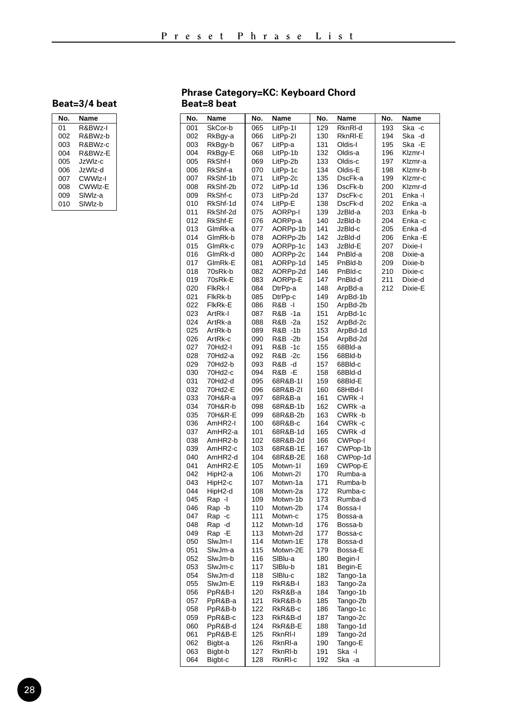| No. | Name     |
|-----|----------|
| 01  | R&BWz-I  |
| 002 | R&BWz-b  |
| 003 | R&BWz-c  |
| 004 | R&BWz-E  |
| 005 | .lzWlz-c |
| 006 | .lzWlz-d |
| 007 | CWWIz-I  |
| 008 | CWWlz-E  |
| 009 | SIWIz-a  |
| 010 | SIWIz-b  |

#### **Phrase Category=KC: Keyboard Chord Beat=8 beat**

| No. | Name     | No. | Name     | No.<br>Name |          | No. | Name    |
|-----|----------|-----|----------|-------------|----------|-----|---------|
| 001 | SkCor-b  | 065 | LitPp-11 | 129         | RknRI-d  | 193 | Ska -c  |
| 002 | RkBgy-a  | 066 | LitPp-2I | 130         | RknRI-E  | 194 | Ska -d  |
| 003 | RkBgy-b  | 067 | LitPp-a  | 131         | Oldis-I  | 195 | Ska -E  |
| 004 | RkBgy-E  | 068 | LitPp-1b | 132         | Oldis-a  | 196 | Klzmr-I |
| 005 | RkShf-I  | 069 | LitPp-2b | 133         | Oldis-c  | 197 | Klzmr-a |
| 006 | RkShf-a  | 070 | LitPp-1c | 134         | Oldis-E  | 198 | Klzmr-b |
| 007 | RkShf-1b | 071 | LitPp-2c | 135         | DscFk-a  | 199 | Klzmr-c |
| 008 | RkShf-2b | 072 | LitPp-1d | 136         | DscFk-b  | 200 | Klzmr-d |
| 009 | RkShf-c  | 073 | LitPp-2d | 137         | DscFk-c  | 201 | Enka -l |
| 010 | RkShf-1d | 074 | LitPp-E  | 138         | DscFk-d  | 202 | Enka-a  |
| 011 | RkShf-2d | 075 | AORPp-I  | 139         | JzBld-a  | 203 | Enka -b |
| 012 | RkShf-E  | 076 | AORPp-a  | 140         | JzBld-b  | 204 | Enka-c  |
| 013 | GlmRk-a  | 077 | AORPp-1b | 141         | JzBld-c  | 205 | Enka-d  |
| 014 | GlmRk-b  | 078 | AORPp-2b | 142         | JzBld-d  | 206 | Enka -E |
| 015 | GlmRk-c  | 079 | AORPp-1c | 143         | JzBld-E  | 207 | Dixie-l |
| 016 | GlmRk-d  | 080 | AORPp-2c | 144         | PnBld-a  | 208 | Dixie-a |
| 017 | GlmRk-E  | 081 | AORPp-1d | 145         | PnBld-b  | 209 | Dixie-b |
| 018 | 70sRk-b  | 082 | AORPp-2d | 146         | PnBld-c  | 210 | Dixie-c |
| 019 | 70sRk-E  | 083 | AORPp-E  | 147         | PnBld-d  | 211 | Dixie-d |
| 020 | FIKRK-I  | 084 | DtrPp-a  | 148         | ArpBd-a  | 212 | Dixie-E |
| 021 | FlkRk-b  | 085 | DtrPp-c  | 149         | ArpBd-1b |     |         |
| 022 | FIkRk-E  | 086 | R&B -I   | 150         | ArpBd-2b |     |         |
| 023 | ArtRk-l  | 087 | R&B -1a  | 151         | ArpBd-1c |     |         |
| 024 | ArtRk-a  | 088 | R&B -2a  | 152         | ArpBd-2c |     |         |
| 025 | ArtRk-b  | 089 | R&B -1b  | 153         | ArpBd-1d |     |         |
| 026 | ArtRk-c  | 090 | R&B -2b  | 154         | ArpBd-2d |     |         |
| 027 | 70Hd2-I  | 091 | R&B -1c  | 155         | 68Bld-a  |     |         |
| 028 | 70Hd2-a  | 092 | R&B -2c  | 156         | 68Bld-b  |     |         |
| 029 | 70Hd2-b  | 093 | R&B -d   | 157         | 68Bld-c  |     |         |
| 030 | 70Hd2-c  | 094 | R&B-E    | 158         | 68Bld-d  |     |         |
| 031 | 70Hd2-d  | 095 | 68R&B-1I | 159         | 68Bld-E  |     |         |
| 032 | 70Hd2-E  | 096 | 68R&B-2I | 160         | 68HBd-I  |     |         |
| 033 | 70H&R-a  | 097 | 68R&B-a  | 161         | CWRk -I  |     |         |
| 034 | 70H&R-b  | 098 | 68R&B-1b | 162         | CWRk-a   |     |         |
| 035 | 70H&R-E  | 099 | 68R&B-2b | 163         | CWRk-b   |     |         |
| 036 | AmHR2-I  | 100 | 68R&B-c  | 164         | CWRk -c  |     |         |
| 037 | AmHR2-a  | 101 | 68R&B-1d | 165         | CWRk-d   |     |         |
| 038 | AmHR2-b  | 102 | 68R&B-2d | 166         | CWPop-I  |     |         |
| 039 | AmHR2-c  | 103 | 68R&B-1E | 167         | CWPop-1b |     |         |
| 040 | AmHR2-d  | 104 | 68R&B-2E | 168         | CWPop-1d |     |         |
| 041 | AmHR2-E  | 105 | Motwn-1I | 169         | CWPop-E  |     |         |
| 042 | HipH2-a  | 106 | Motwn-2I | 170         | Rumba-a  |     |         |
| 043 | HipH2-c  | 107 | Motwn-1a | 171         | Rumba-b  |     |         |
| 044 | HipH2-d  | 108 | Motwn-2a | 172         | Rumba-c  |     |         |
| 045 | Rap -I   | 109 | Motwn-1b | 173         | Rumba-d  |     |         |
| 046 | Rap -b   | 110 | Motwn-2b | 174         | Bossa-I  |     |         |
| 047 | Rap -c   | 111 | Motwn-c  | 175         | Bossa-a  |     |         |
| 048 | Rap -d   | 112 | Motwn-1d | 176         | Bossa-b  |     |         |
| 049 | Rap -E   | 113 | Motwn-2d | 177         | Bossa-c  |     |         |
| 050 | SlwJm-I  | 114 | Motwn-1E | 178         | Bossa-d  |     |         |
| 051 | SlwJm-a  | 115 | Motwn-2E | 179         | Bossa-E  |     |         |
| 052 | SlwJm-b  | 116 | SIBlu-a  | 180         | Begin-I  |     |         |
| 053 | SlwJm-c  | 117 | SIBIu-b  | 181         | Begin-E  |     |         |
| 054 | SlwJm-d  | 118 | SIBlu-c  | 182         | Tango-1a |     |         |
| 055 | SlwJm-E  | 119 | RkR&B-I  | 183         | Tango-2a |     |         |
| 056 | PpR&B-I  | 120 | RkR&B-a  | 184         | Tango-1b |     |         |
| 057 | PpR&B-a  | 121 | RkR&B-b  | 185         | Tango-2b |     |         |
| 058 | PpR&B-b  | 122 | RkR&B-c  | 186         | Tango-1c |     |         |
| 059 | PpR&B-c  | 123 | RkR&B-d  | 187         | Tango-2c |     |         |
| 060 | PpR&B-d  | 124 | RkR&B-E  | 188         | Tango-1d |     |         |
| 061 | PpR&B-E  | 125 | RknRI-I  | 189         | Tango-2d |     |         |
| 062 | Bigbt-a  | 126 | RknRI-a  | 190         | Tango-E  |     |         |
| 063 | Bigbt-b  | 127 | RknRI-b  | 191         | Ska -l   |     |         |
| 064 | Bigbt-c  | 128 | RknRI-c  | 192         | Ska -a   |     |         |
|     |          |     |          |             |          |     |         |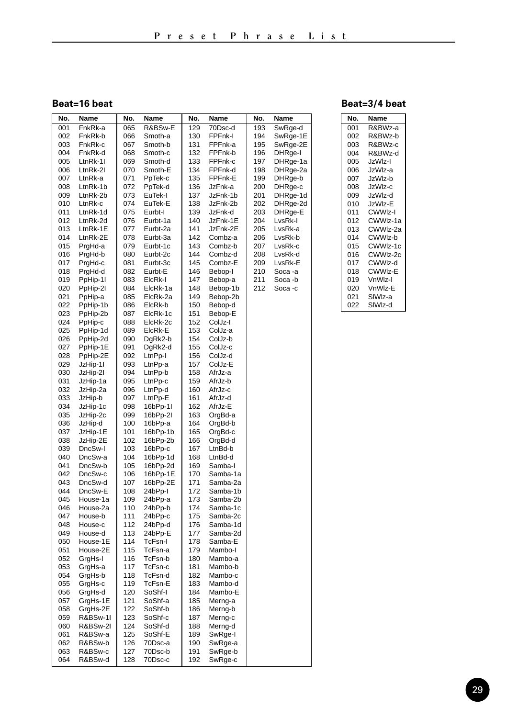**Beat=16 beat**

| No. | Name     | No. | Name     | No.<br>Name |          | No. | Name     |
|-----|----------|-----|----------|-------------|----------|-----|----------|
| 001 | FnkRk-a  | 065 | R&BSw-E  | 129         | 70Dsc-d  | 193 | SwRge-d  |
| 002 | FnkRk-b  | 066 | Smoth-a  | 130         | FPFnk-I  | 194 | SwRge-1E |
| 003 | FnkRk-c  | 067 | Smoth-b  | 131         | FPFnk-a  | 195 | SwRge-2E |
| 004 | FnkRk-d  | 068 | Smoth-c  | 132         | FPFnk-b  | 196 | DHRge-I  |
| 005 | LtnRk-11 | 069 | Smoth-d  | 133         | FPFnk-c  | 197 | DHRge-1a |
| 006 | LtnRk-21 | 070 | Smoth-E  | 134         | FPFnk-d  | 198 | DHRge-2a |
| 007 | LtnRk-a  | 071 | PpTek-c  | 135         | FPFnk-E  | 199 | DHRge-b  |
| 008 | LtnRk-1b | 072 | PpTek-d  | 136         | JzFnk-a  | 200 | DHRge-c  |
| 009 | LtnRk-2b | 073 | EuTek-I  | 137         | JzFnk-1b | 201 | DHRge-1d |
| 010 | LtnRk-c  | 074 | EuTek-E  | 138         | JzFnk-2b | 202 | DHRge-2d |
| 011 | LtnRk-1d | 075 | Eurbt-l  | 139         | JzFnk-d  | 203 | DHRge-E  |
| 012 | LtnRk-2d | 076 | Eurbt-1a | 140         | JzFnk-1E | 204 | LvsRk-l  |
| 013 | LtnRk-1E | 077 | Eurbt-2a | 141         | JzFnk-2E | 205 | LvsRk-a  |
| 014 | LtnRk-2E | 078 | Eurbt-3a | 142         | Combz-a  | 206 | LvsRk-b  |
| 015 | PrgHd-a  | 079 | Eurbt-1c | 143         | Combz-b  | 207 | LvsRk-c  |
| 016 | PrgHd-b  | 080 | Eurbt-2c | 144         | Combz-d  | 208 | LvsRk-d  |
| 017 | PrgHd-c  | 081 | Eurbt-3c | 145         | Combz-E  | 209 | LvsRk-E  |
| 018 | PraHd-d  | 082 | Eurbt-E  | 146         | Bebop-I  | 210 | Soca -a  |
| 019 | PpHip-11 | 083 | ElcRk-I  | 147         | Bebop-a  | 211 | Soca-b   |
|     |          | 084 |          | 148         |          | 212 | Soca -c  |
| 020 | PpHip-2I |     | ElcRk-1a | 149         | Bebop-1b |     |          |
| 021 | PpHip-a  | 085 | ElcRk-2a |             | Bebop-2b |     |          |
| 022 | PpHip-1b | 086 | ElcRk-b  | 150         | Bebop-d  |     |          |
| 023 | PpHip-2b | 087 | ElcRk-1c | 151         | Bebop-E  |     |          |
| 024 | PpHip-c  | 088 | ElcRk-2c | 152         | ColJz-I  |     |          |
| 025 | PpHip-1d | 089 | ElcRk-E  | 153         | ColJz-a  |     |          |
| 026 | PpHip-2d | 090 | DgRk2-b  | 154         | ColJz-b  |     |          |
| 027 | PpHip-1E | 091 | DgRk2-d  | 155         | ColJz-c  |     |          |
| 028 | PpHip-2E | 092 | LtnPp-I  | 156         | ColJz-d  |     |          |
| 029 | JzHip-11 | 093 | LtnPp-a  | 157         | ColJz-E  |     |          |
| 030 | JzHip-21 | 094 | LtnPp-b  | 158         | AfrJz-a  |     |          |
| 031 | JzHip-1a | 095 | LtnPp-c  | 159         | AfrJz-b  |     |          |
| 032 | JzHip-2a | 096 | LtnPp-d  | 160         | AfrJz-c  |     |          |
| 033 | JzHip-b  | 097 | LtnPp-E  | 161         | AfrJz-d  |     |          |
| 034 | JzHip-1c | 098 | 16bPp-11 | 162         | AfrJz-E  |     |          |
| 035 | JzHip-2c | 099 | 16bPp-2l | 163         | OrgBd-a  |     |          |
| 036 | JzHip-d  | 100 | 16bPp-a  | 164         | OrgBd-b  |     |          |
| 037 | JzHip-1E | 101 | 16bPp-1b | 165         | OrgBd-c  |     |          |
| 038 | JzHip-2E | 102 | 16bPp-2b | 166         | OrgBd-d  |     |          |
| 039 | DncSw-I  | 103 | 16bPp-c  | 167         | LtnBd-b  |     |          |
| 040 | DncSw-a  | 104 | 16bPp-1d | 168         | LtnBd-d  |     |          |
| 041 | DncSw-b  | 105 | 16bPp-2d | 169         | Samba-l  |     |          |
| 042 | DncSw-c  | 106 | 16bPp-1E | 170         | Samba-1a |     |          |
| 043 | DncSw-d  | 107 | 16bPp-2E | 171         | Samba-2a |     |          |
| 044 | DncSw-E  | 108 | 24bPp-I  | 172         | Samba-1b |     |          |
| 045 | House-1a | 109 | 24bPp-a  | 173         | Samba-2b |     |          |
| 046 | House-2a | 110 | 24bPp-b  | 174         | Samba-1c |     |          |
| 047 | House-b  | 111 | 24bPp-c  | 175         | Samba-2c |     |          |
| 048 | House-c  | 112 | 24bPp-d  | 176         | Samba-1d |     |          |
| 049 | House-d  | 113 | 24bPp-E  | 177         | Samba-2d |     |          |
| 050 | House-1E | 114 | TcFsn-l  | 178         | Samba-E  |     |          |
| 051 | House-2E | 115 | TcFsn-a  | 179         | Mambo-I  |     |          |
| 052 | GrgHs-I  | 116 | TcFsn-b  | 180         | Mambo-a  |     |          |
| 053 | GrgHs-a  | 117 | TcFsn-c  | 181         | Mambo-b  |     |          |
| 054 | GrgHs-b  | 118 | TcFsn-d  | 182         | Mambo-c  |     |          |
| 055 | GrgHs-c  | 119 | TcFsn-E  | 183         | Mambo-d  |     |          |
| 056 | GrgHs-d  | 120 | SoShf-I  | 184         | Mambo-E  |     |          |
| 057 | GrgHs-1E | 121 | SoShf-a  | 185         | Merng-a  |     |          |
| 058 | GrgHs-2E | 122 | SoShf-b  | 186         | Merng-b  |     |          |
| 059 | R&BSw-1I | 123 | SoShf-c  | 187         | Merng-c  |     |          |
| 060 | R&BSw-2I | 124 | SoShf-d  | 188         | Merng-d  |     |          |
| 061 | R&BSw-a  | 125 | SoShf-E  | 189         | SwRge-I  |     |          |
| 062 | R&BSw-b  | 126 | 70Dsc-a  | 190         | SwRge-a  |     |          |
| 063 | R&BSw-c  | 127 | 70Dsc-b  | 191         | SwRge-b  |     |          |
| 064 | R&BSw-d  | 128 | 70Dsc-c  | 192         | SwRge-c  |     |          |
|     |          |     |          |             |          |     |          |

| No. | Name                |
|-----|---------------------|
| 001 | R&BWz-a             |
| 002 | R&BWz-b             |
| 003 | R&BWz-c             |
| 004 | R&BWz-d             |
| 005 | JzWlz-I             |
| 006 | JzWlz-a             |
| 007 | JzWlz-b             |
| 800 | JzWlz-c             |
| 009 | JzWlz-d             |
| 010 | JzWlz-E             |
| 011 | CWWIz-I             |
| 012 | CWWlz-1a            |
| 013 | CWWlz-2a            |
| 014 | CWWlz-b             |
| 015 | CWWlz-1c            |
| 016 | CWWIz-2c            |
| 017 | CWWlz-d             |
| 018 | CWWIz-E             |
| 019 | VnWlz-I             |
| 020 | VnWlz-E             |
| 021 | SIW <sub>Iz-a</sub> |
| 022 | SIW <sub>Iz-d</sub> |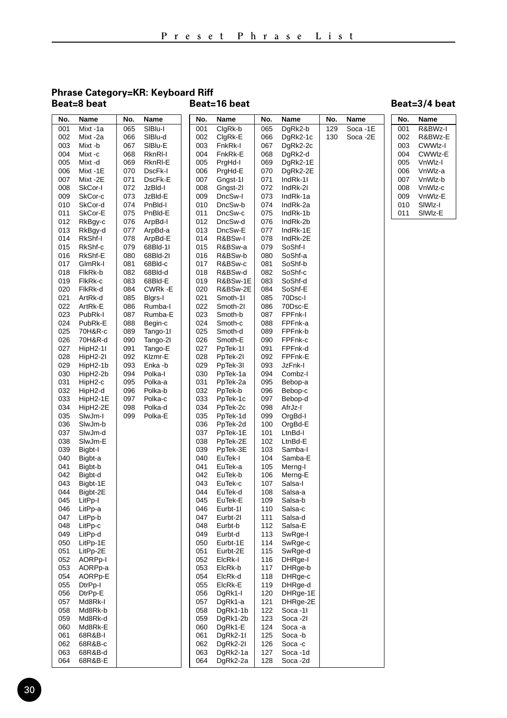#### **Phrase Category=KR: Keyboard Riff Beat=8 beat**

### **Beat=16 beat Beat=3/4 beat**

| No.        | Name                 | No.        | Name               | No.        | Name                 | No.        | Name               | No. | Name     | No. | Name    |
|------------|----------------------|------------|--------------------|------------|----------------------|------------|--------------------|-----|----------|-----|---------|
| 001        | Mixt-1a              | 065        | SIBlu-I            | 001        | ClgRk-b              | 065        | DgRk2-b            | 129 | Soca -1E | 001 | R&BWz-I |
| 002        | Mixt-2a              | 066        | SIBlu-d            | 002        | ClgRk-E              | 066        | DgRk2-1c           | 130 | Soca -2E | 002 | R&BWz-E |
| 003        | Mixt -b              | 067        | SIBlu-E            | 003        | FnkRk-I              | 067        | DgRk2-2c           |     |          | 003 | CWWIz-I |
| 004        | Mixt -c              | 068        | RknRI-I            | 004        | FnkRk-E              | 068        | DgRk2-d            |     |          | 004 | CWWIz-E |
| 005        | Mixt -d              | 069        | RknRI-E            | 005        | PrgHd-I              | 069        | DgRk2-1E           |     |          | 005 | VnWlz-l |
| 006        | Mixt-1E              | 070        | DscFk-I            | 006        | PrgHd-E              | 070        | DgRk2-2E           |     |          | 006 | VnWlz-a |
| 007        | Mixt-2E              | 071        | DscFk-E            | 007        | Gngst-11             | 071        | IndRk-11           |     |          | 007 | VnWlz-b |
| 008        | SkCor-I              | 072        | JzBld-l            | 008        | Gngst-21             | 072        | IndRk-2I           |     |          | 008 | VnWlz-c |
| 009        | SkCor-c              | 073        | JzBld-E            | 009        | DncSw-I              | 073        | IndRk-1a           |     |          | 009 | VnWlz-E |
| 010        | SkCor-d              | 074        | PnBld-l            | 010        | DncSw-b              | 074        | IndRk-2a           |     |          | 010 | SIWIz-I |
| 011        | SkCor-E              | 075        | PnBld-E            | 011        | DncSw-c              | 075        | IndRk-1b           |     |          | 011 | SIWIz-E |
| 012        | RkBgy-c              | 076        | ArpBd-I            | 012        | DncSw-d              | 076        | IndRk-2b           |     |          |     |         |
| 013        | RkBgy-d              | 077        | ArpBd-a            | 013        | DncSw-E              | 077        | IndRk-1E           |     |          |     |         |
| 014        | RkShf-I              | 078        | ArpBd-E            | 014        | R&BSw-I              | 078        | IndRk-2E           |     |          |     |         |
| 015        | RkShf-c              | 079        | 68Bld-11           | 015        | R&BSw-a              | 079        | SoShf-I            |     |          |     |         |
| 016        | RkShf-E              | 080        | 68Bld-21           | 016        | R&BSw-b              | 080        | SoShf-a            |     |          |     |         |
| 017        | GlmRk-I              | 081        | 68Bld-c            | 017        | R&BSw-c              | 081        | SoShf-b            |     |          |     |         |
| 018        | FlkRk-b              | 082        | 68Bld-d            | 018        | R&BSw-d              | 082        | SoShf-c            |     |          |     |         |
| 019        | FlkRk-c              | 083        | 68Bld-E            | 019        | R&BSw-1E             | 083        | SoShf-d            |     |          |     |         |
| 020        | FlkRk-d              | 084        | CWRk-E             | 020        | R&BSw-2E             | 084        | SoShf-E            |     |          |     |         |
| 021        | ArtRk-d              | 085        | Bigrs-I            | 021        | Smoth-11             | 085        | 70Dsc-I            |     |          |     |         |
| 022        | ArtRk-E              | 086        | Rumba-l            | 022        | Smoth-2I             | 086        | 70Dsc-E            |     |          |     |         |
| 023        | PubRk-I              | 087        | Rumba-E            | 023        | Smoth-b              | 087        | FPFnk-I            |     |          |     |         |
| 024        | PubRk-E              | 088        | Begin-c            | 024        | Smoth-c              | 088        | FPFnk-a            |     |          |     |         |
| 025        | 70H&R-c              | 089        | Tango-11           | 025        | Smoth-d              | 089        | FPFnk-b            |     |          |     |         |
| 026        | 70H&R-d              | 090        | Tango-21           | 026        | Smoth-E              | 090        | FPFnk-c            |     |          |     |         |
| 027        | HipH2-1I             | 091        | Tango-E            | 027        | PpTek-1I             | 091        | FPFnk-d            |     |          |     |         |
| 028        | HipH2-2I             | 092        | Klzmr-E            | 028        | PpTek-2I             | 092        | FPFnk-E            |     |          |     |         |
| 029        | HipH2-1b             | 093        | Enka -b            | 029        | PpTek-3I             | 093        | JzFnk-l            |     |          |     |         |
| 030        | HipH2-2b             | 094        | Polka-I            | 030        | PpTek-1a             | 094        | Combz-I            |     |          |     |         |
| 031        | HipH2-c              | 095        | Polka-a            | 031        | PpTek-2a             | 095        | Bebop-a            |     |          |     |         |
| 032<br>033 | HipH2-d              | 096<br>097 | Polka-b<br>Polka-c | 032<br>033 | PpTek-b              | 096<br>097 | Bebop-c            |     |          |     |         |
| 034        | HipH2-1E<br>HipH2-2E | 098        | Polka-d            | 034        | PpTek-1c<br>PpTek-2c | 098        | Bebop-d<br>AfrJz-I |     |          |     |         |
| 035        | SlwJm-I              | 099        | Polka-E            | 035        | PpTek-1d             | 099        | OrgBd-I            |     |          |     |         |
| 036        | SlwJm-b              |            |                    | 036        | PpTek-2d             | 100        | OrgBd-E            |     |          |     |         |
| 037        | SlwJm-d              |            |                    | 037        | PpTek-1E             | 101        | LtnBd-I            |     |          |     |         |
| 038        | SlwJm-E              |            |                    | 038        | PpTek-2E             | 102        | LtnBd-E            |     |          |     |         |
| 039        | Bigbt-I              |            |                    | 039        | PpTek-3E             | 103        | Samba-l            |     |          |     |         |
| 040        | Bigbt-a              |            |                    | 040        | EuTek-I              | 104        | Samba-E            |     |          |     |         |
| 041        | Bigbt-b              |            |                    | 041        | EuTek-a              | 105        | Merng-I            |     |          |     |         |
| 042        | Bigbt-d              |            |                    | 042        | EuTek-b              | 106        | Merng-E            |     |          |     |         |
| 043        | Bigbt-1E             |            |                    | 043        | EuTek-c              | 107        | Salsa-I            |     |          |     |         |
| 044        | Bigbt-2E             |            |                    | 044        | EuTek-d              | 108        | Salsa-a            |     |          |     |         |
| 045        | LitPp-I              |            |                    | 045        | EuTek-E              | 109        | Salsa-b            |     |          |     |         |
| 046        | LitPp-a              |            |                    | 046        | Eurbt-11             | 110        | Salsa-c            |     |          |     |         |
| 047        | LitPp-b              |            |                    | 047        | Eurbt-21             | 111        | Salsa-d            |     |          |     |         |
| 048        | LitPp-c              |            |                    | 048        | Eurbt-b              | 112        | Salsa-E            |     |          |     |         |
| 049        | LitPp-d              |            |                    | 049        | Eurbt-d              | 113        | SwRge-I            |     |          |     |         |
| 050        | LitPp-1E             |            |                    | 050        | Eurbt-1E             | 114        | SwRge-c            |     |          |     |         |
| 051        | LitPp-2E             |            |                    | 051        | Eurbt-2E             | 115        | SwRge-d            |     |          |     |         |
| 052        | AORP <sub>p-I</sub>  |            |                    | 052        | ElcRk-I              | 116        | DHRge-I            |     |          |     |         |
| 053        | AORPp-a              |            |                    | 053        | ElcRk-b              | 117        | DHRge-b            |     |          |     |         |
| 054        | AORPp-E              |            |                    | 054        | ElcRk-d              | 118        | DHRge-c            |     |          |     |         |
| 055        | DtrPp-I              |            |                    | 055        | ElcRk-E              | 119        | DHRge-d            |     |          |     |         |
| 056        | DtrPp-E              |            |                    | 056        | DgRk1-I              | 120        | DHRge-1E           |     |          |     |         |
| 057        | Md8Rk-I              |            |                    | 057        | DgRk1-a              | 121        | DHRge-2E           |     |          |     |         |
| 058        | Md8Rk-b              |            |                    | 058        | DgRk1-1b             | 122        | Soca -11           |     |          |     |         |
| 059        | Md8Rk-d              |            |                    | 059        | DgRk1-2b             | 123        | Soca -21           |     |          |     |         |
| 060        | Md8Rk-E              |            |                    | 060        | DgRk1-E              | 124        | Soca -a            |     |          |     |         |
| 061        | 68R&B-I              |            |                    | 061        | DgRk2-1I             | 125        | Soca-b             |     |          |     |         |
| 062        | 68R&B-c              |            |                    | 062        | DgRk2-2I             | 126        | Soca-c             |     |          |     |         |
| 063        | 68R&B-d              |            |                    | 063        | DgRk2-1a             | 127        | Soca-1d            |     |          |     |         |
| 064        | 68R&B-E              |            |                    | 064        | DgRk2-2a             | 128        | Soca-2d            |     |          |     |         |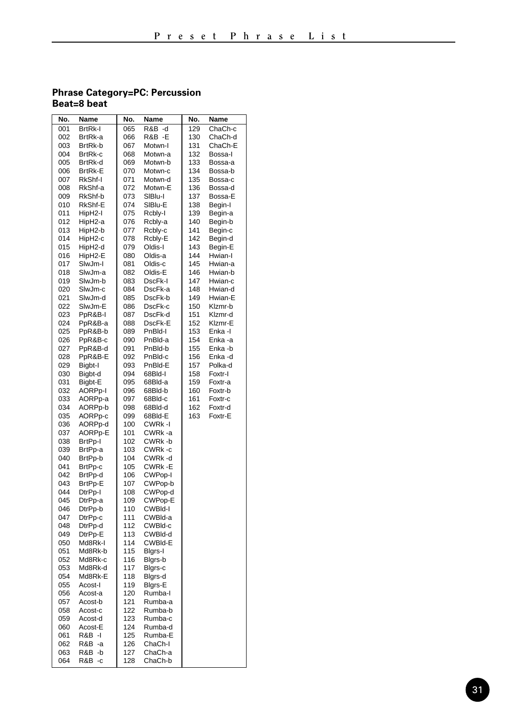#### **Phrase Category=PC: Percussion Beat=8 beat**

| No. | Name                | No. | Name    | No. | Name    |
|-----|---------------------|-----|---------|-----|---------|
| 001 | <b>BrtRk-I</b>      | 065 | R&B -d  | 129 | ChaCh-c |
| 002 | BrtRk-a             | 066 | R&B -E  | 130 | ChaCh-d |
| 003 | BrtRk-b             | 067 | Motwn-I | 131 | ChaCh-E |
| 004 | BrtRk-c             | 068 | Motwn-a | 132 | Bossa-I |
| 005 | BrtRk-d             | 069 | Motwn-b | 133 | Bossa-a |
| 006 | <b>BrtRk-E</b>      | 070 | Motwn-c | 134 | Bossa-b |
| 007 | RkShf-I             | 071 | Motwn-d | 135 | Bossa-c |
| 008 | RkShf-a             | 072 | Motwn-E | 136 | Bossa-d |
| 009 | RkShf-b             | 073 | SIBlu-I | 137 | Bossa-E |
| 010 | RkShf-E             | 074 | SIBIu-E | 138 | Begin-I |
| 011 | HipH2-I             | 075 | Rcbly-I | 139 | Begin-a |
| 012 | HipH2-a             | 076 | Rcbly-a | 140 | Begin-b |
| 013 | HipH2-b             | 077 | Rcbly-c | 141 | Begin-c |
| 014 | HipH2-c             | 078 | Rcbly-E | 142 | Begin-d |
| 015 | HipH2-d             | 079 | Oldis-I | 143 | Begin-E |
| 016 | HipH2-E             | 080 | Oldis-a | 144 | Hwian-I |
| 017 | SlwJm-I             | 081 | Oldis-c | 145 | Hwian-a |
| 018 | SlwJm-a             | 082 | Oldis-E | 146 | Hwian-b |
| 019 | SlwJm-b             | 083 | DscFk-I | 147 | Hwian-c |
| 020 | SlwJm-c             | 084 | DscFk-a | 148 | Hwian-d |
| 021 | SlwJm-d             | 085 | DscFk-b | 149 | Hwian-E |
| 022 | SlwJm-E             | 086 | DscFk-c | 150 | Klzmr-b |
| 023 | PpR&B-I             | 087 | DscFk-d | 151 | Klzmr-d |
| 024 | PpR&B-a             | 088 | DscFk-E | 152 | Klzmr-E |
| 025 | PpR&B-b             | 089 | PnBld-I | 153 | Enka -l |
| 026 | PpR&B-c             | 090 | PnBld-a | 154 | Enka -a |
| 027 | PpR&B-d             | 091 | PnBld-b | 155 | Enka -b |
| 028 | PpR&B-E             | 092 | PnBld-c | 156 | Enka-d  |
| 029 | Bigbt-I             | 093 | PnBld-E | 157 | Polka-d |
| 030 | Bigbt-d             | 094 | 68Bld-I | 158 | Foxtr-I |
| 031 | Bigbt-E             | 095 | 68Bld-a | 159 | Foxtr-a |
| 032 | AORP <sub>p-I</sub> | 096 | 68Bld-b | 160 | Foxtr-b |
| 033 | AORPp-a             | 097 | 68Bld-c | 161 | Foxtr-c |
| 034 | AORPp-b             | 098 | 68Bld-d | 162 | Foxtr-d |
| 035 | AORPp-c             | 099 | 68Bld-E | 163 | Foxtr-E |
| 036 | AORPp-d             | 100 | CWRk-I  |     |         |
| 037 | AORPp-E             | 101 | CWRk-a  |     |         |
| 038 | BrtPp-I             | 102 | CWRk-b  |     |         |
| 039 | BrtPp-a             | 103 | CWRk-c  |     |         |
| 040 | BrtPp-b             | 104 | CWRk-d  |     |         |
| 041 | BrtPp-c             | 105 | CWRk -E |     |         |
| 042 | BrtPp-d             | 106 | CWPop-I |     |         |
| 043 | BrtPp-E             | 107 | CWPop-b |     |         |
| 044 | DtrPp-I             | 108 | CWPop-d |     |         |
| 045 | DtrPp-a             | 109 | CWPop-E |     |         |
| 046 | DtrPp-b             | 110 | CWBId-I |     |         |
| 047 | DtrPp-c             | 111 | CWBld-a |     |         |
| 048 | DtrPp-d             | 112 | CWBId-c |     |         |
| 049 | DtrPp-E             | 113 | CWBId-d |     |         |
| 050 | Md8Rk-I             | 114 | CWBId-E |     |         |
| 051 | Md8Rk-b             | 115 | Bigrs-I |     |         |
| 052 | Md8Rk-c             | 116 | Blgrs-b |     |         |
| 053 | Md8Rk-d             | 117 | Blgrs-c |     |         |
| 054 | Md8Rk-E             | 118 | Blgrs-d |     |         |
| 055 | Acost-I             | 119 | Blgrs-E |     |         |
| 056 | Acost-a             | 120 | Rumba-l |     |         |
| 057 | Acost-b             | 121 | Rumba-a |     |         |
| 058 | Acost-c             | 122 | Rumba-b |     |         |
| 059 | Acost-d             | 123 | Rumba-c |     |         |
| 060 | Acost-E             | 124 | Rumba-d |     |         |
| 061 | R&B -I              | 125 | Rumba-E |     |         |
| 062 | R&B -a              | 126 | ChaCh-I |     |         |
| 063 | R&B.<br>-b          | 127 | ChaCh-a |     |         |
| 064 | R&B -c              | 128 | ChaCh-b |     |         |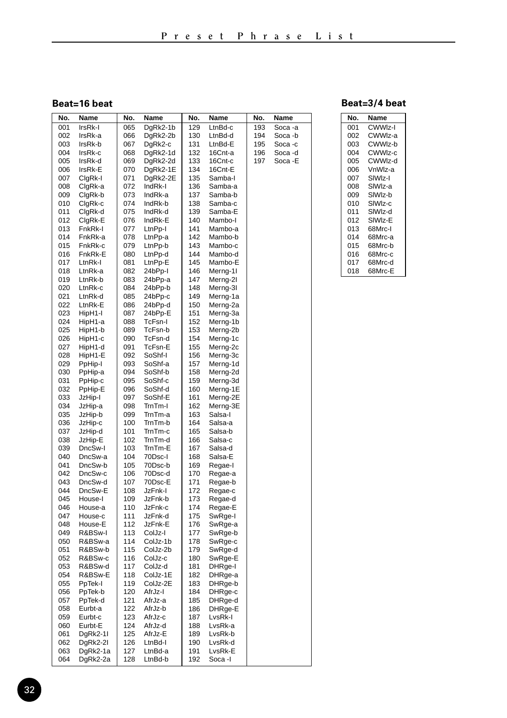### **Beat=16 beat**

| No.        | Name               | No.        | Name               | No.        | Name               | No. | Name    |
|------------|--------------------|------------|--------------------|------------|--------------------|-----|---------|
| 001        | IrsRk-I            | 065        | DgRk2-1b           | 129        | LtnBd-c            | 193 | Soca -a |
| 002        | IrsRk-a            | 066        | DgRk2-2b           | 130        | LtnBd-d            | 194 | Soca -b |
| 003        | IrsRk-b            | 067        | DgRk2-c            | 131        | LtnBd-E            | 195 | Soca -c |
| 004        | IrsRk-c            | 068        | DgRk2-1d           | 132        | 16Cnt-a            | 196 | Soca -d |
| 005        | IrsRk-d            | 069        | DgRk2-2d           | 133        | 16Cnt-c            | 197 | Soca -E |
| 006        | IrsRk-E            | 070        | DgRk2-1E           | 134        | 16Cnt-E            |     |         |
| 007        | ClgRk-I            | 071        | DgRk2-2E           | 135        | Samba-l            |     |         |
| 008        | ClgRk-a            | 072        | IndRk-I            | 136        | Samba-a            |     |         |
| 009        | ClgRk-b            | 073        | IndRk-a            | 137        | Samba-b            |     |         |
| 010        | ClgRk-c            | 074        | IndRk-b            | 138        | Samba-c            |     |         |
| 011        | ClgRk-d            | 075        | IndRk-d            | 139        | Samba-E            |     |         |
| 012<br>013 | ClgRk-E<br>FnkRk-I | 076<br>077 | IndRk-E            | 140<br>141 | Mambo-I<br>Mambo-a |     |         |
|            |                    |            | LtnPp-I            | 142        |                    |     |         |
| 014<br>015 | FnkRk-a<br>FnkRk-c | 078<br>079 | LtnPp-a<br>LtnPp-b | 143        | Mambo-b<br>Mambo-c |     |         |
| 016        | FnkRk-E            | 080        | LtnPp-d            | 144        | Mambo-d            |     |         |
| 017        | LtnRk-l            | 081        | LtnPp-E            | 145        | Mambo-E            |     |         |
| 018        | LtnRk-a            | 082        | 24bPp-l            | 146        | Merng-1I           |     |         |
| 019        | LtnRk-b            | 083        | 24bPp-a            | 147        | Merng-2I           |     |         |
| 020        | LtnRk-c            | 084        | 24bPp-b            | 148        | Merng-3I           |     |         |
| 021        | LtnRk-d            | 085        | 24bPp-c            | 149        | Merng-1a           |     |         |
| 022        | LtnRk-E            | 086        | 24bPp-d            | 150        | Merng-2a           |     |         |
| 023        | HipH1-I            | 087        | 24bPp-E            | 151        | Merng-3a           |     |         |
| 024        | HipH1-a            | 088        | TcFsn-I            | 152        | Merng-1b           |     |         |
| 025        | HipH1-b            | 089        | TcFsn-b            | 153        | Merng-2b           |     |         |
| 026        | HipH1-c            | 090        | TcFsn-d            | 154        | Merng-1c           |     |         |
| 027        | HipH1-d            | 091        | TcFsn-E            | 155        | Merng-2c           |     |         |
| 028        | HipH1-E            | 092        | SoShf-I            | 156        | Merng-3c           |     |         |
| 029        | PpHip-I            | 093        | SoShf-a            | 157        | Merng-1d           |     |         |
| 030        | PpHip-a            | 094        | SoShf-b            | 158        | Merng-2d           |     |         |
| 031        | PpHip-c            | 095        | SoShf-c            | 159        | Merng-3d           |     |         |
| 032        | PpHip-E            | 096        | SoShf-d            | 160        | Merng-1E           |     |         |
| 033        | JzHip-I            | 097        | SoShf-E            | 161        | Merng-2E           |     |         |
| 034        | JzHip-a            | 098        | TrnTm-I            | 162        | Merng-3E           |     |         |
| 035        | JzHip-b            | 099        | TrnTm-a            | 163        | Salsa-I            |     |         |
| 036        | JzHip-c            | 100        | TrnTm-b            | 164        | Salsa-a            |     |         |
| 037<br>038 | JzHip-d<br>JzHip-E | 101<br>102 | TrnTm-c<br>TrnTm-d | 165<br>166 | Salsa-b<br>Salsa-c |     |         |
| 039        | DncSw-I            | 103        | TrnTm-E            | 167        | Salsa-d            |     |         |
| 040        | DncSw-a            | 104        | 70Dsc-l            | 168        | Salsa-E            |     |         |
| 041        | DncSw-b            | 105        | 70Dsc-b            | 169        | Regae-I            |     |         |
| 042        | DncSw-c            | 106        | 70Dsc-d            | 170        | Regae-a            |     |         |
| 043        | DncSw-d            | 107        | 70Dsc-E            | 171        | Regae-b            |     |         |
| 044        | DncSw-E            | 108        | JzFnk-l            | 172        | Regae-c            |     |         |
| 045        | House-I            | 109        | JzFnk-b            | 173        | Regae-d            |     |         |
| 046        | House-a            | 110        | JzFnk-c            | 174        | Regae-E            |     |         |
| 047        | House-c            | 111        | JzFnk-d            | 175        | SwRge-I            |     |         |
| 048        | House-E            | 112        | JzFnk-E            | 176        | SwRge-a            |     |         |
| 049        | R&BSw-I            | 113        | ColJz-I            | 177        | SwRge-b            |     |         |
| 050        | R&BSw-a            | 114        | ColJz-1b           | 178        | SwRge-c            |     |         |
| 051        | R&BSw-b            | 115        | ColJz-2b           | 179        | SwRge-d            |     |         |
| 052        | R&BSw-c            | 116        | ColJz-c            | 180        | SwRge-E            |     |         |
| 053        | R&BSw-d            | 117        | ColJz-d            | 181        | DHRge-I            |     |         |
| 054        | R&BSw-E            | 118        | ColJz-1E           | 182        | DHRge-a            |     |         |
| 055        | PpTek-I            | 119        | ColJz-2E           | 183        | DHRge-b            |     |         |
| 056        | PpTek-b            | 120<br>121 | AfrJz-I            | 184        | DHRge-c            |     |         |
| 057<br>058 | PpTek-d<br>Eurbt-a | 122        | AfrJz-a<br>AfrJz-b | 185<br>186 | DHRge-d            |     |         |
| 059        | Eurbt-c            | 123        | AfrJz-c            | 187        | DHRge-E<br>LvsRk-l |     |         |
| 060        | Eurbt-E            | 124        | AfrJz-d            | 188        | LvsRk-a            |     |         |
| 061        | DgRk2-11           | 125        | AfrJz-E            | 189        | LvsRk-b            |     |         |
| 062        | DgRk2-2I           | 126        | LtnBd-I            | 190        | LvsRk-d            |     |         |
| 063        | DgRk2-1a           | 127        | LtnBd-a            | 191        | LvsRk-E            |     |         |
| 064        | DgRk2-2a           | 128        | LtnBd-b            | 192        | Soca -l            |     |         |

| No. | Name                |
|-----|---------------------|
| 001 | CWWIz-I             |
| 002 | CWWlz-a             |
| 003 | CWWlz-b             |
| 004 | CWWIz-c             |
| 005 | CWWlz-d             |
| 006 | VnWlz-a             |
| 007 | SIW <sub>Iz-I</sub> |
| 008 | SIW <sub>z-a</sub>  |
| 009 | SIW <sub>Iz-b</sub> |
| 010 | SIW <sub>Iz-c</sub> |
| 011 | SIW <sub>Iz-d</sub> |
| 012 | SIWIz-E             |
| 013 | 68Mrc-I             |
| 014 | 68Mrc-a             |
| 015 | 68Mrc-b             |
| 016 | 68Mrc-c             |
| 017 | 68Mrc-d             |
| 018 | 68Mrc-E             |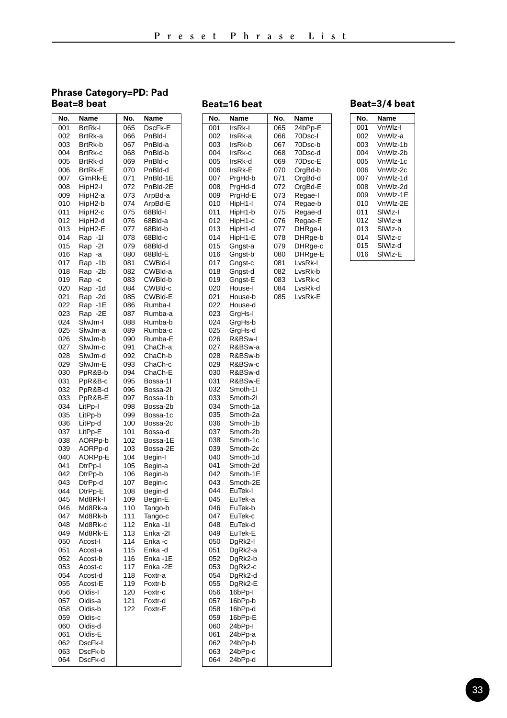#### **Phrase Category=PD: Pad Beat=8 beat**

#### 001 BrtRk-I 002 BrtRk-a<br>003 BrtRk-h 003 BrtRk-b<br>004 BrtRk-c 004 BrtRk-c<br>005 BrtRk-d 005 BrtRk-d<br>006 BrtRk-E 006 BrtRk-E 007 GlmRk-E<br>008 HinH2-I HinH<sub>2-I</sub> 009 HipH2-a<br>010 HipH2-b HipH<sub>2-b</sub> 011 HipH2-c 012 HipH2-d 013 HipH2-E<br>014 Ran -11 014 Rap -11<br>015 Rap -21 015 Rap -21<br>016 Rap -a Rap -a 017 Rap -1b<br>018 Rap -2b 018 Rap -2b<br>019 Rap -c 019 Rap -c<br>020 Rap -1 020 Rap -1d<br>021 Rap -2d 021 Rap -2d 022 Rap -1E<br>023 Rap -2E 023 Rap -2E<br>024 Slw.lm-l 024 SlwJm-I<br>025 SlwJm-a SlwJm-a 026 SlwJm-b<br>027 SlwJm-c 027 SlwJm-c<br>028 SlwJm-d 028 SlwJm-d<br>029 SlwJm-E 029 SlwJm-E<br>030 PpR&B-b 030 PpR&B-b<br>031 PpR&B-c PpR&B-c 032 PpR&B-d 033 PpR&B-E<br>034 LitPp-I 034 LitPp-I<br>035 LitPp-b 035 LitPp-b<br>036 LitPp-d 036 LitPp-d<br>037 LitPp-E LitPp-E 038 AORPp-b<br>039 AORPp-d 039 AORPp-d<br>040 AORPp-E AORPp-E 041 DtrPp-I<br>042 DtrPp-b 042 DtrPp-b<br>043 DtrPp-d 043 DtrPp-d<br>044 DtrPp-E 044 DtrPp-E<br>045 Md8Rk-045 Md8Rk-I<br>046 Md8Rk-a Md8Rk-a 047 Md8Rk-b<br>048 Md8Rk-c 048 Md8Rk-c<br>049 Md8Rk-E 049 Md8Rk-E<br>050 Acost-I 050 Acost-I<br>051 Acost-a 051 Acost-a<br>052 Acost-b Acost-b 053 Acost-c<br>054 Acost-d 054 Acost-d<br>055 Acost-E Acost-E 056 Oldis-I<br>057 Oldis-a 057 Oldis-a<br>058 Oldis-b 058 Oldis-b<br>059 Oldis-c 059 Oldis-c<br>060 Oldis-d 060 Oldis-d<br>061 Oldis-E Oldis-E 062 DscFk-I<br>063 DscFk-b 063 DscFk-b<br>064 DscFk-d DscFk-d 065 DscFk-E 066 PnBld-I 067 PnBld-a<br>068 PnBld-b 068 PnBld-b<br>069 PnBld-c 069 PnBld-c<br>070 PnBld-d 070 PnBld-d<br>071 PnBld-1 071 PnBld-1E<br>072 PnBld-2F PnBld-2F 073 ArpBd-a<br>074 ArpBd-E ArpBd-E 075 68Bld-I 076 68Bld-a 077 68Bld-b<br>078 68Bld-c 078 68Bld-c<br>079 68Bld-d 079 68Bld-d<br>080 68Bld-E 68Bld-E 081 CWBId-I<br>082 CWBId-a 082 CWBld-a<br>083 CWBld-b 083 CWBld-b<br>084 CWBld-c 084 CWBld-c<br>085 CWBld-E 085 CWBld-E<br>086 Rumba-L 086 Rumba-I<br>087 Rumba-a 087 Rumba-a<br>088 Rumba-b 088 Rumba-b<br>089 Rumba-c Rumba-c 090 Rumba-E<br>091 ChaCh-a 091 ChaCh-a 092 ChaCh-b<br>093 ChaCh-c 093 ChaCh-c<br>094 ChaCh-E 094 ChaCh-E<br>095 Bossa-11 Bossa-1I 096 Bossa-2I<br>097 Bossa-1b 097 Bossa-1b<br>098 Bossa-2b Rossa-2h 099 Bossa-1c<br>100 Bossa-2c 100 Bossa-2c<br>101 Bossa-d Bossa-d 102 Bossa-1E<br>103 Bossa-2F 103 Bossa-2E<br>104 Begin-I Begin-I 105 Begin-a<br>106 Begin-b 106 Begin-b<br>107 Begin-c Begin-c 108 Begin-d 109 Begin-E<br>110 Tango-b Tango-b 111 Tango-c<br>112 Enka - 11 Enka -1I 113 Enka -2I 114 Enka - c<br>115 Enka - d 115 Enka -d Enka -1E 117 Enka -2E<br>118 Foxtr-a 118 Foxtr-a<br>119 Foxtr-b Foxtr-b 120 Foxtr-c<br>121 Foxtr-d Foxtr-d 122 Foxtr-E No. Name No. Name

| No.        | Name               | No. | Name    |
|------------|--------------------|-----|---------|
| 001        | IrsRk-I            | 065 | 24bPp-E |
| 002        | IrsRk-a            | 066 | 70Dsc-l |
| 003        | IrsRk-b            | 067 | 70Dsc-b |
| 004        | IrsRk-c            | 068 | 70Dsc-d |
| 005        | IrsRk-d            | 069 | 70Dsc-E |
| 006        | IrsRk-E            | 070 | OrgBd-b |
| 007        | PrgHd-b            | 071 | OrgBd-d |
| 008        | PrgHd-d            | 072 | OrgBd-E |
| 009        | PrgHd-E            | 073 | Regae-l |
| 010        | HipH1-I            | 074 | Regae-b |
| 011        | HipH1-b            | 075 | Regae-d |
| 012        | HipH1-c            | 076 | Regae-E |
| 013        | HipH1-d            | 077 | DHRge-I |
| 014        | HipH1-E            | 078 | DHRge-b |
| 015        | Gngst-a            | 079 | DHRge-c |
| 016        | Gngst-b            | 080 | DHRge-E |
| 017        | Gngst-c            | 081 | LvsRk-l |
| 018        | Gngst-d            | 082 | LvsRk-b |
| 019        | Gngst-E            | 083 | LvsRk-c |
| 020        | House-I            | 084 | LvsRk-d |
| 021        | House-b            | 085 | LvsRk-E |
| 022        | House-d            |     |         |
| 023        | GrgHs-I            |     |         |
| 024        | GrgHs-b            |     |         |
| 025        | GrgHs-d            |     |         |
| 026        | R&BSw-I            |     |         |
| 027        | R&BSw-a            |     |         |
| 028        | R&BSw-b            |     |         |
| 029        | R&BSw-c            |     |         |
| 030<br>031 | R&BSw-d<br>R&BSw-E |     |         |
| 032        | Smoth-11           |     |         |
| 033        | Smoth-2I           |     |         |
| 034        | Smoth-1a           |     |         |
| 035        | Smoth-2a           |     |         |
| 036        | Smoth-1b           |     |         |
| 037        | Smoth-2b           |     |         |
| 038        | Smoth-1c           |     |         |
| 039        | Smoth-2c           |     |         |
| 040        | Smoth-1d           |     |         |
| 041        | Smoth-2d           |     |         |
| 042        | Smoth-1E           |     |         |
| 043        | Smoth-2E           |     |         |
| 044        | EuTek-I            |     |         |
| 045        | EuTek-a            |     |         |
| 046        | EuTek-b            |     |         |
| 047        | EuTek-c            |     |         |
| 048        | EuTek-d            |     |         |
| 049        | EuTek-E            |     |         |
| 050<br>051 | DgRk2-I            |     |         |
|            | DgRk2-a            |     |         |
| 052<br>053 | DgRk2-b<br>DgRk2-c |     |         |
| 054        | DgRk2-d            |     |         |
| 055        | DgRk2-E            |     |         |
| 056        | 16bPp-I            |     |         |
| 057        | 16bPp-b            |     |         |
| 058        | 16bPp-d            |     |         |
| 059        | 16bPp-E            |     |         |
| 060        | 24bPp-l            |     |         |
| 061        | 24bPp-a            |     |         |
| 062        | 24bPp-b            |     |         |
| 063        | 24bPp-c            |     |         |
| 064        | 24bPp-d            |     |         |
|            |                    |     |         |

#### **Beat=16 beat Beat=3/4 beat**

| No. | Name     |
|-----|----------|
| 001 | VnWlz-I  |
| 002 | VnWlz-a  |
| 003 | VnWlz-1b |
| 004 | VnWlz-2b |
| 005 | VnWlz-1c |
| 006 | VnWlz-2c |
| 007 | VnWlz-1d |
| 008 | VnWlz-2d |
| 009 | VnWlz-1E |
| 010 | VnWlz-2E |
| 011 | SIWIz-I  |
| 012 | SIWIz-a  |
| 013 | SIWIz-b  |
| 014 | SIWIz-c  |
| 015 | SIWIz-d  |
| 016 | SIWIz-E  |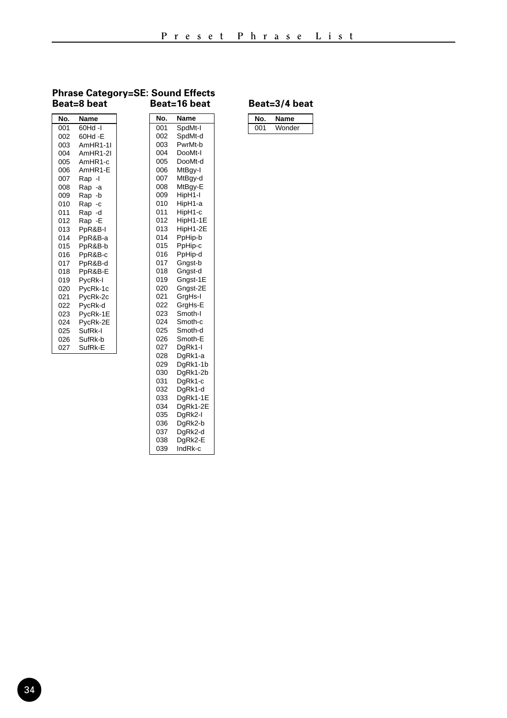#### **Phrase Category=SE: Sound Effects Beat=8 beat Beat=16 beat**

#### $\frac{001}{002}$  60Hd -I 002 60Hd - E<br>003 AmHR1-003 AmHR1-1I<br>004 AmHR1-2I 004 AmHR1-2I<br>005 AmHR1-c 005 AmHR1-c<br>006 AmHR1-E AmHR1-E 007 Rap - I<br>008 Rap - a 008 Rap -a 009 Rap -b<br>010 Rap -c 010 Rap -c<br>011 Rap -d 011 Rap -d<br>012 Rap -E Rap -E 013 PpR&B-I 014 PpR&B-a<br>015 PpR&B-b PpR&B-b 016 PpR&B-c<br>017 PpR&B-d 017 PpR&B-d 018 PpR&B-E 019 PycRk-I<br>020 PycRk-1 020 PycRk-1c<br>021 PycRk-2c PycRk-2c 022 PycRk-d<br>023 PycRk-1E 023 PycRk-1E<br>024 PycRk-2E 024 PycRk-2E<br>025 SufRk-I 025 SufRk-I<br>026 SufRk-b 026 SufRk-b<br>027 SufRk-E SufRk-E **No. Name** 001 SpdMt-I<br>002 SpdMt-c 002 SpdMt-d<br>003 PwrMt-b 003 PwrMt-b<br>004 DooMt-l 004 DooMt-I<br>005 DooMt-d 005 DooMt-d<br>006 MtBay-l 006 MtBgy-I<br>007 MtBay-d 007 MtBgy-d<br>008 MtBgy-E MtBgy-E 009 HipH1-I<br>010 HipH1-a 010 HipH1-a<br>011 HipH1-c 011 HipH1-c<br>012 HipH1-1 012 HipH1-1E<br>013 HipH1-2E 013 HipH1-2E<br>014 PpHip-b PpHip-b 015 PpHip-c<br>016 PpHip-d 016 PpHip-d<br>017 Gngst-b 017 Gngst-b<br>018 Gnast-d 018 Gngst-d<br>019 Gngst-1 019 Gngst-1E<br>020 Gngst-2E Gngst-2E 021 GrgHs-I<br>022 GraHs-E 022 GrgHs-E<br>023 Smoth-I 023 Smoth-I<br>024 Smoth-c 024 Smoth-c<br>025 Smoth-d 025 Smoth-d<br>026 Smoth-E 026 Smoth-E<br>027 DaRk1-I 027 DgRk1-I<br>028 DgRk1-a 028 DgRk1-a<br>029 DgRk1-1 DgRk1-1b 030 DgRk1-2b<br>031 DgRk1-c DgRk1-c 032 DgRk1-d 033 DgRk1-1E<br>034 DgRk1-2E 034 DgRk1-2E<br>035 DgRk2-I **No. Name**

035 DgRk2-I<br>036 DgRk2-b 036 DgRk2-b<br>037 DgRk2-d  $DgRk2-d$ 038 DgRk2-E<br>039 IndRk-c 039 IndRk-c

| N۵.  | name   |
|------|--------|
| nn 1 | Wonder |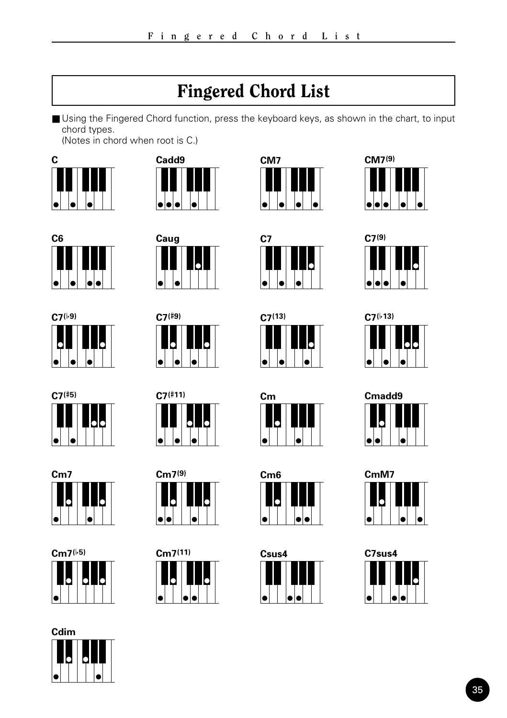## Fingered Chord List

<span id="page-34-0"></span>■ Using the Fingered Chord function, press the keyboard keys, as shown in the chart, to input chord types.

(Notes in chord when root is C.)















































| Cmadd9 |  |  |  |  |
|--------|--|--|--|--|
|        |  |  |  |  |
|        |  |  |  |  |
|        |  |  |  |  |

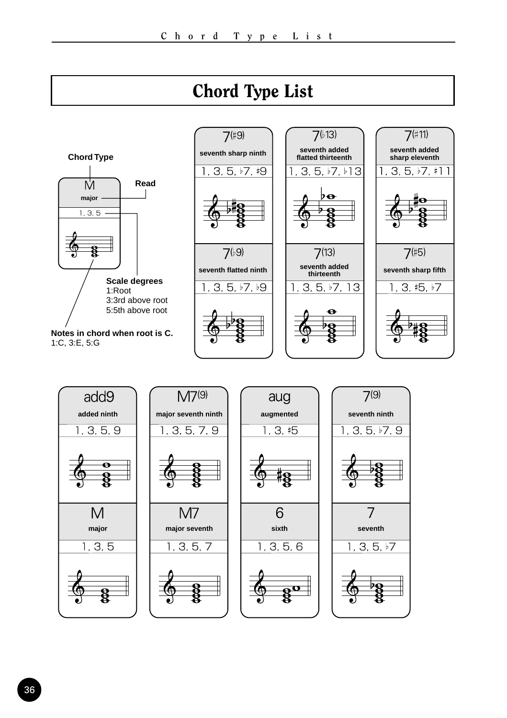<span id="page-35-0"></span>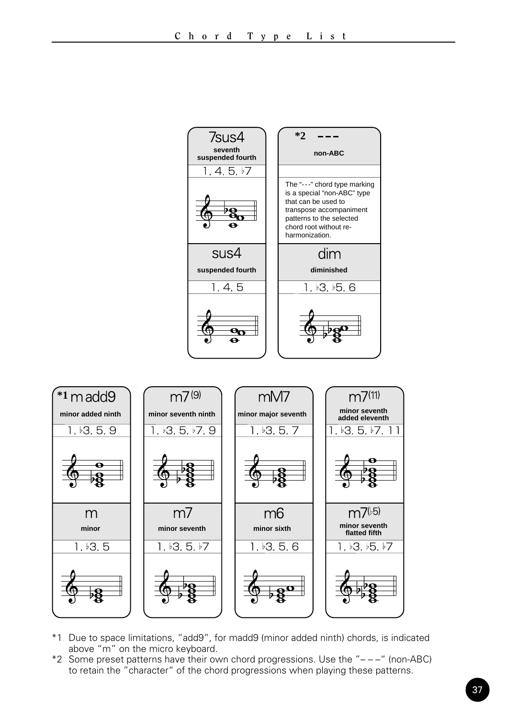

- \*1 Due to space limitations, "add9", for madd9 (minor added ninth) chords, is indicated above "m" on the micro keyboard.
- \*2 Some preset patterns have their own chord progressions. Use the "– –" (non-ABC) to retain the "character" of the chord progressions when playing these patterns.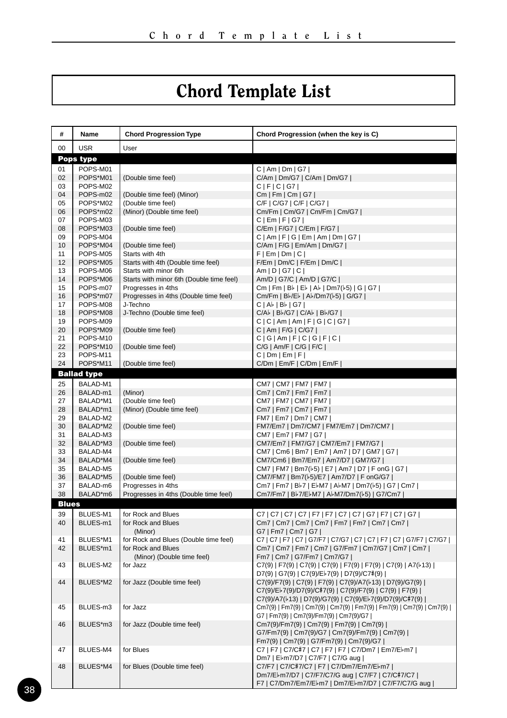# Chord Template List

| #            | Name                 | <b>Chord Progression Type</b>            | Chord Progression (when the key is C)                                                            |  |  |  |  |  |  |  |
|--------------|----------------------|------------------------------------------|--------------------------------------------------------------------------------------------------|--|--|--|--|--|--|--|
| 00           | <b>USR</b>           | User                                     |                                                                                                  |  |  |  |  |  |  |  |
|              | Pops type            |                                          |                                                                                                  |  |  |  |  |  |  |  |
| 01           | POPS-M01             |                                          | C   Am   DM   G7                                                                                 |  |  |  |  |  |  |  |
| 02           | POPS*M01             | (Double time feel)                       | C/Am   Dm/G7   C/Am   Dm/G7                                                                      |  |  |  |  |  |  |  |
| 03           | POPS-M02             |                                          | C F C G7                                                                                         |  |  |  |  |  |  |  |
| 04           | POPS-m02             | (Double time feel) (Minor)               | Cm   Fm   Cm   G7                                                                                |  |  |  |  |  |  |  |
| 05           | POPS*M02             | (Double time feel)                       | C/F   C/G7   C/F   C/G7                                                                          |  |  |  |  |  |  |  |
| 06           | POPS*m02             | (Minor) (Double time feel)               | Cm/Fm   Cm/G7   Cm/Fm   Cm/G7                                                                    |  |  |  |  |  |  |  |
| 07           | POPS-M03             |                                          | C   Em   F   G7                                                                                  |  |  |  |  |  |  |  |
| 08<br>09     | POPS*M03<br>POPS-M04 | (Double time feel)                       | C/Em   F/G7   C/Em   F/G7                                                                        |  |  |  |  |  |  |  |
| 10           | POPS*M04             | (Double time feel)                       | C   Am   F   G   Em   Am   Dm   G7  <br>C/Am   F/G   Em/Am   Dm/G7                               |  |  |  |  |  |  |  |
| 11           | POPS-M05             | Starts with 4th                          | F   Em   Dm   C                                                                                  |  |  |  |  |  |  |  |
| 12           | POPS*M05             | Starts with 4th (Double time feel)       | F/Em   Dm/C   F/Em   Dm/C                                                                        |  |  |  |  |  |  |  |
| 13           | POPS-M06             | Starts with minor 6th                    | Am   D   G7   C                                                                                  |  |  |  |  |  |  |  |
| 14           | POPS*M06             | Starts with minor 6th (Double time feel) | Am/D   G7/C   Am/D   G7/C                                                                        |  |  |  |  |  |  |  |
| 15           | POPS-m07             | Progresses in 4ths                       | $Cm   Fm   B$ $  E$ $  A$ $  Dm7$ $  6   G   G$                                                  |  |  |  |  |  |  |  |
| 16           | POPS*m07             | Progresses in 4ths (Double time feel)    | Cm/Fm   B /E    A /Dm7( 5)   G/G7                                                                |  |  |  |  |  |  |  |
| 17           | POPS-M08             | J-Techno                                 | C A♭ B♭ G7                                                                                       |  |  |  |  |  |  |  |
| 18           | POPS*M08             | J-Techno (Double time feel)              | C/Ab   Bb/G7   C/Ab   Bb/G7                                                                      |  |  |  |  |  |  |  |
| 19           | POPS-M09             |                                          | C   C   Am   Am   F   G   C   G                                                                  |  |  |  |  |  |  |  |
| 20           | POPS*M09             | (Double time feel)                       | C   Am   F/G   C/G7                                                                              |  |  |  |  |  |  |  |
| 21           | POPS-M10             |                                          | C G Am F C G F C                                                                                 |  |  |  |  |  |  |  |
| 22           | POPS*M10             | (Double time feel)                       | $C/G$   Am/F   $C/G$   $F/C$                                                                     |  |  |  |  |  |  |  |
| 23           | POPS-M11             |                                          | C   Dm   Em   F                                                                                  |  |  |  |  |  |  |  |
| 24           | POPS*M11             | (Double time feel)                       | C/Dm   Em/F   C/Dm   Em/F                                                                        |  |  |  |  |  |  |  |
|              | <b>Ballad type</b>   |                                          |                                                                                                  |  |  |  |  |  |  |  |
| 25           | BALAD-M1             |                                          | CM7   CM7   FM7   FM7                                                                            |  |  |  |  |  |  |  |
| 26           | BALAD-m1             | (Minor)                                  | Cm7   Cm7   Fm7   Fm7                                                                            |  |  |  |  |  |  |  |
| 27           | BALAD*M1             | (Double time feel)                       | CM7   FM7   CM7   FM7                                                                            |  |  |  |  |  |  |  |
| 28           | BALAD*m1             | (Minor) (Double time feel)               | Cm7   Fm7   Cm7   Fm7                                                                            |  |  |  |  |  |  |  |
| 29           | BALAD-M2             |                                          | FM7   Em7   Dm7   CM7                                                                            |  |  |  |  |  |  |  |
| 30           | BALAD*M2             | (Double time feel)                       | FM7/Em7   Dm7/CM7   FM7/Em7   Dm7/CM7                                                            |  |  |  |  |  |  |  |
| 31<br>32     | BALAD-M3<br>BALAD*M3 | (Double time feel)                       | CM7   Em7   FM7   G7  <br>CM7/Em7   FM7/G7   CM7/Em7   FM7/G7                                    |  |  |  |  |  |  |  |
| 33           | BALAD-M4             |                                          | CM7   Cm6   Bm7   Em7   Am7   D7   GM7   G7                                                      |  |  |  |  |  |  |  |
| 34           | BALAD*M4             | (Double time feel)                       | CM7/Cm6   Bm7/Em7   Am7/D7   GM7/G7                                                              |  |  |  |  |  |  |  |
| 35           | BALAD-M5             |                                          | CM7   FM7   Bm7(b5)   E7   Am7   D7   F onG   G7                                                 |  |  |  |  |  |  |  |
| 36           | BALAD*M5             | (Double time feel)                       | CM7/FM7   Bm7( $5$ )/E7   Am7/D7   F onG/G7                                                      |  |  |  |  |  |  |  |
| 37           | BALAD-m6             | Progresses in 4ths                       | Cm7   Fm7   B♭7   E♭M7   A♭M7   Dm7(♭5)   G7   Cm7                                               |  |  |  |  |  |  |  |
| 38           | BALAD*m6             | Progresses in 4ths (Double time feel)    | Cm7/Fm7   B♭7/E♭M7   A♭M7/Dm7(♭5)   G7/Cm7                                                       |  |  |  |  |  |  |  |
| <b>Blues</b> |                      |                                          |                                                                                                  |  |  |  |  |  |  |  |
| 39           | BLUES-M1             | for Rock and Blues                       |                                                                                                  |  |  |  |  |  |  |  |
| 40           | BLUES-m1             | for Rock and Blues                       | Cm7   Cm7   Cm7   Cm7   Fm7   Fm7   Cm7   Cm7                                                    |  |  |  |  |  |  |  |
|              |                      | (Minor)                                  | G7   Fm7   Cm7   G7                                                                              |  |  |  |  |  |  |  |
| 41           | BLUES*M1             | for Rock and Blues (Double time feel)    | C7   C7   F7   C7   G7/F7   C7/G7   C7   C7   F7   C7   G7/F7   C7/G7                            |  |  |  |  |  |  |  |
| 42           | BLUES*m1             | for Rock and Blues                       | Cm7   Cm7   Fm7   Cm7   G7/Fm7   Cm7/G7   Cm7   Cm7                                              |  |  |  |  |  |  |  |
|              |                      | (Minor) (Double time feel)               | Fm7   Cm7   G7/Fm7   Cm7/G7                                                                      |  |  |  |  |  |  |  |
| 43           | BLUES-M2             | for Jazz                                 | C7(9)   F7(9)   C7(9)   C7(9)   F7(9)   F7(9)   C7(9)   A7( $\flat$ 13)                          |  |  |  |  |  |  |  |
|              |                      |                                          | D7(9)   G7(9)   C7(9)/E♭7(9)   D7(9)/C7#(9)                                                      |  |  |  |  |  |  |  |
| 44           | BLUES*M2             | for Jazz (Double time feel)              | C7(9)/F7(9)   C7(9)   F7(9)   C7(9)/A7( $\frac{1}{2}$ 13)   D7(9)/G7(9)                          |  |  |  |  |  |  |  |
|              |                      |                                          | C7(9)/E♭7(9)/D7(9)/C#7(9)   C7(9)/F7(9)   C7(9)   F7(9)                                          |  |  |  |  |  |  |  |
|              |                      |                                          | C7(9)/A7(b13)   D7(9)/G7(9)   C7(9)/Eb7(9)/D7(9)/C#7(9)                                          |  |  |  |  |  |  |  |
| 45           | BLUES-m3             | for Jazz                                 | Cm7(9)   Fm7(9)   Cm7(9)   Cm7(9)   Fm7(9)   Fm7(9)   Cm7(9)   Cm7(9)                            |  |  |  |  |  |  |  |
|              |                      |                                          | G7   Fm7(9)   Cm7(9)/Fm7(9)   Cm7(9)/G7                                                          |  |  |  |  |  |  |  |
| 46           | BLUES*m3             | for Jazz (Double time feel)              | Cm7(9)/Fm7(9)   Cm7(9)   Fm7(9)   Cm7(9)                                                         |  |  |  |  |  |  |  |
|              |                      |                                          | G7/Fm7(9)   Cm7(9)/G7   Cm7(9)/Fm7(9)   Cm7(9)                                                   |  |  |  |  |  |  |  |
| 47           | BLUES-M4             | for Blues                                | Fm7(9)   Cm7(9)   G7/Fm7(9)   Cm7(9)/G7  <br>C7   F7   C7/C#7   C7   F7   F7   C7/Dm7   Em7/E♭m7 |  |  |  |  |  |  |  |
|              |                      |                                          | Dm7   E♭m7/D7   C7/F7   C7/G aug                                                                 |  |  |  |  |  |  |  |
| 48           | BLUES*M4             | for Blues (Double time feel)             | C7/F7   C7/C#7/C7   F7   C7/Dm7/Em7/E♭m7                                                         |  |  |  |  |  |  |  |
|              |                      |                                          | Dm7/El-m7/D7   C7/F7/C7/G aug   C7/F7   C7/C#7/C7                                                |  |  |  |  |  |  |  |
|              |                      |                                          | F7   C7/Dm7/Em7/El-m7   Dm7/El-m7/D7   C7/F7/C7/G aug                                            |  |  |  |  |  |  |  |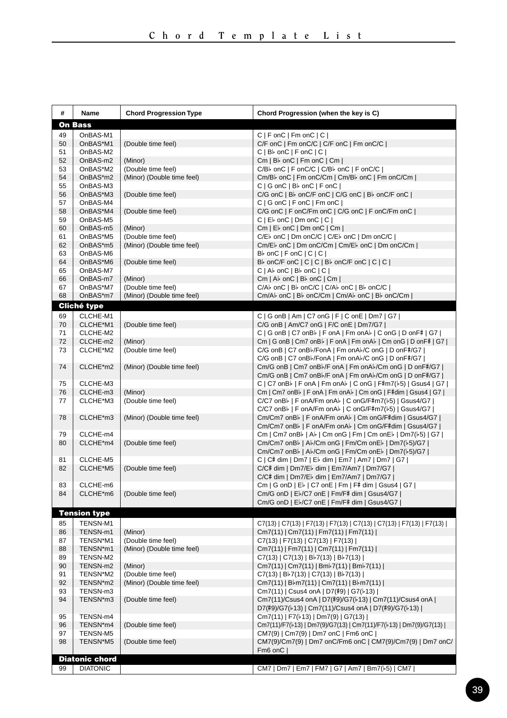| #        | Name                 | <b>Chord Progression Type</b> | Chord Progression (when the key is C)                                                                                                                  |  |  |  |  |  |  |
|----------|----------------------|-------------------------------|--------------------------------------------------------------------------------------------------------------------------------------------------------|--|--|--|--|--|--|
|          | On Bass              |                               |                                                                                                                                                        |  |  |  |  |  |  |
| 49       | OnBAS-M1             |                               | C   F onC   Fm onC   C                                                                                                                                 |  |  |  |  |  |  |
| 50       | OnBAS*M1             | (Double time feel)            | C/F onC   Fm onC/C   C/F onC   Fm onC/C                                                                                                                |  |  |  |  |  |  |
| 51       | OnBAS-M2             |                               | $C   B \triangleright$ on $C   F$ on $C   C  $                                                                                                         |  |  |  |  |  |  |
| 52       | OnBAS-m2             | (Minor)                       | $Cm   Bb$ on C   Fm on C   Cm                                                                                                                          |  |  |  |  |  |  |
| 53       | OnBAS*M2             | (Double time feel)            | C/Bb onC   F onC/C   C/Bb onC   F onC/C                                                                                                                |  |  |  |  |  |  |
| 54       | OnBAS*m2             | (Minor) (Double time feel)    | Cm/Bb onC   Fm onC/Cm   Cm/Bb onC   Fm onC/Cm                                                                                                          |  |  |  |  |  |  |
| 55<br>56 | OnBAS-M3<br>OnBAS*M3 | (Double time feel)            | $C   G$ on $C   B$ on $C   F$ on $C  $<br>C/G onC   Bl onC/F onC   C/G onC   Bl onC/F onC                                                              |  |  |  |  |  |  |
| 57       | OnBAS-M4             |                               | C   G onC   F onC   Fm onC                                                                                                                             |  |  |  |  |  |  |
| 58       | OnBAS*M4             | (Double time feel)            | C/G onC   F onC/Fm onC   C/G onC   F onC/Fm onC                                                                                                        |  |  |  |  |  |  |
| 59       | OnBAS-M5             |                               | $C   E \rightarrow$ on $C   Dm$ on $C   C  $                                                                                                           |  |  |  |  |  |  |
| 60       | OnBAS-m5             | (Minor)                       | $Cm \mid E$ on $C \mid Dm$ on $C \mid Cm \mid$                                                                                                         |  |  |  |  |  |  |
| 61       | OnBAS*M5             | (Double time feel)            | C/E b onC   Dm onC/C   C/E b onC   Dm onC/C                                                                                                            |  |  |  |  |  |  |
| 62       | OnBAS*m5             | (Minor) (Double time feel)    | Cm/E <sub>b</sub> onC   Dm onC/Cm   Cm/E <sub>b</sub> onC   Dm onC/Cm                                                                                  |  |  |  |  |  |  |
| 63<br>64 | OnBAS-M6             |                               | $B\flat$ onC   F onC   C   C  <br>B <sub>b</sub> onC/F onC   C   C   B <sub>b</sub> onC/F onC   C   C                                                  |  |  |  |  |  |  |
| 65       | OnBAS*M6<br>OnBAS-M7 | (Double time feel)            | $C  $ A $\flat$ on $C  $ B $\flat$ on $C  $ $C  $                                                                                                      |  |  |  |  |  |  |
| 66       | OnBAS-m7             | (Minor)                       | Cm   Ab onC   Bb onC   Cm                                                                                                                              |  |  |  |  |  |  |
| 67       | OnBAS*M7             | (Double time feel)            | C/Ab onC   Bb onC/C   C/Ab onC   Bb onC/C                                                                                                              |  |  |  |  |  |  |
| 68       | OnBAS*m7             | (Minor) (Double time feel)    | Cm/Ab onC   Bb onC/Cm   Cm/Ab onC   Bb onC/Cm                                                                                                          |  |  |  |  |  |  |
|          | Cliché type          |                               |                                                                                                                                                        |  |  |  |  |  |  |
| 69       | CLCHE-M1             |                               | C   G onB   Am   C7 onG   F   C onE   Dm7   G7                                                                                                         |  |  |  |  |  |  |
| 70       | CLCHE*M1             | (Double time feel)            | C/G onB   Am/C7 onG   F/C onE   Dm7/G7                                                                                                                 |  |  |  |  |  |  |
| 71       | CLCHE-M2             |                               | C   G onB   C7 onB >   F onA   Fm onA >   C onG   D onF#   G7                                                                                          |  |  |  |  |  |  |
| 72       | CLCHE-m2             | (Minor)                       | Cm   G onB   Cm7 onB >   F onA   Fm onA >   Cm onG   D onF#   G7                                                                                       |  |  |  |  |  |  |
| 73       | CLCHE*M2             | (Double time feel)            | C/G onB   C7 onB <sup>b</sup> /FonA   Fm onAb/C onG   D onF#/G7  <br>C/G onB   C7 onB <sup>b</sup> /FonA   Fm onAb/C onG   D onF#/G7                   |  |  |  |  |  |  |
| 74       | CLCHE*m2             | (Minor) (Double time feel)    | Cm/G onB   Cm7 onBl-/F onA   Fm onAl-/Cm onG   D onF#/G7                                                                                               |  |  |  |  |  |  |
|          |                      |                               | Cm/G onB   Cm7 onB <sup>b</sup> /F onA   Fm onAb/Cm onG   D onF#/G7                                                                                    |  |  |  |  |  |  |
| 75       | CLCHE-M3             |                               | C   C7 onB <sup> </sup>   F onA   Fm onA <sup> </sup>   C onG   F#m7( $\frac{1}{5}$ )   Gsus4   G7                                                     |  |  |  |  |  |  |
| 76       | CLCHE-m3             | (Minor)                       | Cm   Cm7 onB <sup>[</sup>   F onA   Fm onA <sup>[</sup>   Cm onG   F#dim   Gsus4   G7                                                                  |  |  |  |  |  |  |
| 77       | CLCHE*M3             | (Double time feel)            | C/C7 onB <sup> </sup>   F onA/Fm onA <sup> </sup>   C onG/F#m7( <sup> </sup> 5)   Gsus4/G7                                                             |  |  |  |  |  |  |
|          |                      |                               | C/C7 onB <sup>b</sup>   F onA/Fm onA <sup>b</sup>   C onG/F#m7( $b$ 5)   Gsus4/G7                                                                      |  |  |  |  |  |  |
| 78       | CLCHE*m3             | (Minor) (Double time feel)    | Cm/Cm7 onB $\flat$   F onA/Fm onA $\flat$   Cm onG/F#dim   Gsus4/G7  <br>Cm/Cm7 onB <sup>b</sup>   F onA/Fm onA <sup>b</sup>   Cm onG/F#dim   Gsus4/G7 |  |  |  |  |  |  |
| 79       | CLCHE-m4             |                               | Cm   Cm7 onB >   A >   Cm onG   Fm   Cm onE >   Dm7( + 5)   G7                                                                                         |  |  |  |  |  |  |
| 80       | CLCHE*m4             | (Double time feel)            | Cm/Cm7 onB <sup>b</sup>   Ab/Cm onG   Fm/Cm onEb   Dm7(b5)/G7                                                                                          |  |  |  |  |  |  |
|          |                      |                               | Cm/Cm7 onB <sup>}</sup>   A <sup>}</sup> /Cm onG   Fm/Cm onE <sup>}</sup>   Dm7( <sup>}</sup> 5)/G7                                                    |  |  |  |  |  |  |
| 81       | CLCHE-M5             |                               | C   C# dim   Dm7   E♭ dim   Em7   Am7   Dm7   G7                                                                                                       |  |  |  |  |  |  |
| 82       | CLCHE*M5             | (Double time feel)            | C/C# dim   Dm7/Eb dim   Em7/Am7   Dm7/G7                                                                                                               |  |  |  |  |  |  |
|          |                      |                               | C/C# dim   Dm7/E  dim   Em7/Am7   Dm7/G7                                                                                                               |  |  |  |  |  |  |
| 83<br>84 | CLCHE-m6<br>CLCHE*m6 |                               | Cm   G onD   E♭   C7 onE   Fm   F# dim   Gsus4   G7  <br>Cm/G onD   El-/C7 onE   Fm/F# dim   Gsus4/G7                                                  |  |  |  |  |  |  |
|          |                      | (Double time feel)            | Cm/G onD   El-/C7 onE   Fm/F# dim   Gsus4/G7                                                                                                           |  |  |  |  |  |  |
|          | <b>Tension type</b>  |                               |                                                                                                                                                        |  |  |  |  |  |  |
| 85       | TENSN-M1             |                               |                                                                                                                                                        |  |  |  |  |  |  |
| 86       | TENSN-m1             | (Minor)                       | C7(13)   C7(13)   F7(13)   F7(13)   C7(13)   C7(13)   F7(13)   F7(13)  <br>Cm7(11)   Cm7(11)   Fm7(11)   Fm7(11)                                       |  |  |  |  |  |  |
| 87       | TENSN*M1             | (Double time feel)            | $C7(13)$   F7(13)   C7(13)   F7(13)                                                                                                                    |  |  |  |  |  |  |
| 88       | TENSN*m1             | (Minor) (Double time feel)    | Cm7(11)   Fm7(11)   Cm7(11)   Fm7(11)                                                                                                                  |  |  |  |  |  |  |
| 89       | TENSN-M2             |                               | $C7(13)$ $  C7(13)   B\n 7(13)   B\n 7(13)  $                                                                                                          |  |  |  |  |  |  |
| 90       | TENSN-m2             | (Minor)                       | Cm7(11)   Cm7(11)   Bmb7(11)   Bmb7(11)                                                                                                                |  |  |  |  |  |  |
| 91       | TENSN*M2             | (Double time feel)            | $C7(13)$   $B\frac{1}{2}7(13)$   $C7(13)$   $B\frac{1}{2}7(13)$                                                                                        |  |  |  |  |  |  |
| 92<br>93 | TENSN*m2<br>TENSN-m3 | (Minor) (Double time feel)    | Cm7(11)   B♭m7(11)   Cm7(11)   B♭m7(11)  <br>Cm7(11)   Csus4 onA   D7(#9)   G7( $\frac{1}{2}$ 13)                                                      |  |  |  |  |  |  |
| 94       | TENSN*m3             | (Double time feel)            | Cm7(11)/Csus4 onA   D7(#9)/G7( $b$ 13)   Cm7(11)/Csus4 onA                                                                                             |  |  |  |  |  |  |
|          |                      |                               | D7(#9)/G7( $\frac{1}{2}$ 13)   Cm7(11)/Csus4 onA   D7(#9)/G7( $\frac{1}{2}$ 13)                                                                        |  |  |  |  |  |  |
| 95       | TENSN-m4             |                               | Cm7(11)   F7( $\frac{1}{3}$ )   Dm7(9)   G7(13)                                                                                                        |  |  |  |  |  |  |
| 96       | TENSN*m4             | (Double time feel)            | Cm7(11)/F7( $\frac{1}{3}$ ]   Dm7(9)/G7(13)   Cm7(11)/F7( $\frac{1}{3}$ ]   Dm7(9)/G7(13)                                                              |  |  |  |  |  |  |
| 97       | TENSN-M5             |                               | CM7(9)   Cm7(9)   Dm7 onC   Fm6 onC                                                                                                                    |  |  |  |  |  |  |
| 98       | TENSN*M5             | (Double time feel)            | CM7(9)/Cm7(9)   Dm7 onC/Fm6 onC   CM7(9)/Cm7(9)   Dm7 onC/                                                                                             |  |  |  |  |  |  |
|          | Diatonic chord       |                               | Fm6 onC                                                                                                                                                |  |  |  |  |  |  |
| 99       | <b>DIATONIC</b>      |                               | CM7   Dm7   Em7   FM7   G7   Am7   Bm7( $\frac{1}{2}$ 5)   CM7                                                                                         |  |  |  |  |  |  |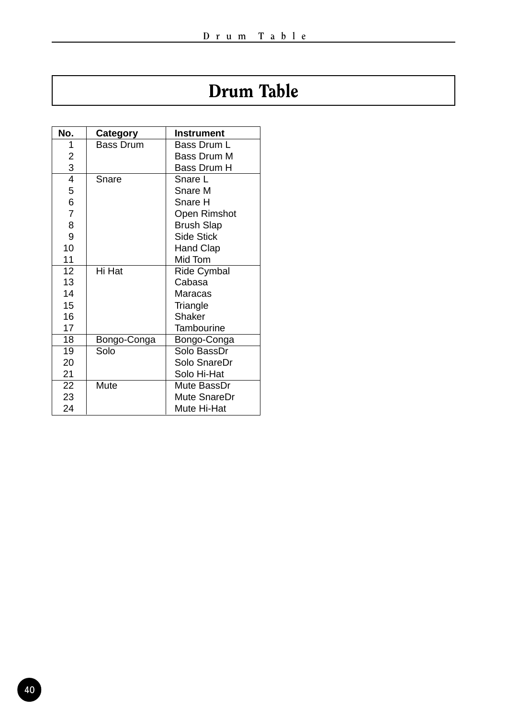# Drum Table

| No.            | Category         | <b>Instrument</b>  |
|----------------|------------------|--------------------|
| 1              | <b>Bass Drum</b> | Bass Drum L        |
| 2              |                  | Bass Drum M        |
| 3              |                  | Bass Drum H        |
| 4              | Snare            | Snare L            |
| 5              |                  | Snare M            |
| 6              |                  | Snare H            |
| $\overline{7}$ |                  | Open Rimshot       |
| 8              |                  | <b>Brush Slap</b>  |
| 9              |                  | Side Stick         |
| 10             |                  | Hand Clap          |
| 11             |                  | Mid Tom            |
| 12             | Hi Hat           | <b>Ride Cymbal</b> |
| 13             |                  | Cabasa             |
| 14             |                  | Maracas            |
| 15             |                  | Triangle           |
| 16             |                  | Shaker             |
| 17             |                  | Tambourine         |
| 18             | Bongo-Conga      | Bongo-Conga        |
| 19             | Solo             | Solo BassDr        |
| 20             |                  | Solo SnareDr       |
| 21             |                  | Solo Hi-Hat        |
| 22             | Mute             | Mute BassDr        |
| 23             |                  | Mute SnareDr       |
| 24             |                  | Mute Hi-Hat        |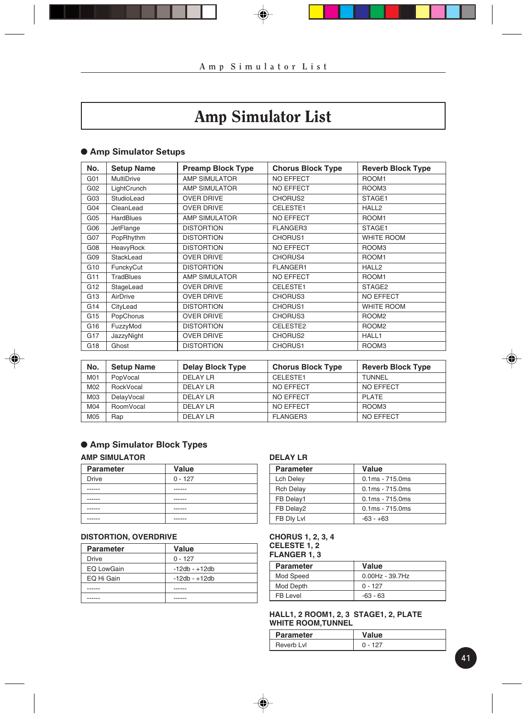# Amp Simulator List

## ● **Amp Simulator Setups**

| No.             | <b>Setup Name</b> | <b>Preamp Block Type</b> | <b>Chorus Block Type</b> | <b>Reverb Block Type</b> |
|-----------------|-------------------|--------------------------|--------------------------|--------------------------|
| G01             | <b>MultiDrive</b> | <b>AMP SIMULATOR</b>     | <b>NO EFFECT</b>         | ROOM1                    |
| G02             | LightCrunch       | AMP SIMULATOR            | <b>NO EFFECT</b>         | ROOM3                    |
| G03             | StudioLead        | <b>OVER DRIVE</b>        | CHORUS2                  | STAGE1                   |
| G04             | CleanLead         | <b>OVER DRIVE</b>        | CELESTE1                 | HALL <sub>2</sub>        |
| G05             | HardBlues         | <b>AMP SIMULATOR</b>     | <b>NO EFFECT</b>         | ROOM1                    |
| G06             | JetFlange         | <b>DISTORTION</b>        | <b>FLANGER3</b>          | STAGE1                   |
| G07             | PopRhythm         | <b>DISTORTION</b>        | CHORUS1                  | WHITE ROOM               |
| G08             | HeavyRock         | <b>DISTORTION</b>        | <b>NO EFFECT</b>         | ROOM3                    |
| G09             | StackLead         | <b>OVER DRIVE</b>        | CHORUS4                  | ROOM1                    |
| G <sub>10</sub> | FunckyCut         | <b>DISTORTION</b>        | FLANGER1                 | HALL <sub>2</sub>        |
| G11             | <b>TradBlues</b>  | <b>AMP SIMULATOR</b>     | <b>NO EFFECT</b>         | ROOM1                    |
| G <sub>12</sub> | StageLead         | <b>OVER DRIVE</b>        | CELESTE1                 | STAGE2                   |
| G <sub>13</sub> | AirDrive          | <b>OVER DRIVE</b>        | CHORUS3                  | <b>NO EFFECT</b>         |
| G <sub>14</sub> | CityLead          | <b>DISTORTION</b>        | CHORUS1                  | <b>WHITE ROOM</b>        |
| G <sub>15</sub> | PopChorus         | <b>OVER DRIVE</b>        | CHORUS3                  | ROOM <sub>2</sub>        |
| G16             | FuzzyMod          | <b>DISTORTION</b>        | CELESTE2                 | ROOM <sub>2</sub>        |
| G <sub>17</sub> | JazzyNight        | <b>OVER DRIVE</b>        | CHORUS2                  | HALL1                    |
| G18             | Ghost             | <b>DISTORTION</b>        | CHORUS1                  | ROOM3                    |

| No. | <b>Setup Name</b> | <b>Delay Block Type</b> | <b>Chorus Block Type</b> | <b>Reverb Block Type</b> |
|-----|-------------------|-------------------------|--------------------------|--------------------------|
| M01 | PopVocal          | <b>DELAY LR</b>         | CELESTE1                 | TUNNEL                   |
| M02 | RockVocal         | <b>DELAY LR</b>         | NO EFFECT                | NO EFFECT                |
| M03 | <b>DelavVocal</b> | <b>DELAY LR</b>         | NO EFFECT                | PLATE                    |
| M04 | <b>RoomVocal</b>  | <b>DELAY LR</b>         | NO EFFECT                | ROOM3                    |
| M05 | Rap               | <b>DELAY LR</b>         | <b>FLANGER3</b>          | <b>NO EFFECT</b>         |

## ● **Amp Simulator Block Types**

## **AMP SIMULATOR**

| <b>Parameter</b> | Value     |
|------------------|-----------|
| <b>Drive</b>     | $0 - 127$ |
| -------          | -------   |
| -------          | -------   |
| -------          | -------   |
| -------          | -------   |

## **DISTORTION, OVERDRIVE**

| Parameter  | Value           |
|------------|-----------------|
| Drive      | $0 - 127$       |
| EQ LowGain | $-12db - +12db$ |
| EQ Hi Gain | $-12db - +12db$ |
| ------     | -------         |
| .          | -------         |

## **DELAY LR**

| Parameter        | Value             |
|------------------|-------------------|
| Lch Deley        | $0.1ms - 715.0ms$ |
| <b>Rch Delay</b> | $0.1ms - 715.0ms$ |
| FB Delay1        | $0.1ms - 715.0ms$ |
| FB Delay2        | $0.1ms - 715.0ms$ |
| FB Dly Lvl       | $-63 - +63$       |

#### **CHORUS 1, 2, 3, 4 CELESTE 1, 2 FLANGER 1, 3**

| Parameter | Value             |
|-----------|-------------------|
| Mod Speed | $0.00Hz - 39.7Hz$ |
| Mod Depth | $0 - 127$         |
| FB Level  | -63 - 63          |

### **HALL1, 2 ROOM1, 2, 3 STAGE1, 2, PLATE WHITE ROOM,TUNNEL**

| Parameter  | Value |
|------------|-------|
| Reverb Lvl | 127   |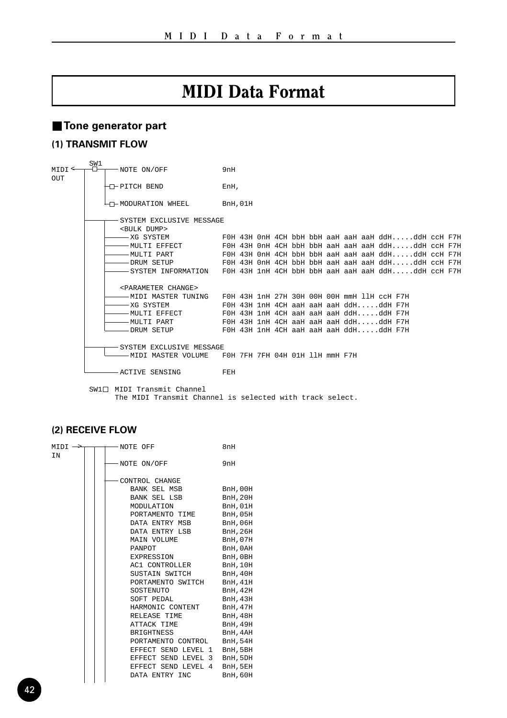## MIDI Data Format

## ■ **Tone generator part**

## **(1) TRANSMIT FLOW**

| MTDT<br>OUT | SW1 | -NOTE ON/OFF<br>9nH       |                                                                               |  |                                 |  |  |  |  |  |  |  |  |                                        |                                                    |  |  |
|-------------|-----|---------------------------|-------------------------------------------------------------------------------|--|---------------------------------|--|--|--|--|--|--|--|--|----------------------------------------|----------------------------------------------------|--|--|
|             |     | -D-PITCH BEND             |                                                                               |  | EnH.                            |  |  |  |  |  |  |  |  |                                        |                                                    |  |  |
|             |     |                           | 47-MODURATION WHEEL                                                           |  | BnH.01H                         |  |  |  |  |  |  |  |  |                                        |                                                    |  |  |
|             |     | -SYSTEM EXCLUSIVE MESSAGE |                                                                               |  |                                 |  |  |  |  |  |  |  |  |                                        |                                                    |  |  |
|             |     | <bulk dump=""></bulk>     |                                                                               |  |                                 |  |  |  |  |  |  |  |  |                                        |                                                    |  |  |
|             |     |                           | — XG SYSTEM                                                                   |  |                                 |  |  |  |  |  |  |  |  |                                        | FOH 43H OnH 4CH bbH bbH aaH aaH aaH ddHddH ccH F7H |  |  |
|             |     |                           | -MULTI EFFECT             FOH 43H OnH 4CH bbH bbH aaH aaH aaH ddHddH ccH F7H  |  |                                 |  |  |  |  |  |  |  |  |                                        |                                                    |  |  |
|             |     |                           |                                                                               |  |                                 |  |  |  |  |  |  |  |  |                                        |                                                    |  |  |
|             |     |                           |                                                                               |  |                                 |  |  |  |  |  |  |  |  |                                        |                                                    |  |  |
|             |     |                           | $-$ SYSTEM INFORMATION $-$ FOH 43H 1nH 4CH bbH bbH aaH aaH aaH ddHddH ccH F7H |  |                                 |  |  |  |  |  |  |  |  |                                        |                                                    |  |  |
|             |     |                           | <parameter change=""></parameter>                                             |  |                                 |  |  |  |  |  |  |  |  |                                        |                                                    |  |  |
|             |     |                           | $-$ MIDI MASTER TUNING $-$ FOH 43H 1nH 27H 30H 00H 00H mmH 11H ccH F7H        |  |                                 |  |  |  |  |  |  |  |  |                                        |                                                    |  |  |
|             |     |                           | – XG SYSTEM                                                                   |  |                                 |  |  |  |  |  |  |  |  | FOH 43H 1nH 4CH aaH aaH aaH ddHddH F7H |                                                    |  |  |
|             |     |                           | - MULTI EFFECT                                                                |  |                                 |  |  |  |  |  |  |  |  | FOH 43H 1nH 4CH aaH aaH aaH ddHddH F7H |                                                    |  |  |
|             |     |                           | — MULTI PART                                                                  |  |                                 |  |  |  |  |  |  |  |  | FOH 43H 1nH 4CH aaH aaH aaH ddHddH F7H |                                                    |  |  |
|             |     |                           |                                                                               |  |                                 |  |  |  |  |  |  |  |  |                                        |                                                    |  |  |
|             |     |                           |                                                                               |  |                                 |  |  |  |  |  |  |  |  |                                        |                                                    |  |  |
|             |     | -SYSTEM EXCLUSIVE MESSAGE |                                                                               |  |                                 |  |  |  |  |  |  |  |  |                                        |                                                    |  |  |
|             |     |                           | —— MIDI MASTER VOLUME                                                         |  | F0H 7FH 7FH 04H 01H 11H mmH F7H |  |  |  |  |  |  |  |  |                                        |                                                    |  |  |
|             |     |                           | ACTIVE SENSING                                                                |  | FEH                             |  |  |  |  |  |  |  |  |                                        |                                                    |  |  |

 $SW1 \Box$  MIDI Transmit Channel The MIDI Transmit Channel is selected with track select.

## **(2) RECEIVE FLOW**

| $MIDI \rightarrow$ | - NOTE OFF                          | 8nH             |
|--------------------|-------------------------------------|-----------------|
| TN                 |                                     |                 |
|                    | NOTE ON/OFF                         | 9nH             |
|                    | CONTROL CHANGE                      |                 |
|                    | BANK SEL MSB BnH, 00H               |                 |
|                    | BANK SEL LSB BnH, 20H               |                 |
|                    | MODULATION                          | BnH, 01H        |
|                    | PORTAMENTO TIME BnH, 05H            |                 |
|                    | DATA ENTRY MSB BnH, 06H             |                 |
|                    | DATA ENTRY LSB BnH, 26H             |                 |
|                    | MAIN VOLUME                         | BnH,07H         |
|                    | PANPOT BnH, 0AH EXPRESSION BnH, 0BH |                 |
|                    | EXPRESSION                          |                 |
|                    | AC1 CONTROLLER BnH, 10H             |                 |
|                    | SUSTAIN SWITCH BnH, 40H             |                 |
|                    | PORTAMENTO SWITCH BnH.41H           |                 |
|                    | SOSTENUTO BnH, 42H                  |                 |
|                    | SOFT PEDAL                          | BnH, 43H        |
|                    | HARMONIC CONTENT BnH, 47H           |                 |
|                    | RELEASE TIME BnH, 48H               |                 |
|                    | ATTACK TIME                         | <b>BnH, 49H</b> |
|                    | BRIGHTNESS BnH, 4AH                 |                 |
|                    | PORTAMENTO CONTROL BnH, 54H         |                 |
|                    | EFFECT SEND LEVEL 1 BnH, 5BH        |                 |
|                    | EFFECT SEND LEVEL 3 BnH, 5DH        |                 |
|                    | EFFECT SEND LEVEL 4 BnH, 5EH        |                 |
|                    | DATA ENTRY INC                      | BnH, 60H        |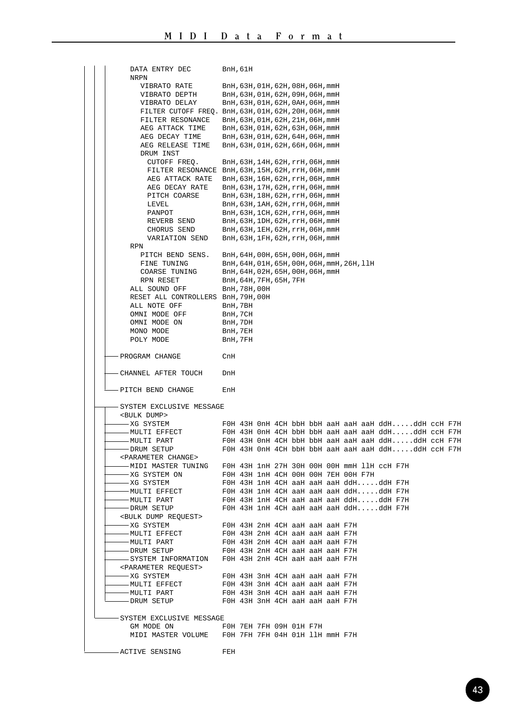| DATA ENTRY DEC                      | <b>BnH, 61H</b>                                                                                                                                                                                          |
|-------------------------------------|----------------------------------------------------------------------------------------------------------------------------------------------------------------------------------------------------------|
| NRPN                                |                                                                                                                                                                                                          |
| VIBRATO RATE                        | BnH, 63H, 01H, 62H, 08H, 06H, mmH                                                                                                                                                                        |
| VIBRATO DEPTH                       | BnH, 63H, 01H, 62H, 09H, 06H, mmH                                                                                                                                                                        |
| VIBRATO DELAY                       | BnH, 63H, 01H, 62H, 0AH, 06H, mmH                                                                                                                                                                        |
|                                     | FILTER CUTOFF FREQ. BnH, 63H, 01H, 62H, 20H, 06H, mmH                                                                                                                                                    |
|                                     | FILTER RESONANCE BnH, 63H, 01H, 62H, 21H, 06H, mmH                                                                                                                                                       |
|                                     | $\begin{tabular}{ll} \bf AEG~ATTACK~TIME & \tt BnH,63H,01H,62H,63H,06H,mmH \\ \bf AEG~DECAY~TIME & \tt BnH,63H,01H,62H,64H,06H,mmH \\ \end{tabular}$                                                     |
|                                     | AEG RELEASE TIME BnH, 63H, 01H, 62H, 66H, 06H, mmH                                                                                                                                                       |
| DRUM INST                           |                                                                                                                                                                                                          |
| CUTOFF FREO.                        | BnH, 63H, 14H, 62H, rrH, 06H, mmH                                                                                                                                                                        |
|                                     | FILTER RESONANCE BnH, 63H, 15H, 62H, rrH, 06H, mmH                                                                                                                                                       |
|                                     | AEG ATTACK RATE BnH, 63H, 16H, 62H, rrH, 06H, mmH                                                                                                                                                        |
|                                     |                                                                                                                                                                                                          |
|                                     | $\begin{tabular}{ll} \bf AEG DECAY RATE &\bf BnH, 63H, 17H, 62H, rrH, 06H, mmH \\ \bf PITCH COARSE &\bf BnH, 63H, 18H, 62H, rrH, 06H, mmH \\ \end{tabular}$                                              |
| LEVEL                               | BnH, 63H, 1AH, 62H, rrH, 06H, mmH                                                                                                                                                                        |
| PANPOT                              | BnH, 63H, 1CH, 62H, rrH, 06H, mmH                                                                                                                                                                        |
| REVERB SEND                         |                                                                                                                                                                                                          |
| CHORUS SEND                         | BnH,63H,1DH,62H,rrH,06H,mmH<br>BnH,63H,1EH,62H,rrH,06H,mmH                                                                                                                                               |
|                                     | VARIATION SEND BnH, 63H, 1FH, 62H, rrH, 06H, mmH                                                                                                                                                         |
| RPN                                 |                                                                                                                                                                                                          |
|                                     | PITCH BEND SENS. BnH, 64H, 00H, 65H, 00H, 06H, mmH                                                                                                                                                       |
|                                     | $\begin{tabular}{ll} \texttt{FINE TUNING} & \texttt{BnH}, 64H, 01H, 65H, 00H, 06H, \texttt{mmH}, 26H, 11H \\ \texttt{COARSE TUNING} & \texttt{BnH}, 64H, 02H, 65H, 00H, 06H, \texttt{mmH} \end{tabular}$ |
|                                     |                                                                                                                                                                                                          |
| RPN RESET                           | BnH, 64H, 7FH, 65H, 7FH                                                                                                                                                                                  |
| ALL SOUND OFF                       | BnH,78H,00H                                                                                                                                                                                              |
| RESET ALL CONTROLLERS BnH, 79H, 00H |                                                                                                                                                                                                          |
| ALL NOTE OFF                        | BnH, 7BH                                                                                                                                                                                                 |
| OMNI MODE OFF                       | BnH, 7CH<br>BnH, 7DH                                                                                                                                                                                     |
| OMNI MODE ON                        |                                                                                                                                                                                                          |
| MONO MODE                           | BnH, 7EH                                                                                                                                                                                                 |
| POLY MODE                           | BnH, 7FH                                                                                                                                                                                                 |
| - PROGRAM CHANGE                    | CnH                                                                                                                                                                                                      |
|                                     |                                                                                                                                                                                                          |
| -CHANNEL AFTER TOUCH                | DnH                                                                                                                                                                                                      |
|                                     |                                                                                                                                                                                                          |
| - PITCH BEND CHANGE                 | EnH                                                                                                                                                                                                      |
|                                     |                                                                                                                                                                                                          |
| -SYSTEM EXCLUSIVE MESSAGE           |                                                                                                                                                                                                          |
| <bulk dump=""></bulk>               |                                                                                                                                                                                                          |
| -XG SYSTEM                          | FOH 43H OnH 4CH bbH bbH aaH aaH aaH ddHddH ccH F7H                                                                                                                                                       |
| - MULTI EFFECT                      | FOH 43H OnH 4CH bbH bbH aaH aaH aaH ddHddH ccH F7H                                                                                                                                                       |
| -MULTI PART                         | FOH 43H OnH 4CH bbH bbH aaH aaH aaH ddHddH ccH F7H                                                                                                                                                       |
| -DRUM SETUP                         | FOH 43H OnH 4CH bbH bbH aaH aaH aaH ddHddH ccH F7H                                                                                                                                                       |
| <parameter change=""></parameter>   |                                                                                                                                                                                                          |
|                                     | -- MIDI MASTER TUNING FOH 43H 1nH 27H 30H 00H 00H mmH 11H ccH F7H<br>-- XG SYSTEM ON FOH 43H 1nH 4CH 00H 00H 7EH 00H F7H                                                                                 |
|                                     |                                                                                                                                                                                                          |
| -XG SYSTEM                          | FOH 43H 1nH 4CH aaH aaH aaH ddHddH F7H<br>FOH 43H 1nH 4CH aaH aaH aaH ddHddH F7H                                                                                                                         |
| -MULTI EFFECT<br>-MULTI PART        | FOH 43H 1nH 4CH aaH aaH aaH ddHddH F7H                                                                                                                                                                   |
| -DRUM SETUP                         | FOH 43H 1nH 4CH aaH aaH aaH ddHddH F7H                                                                                                                                                                   |
| SBULK DUMP REQUEST                  |                                                                                                                                                                                                          |
| -XG SYSTEM                          | FOH 43H 2nH 4CH aaH aaH aaH F7H                                                                                                                                                                          |
| - MULTI EFFECT                      | FOH 43H 2nH 4CH aaH aaH aaH F7H                                                                                                                                                                          |
| -MULTI PART                         | FOH 43H 2nH 4CH aaH aaH aaH F7H                                                                                                                                                                          |
| -DRUM SETUP                         | FOH 43H 2nH 4CH aaH aaH aaH F7H                                                                                                                                                                          |
|                                     | - SYSTEM INFORMATION FOH 43H 2nH 4CH aaH aaH aaH F7H                                                                                                                                                     |
| <parameter request=""></parameter>  |                                                                                                                                                                                                          |
| -XG SYSTEM                          | FOH 43H 3nH 4CH aaH aaH aaH F7H                                                                                                                                                                          |
| - MULTI EFFECT                      | FOH 43H 3nH 4CH aaH aaH aaH F7H                                                                                                                                                                          |
| -MULTI PART                         | FOH 43H 3nH 4CH aaH aaH aaH F7H                                                                                                                                                                          |
| - DRUM SETUP                        | FOH 43H 3nH 4CH aaH aaH aaH F7H                                                                                                                                                                          |
|                                     |                                                                                                                                                                                                          |
| SYSTEM EXCLUSIVE MESSAGE            |                                                                                                                                                                                                          |
| GM MODE ON                          | F0H 7EH 7FH 09H 01H F7H                                                                                                                                                                                  |
|                                     | MIDI MASTER VOLUME FOH 7FH 7FH 04H 01H 11H mmH F7H                                                                                                                                                       |
|                                     |                                                                                                                                                                                                          |
| -ACTIVE SENSING                     | FEH                                                                                                                                                                                                      |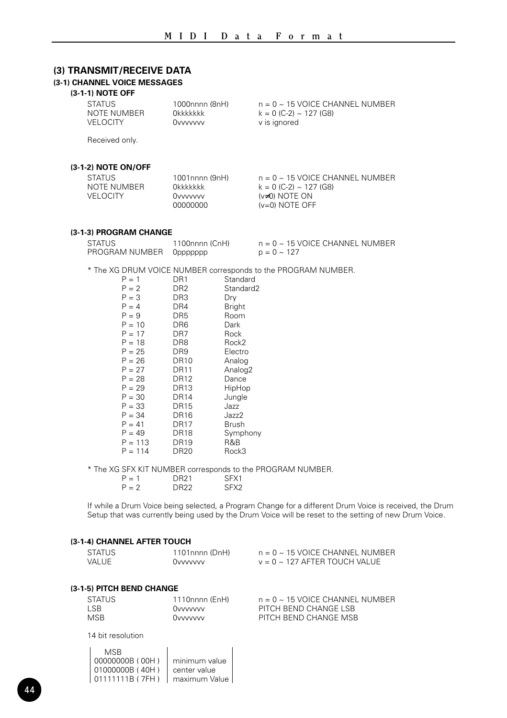## **(3) TRANSMIT/RECEIVE DATA**

### **(3-1) CHANNEL VOICE MESSAGES**

## **(3-1-1) NOTE OFF**

| <b>STATUS</b><br>NOTE NUMBER<br><b>VELOCITY</b> | 1000nnnn (8nH)<br>Okkkkkkk<br><b>Ovvvvvvv</b>                    | $n = 0 \sim 15$ VOICE CHANNEL NUMBER<br>$k = 0$ (C-2) ~ 127 (G8)<br>v is ignored                            |
|-------------------------------------------------|------------------------------------------------------------------|-------------------------------------------------------------------------------------------------------------|
| Received only.                                  |                                                                  |                                                                                                             |
| (3-1-2) NOTE ON/OFF                             |                                                                  |                                                                                                             |
| <b>STATUS</b><br>NOTE NUMBER<br><b>VELOCITY</b> | 1001nnnn (9nH)<br><b>Okkkkkkk</b><br><b>Ovvvvvvv</b><br>00000000 | $n = 0 \sim 15$ VOICE CHANNEL NUMBER<br>$k = 0$ (C-2) ~ 127 (G8)<br>$(v\neq 0)$ NOTE ON<br>$(v=0)$ NOTE OFF |
| (3-1-3) PROGRAM CHANGE                          |                                                                  |                                                                                                             |
| <b>STATUS</b><br>PROGRAM NUMBER                 | 1100nnnn (CnH)<br>Oppppppp                                       | $n = 0 \sim 15$ VOICE CHANNEL NUMBER<br>$p = 0 \sim 127$                                                    |
| $P = 1$                                         | Standard<br>DR1                                                  | * The XG DRUM VOICE NUMBER corresponds to the PROGRAM NUMBER.                                               |

| $P = 1$   | DR <sub>1</sub> | Standard            |
|-----------|-----------------|---------------------|
| $P = 2$   | DR <sub>2</sub> | Standard2           |
| $P = 3$   | DR <sub>3</sub> | Dry                 |
| $P = 4$   | DR4             | <b>Bright</b>       |
| $P = 9$   | DR <sub>5</sub> | Room                |
| $P = 10$  | DR <sub>6</sub> | Dark                |
| $P = 17$  | DR <sub>7</sub> | Rock                |
| $P = 18$  | DR <sub>8</sub> | Rock2               |
| $P = 25$  | DR9             | Electro             |
| $P = 26$  | <b>DR10</b>     | Analog              |
| $P = 27$  | <b>DR11</b>     | Analog <sub>2</sub> |
| $P = 28$  | <b>DR12</b>     | Dance               |
| $P = 29$  | <b>DR13</b>     | HipHop              |
| $P = 30$  | <b>DR14</b>     | Jungle              |
| $P = 33$  | <b>DR15</b>     | Jazz                |
| $P = 34$  | <b>DR16</b>     | Jazz2               |
| $P = 41$  | <b>DR17</b>     | Brush               |
| $P = 49$  | <b>DR18</b>     | Symphony            |
| $P = 113$ | DR19            | R&B                 |
| $P = 114$ | <b>DR20</b>     | Rock3               |
|           |                 |                     |

\* The XG SFX KIT NUMBER corresponds to the PROGRAM NUMBER.

| $P = 1$ | DR21             | SFX1             |
|---------|------------------|------------------|
| $P = 2$ | DR <sub>22</sub> | SFX <sub>2</sub> |

If while a Drum Voice being selected, a Program Change for a different Drum Voice is received, the Drum Setup that was currently being used by the Drum Voice will be reset to the setting of new Drum Voice.

#### **(3-1-4) CHANNEL AFTER TOUCH**

| <b>STATUS</b>             | 1101nnnn (DnH) | $n = 0 \sim 15$ VOICE CHANNEL NUMBER |  |  |  |
|---------------------------|----------------|--------------------------------------|--|--|--|
| VALUE.                    | Ovvvvvvv       | $v = 0 \sim 127$ AFTER TOUCH VALUE   |  |  |  |
| (3-1-5) PITCH BEND CHANGE |                |                                      |  |  |  |

| STATUS     | 1110nnnn (EnH) | $n = 0 \sim 15$ VOICE CHANNEL NUMBER |
|------------|----------------|--------------------------------------|
| LSB.       | Ovvvvvvv       | PITCH BEND CHANGE LSB                |
| <b>MSB</b> | Ovvvvvvv       | PITCH BEND CHANGE MSB                |

14 bit resolution

| MSR.            |               |
|-----------------|---------------|
| 00000000B (00H) | minimum value |
| 01000000B (40H) | center value  |
| 01111111B (7FH) | maximum Value |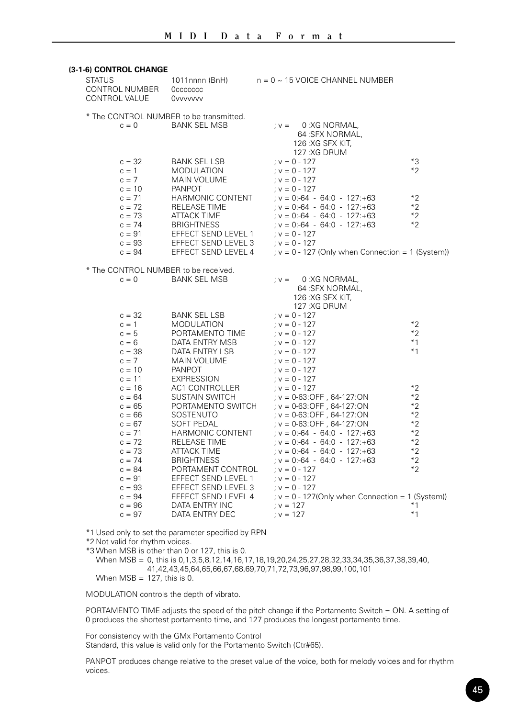#### **(3-1-6) CONTROL CHANGE**

| <b>STATUS</b><br>CONTROL NUMBER<br>CONTROL VALUE                                                                     | 1011nnnn (BnH)<br><b>Occccccc</b><br><b>Ovvvvvvv</b>                                                                                                                                               | $n = 0 \sim 15$ VOICE CHANNEL NUMBER                                                                                                                                                                                                                                                                     |                                                                              |
|----------------------------------------------------------------------------------------------------------------------|----------------------------------------------------------------------------------------------------------------------------------------------------------------------------------------------------|----------------------------------------------------------------------------------------------------------------------------------------------------------------------------------------------------------------------------------------------------------------------------------------------------------|------------------------------------------------------------------------------|
| $c = 0$                                                                                                              | * The CONTROL NUMBER to be transmitted.<br><b>BANK SEL MSB</b>                                                                                                                                     | 0:XG NORMAL,<br>$: V =$<br>64:SFX NORMAL,<br>126: XG SFX KIT.                                                                                                                                                                                                                                            |                                                                              |
| $c = 32$<br>$c = 1$<br>$c = 7$<br>$c = 10$                                                                           | BANK SEL LSB<br>MODULATION<br>MAIN VOLUME<br><b>PANPOT</b>                                                                                                                                         | 127:XG DRUM<br>$; v = 0 - 127$<br>$; v = 0 - 127$<br>$; v = 0 - 127$                                                                                                                                                                                                                                     | $*3$<br>$*2$                                                                 |
| $c = 71$<br>$c = 72$<br>$c = 73$<br>$c = 74$<br>$c = 91$                                                             | HARMONIC CONTENT<br><b>RELEASE TIME</b><br><b>ATTACK TIME</b><br><b>BRIGHTNESS</b><br>EFFECT SEND LEVEL 1                                                                                          | $: v = 0 - 127$<br>: $v = 0$ :-64 - 64:0 - 127:+63<br>: $v = 0$ :-64 - 64:0 - 127:+63<br>$; v = 0:-64 - 64:0 - 127:+63$<br>$; v = 0:-64 - 64:0 - 127:+63$<br>: $v = 0 - 127$                                                                                                                             | $*2$<br>$*2$<br>$*2$<br>$*2$                                                 |
| $c = 93$<br>$c = 94$                                                                                                 | EFFECT SEND LEVEL 3<br>EFFECT SEND LEVEL 4                                                                                                                                                         | $; v = 0 - 127$<br>; $v = 0 - 127$ (Only when Connection = 1 (System))                                                                                                                                                                                                                                   |                                                                              |
| * The CONTROL NUMBER to be received.<br>$c = 0$                                                                      | <b>BANK SEL MSB</b>                                                                                                                                                                                | 0:XG NORMAL,<br>$: V =$<br>64:SFX NORMAL,<br>126:XG SFX KIT.<br>127:XG DRUM                                                                                                                                                                                                                              |                                                                              |
| $c = 32$<br>$c = 1$<br>$c = 5$<br>$c = 6$<br>$c = 38$<br>$c = 7$<br>$c = 10$<br>$c = 11$                             | <b>BANK SEL LSB</b><br>MODULATION<br>PORTAMENTO TIME<br>DATA ENTRY MSB<br>DATA ENTRY LSB<br>MAIN VOLUME<br><b>PANPOT</b><br><b>EXPRESSION</b>                                                      | : $v = 0 - 127$<br>$; v = 0 - 127$<br>$; v = 0 - 127$<br>$; v = 0 - 127$<br>: $v = 0 - 127$<br>$; v = 0 - 127$<br>: $v = 0 - 127$<br>$; v = 0 - 127$                                                                                                                                                     | $*2$<br>$*2$<br>$*1$<br>$*1$                                                 |
| $c = 16$<br>$c = 64$<br>$c = 65$<br>$c = 66$<br>$c = 67$<br>$c = 71$<br>$c = 72$<br>$c = 73$<br>$c = 74$<br>$c = 84$ | AC1 CONTROLLER<br>SUSTAIN SWITCH<br>PORTAMENTO SWITCH<br>SOSTENUTO<br><b>SOFT PEDAL</b><br>HARMONIC CONTENT<br><b>RELEASE TIME</b><br><b>ATTACK TIME</b><br><b>BRIGHTNESS</b><br>PORTAMENT CONTROL | : $v = 0 - 127$<br>; v = 0-63:OFF, 64-127:ON<br>$; v = 0.63$ : OFF, 64-127: ON<br>; v = 0-63:OFF, 64-127:ON<br>$; v = 0.63$ : OFF, 64-127: ON<br>$; v = 0:-64 - 64:0 - 127:+63$<br>$: v = 0:-64 - 64:0 - 127:+63$<br>$; v = 0:-64 - 64:0 - 127:+63$<br>$: v = 0:-64 - 64:0 - 127:+63$<br>$; v = 0 - 127$ | $*2$<br>$*2$<br>$*2$<br>$*2$<br>$*2$<br>$*2$<br>$*2$<br>$*2$<br>$*2$<br>$*2$ |
| $c = 91$<br>$c = 93$<br>$c = 94$<br>$c = 96$<br>$c = 97$                                                             | EFFECT SEND LEVEL 1<br>EFFECT SEND LEVEL 3<br>EFFECT SEND LEVEL 4<br>DATA ENTRY INC<br>DATA ENTRY DEC                                                                                              | $: v = 0 - 127$<br>: $v = 0 - 127$<br>; $v = 0 - 127$ (Only when Connection = 1 (System))<br>$; v = 127$<br>$: v = 127$                                                                                                                                                                                  | *1<br>$*1$                                                                   |

\*1 Used only to set the parameter specified by RPN

\*2 Not valid for rhythm voices.

\*3 When MSB is other than 0 or 127, this is 0.

When MSB = 0, this is 0,1,3,5,8,12,14,16,17,18,19,20,24,25,27,28,32,33,34,35,36,37,38,39,40, 41,42,43,45,64,65,66,67,68,69,70,71,72,73,96,97,98,99,100,101 When  $MSB = 127$ , this is 0.

MODULATION controls the depth of vibrato.

PORTAMENTO TIME adjusts the speed of the pitch change if the Portamento Switch = ON. A setting of 0 produces the shortest portamento time, and 127 produces the longest portamento time.

For consistency with the GMx Portamento Control

Standard, this value is valid only for the Portamento Switch (Ctr#65).

PANPOT produces change relative to the preset value of the voice, both for melody voices and for rhythm voices.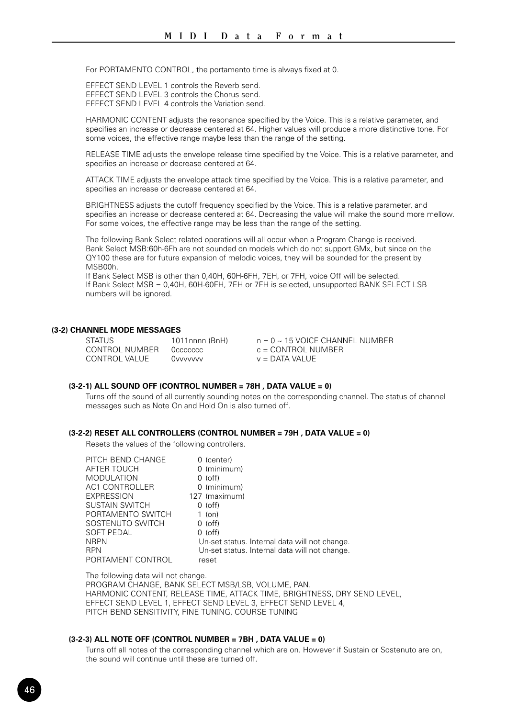For PORTAMENTO CONTROL, the portamento time is always fixed at 0.

EFFECT SEND LEVEL 1 controls the Reverb send. EFFECT SEND LEVEL 3 controls the Chorus send. EFFECT SEND LEVEL 4 controls the Variation send.

HARMONIC CONTENT adjusts the resonance specified by the Voice. This is a relative parameter, and specifies an increase or decrease centered at 64. Higher values will produce a more distinctive tone. For some voices, the effective range maybe less than the range of the setting.

RELEASE TIME adjusts the envelope release time specified by the Voice. This is a relative parameter, and specifies an increase or decrease centered at 64.

ATTACK TIME adjusts the envelope attack time specified by the Voice. This is a relative parameter, and specifies an increase or decrease centered at 64.

BRIGHTNESS adjusts the cutoff frequency specified by the Voice. This is a relative parameter, and specifies an increase or decrease centered at 64. Decreasing the value will make the sound more mellow. For some voices, the effective range may be less than the range of the setting.

The following Bank Select related operations will all occur when a Program Change is received. Bank Select MSB:60h-6Fh are not sounded on models which do not support GMx, but since on the QY100 these are for future expansion of melodic voices, they will be sounded for the present by MSB00h.

If Bank Select MSB is other than 0,40H, 60H-6FH, 7EH, or 7FH, voice Off will be selected. If Bank Select MSB = 0,40H, 60H-60FH, 7EH or 7FH is selected, unsupported BANK SELECT LSB numbers will be ignored.

#### **(3-2) CHANNEL MODE MESSAGES**

| <b>STATUS</b>  | 1011nnnn (BnH) | $n = 0 \sim 15$ VOICE CHANNEL NUMBER |
|----------------|----------------|--------------------------------------|
| CONTROL NUMBER | Occecccc       | $c =$ CONTROL NUMBER                 |
| CONTROL VALUE  | Ovvvvvv        | $v =$ DATA VALUE                     |

#### **(3-2-1) ALL SOUND OFF (CONTROL NUMBER = 78H , DATA VALUE = 0)**

Turns off the sound of all currently sounding notes on the corresponding channel. The status of channel messages such as Note On and Hold On is also turned off.

#### **(3-2-2) RESET ALL CONTROLLERS (CONTROL NUMBER = 79H , DATA VALUE = 0)**

Resets the values of the following controllers.

| PITCH BEND CHANGE     | 0 (center)                                    |
|-----------------------|-----------------------------------------------|
| AFTER TOUCH           | 0 (minimum)                                   |
| <b>MODULATION</b>     | $0$ (off)                                     |
| <b>AC1 CONTROLLER</b> | 0 (minimum)                                   |
| <b>EXPRESSION</b>     | 127 (maximum)                                 |
| <b>SUSTAIN SWITCH</b> | $0$ (off)                                     |
| PORTAMENTO SWITCH     | $1$ (on)                                      |
| SOSTENUTO SWITCH      | $0$ (off)                                     |
| <b>SOFT PEDAL</b>     | $0$ (off)                                     |
| <b>NRPN</b>           | Un-set status. Internal data will not change. |
| <b>RPN</b>            | Un-set status. Internal data will not change. |
| PORTAMENT CONTROL     | reset                                         |

The following data will not change. PROGRAM CHANGE, BANK SELECT MSB/LSB, VOLUME, PAN. HARMONIC CONTENT, RELEASE TIME, ATTACK TIME, BRIGHTNESS, DRY SEND LEVEL, EFFECT SEND LEVEL 1, EFFECT SEND LEVEL 3, EFFECT SEND LEVEL 4, PITCH BEND SENSITIVITY, FINE TUNING, COURSE TUNING

#### **(3-2-3) ALL NOTE OFF (CONTROL NUMBER = 7BH , DATA VALUE = 0)**

Turns off all notes of the corresponding channel which are on. However if Sustain or Sostenuto are on, the sound will continue until these are turned off.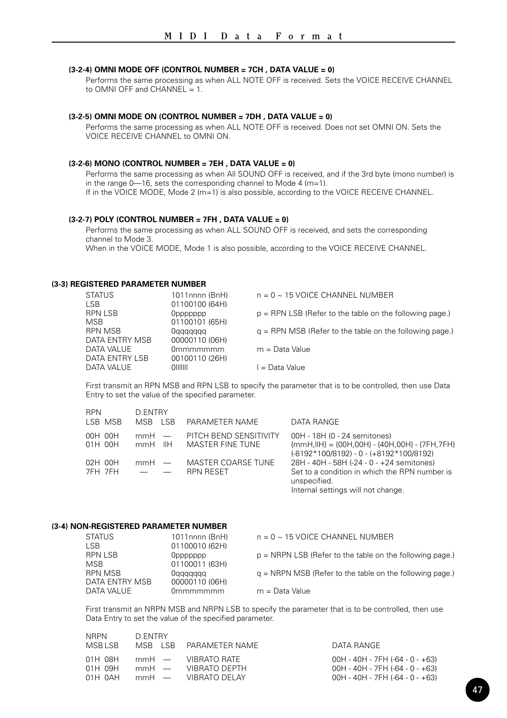#### **(3-2-4) OMNI MODE OFF (CONTROL NUMBER = 7CH , DATA VALUE = 0)**

Performs the same processing as when ALL NOTE OFF is received. Sets the VOICE RECEIVE CHANNEL to OMNI OFF and CHANNEL  $= 1$ .

#### **(3-2-5) OMNI MODE ON (CONTROL NUMBER = 7DH , DATA VALUE = 0)**

Performs the same processing as when ALL NOTE OFF is received. Does not set OMNI ON. Sets the VOICE RECEIVE CHANNEL to OMNI ON.

#### **(3-2-6) MONO (CONTROL NUMBER = 7EH , DATA VALUE = 0)**

Performs the same processing as when All SOUND OFF is received, and if the 3rd byte (mono number) is in the range 0—16, sets the corresponding channel to Mode 4 (m=1). If in the VOICE MODE, Mode 2 (m=1) is also possible, according to the VOICE RECEIVE CHANNEL.

#### **(3-2-7) POLY (CONTROL NUMBER = 7FH , DATA VALUE = 0)**

Performs the same processing as when ALL SOUND OFF is received, and sets the corresponding channel to Mode 3.

When in the VOICE MODE, Mode 1 is also possible, according to the VOICE RECEIVE CHANNEL.

#### **(3-3) REGISTERED PARAMETER NUMBER**

RPN D.ENTRY

| <b>STATUS</b><br><b>LSB</b> | 1011nnnn (BnH)<br>01100100 (64H) | $n = 0$ ~ 15 VOICE CHANNEL NUMBER                         |
|-----------------------------|----------------------------------|-----------------------------------------------------------|
| <b>RPN LSB</b>              | Oppppppp                         | $p = RPN$ LSB (Refer to the table on the following page.) |
| <b>MSB</b>                  | 01100101 (65H)                   |                                                           |
| <b>RPN MSB</b>              | Oggaggag                         | $q = RPN MSB$ (Refer to the table on the following page.) |
| DATA ENTRY MSB              | 00000110 (06H)                   |                                                           |
| DATA VALUE                  | 0mmmmmmm                         | $m = Data Value$                                          |
| DATA ENTRY LSB              | 00100110 (26H)                   |                                                           |
| DATA VALUE                  | OIIIIII                          | I = Data Value                                            |

First transmit an RPN MSB and RPN LSB to specify the parameter that is to be controlled, then use Data Entry to set the value of the specified parameter.

| .<br>LSB MSB       | <u>12. LIVIIII</u><br>MSB LSB                                | PARAMETER NAME                             | DATA RANGE                                                                                                                                       |
|--------------------|--------------------------------------------------------------|--------------------------------------------|--------------------------------------------------------------------------------------------------------------------------------------------------|
| 00H 00H<br>01H 00H | $mmH =$<br>mmH IIH                                           | PITCH BEND SENSITIVITY<br>MASTER FINE TUNE | 00H - 18H (0 - 24 semitones)<br>{mmH.IIH} = {00H.00H} - {40H.00H} - {7FH.7FH}<br>(-8192*100/8192) - 0 - (+8192*100/8192)                         |
| 02H 00H<br>7FH 7FH | $mmH =$<br><u>in the second company of the second second</u> | MASTER COARSE TUNE<br>RPN RESET            | 28H - 40H - 58H (-24 - 0 - +24 semitones)<br>Set to a condition in which the RPN number is<br>unspecified.<br>Internal settings will not change. |

#### **(3-4) NON-REGISTERED PARAMETER NUMBER**

| <b>STATUS</b>  | 1011nnnn (BnH) | $n = 0 \sim 15$ VOICE CHANNEL NUMBER                        |
|----------------|----------------|-------------------------------------------------------------|
| LSB.           | 01100010 (62H) |                                                             |
| <b>RPN LSB</b> | Oppppppp       | $p = NRPN$ LSB (Refer to the table on the following page.)  |
| <b>MSB</b>     | 01100011 (63H) |                                                             |
| RPN MSB        | Oggaggag       | $q = N$ RPN MSB (Refer to the table on the following page.) |
| DATA ENTRY MSB | 00000110 (06H) |                                                             |
| DATA VALUE     | 0mmmmmmm       | $m = Data Value$                                            |

First transmit an NRPN MSB and NRPN LSB to specify the parameter that is to be controlled, then use Data Entry to set the value of the specified parameter.

| <b>NRPN</b>   | D FNTRY |                |                                  |
|---------------|---------|----------------|----------------------------------|
| <b>MSBLSB</b> | MSR ISR | PARAMETER NAME | DATA RANGE                       |
| 01H 08H       | $mmH =$ | VIBRATO RATE   | $00H - 40H - 7FH - 64 - 0 - +63$ |
| 01H 09H       | $mmH =$ | VIBRATO DEPTH  | $00H - 40H - 7FH - 64 - 0 - +63$ |
| $01H$ $0AH$   | $mmH =$ | VIBRATO DEL AY | $00H - 40H - 7FH - 64 - 0 - +63$ |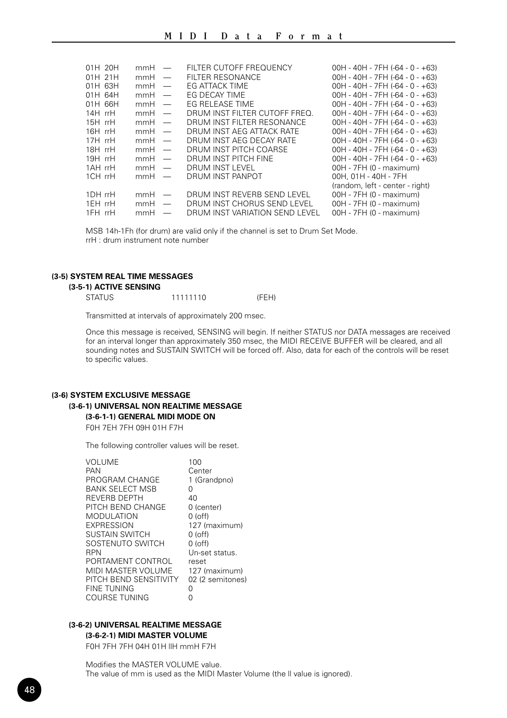| 01H 20H   | $mmH =$ |                          | FILTER CUTOFF FREQUENCY        | $00H - 40H - 7FH (-64 - 0 - +63)$ |
|-----------|---------|--------------------------|--------------------------------|-----------------------------------|
| 01H 21H   | $mmH =$ |                          | <b>FILTER RESONANCE</b>        | $00H - 40H - 7FH (-64 - 0 - +63)$ |
| $01H$ 63H | mmH     | $\overline{\phantom{m}}$ | <b>FG ATTACK TIME</b>          | $00H - 40H - 7FH (-64 - 0 - +63)$ |
| 01H 64H   | mmH     |                          | EG DECAY TIME                  | $00H - 40H - 7FH (-64 - 0 - +63)$ |
| 01H 66H   | $mmH =$ |                          | EG RELEASE TIME                | $00H - 40H - 7FH (-64 - 0 - +63)$ |
| 14H rrH   | $mmH =$ |                          | DRUM INST FILTER CUTOFF FREO.  | $00H - 40H - 7FH (-64 - 0 - +63)$ |
| $15H$ rrH | $mmH =$ |                          | DRUM INST FILTER RESONANCE     | $00H - 40H - 7FH (-64 - 0 - +63)$ |
| $16H$ rrH | $mmH =$ |                          | DRUM INST AFG ATTACK RATE      | $00H - 40H - 7FH - 64 - 0 - +63$  |
| $17H$ rrH | $mmH =$ |                          | DRUM INST AEG DECAY RATE       | $00H - 40H - 7FH (-64 - 0 - +63)$ |
| 18H rrH   | $mmH =$ |                          | DRUM INST PITCH COARSE         | $00H - 40H - 7FH (-64 - 0 - +63)$ |
| $19H$ rrH | $mmH =$ |                          | DRUM INST PITCH FINE           | $00H - 40H - 7FH (-64 - 0 - +63)$ |
| 1AH rrH   | $mmH =$ |                          | DRUM INST LEVEL                | 00H - 7FH (0 - maximum)           |
| 1CH rrH   | $mmH =$ |                          | DRUM INST PANPOT               | 00H, 01H - 40H - 7FH              |
|           |         |                          |                                | (random, left - center - right)   |
| 1DH rrH   | $mmH =$ |                          | DRUM INST REVERB SEND LEVEL    | 00H - 7FH (0 - maximum)           |
| 1FH rrH   | $mmH =$ |                          | DRUM INST CHORUS SEND LEVEL    | 00H - 7FH (0 - maximum)           |
| 1FH rrH   | mmH     |                          | DRUM INST VARIATION SEND LEVEL | 00H - 7FH (0 - maximum)           |

MSB 14h-1Fh (for drum) are valid only if the channel is set to Drum Set Mode. rrH : drum instrument note number

#### **(3-5) SYSTEM REAL TIME MESSAGES**

#### **(3-5-1) ACTIVE SENSING**

| <b>STATUS</b> | 11111110 | (FEH) |
|---------------|----------|-------|
|---------------|----------|-------|

Transmitted at intervals of approximately 200 msec.

Once this message is received, SENSING will begin. If neither STATUS nor DATA messages are received for an interval longer than approximately 350 msec, the MIDI RECEIVE BUFFER will be cleared, and all sounding notes and SUSTAIN SWITCH will be forced off. Also, data for each of the controls will be reset to specific values.

## **(3-6) SYSTEM EXCLUSIVE MESSAGE (3-6-1) UNIVERSAL NON REALTIME MESSAGE (3-6-1-1) GENERAL MIDI MODE ON**

F0H 7EH 7FH 09H 01H F7H

The following controller values will be reset.

| VOLUME                 | 100              |
|------------------------|------------------|
| PAN                    | Center           |
| PROGRAM CHANGE         | 1 (Grandpno)     |
| BANK SELECT MSB        | 0                |
| <b>REVERB DEPTH</b>    | 40               |
| PITCH BEND CHANGE      | 0 (center)       |
| <b>MODULATION</b>      | $0$ (off)        |
| <b>EXPRESSION</b>      | 127 (maximum)    |
| <b>SUSTAIN SWITCH</b>  | 0 (off)          |
| SOSTENUTO SWITCH       | $0$ (off)        |
| <b>RPN</b>             | Un-set status.   |
| PORTAMENT CONTROL      | reset            |
| MIDI MASTER VOLUME     | 127 (maximum)    |
| PITCH BEND SENSITIVITY | 02 (2 semitones) |
| <b>FINE TUNING</b>     | N                |
| <b>COURSE TUNING</b>   | O                |
|                        |                  |

## **(3-6-2) UNIVERSAL REALTIME MESSAGE**

## **(3-6-2-1) MIDI MASTER VOLUME**

F0H 7FH 7FH 04H 01H llH mmH F7H

Modifies the MASTER VOLUME value. The value of mm is used as the MIDI Master Volume (the ll value is ignored).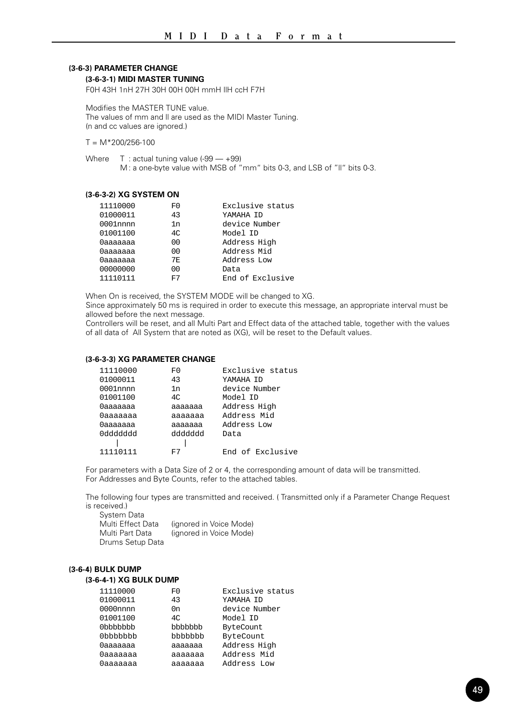## **(3-6-3) PARAMETER CHANGE**

#### **(3-6-3-1) MIDI MASTER TUNING**

F0H 43H 1nH 27H 30H 00H 00H mmH llH ccH F7H

Modifies the MASTER TUNE value. The values of mm and ll are used as the MIDI Master Tuning. (n and cc values are ignored.)

 $T = M*200/256-100$ 

Where  $T : actual tuning value (-99 - +99)$ M : a one-byte value with MSB of "mm" bits 0-3, and LSB of "ll" bits 0-3.

#### **(3-6-3-2) XG SYSTEM ON**

| 11110000 | F0  | Exclusive status |
|----------|-----|------------------|
| 01000011 | 43  | YAMAHA TD        |
| 0001nnnn | 1n  | device Number    |
| 01001100 | 4C  | Model ID         |
| 0aaaaaaa | 00  | Address High     |
| 0aaaaaaa | 00  | Address Mid      |
| 0aaaaaaa | 7F. | Address Low      |
| 00000000 | 00  | Data             |
| 11110111 | F7  | End of Exclusive |

When On is received, the SYSTEM MODE will be changed to XG.

Since approximately 50 ms is required in order to execute this message, an appropriate interval must be allowed before the next message.

Controllers will be reset, and all Multi Part and Effect data of the attached table, together with the values of all data of All System that are noted as (XG), will be reset to the Default values.

#### **(3-6-3-3) XG PARAMETER CHANGE**

| 11110000  | F0      | Exclusive status |
|-----------|---------|------------------|
| 01000011  | 43      | YAMAHA TD        |
| 0001nnnn  | 1n      | device Number    |
| 01001100  | 4C      | Model ID         |
| 0aaaaaaa  | aaaaaaa | Address High     |
| Oaaaaaaa  | ааааааа | Address Mid      |
| 0aaaaaaa  | ааааааа | Address Low      |
| 099999999 | hbbbbbb | Data             |
|           |         |                  |
| 11110111  | F7      | End of Exclusive |

For parameters with a Data Size of 2 or 4, the corresponding amount of data will be transmitted. For Addresses and Byte Counts, refer to the attached tables.

The following four types are transmitted and received. ( Transmitted only if a Parameter Change Request is received.)

| System Data       |                         |
|-------------------|-------------------------|
| Multi Effect Data | (ignored in Voice Mode) |
| Multi Part Data   | (ignored in Voice Mode) |
| Drums Setup Data  |                         |

#### **(3-6-4) BULK DUMP**

#### **(3-6-4-1) XG BULK DUMP**

| 11110000    | F0      | Exclusive status |
|-------------|---------|------------------|
| 01000011    | 43      | YAMAHA ID        |
| $0000$ nnnn | 0n      | device Number    |
| 01001100    | 4C      | Model ID         |
| 0bbbbbbb    | bbbbbbb | ByteCount        |
| 0bbbbbbb    | bbbbbbb | ByteCount        |
| Оааааааа    | ааааааа | Address High     |
| Оааааааа    | ааааааа | Address Mid      |
| Оааааааа    | aaaaaaa | Address Low      |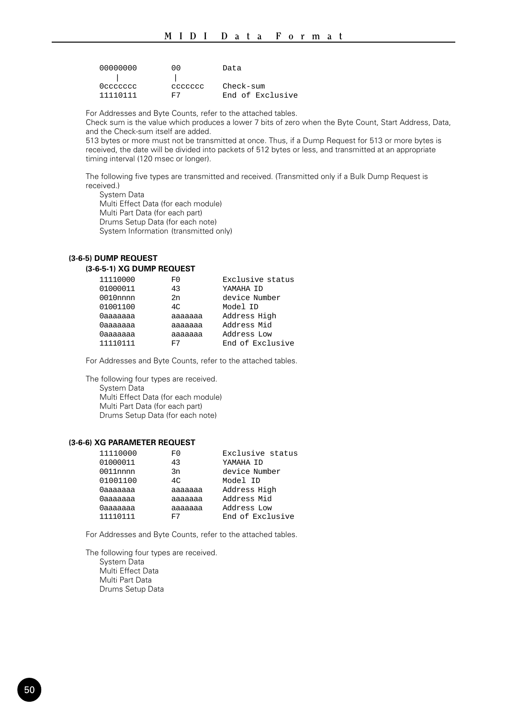| 00000000 | 00     | Data             |
|----------|--------|------------------|
|          |        |                  |
| Occccccc | aaaaaa | Check-sum        |
| 11110111 | F7     | End of Exclusive |

For Addresses and Byte Counts, refer to the attached tables.

Check sum is the value which produces a lower 7 bits of zero when the Byte Count, Start Address, Data, and the Check-sum itself are added.

513 bytes or more must not be transmitted at once. Thus, if a Dump Request for 513 or more bytes is received, the date will be divided into packets of 512 bytes or less, and transmitted at an appropriate timing interval (120 msec or longer).

The following five types are transmitted and received. (Transmitted only if a Bulk Dump Request is received.)

System Data Multi Effect Data (for each module) Multi Part Data (for each part) Drums Setup Data (for each note) System Information (transmitted only)

#### **(3-6-5) DUMP REQUEST (3-6-5-1) XG DUMP REQUEST**

| 11110000    | F0      | Exclusive status |
|-------------|---------|------------------|
| 01000011    | 43      | YAMAHA TD        |
| $0010$ nnnn | 2n      | device Number    |
| 01001100    | 4C      | Model ID         |
| Оааааааа    | ааааааа | Address High     |
| 0aaaaaaa    | ааааааа | Address Mid      |
| 0aaaaaaa    | aaaaaaa | Address Low      |
| 11110111    | F7      | End of Exclusive |
|             |         |                  |

For Addresses and Byte Counts, refer to the attached tables.

The following four types are received. System Data Multi Effect Data (for each module) Multi Part Data (for each part) Drums Setup Data (for each note)

#### **(3-6-6) XG PARAMETER REQUEST**

| 11110000    | F0             | Exclusive status |
|-------------|----------------|------------------|
| 01000011    | 43             | YAMAHA TD        |
| $0011$ nnnn | 3n             | device Number    |
| 01001100    | 4 <sup>c</sup> | Model ID         |
| 0aaaaaaa    | aaaaaaa        | Address High     |
| 0aaaaaaa    | aaaaaaa        | Address Mid      |
| 0aaaaaaa    | aaaaaaa        | Address Low      |
| 11110111    | F7             | End of Exclusive |

For Addresses and Byte Counts, refer to the attached tables.

The following four types are received. System Data Multi Effect Data Multi Part Data Drums Setup Data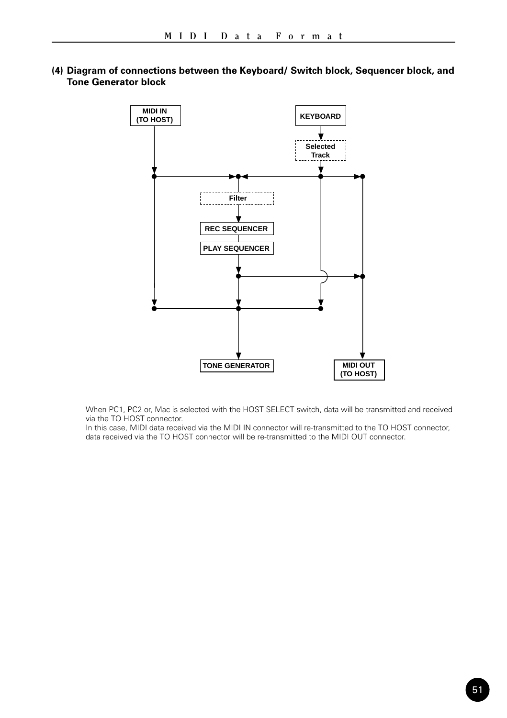

**(4) Diagram of connections between the Keyboard/ Switch block, Sequencer block, and Tone Generator block**

When PC1, PC2 or, Mac is selected with the HOST SELECT switch, data will be transmitted and received via the TO HOST connector.

In this case, MIDI data received via the MIDI IN connector will re-transmitted to the TO HOST connector, data received via the TO HOST connector will be re-transmitted to the MIDI OUT connector.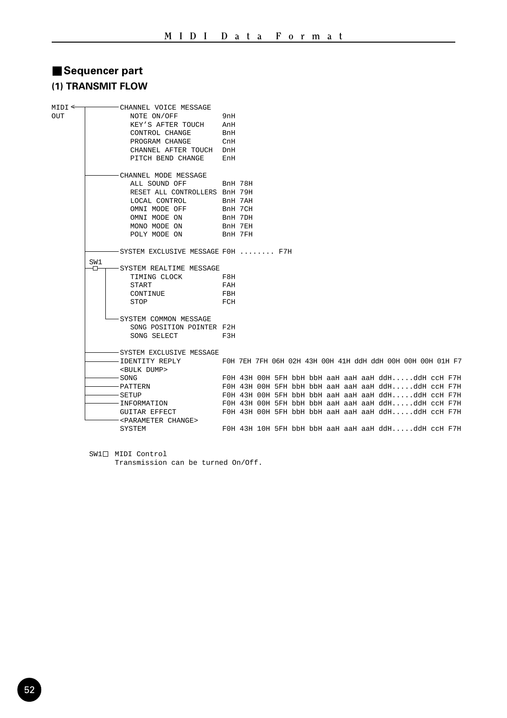## ■ Sequencer part **(1) TRANSMIT FLOW**

| $MIDI \leftarrow$ |     | -CHANNEL VOICE MESSAGE                                         |                |  |  |  |  |                                                            |  |  |
|-------------------|-----|----------------------------------------------------------------|----------------|--|--|--|--|------------------------------------------------------------|--|--|
| OUT               |     | NOTE ON/OFF                                                    | 9nH            |  |  |  |  |                                                            |  |  |
|                   |     | KEY'S AFTER TOUCH                                              | AnH            |  |  |  |  |                                                            |  |  |
|                   |     | CONTROL CHANGE                                                 | BnH            |  |  |  |  |                                                            |  |  |
|                   |     | PROGRAM CHANGE                                                 | CnH            |  |  |  |  |                                                            |  |  |
|                   |     | CHANNEL AFTER TOUCH DnH                                        |                |  |  |  |  |                                                            |  |  |
|                   |     | PITCH BEND CHANGE                                              | EnH            |  |  |  |  |                                                            |  |  |
|                   |     | CHANNEL MODE MESSAGE                                           |                |  |  |  |  |                                                            |  |  |
|                   |     | ALL SOUND OFF                                                  | <b>BnH 78H</b> |  |  |  |  |                                                            |  |  |
|                   |     | RESET ALL CONTROLLERS BnH 79H                                  |                |  |  |  |  |                                                            |  |  |
|                   |     | LOCAL CONTROL                                                  | BnH 7AH        |  |  |  |  |                                                            |  |  |
|                   |     | OMNI MODE OFF                                                  | BnH 7CH        |  |  |  |  |                                                            |  |  |
|                   |     | OMNI MODE ON                                                   | BnH 7DH        |  |  |  |  |                                                            |  |  |
|                   |     | MONO MODE ON                                                   | BnH 7EH        |  |  |  |  |                                                            |  |  |
|                   |     | POLY MODE ON                                                   | BnH 7FH        |  |  |  |  |                                                            |  |  |
|                   |     | SYSTEM EXCLUSIVE MESSAGE FOH  F7H                              |                |  |  |  |  |                                                            |  |  |
|                   | SW1 |                                                                |                |  |  |  |  |                                                            |  |  |
|                   | ъ   | SYSTEM REALTIME MESSAGE                                        |                |  |  |  |  |                                                            |  |  |
|                   |     | TIMING CLOCK                                                   | F8H            |  |  |  |  |                                                            |  |  |
|                   |     | START                                                          | FAH            |  |  |  |  |                                                            |  |  |
|                   |     | CONTINUE                                                       | FBH            |  |  |  |  |                                                            |  |  |
|                   |     | STOP                                                           | FCH            |  |  |  |  |                                                            |  |  |
|                   |     | SYSTEM COMMON MESSAGE                                          |                |  |  |  |  |                                                            |  |  |
|                   |     | SONG POSITION POINTER F2H                                      |                |  |  |  |  |                                                            |  |  |
|                   |     | SONG SELECT                                                    | F3H            |  |  |  |  |                                                            |  |  |
|                   |     | SYSTEM EXCLUSIVE MESSAGE                                       |                |  |  |  |  |                                                            |  |  |
|                   |     | -IDENTITY REPLY                                                |                |  |  |  |  | FOH 7EH 7FH 06H 02H 43H 00H 41H ddH ddH 00H 00H 00H 01H F7 |  |  |
|                   |     | <bulk dump=""></bulk>                                          |                |  |  |  |  |                                                            |  |  |
|                   |     | SONG                                                           |                |  |  |  |  | FOH 43H OOH 5FH bbH bbH aaH aaH aaH ddHddH ccH F7H         |  |  |
|                   |     | PATTERN                                                        |                |  |  |  |  | FOH 43H OOH 5FH bbH bbH aaH aaH aaH ddHddH ccH F7H         |  |  |
|                   |     | SETUP                                                          |                |  |  |  |  | FOH 43H OOH 5FH bbH bbH aaH aaH aaH ddHddH ccH F7H         |  |  |
|                   |     | INFORMATION FOH 43H 00H 5FH bbH bbH aaH aaH aaH ddHddH ccH F7H |                |  |  |  |  |                                                            |  |  |
|                   |     | GUITAR EFFECT                                                  |                |  |  |  |  | FOH 43H OOH 5FH bbH bbH aaH aaH aaH ddHddH ccH F7H         |  |  |
|                   |     | <parameter change=""></parameter>                              |                |  |  |  |  |                                                            |  |  |
|                   |     | SYSTEM                                                         |                |  |  |  |  | FOH 43H 10H 5FH bbH bbH aaH aaH aaH ddHddH ccH F7H         |  |  |

 $SW1 \Box$  MIDI Control

Transmission can be turned On/Off.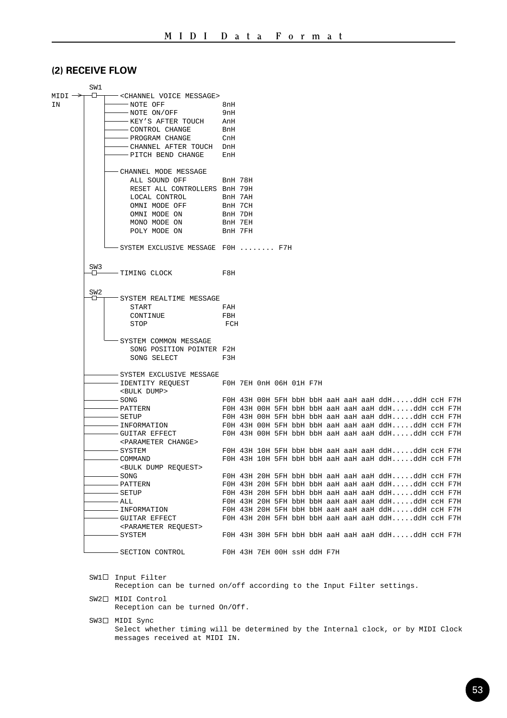## **(2) RECEIVE FLOW**

|                    | SW1             |                                                  |         |  |  |  |  |                                                           |  |
|--------------------|-----------------|--------------------------------------------------|---------|--|--|--|--|-----------------------------------------------------------|--|
| $MIDI \rightarrow$ | ⊕               | -< CHANNEL VOICE MESSAGE>                        |         |  |  |  |  |                                                           |  |
| ΙN                 |                 | -NOTE OFF                                        | 8nH     |  |  |  |  |                                                           |  |
|                    |                 | -NOTE ON/OFF                                     | 9nH     |  |  |  |  |                                                           |  |
|                    |                 | -KEY'S AFTER TOUCH                               | AnH     |  |  |  |  |                                                           |  |
|                    |                 | -CONTROL CHANGE                                  | BnH     |  |  |  |  |                                                           |  |
|                    |                 | -PROGRAM CHANGE                                  | CnH     |  |  |  |  |                                                           |  |
|                    |                 | -CHANNEL AFTER TOUCH DnH                         |         |  |  |  |  |                                                           |  |
|                    |                 | -PITCH BEND CHANGE                               | EnH     |  |  |  |  |                                                           |  |
|                    |                 |                                                  |         |  |  |  |  |                                                           |  |
|                    |                 | - CHANNEL MODE MESSAGE                           |         |  |  |  |  |                                                           |  |
|                    |                 | ALL SOUND OFF                                    | BnH 78H |  |  |  |  |                                                           |  |
|                    |                 | RESET ALL CONTROLLERS BnH 79H                    |         |  |  |  |  |                                                           |  |
|                    |                 | LOCAL CONTROL                                    | BnH 7AH |  |  |  |  |                                                           |  |
|                    |                 | OMNI MODE OFF                                    | BnH 7CH |  |  |  |  |                                                           |  |
|                    |                 | OMNI MODE ON                                     | BnH 7DH |  |  |  |  |                                                           |  |
|                    |                 | MONO MODE ON                                     | BnH 7EH |  |  |  |  |                                                           |  |
|                    |                 | POLY MODE ON                                     | BnH 7FH |  |  |  |  |                                                           |  |
|                    |                 |                                                  |         |  |  |  |  |                                                           |  |
|                    |                 | -SYSTEM EXCLUSIVE MESSAGE FOH  F7H               |         |  |  |  |  |                                                           |  |
|                    |                 |                                                  |         |  |  |  |  |                                                           |  |
|                    | SW <sub>3</sub> |                                                  |         |  |  |  |  |                                                           |  |
|                    | ᇚ               | -TIMING CLOCK                                    | F8H     |  |  |  |  |                                                           |  |
|                    | SW <sub>2</sub> |                                                  |         |  |  |  |  |                                                           |  |
|                    | ъ               | SYSTEM REALTIME MESSAGE                          |         |  |  |  |  |                                                           |  |
|                    |                 | START                                            | FAH     |  |  |  |  |                                                           |  |
|                    |                 | CONTINUE                                         | FBH     |  |  |  |  |                                                           |  |
|                    |                 | STOP                                             | FCH     |  |  |  |  |                                                           |  |
|                    |                 |                                                  |         |  |  |  |  |                                                           |  |
|                    |                 | SYSTEM COMMON MESSAGE                            |         |  |  |  |  |                                                           |  |
|                    |                 | SONG POSITION POINTER F2H                        |         |  |  |  |  |                                                           |  |
|                    |                 | SONG SELECT                                      | F3H     |  |  |  |  |                                                           |  |
|                    |                 | - SYSTEM EXCLUSIVE MESSAGE                       |         |  |  |  |  |                                                           |  |
|                    |                 | -IDENTITY REQUEST FOH 7EH OnH 06H 01H F7H        |         |  |  |  |  |                                                           |  |
|                    |                 | <bulk dump=""></bulk>                            |         |  |  |  |  |                                                           |  |
|                    |                 | - SONG                                           |         |  |  |  |  | FOH 43H OOH 5FH bbH bbH aaH aaH aaH ddHddH ccH F7H        |  |
|                    |                 | – PATTERN                                        |         |  |  |  |  | FOH 43H 00H 5FH bbH bbH aaH aaH aaH ddHddH ccH F7H        |  |
|                    |                 | - SETUP                                          |         |  |  |  |  | FOH 43H OOH 5FH bbH bbH aaH aaH aaH ddHddH ccH F7H        |  |
|                    |                 | - INFORMATION                                    |         |  |  |  |  | FOH 43H 00H 5FH bbH bbH aaH aaH aaH ddHddH ccH F7H        |  |
|                    |                 | -GUITAR EFFECT                                   |         |  |  |  |  | FOH 43H 00H 5FH bbH bbH aaH aaH aaH ddHddH ccH F7H        |  |
|                    |                 | <parameter change=""></parameter>                |         |  |  |  |  |                                                           |  |
|                    |                 | - SYSTEM                                         |         |  |  |  |  | FOH 43H 10H 5FH bbH bbH aaH aaH aaH ddHddH ccH F7H        |  |
|                    |                 | – COMMAND                                        |         |  |  |  |  | FOH 43H 10H 5FH bbH bbH aaH aaH aaH ddHddH ccH F7H        |  |
|                    |                 | <bulk dump="" request=""></bulk>                 |         |  |  |  |  |                                                           |  |
|                    |                 | – SONG                                           |         |  |  |  |  | FOH 43H 20H 5FH bbH bbH aaH aaH aaH ddHddH ccH F7H        |  |
|                    |                 | – PATTERN                                        |         |  |  |  |  | FOH 43H 20H 5FH bbH bbH aaH aaH aaH ddHddH ccH F7H        |  |
|                    |                 | – SETUP                                          |         |  |  |  |  | FOH 43H 20H 5FH bbH bbH aaH aaH aaH ddHddH ccH F7H        |  |
|                    |                 | - ALL                                            |         |  |  |  |  | FOH 43H 20H 5FH bbH bbH aaH aaH aaH ddHddH ccH F7H        |  |
|                    |                 | - INFORMATION                                    |         |  |  |  |  | $F0H$ 43H 20H 5FH bbH bbH aaH aaH aaH ddHddH $c$ cH $F7H$ |  |
|                    |                 | -GUITAR EFFECT                                   |         |  |  |  |  | FOH 43H 20H 5FH bbH bbH aaH aaH aaH ddHddH ccH F7H        |  |
|                    |                 | <parameter request=""></parameter>               |         |  |  |  |  |                                                           |  |
|                    |                 | - SYSTEM                                         |         |  |  |  |  | FOH 43H 30H 5FH bbH bbH aaH aaH aaH ddHddH ccH F7H        |  |
|                    |                 |                                                  |         |  |  |  |  |                                                           |  |
|                    |                 | - SECTION CONTROL<br>FOH 43H 7EH OOH SSH ddH F7H |         |  |  |  |  |                                                           |  |
|                    |                 |                                                  |         |  |  |  |  |                                                           |  |

 $SW1 \Box$  Input Filter

Reception can be turned on/off according to the Input Filter settings.

- SW2<sup>[]</sup> MIDI Control Reception can be turned On/Off.
- SW3<sup>[]</sup> MIDI Sync Select whether timing will be determined by the Internal clock, or by MIDI Clock messages received at MIDI IN.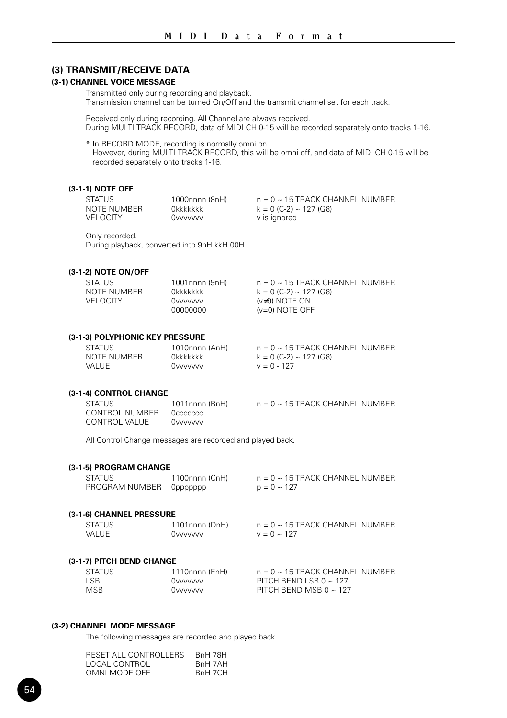## **(3) TRANSMIT/RECEIVE DATA**

#### **(3-1) CHANNEL VOICE MESSAGE**

Transmitted only during recording and playback. Transmission channel can be turned On/Off and the transmit channel set for each track.

Received only during recording. All Channel are always received. During MULTI TRACK RECORD, data of MIDI CH 0-15 will be recorded separately onto tracks 1-16.

\* In RECORD MODE, recording is normally omni on. However, during MULTI TRACK RECORD, this will be omni off, and data of MIDI CH 0-15 will be recorded separately onto tracks 1-16.

#### **(3-1-1) NOTE OFF**

| STATUS      | 1000nnnn (8nH) | $n = 0 \sim 15$ TRACK CHANNEL NUMBER |
|-------------|----------------|--------------------------------------|
| NOTE NUMBER | Okkkkkkk       | $k = 0$ (C-2) ~ 127 (G8)             |
| VELOCITY    | Ovvvvvvv       | v is ignored                         |

Only recorded.

During playback, converted into 9nH kkH 00H.

### **(3-1-2) NOTE ON/OFF**

| <b>STATUS</b> | 1001nnnn (9nH) | $n = 0 \sim 15$ TRACK CHANNEL NUMBER |
|---------------|----------------|--------------------------------------|
| NOTE NUMBER   | Okkkkkkk       | $k = 0$ (C-2) ~ 127 (G8)             |
| VELOCITY.     | Ovvvvvvv       | $(v\neq 0)$ NOTE ON                  |
|               | 00000000       | $(v=0)$ NOTE OFF                     |

#### **(3-1-3) POLYPHONIC KEY PRESSURE**

| STATUS      | 1010nnnn (AnH) | $n = 0 \sim 15$ TRACK CHANNEL NUMBER |
|-------------|----------------|--------------------------------------|
| NOTE NUMBER | Okkkkkkk       | $k = 0$ (C-2) ~ 127 (G8)             |
| VALUE       | Ovvvvvv        | $v = 0 - 127$                        |

#### **(3-1-4) CONTROL CHANGE**

| <b>STATUS</b>  | 1011nnnn (BnH) | $n = 0 \sim 15$ TRACK CHANNEL NUMBER |
|----------------|----------------|--------------------------------------|
| CONTROL NUMBER | Occecccc       |                                      |
| CONTROL VALUE  | Ovvvvvvv       |                                      |

All Control Change messages are recorded and played back.

#### **(3-1-5) PROGRAM CHANGE**

| STATUS                     | 1100nnnn (CnH) | $n = 0 \sim 15$ TRACK CHANNEL NUMBER |
|----------------------------|----------------|--------------------------------------|
| PROGRAM NUMBER    Oppppppp |                | $p = 0 \sim 127$                     |

#### **(3-1-6) CHANNEL PRESSURE**

| <b>STATUS</b> | 1101nnnn (DnH) | $n = 0 \sim 15$ TRACK CHANNEL NUMBER |
|---------------|----------------|--------------------------------------|
| <b>VALUE</b>  | Ovvvvvv        | $v = 0 \sim 127$                     |

#### **(3-1-7) PITCH BEND CHANGE**

| <b>MSB</b><br>PITCH BEND MSB 0 $\sim$ 127<br>Ovvvvvvv | <b>STATUS</b><br>LSB. | 1110nnnn (EnH)<br>Ovvvvvvv | $n = 0 \sim 15$ TRACK CHANNEL NUMBER<br>PITCH BEND LSB 0 $\sim$ 127 |
|-------------------------------------------------------|-----------------------|----------------------------|---------------------------------------------------------------------|
|-------------------------------------------------------|-----------------------|----------------------------|---------------------------------------------------------------------|

## **(3-2) CHANNEL MODE MESSAGE**

The following messages are recorded and played back.

| RESET ALL CONTROLLERS | BnH 78H |
|-----------------------|---------|
| LOCAL CONTROL         | RnH 7AH |
| OMNI MODE OFF         | BnH 7CH |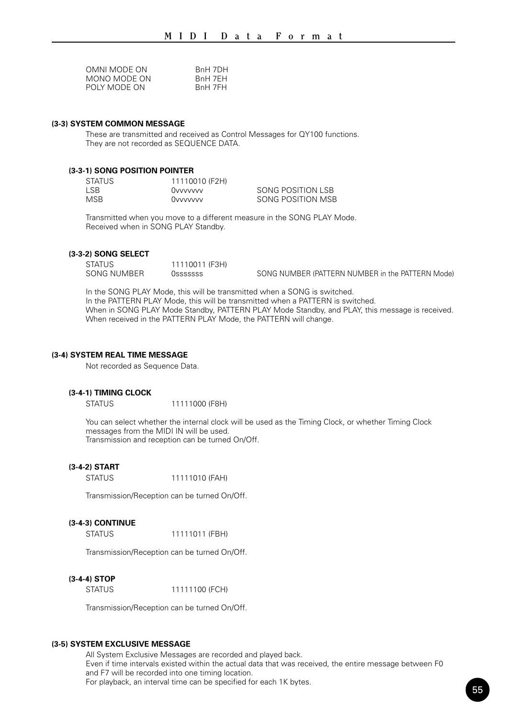| OMNI MODE ON | RnH 7DH |
|--------------|---------|
| MONO MODE ON | RnH 7FH |
| POLY MODE ON | RnH 7FH |

### **(3-3) SYSTEM COMMON MESSAGE**

These are transmitted and received as Control Messages for QY100 functions. They are not recorded as SEQUENCE DATA.

#### **(3-3-1) SONG POSITION POINTER**

| <b>STATUS</b> | 11110010 (F2H) |                   |
|---------------|----------------|-------------------|
| LSB.          | Ovvvvvvv       | SONG POSITION LSB |
| MSB.          | Ovvvvvvv       | SONG POSITION MSB |

Transmitted when you move to a different measure in the SONG PLAY Mode. Received when in SONG PLAY Standby.

#### **(3-3-2) SONG SELECT**

STATUS 11110011 (F3H)<br>SONG NUMBER 0sssssss

OSSSSSSSS SONG NUMBER (PATTERN NUMBER in the PATTERN Mode)

In the SONG PLAY Mode, this will be transmitted when a SONG is switched. In the PATTERN PLAY Mode, this will be transmitted when a PATTERN is switched. When in SONG PLAY Mode Standby, PATTERN PLAY Mode Standby, and PLAY, this message is received. When received in the PATTERN PLAY Mode, the PATTERN will change.

#### **(3-4) SYSTEM REAL TIME MESSAGE**

Not recorded as Sequence Data.

#### **(3-4-1) TIMING CLOCK**

STATUS 11111000 (F8H)

You can select whether the internal clock will be used as the Timing Clock, or whether Timing Clock messages from the MIDI IN will be used. Transmission and reception can be turned On/Off.

#### **(3-4-2) START**

STATUS 11111010 (FAH)

Transmission/Reception can be turned On/Off.

#### **(3-4-3) CONTINUE**

STATUS 11111011 (FBH)

Transmission/Reception can be turned On/Off.

#### **(3-4-4) STOP**

STATUS 11111100 (FCH)

Transmission/Reception can be turned On/Off.

#### **(3-5) SYSTEM EXCLUSIVE MESSAGE**

All System Exclusive Messages are recorded and played back. Even if time intervals existed within the actual data that was received, the entire message between F0 and F7 will be recorded into one timing location. For playback, an interval time can be specified for each 1K bytes.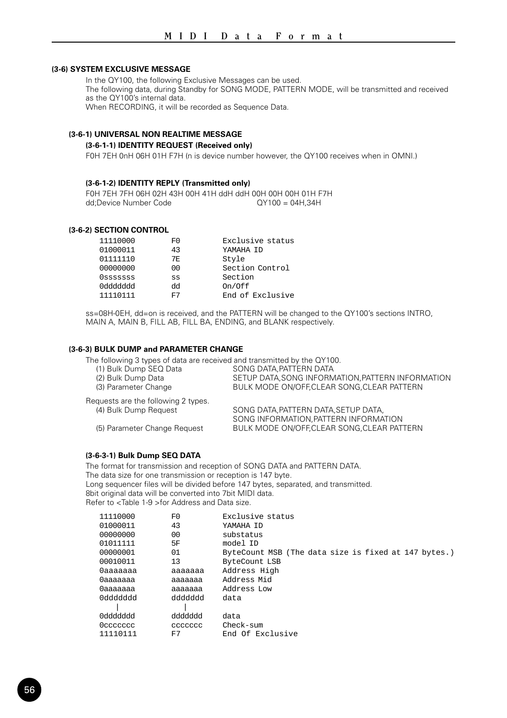#### **(3-6) SYSTEM EXCLUSIVE MESSAGE**

In the QY100, the following Exclusive Messages can be used. The following data, during Standby for SONG MODE, PATTERN MODE, will be transmitted and received as the QY100's internal data. When RECORDING, it will be recorded as Sequence Data.

#### **(3-6-1) UNIVERSAL NON REALTIME MESSAGE**

#### **(3-6-1-1) IDENTITY REQUEST (Received only)**

F0H 7EH 0nH 06H 01H F7H (n is device number however, the QY100 receives when in OMNI.)

#### **(3-6-1-2) IDENTITY REPLY (Transmitted only)**

F0H 7EH 7FH 06H 02H 43H 00H 41H ddH ddH 00H 00H 00H 01H F7H dd:Device Number Code

#### **(3-6-2) SECTION CONTROL**

| 11110000  | F0  | Exclusive status |
|-----------|-----|------------------|
| 01000011  | 43  | YAMAHA TD        |
| 01111110  | 7F. | Style            |
| 00000000  | 00  | Section Control  |
| OSSSSSSS  | SS  | Section          |
| 099999999 | ďq  | On/Off           |
| 11110111  | 교7  | End of Exclusive |

ss=08H-0EH, dd=on is received, and the PATTERN will be changed to the QY100's sections INTRO, MAIN A, MAIN B, FILL AB, FILL BA, ENDING, and BLANK respectively.

#### **(3-6-3) BULK DUMP and PARAMETER CHANGE**

The following 3 types of data are received and transmitted by the QY100.

| (1) Bulk Dump SEQ Data              | SONG DATA PATTERN DATA                            |
|-------------------------------------|---------------------------------------------------|
| (2) Bulk Dump Data                  | SETUP DATA, SONG INFORMATION, PATTERN INFORMATION |
| (3) Parameter Change                | BULK MODE ON/OFF.CLEAR SONG.CLEAR PATTERN         |
| Requests are the following 2 types. |                                                   |
| (4) Bulk Dump Request               | SONG DATA, PATTERN DATA, SETUP DATA.              |
|                                     | SONG INFORMATION, PATTERN INFORMATION             |
| (5) Parameter Change Request        | BULK MODE ON/OFF, CLEAR SONG, CLEAR PATTERN       |

#### **(3-6-3-1) Bulk Dump SEQ DATA**

The format for transmission and reception of SONG DATA and PATTERN DATA. The data size for one transmission or reception is 147 byte. Long sequencer files will be divided before 147 bytes, separated, and transmitted. 8bit original data will be converted into 7bit MIDI data. Refer to <Table 1-9 >for Address and Data size.

| 11110000  | F0      | Exclusive status                                     |
|-----------|---------|------------------------------------------------------|
| 01000011  | 43      | YAMAHA TD                                            |
| 00000000  | 00      | substatus                                            |
| 01011111  | 5F      | model TD                                             |
| 00000001  | 01      | ByteCount MSB (The data size is fixed at 147 bytes.) |
| 00010011  | 13      | ByteCount LSB                                        |
| Oaaaaaaa  | aaaaaaa | Address High                                         |
| 0aaaaaaa  | aaaaaaa | Address Mid                                          |
| 0aaaaaaa  | aaaaaaa | Address Low                                          |
| bbbbbbbb  | ddddddd | data                                                 |
|           |         |                                                      |
| 099999999 | ddddddd | data                                                 |
| 0ccccccc  | ccccccc | Check-sum                                            |
| 11110111  | F7      | End Of Exclusive                                     |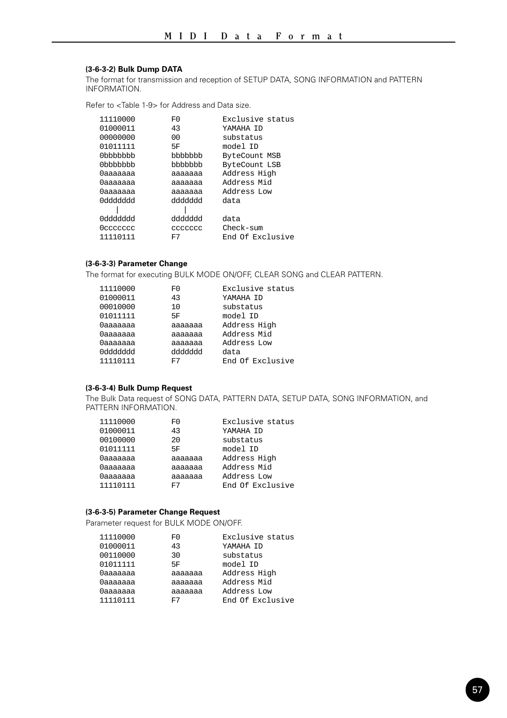#### **(3-6-3-2) Bulk Dump DATA**

The format for transmission and reception of SETUP DATA, SONG INFORMATION and PATTERN INFORMATION.

Refer to <Table 1-9> for Address and Data size.

| 11110000  | F0      | Exclusive status |
|-----------|---------|------------------|
| 01000011  | 43      | YAMAHA TD        |
| 00000000  | 00      | substatus        |
| 01011111  | 5F      | model TD         |
| 0bbbbbbb  | bbbbbbb | ByteCount MSB    |
| 0bbbbbbb  | bbbbbbb | ByteCount LSB    |
| 0ааааааа  | ааааааа | Address High     |
| Оааааааа  | ааааааа | Address Mid      |
| 0ааааааа  | ааааааа | Address Low      |
| 099999999 | ddddddd | data             |
|           |         |                  |
| 099999999 | ddddddd | data             |
| 0 ccccccc | ccccccc | $Check-sum$      |
| 11110111  | F7      | End Of Exclusive |

#### **(3-6-3-3) Parameter Change**

The format for executing BULK MODE ON/OFF, CLEAR SONG and CLEAR PATTERN.

| 11110000 | F <sub>0</sub> | Exclusive status |
|----------|----------------|------------------|
| 01000011 | 43             | YAMAHA TD        |
| 00010000 | 10             | substatus        |
| 01011111 | 5F             | model ID         |
| 0aaaaaaa | aaaaaaa        | Address High     |
| 0aaaaaaa | aaaaaaa        | Address Mid      |
| 0aaaaaaa | aaaaaaa        | Address Low      |
| 0ddddddd | ddddddd        | data             |
| 11110111 | F7             | End Of Exclusive |

#### **(3-6-3-4) Bulk Dump Request**

The Bulk Data request of SONG DATA, PATTERN DATA, SETUP DATA, SONG INFORMATION, and PATTERN INFORMATION.

| 11110000 | F0          | Exclusive status |
|----------|-------------|------------------|
| 01000011 | 43          | YAMAHA TD        |
| 00100000 | $20 \Omega$ | substatus        |
| 01011111 | 5F          | model ID         |
| 0aaaaaaa | aaaaaaa     | Address High     |
| 0aaaaaaa | aaaaaaa     | Address Mid      |
| 0aaaaaaa | aaaaaaa     | Address Low      |
| 11110111 | F7          | End Of Exclusive |

#### **(3-6-3-5) Parameter Change Request**

Parameter request for BULK MODE ON/OFF.

| 11110000 | F0      | Exclusive status |
|----------|---------|------------------|
| 01000011 | 43      | YAMAHA TD        |
| 00110000 | 30      | substatus        |
| 01011111 | 5F      | model ID         |
| 0aaaaaaa | aaaaaaa | Address High     |
| 0aaaaaaa | aaaaaaa | Address Mid      |
| 0aaaaaaa | aaaaaaa | Address Low      |
| 11110111 | F7      | End Of Exclusive |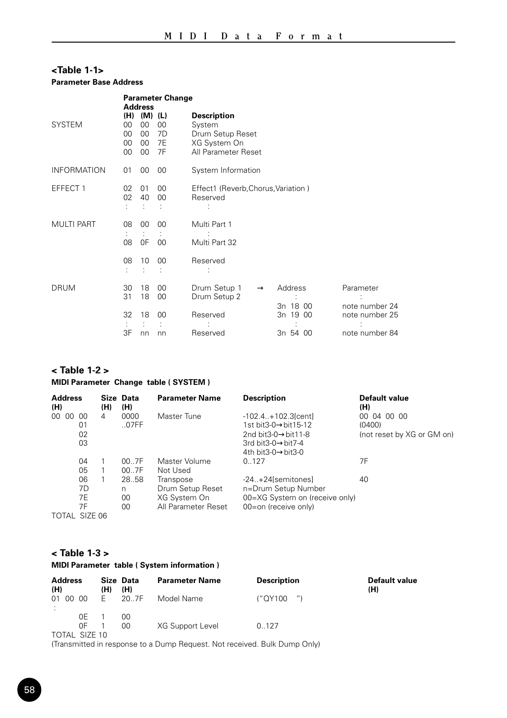## **<Table 1-1> Parameter Base Address**

|                    | <b>Parameter Change</b><br><b>Address</b> |                                     |                           |                                                                                         |                      |                                  |
|--------------------|-------------------------------------------|-------------------------------------|---------------------------|-----------------------------------------------------------------------------------------|----------------------|----------------------------------|
| <b>SYSTEM</b>      | (H)<br>00<br>00<br>00<br>$00\,$           | $(M)$ $(L)$<br>00<br>00<br>00<br>00 | 00<br>7D<br>7E<br>7F      | <b>Description</b><br>System<br>Drum Setup Reset<br>XG System On<br>All Parameter Reset |                      |                                  |
| <b>INFORMATION</b> | 01                                        | 00                                  | 00                        | System Information                                                                      |                      |                                  |
| EFFECT 1           | 02<br>02                                  | 01<br>40                            | 00<br>00                  | Effect1 (Reverb, Chorus, Variation)<br>Reserved                                         |                      |                                  |
| <b>MULTI PART</b>  | 08<br>÷<br>08                             | 00<br>÷<br>0F                       | 00<br>÷<br>0 <sup>0</sup> | Multi Part 1<br>Multi Part 32                                                           |                      |                                  |
|                    | 08                                        | 10                                  | 00                        | Reserved                                                                                |                      |                                  |
| <b>DRUM</b>        | 30<br>31                                  | 18<br>18                            | 00<br>00                  | Drum Setup 1<br>$\rightarrow$<br>Drum Setup 2                                           | Address<br>3n 18 00  | Parameter<br>note number 24      |
|                    | 32<br>3F                                  | 18<br>nn                            | 00<br>nn                  | Reserved<br>Reserved                                                                    | 3n 19 00<br>3n 54 00 | note number 25<br>note number 84 |

## **< Table 1-2 >**

## **MIDI Parameter Change table ( SYSTEM )**

| <b>Address</b><br>(H) |                      | (H) | Size Data<br>(H)       | <b>Parameter Name</b>                                                | <b>Description</b>                                                                                                          | <b>Default value</b><br>(H)                         |
|-----------------------|----------------------|-----|------------------------|----------------------------------------------------------------------|-----------------------------------------------------------------------------------------------------------------------------|-----------------------------------------------------|
| 00<br>00              | 00<br>01<br>02<br>03 | 4   | 0000<br>.07FF          | Master Tune                                                          | $-102.4+102.3$ [cent]<br>1st bit3-0→bit15-12<br>2nd bit3-0 $\rightarrow$ bit11-8<br>3rd bit3-0→bit7-4<br>4th bit3-0->bit3-0 | 00 04 00 00<br>(0400)<br>(not reset by XG or GM on) |
|                       | 04<br>05             |     | 00.7F<br>00.7F         | Master Volume<br>Not Used                                            | 0.127                                                                                                                       | 7F                                                  |
|                       | 06<br>7D<br>7F<br>7F |     | 28.58<br>n<br>00<br>00 | Transpose<br>Drum Setup Reset<br>XG System On<br>All Parameter Reset | $-24+24$ [semitones]<br>n=Drum Setup Number<br>00=XG System on (receive only)<br>00=on (receive only)                       | 40                                                  |
| TOTAL SIZE 06         |                      |     |                        |                                                                      |                                                                                                                             |                                                     |

## **< Table 1-3 >**

## **MIDI Parameter table ( System information )**

| <b>Address</b><br>(H) |          | (H) | Size Data<br>(H) | <b>Parameter Name</b> | <b>Description</b> | <b>Default value</b><br>(H) |
|-----------------------|----------|-----|------------------|-----------------------|--------------------|-----------------------------|
| 01 00 00              |          | E.  | 20.7F            | Model Name            | ("QY100            |                             |
| TOTAL SIZE 10         | 0F<br>ΩF |     | 00<br>00         | XG Support Level      | 0.127              |                             |

TOTAL SIZE 10 (Transmitted in response to a Dump Request. Not received. Bulk Dump Only)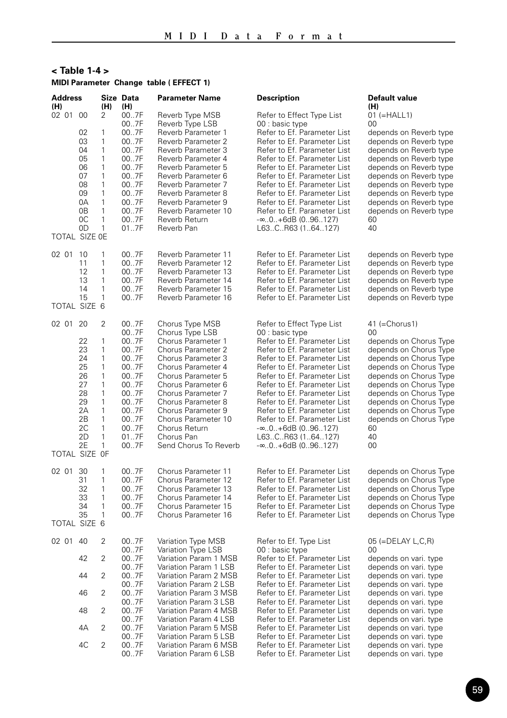## **< Table 1-4 > MIDI Parameter Change table ( EFFECT 1)**

| <b>Address</b><br>(H)     |                                                                                  | (H)                                                                             | Size Data<br>(H)                                                                                                     | <b>Parameter Name</b>                                                                                                                                                                                                                                                                                                   | Description                                                                                                                                                                                                                                                                                                                                                                                                                                        | Default value<br>(H)                                                                                                                                                                                                                                                                                      |
|---------------------------|----------------------------------------------------------------------------------|---------------------------------------------------------------------------------|----------------------------------------------------------------------------------------------------------------------|-------------------------------------------------------------------------------------------------------------------------------------------------------------------------------------------------------------------------------------------------------------------------------------------------------------------------|----------------------------------------------------------------------------------------------------------------------------------------------------------------------------------------------------------------------------------------------------------------------------------------------------------------------------------------------------------------------------------------------------------------------------------------------------|-----------------------------------------------------------------------------------------------------------------------------------------------------------------------------------------------------------------------------------------------------------------------------------------------------------|
| 02 01 00<br>TOTAL SIZE OE | 02<br>03<br>04<br>05<br>06<br>07<br>08<br>09<br>0A<br>0B<br>0C<br>0 <sub>D</sub> | 2<br>1<br>1<br>1<br>1<br>1<br>1<br>1<br>1<br>1<br>1<br>1<br>1                   | 007F<br>007F<br>007F<br>007F<br>007F<br>007F<br>007F<br>007F<br>007F<br>007F<br>007F<br>007F<br>007F<br>017F         | Reverb Type MSB<br>Reverb Type LSB<br>Reverb Parameter 1<br>Reverb Parameter 2<br>Reverb Parameter 3<br>Reverb Parameter 4<br>Reverb Parameter 5<br>Reverb Parameter 6<br>Reverb Parameter 7<br>Reverb Parameter 8<br>Reverb Parameter 9<br>Reverb Parameter 10<br>Reverb Return<br>Reverb Pan                          | Refer to Effect Type List<br>00 : basic type<br>Refer to Ef. Parameter List<br>Refer to Ef. Parameter List<br>Refer to Ef. Parameter List<br>Refer to Ef. Parameter List<br>Refer to Ef. Parameter List<br>Refer to Ef. Parameter List<br>Refer to Ef. Parameter List<br>Refer to Ef. Parameter List<br>Refer to Ef. Parameter List<br>Refer to Ef. Parameter List<br>$-\infty.0$ +6dB (096127)<br>L63CR63 (164127)                                | $01 (=HALL1)$<br>00<br>depends on Reverb type<br>depends on Reverb type<br>depends on Reverb type<br>depends on Reverb type<br>depends on Reverb type<br>depends on Reverb type<br>depends on Reverb type<br>depends on Reverb type<br>depends on Reverb type<br>depends on Reverb type<br>60<br>40       |
| 02 01 10<br>TOTAL SIZE 6  | 11<br>12<br>13<br>14<br>15                                                       | 1<br>1<br>1<br>1<br>1<br>1                                                      | 007F<br>007F<br>007F<br>007F<br>007F<br>007F                                                                         | Reverb Parameter 11<br>Reverb Parameter 12<br>Reverb Parameter 13<br>Reverb Parameter 14<br>Reverb Parameter 15<br>Reverb Parameter 16                                                                                                                                                                                  | Refer to Ef. Parameter List<br>Refer to Ef. Parameter List<br>Refer to Ef. Parameter List<br>Refer to Ef. Parameter List<br>Refer to Ef. Parameter List<br>Refer to Ef. Parameter List                                                                                                                                                                                                                                                             | depends on Reverb type<br>depends on Reverb type<br>depends on Reverb type<br>depends on Reverb type<br>depends on Reverb type<br>depends on Reverb type                                                                                                                                                  |
| 02 01<br>TOTAL SIZE OF    | 20<br>22<br>23<br>24<br>25<br>26<br>27<br>28<br>29<br>2Α<br>2B<br>2C<br>2D<br>2E | $\overline{2}$<br>1<br>1<br>1<br>1<br>1<br>1<br>1<br>1<br>1<br>1<br>1<br>1<br>1 | 007F<br>007F<br>007F<br>007F<br>007F<br>007F<br>007F<br>007F<br>007F<br>007F<br>007F<br>007F<br>007F<br>017F<br>007F | Chorus Type MSB<br>Chorus Type LSB<br>Chorus Parameter 1<br>Chorus Parameter 2<br>Chorus Parameter 3<br>Chorus Parameter 4<br>Chorus Parameter 5<br>Chorus Parameter 6<br>Chorus Parameter 7<br>Chorus Parameter 8<br>Chorus Parameter 9<br>Chorus Parameter 10<br>Chorus Return<br>Chorus Pan<br>Send Chorus To Reverb | Refer to Effect Type List<br>00 : basic type<br>Refer to Ef. Parameter List<br>Refer to Ef. Parameter List<br>Refer to Ef. Parameter List<br>Refer to Ef. Parameter List<br>Refer to Ef. Parameter List<br>Refer to Ef. Parameter List<br>Refer to Ef. Parameter List<br>Refer to Ef. Parameter List<br>Refer to Ef. Parameter List<br>Refer to Ef. Parameter List<br>$-\infty.0.+6dB(0.96.127)$<br>L63CR63 (164127)<br>$-\infty.0.+6dB(0.96.127)$ | 41 (=Chorus1)<br>00<br>depends on Chorus Type<br>depends on Chorus Type<br>depends on Chorus Type<br>depends on Chorus Type<br>depends on Chorus Type<br>depends on Chorus Type<br>depends on Chorus Type<br>depends on Chorus Type<br>depends on Chorus Type<br>depends on Chorus Type<br>60<br>40<br>00 |
| 02 01                     | 30<br>31<br>32<br>33<br>34<br>35                                                 | 1<br>1<br>1<br>1<br>1<br>1                                                      | 007F<br>007F<br>007F<br>007F<br>007F<br>007F                                                                         | Chorus Parameter 11<br>Chorus Parameter 12<br>Chorus Parameter 13<br>Chorus Parameter 14<br>Chorus Parameter 15<br>Chorus Parameter 16                                                                                                                                                                                  | Refer to Ef. Parameter List<br>Refer to Ef. Parameter List<br>Refer to Ef. Parameter List<br>Refer to Ef. Parameter List<br>Refer to Ef. Parameter List<br>Refer to Ef. Parameter List                                                                                                                                                                                                                                                             | depends on Chorus Type<br>depends on Chorus Type<br>depends on Chorus Type<br>depends on Chorus Type<br>depends on Chorus Type<br>depends on Chorus Type                                                                                                                                                  |
| TOTAL SIZE 6              |                                                                                  |                                                                                 |                                                                                                                      |                                                                                                                                                                                                                                                                                                                         |                                                                                                                                                                                                                                                                                                                                                                                                                                                    |                                                                                                                                                                                                                                                                                                           |
| 02 01 40                  | 42                                                                               | 2<br>$\overline{2}$                                                             | 007F<br>007F<br>007F<br>007F                                                                                         | Variation Type MSB<br>Variation Type LSB<br>Variation Param 1 MSB<br>Variation Param 1 LSB                                                                                                                                                                                                                              | Refer to Ef. Type List<br>00 : basic type<br>Refer to Ef. Parameter List<br>Refer to Ef. Parameter List                                                                                                                                                                                                                                                                                                                                            | $05$ (=DELAY L,C,R)<br>$00 \,$<br>depends on vari. type<br>depends on vari. type                                                                                                                                                                                                                          |
|                           | 44                                                                               | $\overline{2}$                                                                  | 007F<br>007F                                                                                                         | Variation Param 2 MSB<br>Variation Param 2 LSB                                                                                                                                                                                                                                                                          | Refer to Ef. Parameter List<br>Refer to Ef. Parameter List                                                                                                                                                                                                                                                                                                                                                                                         | depends on vari. type<br>depends on vari. type                                                                                                                                                                                                                                                            |
|                           | 46<br>48                                                                         | $\overline{2}$<br>2                                                             | 007F<br>007F<br>007F                                                                                                 | Variation Param 3 MSB<br>Variation Param 3 LSB<br>Variation Param 4 MSB                                                                                                                                                                                                                                                 | Refer to Ef. Parameter List<br>Refer to Ef. Parameter List<br>Refer to Ef. Parameter List                                                                                                                                                                                                                                                                                                                                                          | depends on vari. type<br>depends on vari. type<br>depends on vari. type                                                                                                                                                                                                                                   |
|                           | 4A                                                                               | 2                                                                               | 007F<br>007F                                                                                                         | Variation Param 4 LSB<br>Variation Param 5 MSB                                                                                                                                                                                                                                                                          | Refer to Ef. Parameter List<br>Refer to Ef. Parameter List                                                                                                                                                                                                                                                                                                                                                                                         | depends on vari. type<br>depends on vari. type                                                                                                                                                                                                                                                            |
|                           | 4C                                                                               | $\overline{2}$                                                                  | 007F<br>007F<br>007F                                                                                                 | Variation Param 5 LSB<br>Variation Param 6 MSB<br>Variation Param 6 LSB                                                                                                                                                                                                                                                 | Refer to Ef. Parameter List<br>Refer to Ef. Parameter List<br>Refer to Ef. Parameter List                                                                                                                                                                                                                                                                                                                                                          | depends on vari. type<br>depends on vari. type<br>depends on vari. type                                                                                                                                                                                                                                   |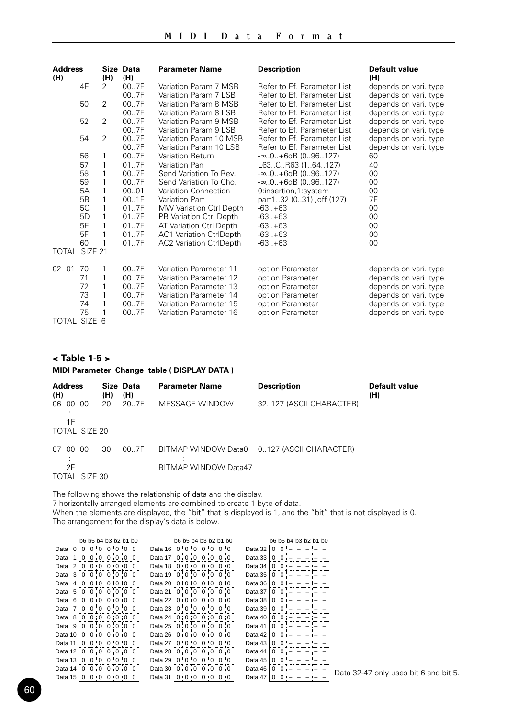| <b>Address</b><br>(H) |           | (H)            | Size Data<br>(H) | <b>Parameter Name</b>                            | <b>Description</b>                                         | <b>Default value</b><br>(H)                    |
|-----------------------|-----------|----------------|------------------|--------------------------------------------------|------------------------------------------------------------|------------------------------------------------|
|                       | 4F        | $\mathcal{P}$  | 00.7F<br>007F    | Variation Param 7 MSB<br>Variation Param 7 LSB   | Refer to Ef. Parameter List<br>Refer to Ef. Parameter List | depends on vari. type<br>depends on vari. type |
|                       | 50        | $\mathcal{P}$  | 007F<br>007F     | Variation Param 8 MSB<br>Variation Param 8 LSB   | Refer to Ef. Parameter List<br>Refer to Ef. Parameter List | depends on vari. type<br>depends on vari. type |
|                       | 52        | $\mathcal{P}$  | 007F<br>007F     | Variation Param 9 MSB<br>Variation Param 9 LSB   | Refer to Ef. Parameter List<br>Refer to Ef. Parameter List | depends on vari. type<br>depends on vari. type |
|                       | 54        | $\mathfrak{p}$ | 007F<br>007F     | Variation Param 10 MSB<br>Variation Param 10 LSB | Refer to Ef. Parameter List<br>Refer to Ef. Parameter List | depends on vari. type<br>depends on vari, type |
|                       | 56        | 1              | 007F             | Variation Return                                 | -∞…0…+6dB (0…96…127)                                       | 60                                             |
|                       | 57        | 1              | 017F             | Variation Pan                                    | L63CR63 (164127)                                           | 40                                             |
|                       | 58        | 1              | 007F             | Send Variation To Rev.                           | $-\infty.0.+6dB(0.96.127)$                                 | 00                                             |
|                       | 59        | 1              | 007F             | Send Variation To Cho.                           | $-\infty$ 0+6dB (096127)                                   | 00                                             |
|                       | 5A        | 1              | 00.01            | Variation Connection                             | 0:insertion, 1:system                                      | 00                                             |
|                       | <b>5B</b> | 1              | 001F             | Variation Part                                   | part132 (031), off (127)                                   | 7F                                             |
|                       | 5C        | 1              | 017F             | MW Variation Ctrl Depth                          | $-63+63$                                                   | 00                                             |
|                       | 5D        | 1              | 017F             | PB Variation Ctrl Depth                          | $-63. +63$                                                 | 00                                             |
|                       | 5E        | 1              | 017F             | AT Variation Ctrl Depth                          | $-63+63$                                                   | 00                                             |
|                       | 5F        | 1              | 017F             | <b>AC1 Variation CtrlDepth</b>                   | $-63+63$                                                   | 00                                             |
|                       | 60        | 1              | 017F             | <b>AC2 Variation CtrlDepth</b>                   | $-63+63$                                                   | 00                                             |
| TOTAL SIZE 21         |           |                |                  |                                                  |                                                            |                                                |
| 02 01                 | 70        | 1              | 007F             | Variation Parameter 11                           | option Parameter                                           | depends on vari. type                          |
|                       | 71        | 1              | 007F             | Variation Parameter 12                           | option Parameter                                           | depends on vari. type                          |
|                       | 72        | 1              | 007F             | Variation Parameter 13                           | option Parameter                                           | depends on vari. type                          |
|                       | 73        | 1              | 007F             | Variation Parameter 14                           | option Parameter                                           | depends on vari. type                          |
|                       | 74        | 1              | 007F             | Variation Parameter 15                           | option Parameter                                           | depends on vari. type                          |
|                       | 75        |                | 007F             | Variation Parameter 16                           | option Parameter                                           | depends on vari. type                          |
| TOTAL SIZE 6          |           |                |                  |                                                  |                                                            |                                                |

## **< Table 1-5 >**

## **MIDI Parameter Change table ( DISPLAY DATA )**

| <b>Address</b><br>(H)                   | (H) | Size Data<br>(H) | <b>Parameter Name</b> | <b>Description</b>                         | <b>Default value</b><br>(H) |
|-----------------------------------------|-----|------------------|-----------------------|--------------------------------------------|-----------------------------|
| 06 00 00<br>1F                          | 20  | 20.7F            | MESSAGE WINDOW        | 32127 (ASCII CHARACTER)                    |                             |
| TOTAL SIZE 20                           |     |                  |                       |                                            |                             |
| 00.<br>-00<br>07<br>2F<br>TOTAL SIZE 30 | 30  | 00.7F            | BITMAP WINDOW Data47  | BITMAP WINDOW Data0 0127 (ASCII CHARACTER) |                             |

The following shows the relationship of data and the display. 7 horizontally arranged elements are combined to create 1 byte of data. When the elements are displayed, the "bit" that is displayed is 1, and the "bit" that is not displayed is 0. The arrangement for the display's data is below.

|         |   | b6 b5 b4 b3 b2 b1 b0 |              |               |                |                      |               |         |          |               |              |                      |            |              | b6 b5 b4 b3 b2 b1 b0 |         |            |              | b6 b5 b4 b3 b2 b1 b0 |  |  |
|---------|---|----------------------|--------------|---------------|----------------|----------------------|---------------|---------|----------|---------------|--------------|----------------------|------------|--------------|----------------------|---------|------------|--------------|----------------------|--|--|
| Data    |   |                      |              | : 0:0:0       |                |                      | : 0 : 0       | Data 16 |          |               |              | 0:0                  | $\Omega$   | ി റ          |                      | Data 32 |            | <sup>n</sup> |                      |  |  |
| Data    |   |                      |              | <sup>0</sup>  | $\Omega$       | $\ddot{\Omega}$      | $\Omega$      | Data 17 | O        |               | U            | 0                    | $\Omega$   | $\Omega$     |                      | Data 33 |            |              |                      |  |  |
| Data    |   |                      |              | $\Omega$      | ŧ<br>$\Omega$  | $\vdots$ 0           | $\Omega$      | Data 18 |          |               | 0            | 0                    | $\Omega$   | 0            | $\vdots$ 0           | Data 34 |            | O            |                      |  |  |
| Data    | 3 |                      | <sup>o</sup> | $\Omega$<br>÷ | $\vdots$ 0     | $\vdots$ 0           | : 0 : 0       | Data 19 | $\Omega$ | $\Omega$      | $\Omega$     | $\vdots$ 0           | $\vdots$ 0 |              | 0:0                  | Data 35 | 0:0        |              |                      |  |  |
| Data    |   |                      | 0:0:         |               |                |                      | 0:0:0:0:0     | Data 20 | 0:       | $\Omega$      | 0            | 10                   | $\Omega$   |              | 0:0                  | Data 36 | $\Omega$   | 0            |                      |  |  |
| Data    | 5 |                      |              |               |                |                      | 0:0:0:0:0:0:0 | Data 21 | $\Omega$ | $\Omega$      | 0            | 10                   | $\ddot{0}$ | 0.010        |                      | Data 37 | $\Omega$   | ் ∩          |                      |  |  |
| Data    | 6 | ŋ                    | $\Omega$     | 0:0<br>÷      |                | $\overline{10}$      | ്റ : റ        | Data 22 | O        | $\Omega$      | <sup>n</sup> | $\ddot{\phantom{0}}$ | $\ddot{0}$ |              | n:n                  | Data 38 | $\Omega$ : | O            |                      |  |  |
| Data    |   | <sup>n</sup>         | <sup>o</sup> |               | 0:0:0:0        |                      |               | Data 23 | $\Omega$ | $\Omega$      | 0            | 0.010                |            | $\Omega$     |                      | Data 39 | $\Omega$   | Ω            |                      |  |  |
| Data    | 8 |                      | <sup>n</sup> |               |                |                      | :0:0:0:0:0    | Data 24 |          | n             | 0            | : 0 : 0              |            | ാ വ          |                      | Data 40 |            | O            |                      |  |  |
| Data 9  |   | 0                    |              |               |                |                      | :0:0:0:0:0:0  | Data 25 | $\Omega$ | $\Omega$<br>÷ |              | 0:0                  | $\ddot{0}$ | 0:0          |                      | Data 41 |            | n            |                      |  |  |
| Data 10 |   |                      |              |               |                |                      | 0:0:0:0:0:0:0 | Data 26 | 0:       | $\Omega$<br>÷ | $\Omega$     | $\ddot{0}$           | $\ddot{0}$ | ി റ          |                      | Data 42 |            | O            |                      |  |  |
| Data 11 |   |                      |              | $\ddot{0}$    | $\overline{0}$ | $\overline{\Omega}$  | $\Omega$      | Data 27 | $\Omega$ |               | $\Omega$     | $\ddot{0}$           | $\Omega$   | <sup>n</sup> | $\mathbf{a}$         | Data 43 |            | O            |                      |  |  |
| Data 12 |   | $\Omega$             | $\Omega$     | $\Omega$      | ÷<br>$\Omega$  | $\ddot{\phantom{0}}$ | $\Omega$      | Data 28 | $\Omega$ | $\Omega$      | 0            | $\Omega$             | $\Omega$   | $\Omega$     |                      | Data 44 | $\Omega$   |              |                      |  |  |
| Data 13 |   |                      | 0:0          | $\Omega$      | 0.01           |                      | 0:0           | Data 29 | 0        | $\Omega$      | $\Omega$     | $\Omega$             | $\Omega$   |              | 0:0                  | Data 45 | 0:0        |              |                      |  |  |
| Data 14 |   |                      |              | 0:0:0:0       |                | $\overline{0}$       | : 0 : 0       | Data 30 | $\Omega$ | <sup>0</sup>  | 0            | $\vdots$ 0           | $\ddot{0}$ |              | 0:0                  | Data 46 | 0:0        |              |                      |  |  |
| Data 15 |   |                      | 0:0:0        |               | :0:0           |                      | : 0 : 0       | Data 31 |          | 0:0           | 0            | $\ddot{0}$           | $\ddot{0}$ | 0:0          |                      | Data 47 |            | 0:0          |                      |  |  |

Data 32-47 only uses bit 6 and bit 5.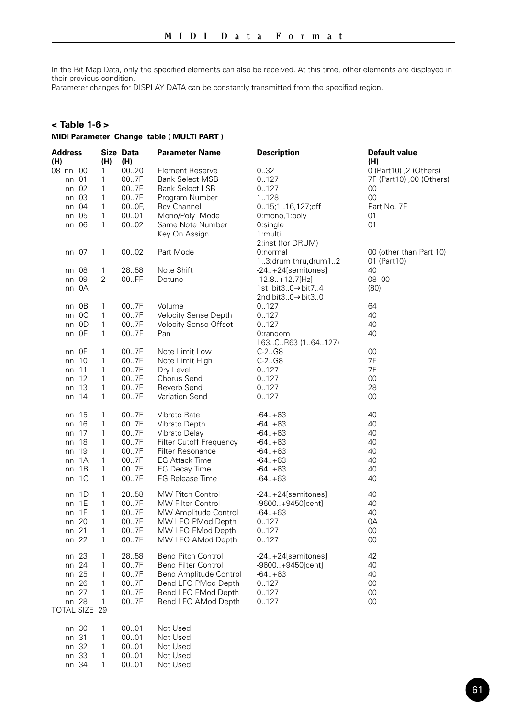In the Bit Map Data, only the specified elements can also be received. At this time, other elements are displayed in their previous condition.

Parameter changes for DISPLAY DATA can be constantly transmitted from the specified region.

## **< Table 1-6 >**

#### **MIDI Parameter Change table ( MULTI PART )**

| Address<br>(H) |         | (H)            | Size Data<br>(H) | Parameter Name             | Description            | Default value<br>(H)     |
|----------------|---------|----------------|------------------|----------------------------|------------------------|--------------------------|
| 08 nn 00       |         | 1              | 0020             | Element Reserve            | 032                    | 0 (Part10), 2 (Others)   |
|                | nn 01   | 1              | 007F             | <b>Bank Select MSB</b>     | 0.127                  | 7F (Part10) ,00 (Others) |
|                | $nn$ 02 | 1              | 007F             | <b>Bank Select LSB</b>     | 0.127                  | 00                       |
|                | nn 03   | 1              | 007F             | Program Number             | 1.128                  | 00                       |
|                | nn 04   | 1              |                  | <b>Rcv Channel</b>         |                        | Part No. 7F              |
|                |         |                | 000F,            |                            | 015;116,127;off        |                          |
|                | nn 05   | 1              | 0001             | Mono/Poly Mode             | 0:mono, 1:poly         | 01                       |
|                | nn 06   | 1              | 0002             | Same Note Number           | 0:single               | 01                       |
|                |         |                |                  | Key On Assign              | 1:multi                |                          |
|                |         |                |                  |                            | 2:inst (for DRUM)      |                          |
|                | $nn$ 07 | 1              | 0002             | Part Mode                  | 0:normal               | 00 (other than Part 10)  |
|                |         |                |                  |                            | 13: drum thru, drum 12 | 01 (Part10)              |
|                | nn 08   | 1              | 28.58            | Note Shift                 | -24+24[semitones]      | 40                       |
|                | nn 09   | $\overline{2}$ | 00FF             | Detune                     | $-12.8.+12.7$ [Hz]     | 08 00                    |
|                | nn 0A   |                |                  |                            | 1st bit30→bit74        | (80)                     |
|                |         |                |                  |                            | 2nd bit30→bit30        |                          |
|                | nn OB   | 1              | 007F             | Volume                     | 0.127                  | 64                       |
|                | $nn$ OC | 1              | 007F             | Velocity Sense Depth       | 0.127                  | 40                       |
|                | nn OD   | 1              | 007F             | Velocity Sense Offset      | 0.127                  | 40                       |
|                | nn OE   | 1              | 007F             | Pan                        | 0:random               | 40                       |
|                |         |                |                  |                            | L63CR63 (164127)       |                          |
|                | nn OF   | 1              | 007F             | Note Limit Low             | $C-2.$ G8              | 00                       |
|                | nn 10   | 1              | 007F             | Note Limit High            | $C-2.$ G8              | 7F                       |
|                | nn 11   | 1              | 007F             | Dry Level                  | 0.127                  | 7F                       |
|                | nn 12   | 1              | 007F             | Chorus Send                | 0.127                  | $00\,$                   |
|                | nn 13   | 1              | 007F             | Reverb Send                | 0.127                  | 28                       |
|                | nn 14   | 1              | 007F             | Variation Send             | 0.127                  | 00                       |
|                |         |                |                  |                            |                        |                          |
| nn             | -15     | 1              | 007F             | Vibrato Rate               | $-64. + 63$            | 40                       |
| nn             | 16      | 1              | 007F             | Vibrato Depth              | $-64. + 63$            | 40                       |
|                | nn 17   | 1              | 007F             | Vibrato Delay              | $-64. + 63$            | 40                       |
|                | nn 18   | 1              | 007F             | Filter Cutoff Frequency    | $-64. + 63$            | 40                       |
|                | nn 19   | 1              | 007F             | Filter Resonance           | $-64. + 63$            | 40                       |
|                | nn 1A   | 1              | 007F             | <b>EG Attack Time</b>      | $-64+63$               | 40                       |
|                | $nn$ 1B | 1              | 007F             | EG Decay Time              | $-64+63$               | 40                       |
|                | nn 1C   | 1              | 007F             | <b>EG Release Time</b>     | $-64. + 63$            | 40                       |
|                | nn 1D   | 1              | 28.58            | <b>MW Pitch Control</b>    | -24+24[semitones]      | 40                       |
|                | $nn$ 1E | 1              | 007F             | <b>MW Filter Control</b>   | -9600+9450[cent]       | 40                       |
|                | nn 1F   | 1              | 007F             | MW Amplitude Control       | $-64. + 63$            | 40                       |
|                | nn 20   | 1              | 007F             | MW LFO PMod Depth          | 0.127                  | 0A                       |
|                | nn 21   | 1              | 007F             | MW LFO FMod Depth          | 0.127                  | 00                       |
|                | nn 22   | 1              | 007F             | MW LFO AMod Depth          | 0.127                  | 00                       |
|                | nn 23   | 1              | 28.58            | <b>Bend Pitch Control</b>  | -24+24[semitones]      | 42                       |
|                | nn 24   | 1              | 007F             | <b>Bend Filter Control</b> | -9600+9450[cent]       | 40                       |
|                | nn 25   | 1              | 007F             | Bend Amplitude Control     | $-64. + 63$            | 40                       |
|                | nn 26   | 1              | 007F             | Bend LFO PMod Depth        | 0.127                  | $00\,$                   |
|                | nn 27   | 1              | 007F             | Bend LFO FMod Depth        | 0.127                  | $00\,$                   |
|                | nn 28   | 1              | 007F             | Bend LFO AMod Depth        | 0.127                  | 00                       |
| TOTAL SIZE 29  |         |                |                  |                            |                        |                          |
|                | nn 30   | 1              | 0001             | Not Used                   |                        |                          |
|                | nn 31   | 1              | 0001             | Not Used                   |                        |                          |
|                | nn 32   | 1              | 0001             | Not Used                   |                        |                          |
|                | nn 33   | 1              | 0001             | Not Used                   |                        |                          |
|                | nn 34   | 1              | 00.01            | Not Used                   |                        |                          |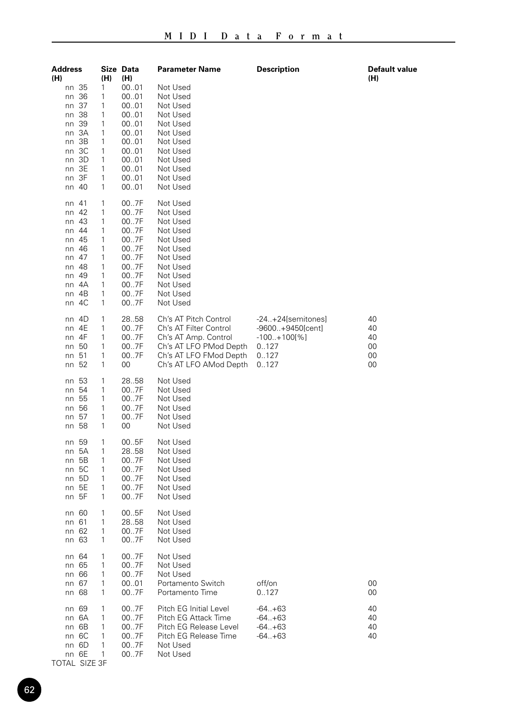| Address<br>(H)                                                                                                                                | (H)                                                      | Size Data<br>(H)                                                                             | Parameter Name                                                                                                                                        | Description                                                                           | Default value<br>(H)             |
|-----------------------------------------------------------------------------------------------------------------------------------------------|----------------------------------------------------------|----------------------------------------------------------------------------------------------|-------------------------------------------------------------------------------------------------------------------------------------------------------|---------------------------------------------------------------------------------------|----------------------------------|
| nn 35<br>36<br>nn<br>nn 37<br>nn 38<br>39<br>nn<br>3A<br>nn<br>ЗB<br>nn<br>3C<br>nn<br>3D<br>nn<br>nn 3E<br>nn 3F<br>nn 40                    | 1<br>1<br>1<br>1<br>1<br>1<br>1<br>1<br>1<br>1<br>1<br>1 | 0001<br>0001<br>0001<br>0001<br>0001<br>0001<br>0001<br>0001<br>0001<br>0001<br>0001<br>0001 | Not Used<br>Not Used<br>Not Used<br>Not Used<br>Not Used<br>Not Used<br>Not Used<br>Not Used<br>Not Used<br>Not Used<br>Not Used<br>Not Used          |                                                                                       |                                  |
| 41<br>nn<br>42<br>nn<br>43<br>nn<br>44<br>nn<br>45<br>nn<br>46<br>nn<br>-47<br>nn<br>48<br>nn<br>49<br>nn<br>4A<br>nn<br>4B<br>nn<br>4C<br>nn | 1<br>1<br>1<br>1<br>1<br>1<br>1<br>1<br>1<br>1<br>1<br>1 | 007F<br>007F<br>007F<br>007F<br>007F<br>007F<br>007F<br>007F<br>007F<br>007F<br>007F<br>007F | Not Used<br>Not Used<br>Not Used<br>Not Used<br>Not Used<br>Not Used<br>Not Used<br>Not Used<br>Not Used<br>Not Used<br>Not Used<br>Not Used          |                                                                                       |                                  |
| nn 4D<br>4E<br>nn<br>4F<br>nn<br>50<br>nn<br>-51<br>nn<br>52<br>nn                                                                            | 1<br>1<br>1<br>1<br>1<br>1                               | 28.58<br>007F<br>007F<br>007F<br>007F<br>00                                                  | Ch's AT Pitch Control<br>Ch's AT Filter Control<br>Ch's AT Amp. Control<br>Ch's AT LFO PMod Depth<br>Ch's AT LFO FMod Depth<br>Ch's AT LFO AMod Depth | $-24+24[semitones]$<br>-9600+9450[cent]<br>$-100.+100[\%]$<br>0.127<br>0.127<br>0.127 | 40<br>40<br>40<br>00<br>00<br>00 |
| 53<br>nn<br>54<br>nn<br>nn 55<br>56<br>nn<br>57<br>nn<br>-58<br>nn                                                                            | 1<br>1<br>1<br>1<br>1<br>1                               | 28.58<br>007F<br>007F<br>007F<br>007F<br>00                                                  | Not Used<br>Not Used<br>Not Used<br>Not Used<br>Not Used<br>Not Used                                                                                  |                                                                                       |                                  |
| 59<br>nn<br>5A<br>nn<br>5Β<br>nn<br>-5C<br>nn<br>5D<br>nn<br>5E<br>nn<br>nn 5F                                                                | 1<br>1<br>1<br>1<br>1<br>1<br>1                          | 005F<br>28.58<br>007F<br>007F<br>007F<br>007F<br>007F                                        | Not Used<br>Not Used<br>Not Used<br>Not Used<br>Not Used<br>Not Used<br>Not Used                                                                      |                                                                                       |                                  |
| nn 60<br>nn 61<br>62<br>nn<br>63<br>nn                                                                                                        | 1<br>1<br>1<br>1                                         | 005F<br>28.58<br>007F<br>007F                                                                | Not Used<br>Not Used<br>Not Used<br>Not Used                                                                                                          |                                                                                       |                                  |
| nn 64<br>nn 65<br>66<br>nn<br>nn 67<br>nn 68                                                                                                  | 1<br>1<br>1<br>1<br>1                                    | 007F<br>007F<br>007F<br>0001<br>007F                                                         | Not Used<br>Not Used<br>Not Used<br>Portamento Switch<br>Portamento Time                                                                              | off/on<br>0.127                                                                       | 00<br>00                         |
| 69<br>nn<br>6A<br>nn<br>6B<br>nn<br>nn 6C<br>nn 6D<br>nn 6E                                                                                   | 1<br>1<br>1<br>1<br>1<br>1                               | 007F<br>007F<br>007F<br>007F<br>007F<br>007F                                                 | Pitch EG Initial Level<br>Pitch EG Attack Time<br>Pitch EG Release Level<br>Pitch EG Release Time<br>Not Used<br>Not Used                             | $-64. + 63$<br>$-64. + 63$<br>$-64. + 63$<br>$-64. + 63$                              | 40<br>40<br>40<br>40             |

TOTAL SIZE 3F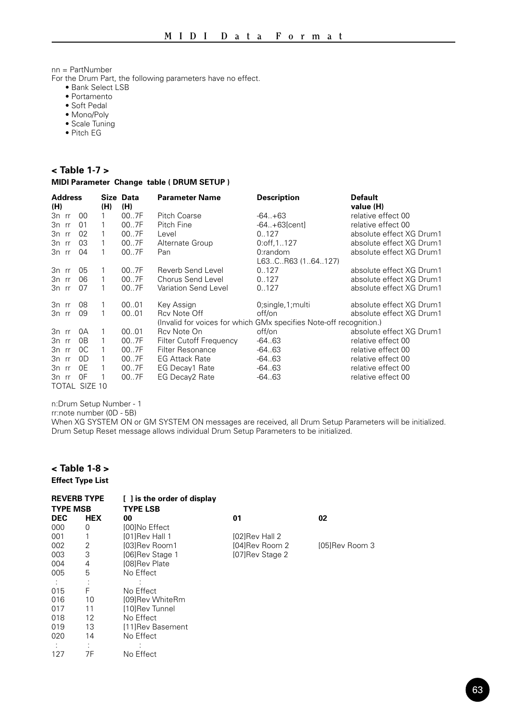nn = PartNumber

For the Drum Part, the following parameters have no effect.

- Bank Select LSB
- Portamento
- Soft Pedal
- Mono/Poly
- Scale Tuning
- Pitch EG

## **< Table 1-7 >**

#### **MIDI Parameter Change table ( DRUM SETUP )**

| <b>Address</b> |                |     | Size Data | <b>Parameter Name</b>                                              | <b>Description</b>  | <b>Default</b>           |
|----------------|----------------|-----|-----------|--------------------------------------------------------------------|---------------------|--------------------------|
| (H)            |                | (H) | (H)       |                                                                    |                     | value (H)                |
| $3n$ rr        | 00             | 1   | 007F      | Pitch Coarse                                                       | $-64. +63$          | relative effect 00       |
| $3n$ rr        | 01             | 1   | 007F      | Pitch Fine                                                         | $-64+63[cent]$      | relative effect 00       |
| 3n rr          | 02             |     | 007F      | Level                                                              | 0.127               | absolute effect XG Drum1 |
| 3n rr          | 0 <sub>3</sub> | 1   | 007F      | Alternate Group                                                    | $0:$ off, $1127$    | absolute effect XG Drum1 |
| 3n rr          | 04             | 1   | 007F      | Pan                                                                | 0:random            | absolute effect XG Drum1 |
|                |                |     |           |                                                                    | L63CR63 (164127)    |                          |
| 3n rr          | 05             | 1   | 007F      | Reverb Send Level                                                  | 0.127               | absolute effect XG Drum1 |
| 3n rr          | 06             | 1   | 007F      | Chorus Send Level                                                  | 0.127               | absolute effect XG Drum1 |
| 3n rr          | 07             | 1   | 007F      | Variation Send Level                                               | 0.127               | absolute effect XG Drum1 |
| 3n rr          | 08             | 1   | 0001      | Key Assign                                                         | 0; single, 1; multi | absolute effect XG Drum1 |
| 3n rr          | 09             | 1   | 00.01     | Rcv Note Off                                                       | off/on              | absolute effect XG Drum1 |
|                |                |     |           | (Invalid for voices for which GMx specifies Note-off recognition.) |                     |                          |
| 3n rr          | 0A             | 1   | 00.01     | Rcy Note On                                                        | off/on              | absolute effect XG Drum1 |
| 3n rr          | 0 <sub>B</sub> | 1   | 007F      | <b>Filter Cutoff Frequency</b>                                     | $-64.63$            | relative effect 00       |
| 3n rr          | 0C             | 1   | 007F      | Filter Resonance                                                   | $-64.63$            | relative effect 00       |
| 3n rr          | 0D             | 1   | 007F      | <b>EG Attack Rate</b>                                              | $-64.63$            | relative effect 00       |
| 3n rr          | 0E             | 1   | 007F      | EG Decay1 Rate                                                     | $-64.63$            | relative effect 00       |
| 3n rr          | 0F             | 1   | 007F      | EG Decay2 Rate                                                     | $-64.63$            | relative effect 00       |
| TOTAL SIZE 10  |                |     |           |                                                                    |                     |                          |

n:Drum Setup Number - 1

rr:note number (0D - 5B)

When XG SYSTEM ON or GM SYSTEM ON messages are received, all Drum Setup Parameters will be initialized. Drum Setup Reset message allows individual Drum Setup Parameters to be initialized.

## **< Table 1-8 > Effect Type List**

| <b>REVERB TYPE</b><br><b>TYPE MSB</b> |            | [ ] is the order of display<br><b>TYPE LSB</b> |                 |                |
|---------------------------------------|------------|------------------------------------------------|-----------------|----------------|
| <b>DEC</b>                            | <b>HEX</b> | 00                                             | 01              | 02             |
| 000                                   | 0          | <b>I00INo Effect</b>                           |                 |                |
| 001                                   | 1          | [01]Rev Hall 1                                 | [02]Rev Hall 2  |                |
| 002                                   | 2          | [03]Rev Room1                                  | [04]Rev Room 2  | [05]Rev Room 3 |
| 003                                   | 3          | [06]Rev Stage 1                                | [07]Rev Stage 2 |                |
| 004                                   | 4          | <b>I08IRev Plate</b>                           |                 |                |
| 005                                   | 5          | No Effect                                      |                 |                |
|                                       |            |                                                |                 |                |
| 015                                   | F          | No Effect                                      |                 |                |
| 016                                   | 10         | <b>I09IRev WhiteRm</b>                         |                 |                |
| 017                                   | 11         | [10]Rev Tunnel                                 |                 |                |
| 018                                   | 12         | No Effect                                      |                 |                |
| 019                                   | 13         | [11]Rev Basement                               |                 |                |
| 020                                   | 14         | No Effect                                      |                 |                |
|                                       |            |                                                |                 |                |
| 127                                   | 7F         | No Effect                                      |                 |                |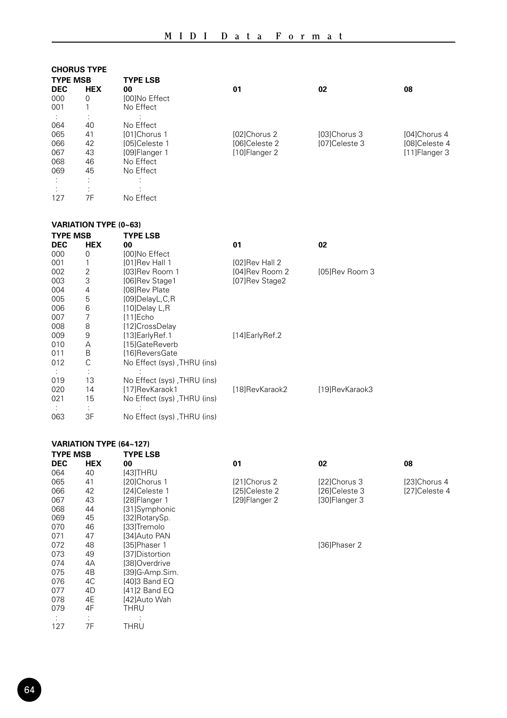## **CHORUS TYPE**

| <b>TYPE MSB</b> |            | <b>TYPE LSB</b>      |                      |                     |                |
|-----------------|------------|----------------------|----------------------|---------------------|----------------|
| <b>DEC</b>      | <b>HEX</b> | 00                   | 01                   | 02                  | 08             |
| 000             | 0          | <b>I00INo Effect</b> |                      |                     |                |
| 001             |            | No Effect            |                      |                     |                |
|                 |            |                      |                      |                     |                |
| 064             | 40         | No Effect            |                      |                     |                |
| 065             | 41         | [01]Chorus 1         | [02]Chorus 2         | <b>I03IChorus 3</b> | [04]Chorus 4   |
| 066             | 42         | [05]Celeste 1        | <b>I06ICeleste 2</b> | [07]Celeste 3       | [08]Celeste 4  |
| 067             | 43         | [09]Flanger 1        | [10]Flanger 2        |                     | [11] Flanger 3 |
| 068             | 46         | No Effect            |                      |                     |                |
| 069             | 45         | No Effect            |                      |                     |                |
|                 |            |                      |                      |                     |                |
|                 | ٠          |                      |                      |                     |                |
| 127             | 7F         | No Effect            |                      |                     |                |
|                 |            |                      |                      |                     |                |

## **VARIATION TYPE (0~63)**

| <b>TYPE MSB</b> |            | <b>TYPE LSB</b>             |                   |                |
|-----------------|------------|-----------------------------|-------------------|----------------|
| <b>DEC</b>      | <b>HEX</b> | 00                          | 01                | 02             |
| 000             | 0          | <b>I00INo Effect</b>        |                   |                |
| 001             | 1          | [01]Rev Hall 1              | [02]Rev Hall 2    |                |
| 002             | 2          | [03]Rev Room 1              | [04]Rev Room 2    | [05]Rev Room 3 |
| 003             | 3          | [06]Rev Stage1              | [07]Rev Stage2    |                |
| 004             | 4          | [08]Rev Plate               |                   |                |
| 005             | 5          | [09]DelayL,C,R              |                   |                |
| 006             | 6          | [10]Delay L,R               |                   |                |
| 007             | 7          | $[11]$ Echo                 |                   |                |
| 008             | 8          | [12]CrossDelay              |                   |                |
| 009             | 9          | [13] Early Ref. 1           | [14] Early Ref. 2 |                |
| 010             | А          | [15]GateReverb              |                   |                |
| 011             | B          | [16]ReversGate              |                   |                |
| 012             | С          | No Effect (sys), THRU (ins) |                   |                |
|                 |            |                             |                   |                |
| 019             | 13         | No Effect (sys), THRU (ins) |                   |                |
| 020             | 14         | [17]RevKaraok1              | [18]RevKaraok2    | [19]RevKaraok3 |
| 021             | 15         | No Effect (sys), THRU (ins) |                   |                |
|                 |            |                             |                   |                |
| 063             | 3F         | No Effect (sys), THRU (ins) |                   |                |

## **VARIATION TYPE (64~127)**

| <b>TYPE MSB</b> |            | <b>TYPE LSB</b>     |               |               |               |
|-----------------|------------|---------------------|---------------|---------------|---------------|
| <b>DEC</b>      | <b>HEX</b> | 00                  | 01            | 02            | 08            |
| 064             | 40         | [43]THRU            |               |               |               |
| 065             | 41         | [20]Chorus 1        | [21]Chorus 2  | [22]Chorus 3  | [23]Chorus 4  |
| 066             | 42         | [24]Celeste 1       | [25]Celeste 2 | [26]Celeste 3 | [27]Celeste 4 |
| 067             | 43         | [28]Flanger 1       | [29]Flanger 2 | [30]Flanger 3 |               |
| 068             | 44         | [31]Symphonic       |               |               |               |
| 069             | 45         | [32]RotarySp.       |               |               |               |
| 070             | 46         | [33]Tremolo         |               |               |               |
| 071             | 47         | [34]Auto PAN        |               |               |               |
| 072             | 48         | <b>I35IPhaser 1</b> |               | [36]Phaser 2  |               |
| 073             | 49         | [37]Distortion      |               |               |               |
| 074             | 4A         | [38]Overdrive       |               |               |               |
| 075             | 4B         | [39]G-Amp.Sim.      |               |               |               |
| 076             | 4C         | [40]3 Band EQ       |               |               |               |
| 077             | 4D         | [41]2 Band EQ       |               |               |               |
| 078             | 4E         | [42]Auto Wah        |               |               |               |
| 079             | 4F         | THRU                |               |               |               |
|                 |            |                     |               |               |               |
| 127             | 7F         | THRU                |               |               |               |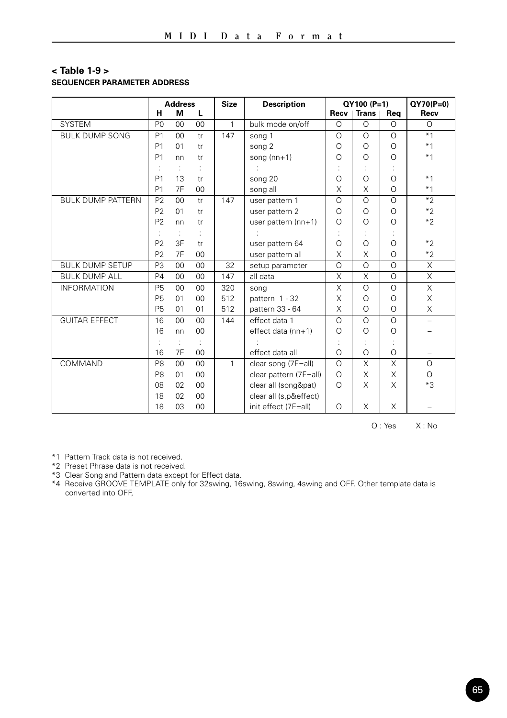## **< Table 1-9 > SEQUENCER PARAMETER ADDRESS**

|                          | н              | <b>Address</b><br>м | L              | <b>Size</b>  | <b>Description</b>     | Recv     | QY100 (P=1)<br>Trans | Req      | $QY70(P=0)$<br>Recv      |
|--------------------------|----------------|---------------------|----------------|--------------|------------------------|----------|----------------------|----------|--------------------------|
| <b>SYSTEM</b>            | P <sub>0</sub> | 00                  | 0 <sub>0</sub> | $\mathbf{1}$ | bulk mode on/off       | $\circ$  | $\Omega$             | $\Omega$ | $\Omega$                 |
| <b>BULK DUMP SONG</b>    | P <sub>1</sub> | 00                  | tr             | 147          | song 1                 | $\Omega$ | $\circ$              | $\Omega$ | $*1$                     |
|                          | P <sub>1</sub> | 01                  | tr             |              | song 2                 | $\Omega$ | $\Omega$             | $\Omega$ | $*1$                     |
|                          | P <sub>1</sub> | nn                  | tr             |              | song $(nn+1)$          | $\Omega$ | $\circ$              | $\circ$  | $*1$                     |
|                          |                | ÷                   |                |              |                        |          |                      |          |                          |
|                          | P <sub>1</sub> | 13                  | tr             |              | song 20                | $\Omega$ | $\circ$              | $\Omega$ | $*1$                     |
|                          | P <sub>1</sub> | 7F                  | 00             |              | song all               | X        | X                    | $\Omega$ | $*1$                     |
| <b>BULK DUMP PATTERN</b> | P <sub>2</sub> | 00                  | tr             | 147          | user pattern 1         | $\Omega$ | $\circ$              | $\Omega$ | $*2$                     |
|                          | P <sub>2</sub> | 01                  | tr             |              | user pattern 2         | $\Omega$ | $\Omega$             | $\Omega$ | $*2$                     |
|                          | P <sub>2</sub> | nn                  | tr             |              | user pattern (nn+1)    | $\Omega$ | $\circ$              | O        | $*2$                     |
|                          |                | ÷                   | ÷              |              |                        |          | ÷                    |          |                          |
|                          | P <sub>2</sub> | 3F                  | tr             |              | user pattern 64        | $\Omega$ | $\circ$              | $\circ$  | $*2$                     |
|                          | P <sub>2</sub> | 7F                  | 0 <sub>0</sub> |              | user pattern all       | X        | X                    | $\Omega$ | $*2$                     |
| <b>BULK DUMP SETUP</b>   | P <sub>3</sub> | 00                  | 00             | 32           | setup parameter        | $\Omega$ | $\circ$              | $\Omega$ | X                        |
| <b>BULK DUMP ALL</b>     | <b>P4</b>      | 00                  | 00             | 147          | all data               | X        | X                    | $\circ$  | $\overline{\mathsf{x}}$  |
| <b>INFORMATION</b>       | <b>P5</b>      | 0 <sub>0</sub>      | 0 <sub>0</sub> | 320          | song                   | X        | $\Omega$             | $\Omega$ | $\times$                 |
|                          | <b>P5</b>      | 01                  | 0 <sub>0</sub> | 512          | pattern 1 - 32         | X        | $\circ$              | $\Omega$ | X                        |
|                          | <b>P5</b>      | 01                  | 01             | 512          | pattern 33 - 64        | X        | $\circ$              | $\Omega$ | X                        |
| <b>GUITAR EFFECT</b>     | 16             | 00                  | 0 <sub>0</sub> | 144          | effect data 1          | $\Omega$ | $\circ$              | $\Omega$ | $\overline{\phantom{0}}$ |
|                          | 16             | nn                  | $00 \,$        |              | effect data (nn+1)     | $\Omega$ | $\circ$              | O        |                          |
|                          |                | ÷                   |                |              |                        |          |                      |          |                          |
|                          | 16             | 7F                  | 0 <sub>0</sub> |              | effect data all        | $\Omega$ | $\circ$              | $\Omega$ |                          |
| COMMAND                  | P <sub>8</sub> | 0 <sub>0</sub>      | 0 <sub>0</sub> | $\mathbf{1}$ | clear song (7F=all)    | $\Omega$ | X                    | X        | $\circ$                  |
|                          | P <sub>8</sub> | 01                  | 0 <sub>0</sub> |              | clear pattern (7F=all) | $\Omega$ | X                    | X        | $\circ$                  |
|                          | 08             | 02                  | 0 <sub>0</sub> |              | clear all (song&pat)   | $\Omega$ | X                    | X        | $*3$                     |
|                          | 18             | 02                  | 00             |              | clear all (s,p&effect) |          |                      |          |                          |
|                          | 18             | 03                  | 0 <sub>0</sub> |              | init effect (7F=all)   | $\Omega$ | X                    | X        |                          |

O : Yes X : No

\*1 Pattern Track data is not received.

\*2 Preset Phrase data is not received.

\*3 Clear Song and Pattern data except for Effect data.

\*4 Receive GROOVE TEMPLATE only for 32swing, 16swing, 8swing, 4swing and OFF. Other template data is converted into OFF,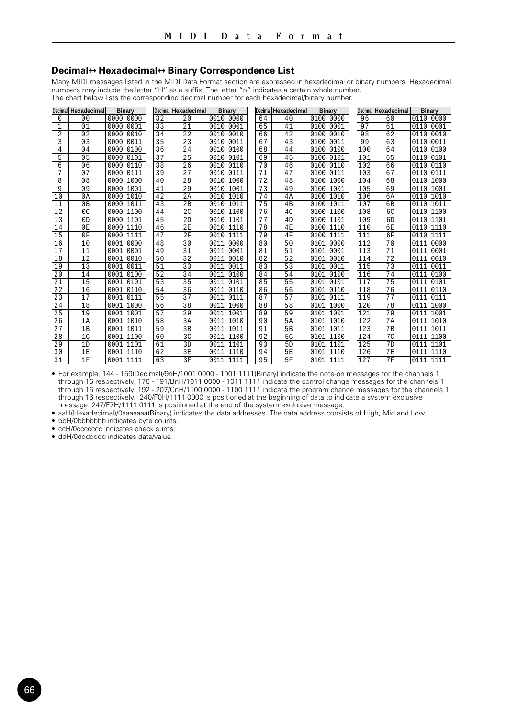#### **Decimal**↔**Hexadecimal**↔**Binary Correspondence List**

Many MIDI messages listed in the MIDI Data Format section are expressed in hexadecimal or binary numbers. Hexadecimal<br>numbers may include the letter "H" as a suffix. The letter "n" indicates a certain whole number. The chart below lists the corresponding decimal number for each hexadecimal/binary number.

| <b>Decimal</b> | Hexadecimal    | <b>Binary</b> | Decima | Hexadecimal     | <b>Binary</b> |    | Decimal Hexadecimal | <b>Binary</b>    | <b>Decimal</b> | Hexadecimal    | <b>Binary</b> |
|----------------|----------------|---------------|--------|-----------------|---------------|----|---------------------|------------------|----------------|----------------|---------------|
| 0              | 0 <sub>0</sub> | 0000<br>0000  | 32     | 2.0             | 0010 0000     | 64 | 40                  | $0100 -$<br>0000 | 96             | 60             | 0110<br>0000  |
| 1              | 01             | 0001<br>0000  | 33     | 21              | 0001<br>0010  | 65 | 41                  | 0001<br>0100     | 97             | 61             | 0001<br>0110  |
| $\overline{2}$ | 02             | 0010<br>0000  | 34     | 22              | 0010<br>0010  | 66 | 42                  | 0100<br>0010     | 98             | 62             | 0010<br>0110  |
| 3              | 0.3            | 0000<br>0011  | 35     | 2.3             | 0011<br>0010  | 67 | 43                  | 0100<br>0011     | 99             | 63             | 0011<br>0110  |
| 4              | 04             | 0000<br>0100  | 36     | 24              | 0100<br>0010  | 68 | 44                  | 0100<br>0100     | 100            | 64             | 0100<br>0110  |
| 5              | 0 <sub>5</sub> | 0000<br>0101  | 37     | 25              | 0101<br>0010  | 69 | 45                  | 0100<br>0101     | 101            | 65             | 0101<br>0110  |
| 6              | 06             | 0110<br>0000  | 38     | 2.6             | 0110<br>0010  | 70 | 46                  | 0100<br>0110     | 102            | 66             | 0110<br>0110  |
| 7              | 07             | 0000<br>0111  | 39     | 27              | 0111<br>0010  | 71 | 47                  | 0100<br>0111     | 103            | 67             | 0111<br>0110  |
| 8              | 08             | 0000<br>1000  | 40     | 2.8             | 1000<br>0010  | 72 | 48                  | 0100<br>1000     | 104            | 68             | 1000<br>0110  |
| 9              | 09             | 1001<br>0000  | 41     | 29              | 1001<br>0010  | 73 | 49                  | 1001<br>0100     | 105            | 69             | 1001<br>0110  |
| 10             | 0A             | 0000<br>1010  | 42     | 2A              | 1010<br>0010  | 74 | 4A                  | 0100<br>1010     | 106            | 6A             | 1010<br>0110  |
| 11             | 0B             | 1011<br>0000  | 43     | 2B              | 1011<br>0010  | 75 | 4B                  | 0100<br>1011     | 107            | 6 <sub>B</sub> | 1011<br>0110  |
| 12             | 0 <sup>C</sup> | 0000<br>1100  | 44     | 2 <sup>c</sup>  | 0010<br>1100  | 76 | 4C                  | 1100<br>0100     | 108            | 6C             | 1100<br>0110  |
| 13             | 0 <sub>D</sub> | 1101<br>0000  | 45     | 2D              | 1101<br>0010  | 77 | 4D                  | 1101<br>0100     | 109            | 6 <sub>D</sub> | 1101<br>0110  |
| 14             | 0 <sub>E</sub> | 1110<br>0000  | 46     | 2F              | 1110<br>0010  | 78 | 4E                  | 1110<br>0100     | 110            | 6 <sub>F</sub> | 1110<br>0110  |
| 15             | 0F             | 0000<br>1111  | 47     | 2F              | 1111<br>0010  | 79 | 4F                  | 0100<br>1111     | 111            | 6F             | 1111<br>0110  |
| 16             | 10             | 0001<br>0000  | 48     | 30              | 0000<br>0011  | 80 | 50                  | 0101<br>0000     | 112            | 70             | 0000<br>0111  |
| 17             | 11             | 0001<br>0001  | 49     | $\overline{31}$ | 0001<br>0011  | 81 | 51                  | 0001<br>0101     | 113            | 71             | 0001<br>0111  |
| 18             | 12             | 0010<br>0001  | 50     | $\overline{32}$ | 0010<br>0011  | 82 | 52                  | 0101<br>0010     | 114            | 72             | 0010<br>0111  |
| 19             | 13             | 0001<br>0011  | 51     | 33              | 0011<br>0011  | 83 | 53                  | 0101<br>0011     | 115            | 73             | 0011<br>0111  |
| 20             | 14             | 0100<br>0001  | 52     | 34              | 0100<br>0011  | 84 | 54                  | 0101<br>0100     | 116            | 74             | 0100<br>0111  |
| 21             | 15             | 0101<br>0001  | 53     | 35              | 0101<br>0011  | 85 | 55                  | 0101<br>0101     | 117            | 75             | 0101<br>0111  |
| 22             | 16             | 0001<br>0110  | 54     | 36              | 0110<br>0011  | 86 | 56                  | 0101<br>0110     | 118            | 76             | 0110<br>0111  |
| 23             | 17             | 0001<br>0111  | 55     | 37              | 0111<br>0011  | 87 | 57                  | 0101<br>0111     | 119            | 77             | 0111<br>0111  |
| 24             | 18             | 1000<br>0001  | 56     | 38              | 1000<br>0011  | 88 | 58                  | 1000<br>0101     | 120            | 78             | 1000<br>0111  |
| 25             | 19             | 1001<br>0001  | 57     | 39              | 1001<br>0011  | 89 | 59                  | 1001<br>0101     | 121            | 79             | 1001<br>0111  |
| 26             | 1A             | 0001<br>1010  | 58     | 3A              | 1010<br>0011  | 90 | 5A                  | 0101<br>1010     | 122            | 7A             | 1010<br>0111  |
| 27             | 1B             | 0001<br>1011  | 59     | 3B              | 1011<br>0011  | 91 | 5 <sub>B</sub>      | 0101<br>1011     | 123            | 7B             | 1011<br>0111  |
| 28             | 1 <sup>c</sup> | 0001<br>1100  | 60     | 3C              | 0011<br>1100  | 92 | 5 <sub>C</sub>      | 1100<br>0101     | 124            | 7 <sup>c</sup> | 1100<br>0111  |
| 29             | 1D             | 1101<br>0001  | 61     | 3D              | 1101<br>0011  | 93 | 5 <sub>D</sub>      | 1101<br>0101     | 125            | 7D             | 1101<br>0111  |
| 30             | 1 E            | 1110<br>0001  | 62     | 3F              | 1110<br>0011  | 94 | 5E                  | 0101<br>1110     | 126            | 7 <sub>F</sub> | 1110<br>0111  |
| 31             | 1F             | 0001<br>1111  | 63     | 3F              | 0011<br>1111  | 95 | 5F                  | 0101<br>1111     | 127            | 7F             | 1111<br>0111  |

• For example, 144 - 159(Decimal)/9nH/1001 0000 - 1001 1111(Binary) indicate the note-on messages for the channels 1 through 16 respectively. 176 - 191/BnH/1011 0000 - 1011 1111 indicate the control change messages for the channels 1 through 16 respectively. 192 - 207/CnH/1100 0000 - 1100 1111 indicate the program change messages for the channels 1 through 16 respectively. 240/F0H/1111 0000 is positioned at the beginning of data to indicate a system exclusive<br>message. 247/F7H/1111 0111 is positioned at the end of the system exclusive message.

• aaH(Hexadecimal)/0aaaaaaa(Binary) indicates the data addresses. The data address consists of High, Mid and Low.

• bbH/0bbbbbbb indicates byte counts.

• ccH/0ccccccc indicates check sums.

• ddH/0ddddddd indicates data/value.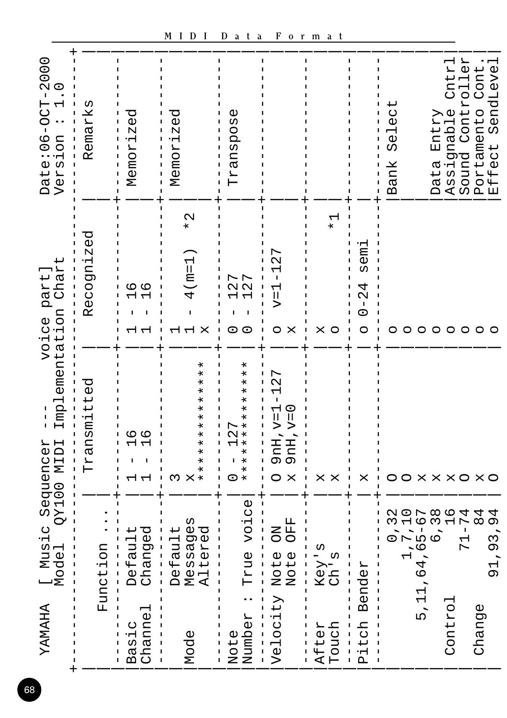| YAMAHA                 | [ Music<br>Model Q                             | Implementation<br>$\overline{1}$<br>IdIM 00TXQ                                                  | Chart<br>part.<br>voice                                     | Date:06-0CT-2000<br>$\frac{0}{1}$<br>Version     |
|------------------------|------------------------------------------------|-------------------------------------------------------------------------------------------------|-------------------------------------------------------------|--------------------------------------------------|
|                        | Function                                       | Transmitted                                                                                     | Recognized                                                  | Remarks                                          |
| Channe<br>Basic        | Changed<br>Default                             | م ہ<br>⊣ ←                                                                                      | م ہ                                                         | ි<br>ග<br>Memoriz                                |
| Mode                   | Messages<br>Altered<br>Default<br>L            | $\ast$<br>¥<br>$^\ast$<br>$\ast$<br>×<br>$\ast$<br>¥<br>×<br>ı<br>¥<br>¥<br>¥<br>×<br>Μ         | $\mathbf{\Omega}$<br>$\ast$<br>$(m=1)$<br>4<br>I<br>X       | ල<br>0<br>Memoriz                                |
| Number<br>Note         | voice<br>True                                  | $\ast$<br>$\ast$<br>$\ast$<br>×<br>********<br>L<br>$\sim$<br>I<br>0                            | 27<br>27<br>$\circ$<br>O                                    | Transpose                                        |
| Velocity               | OFF<br><b>NO</b><br>Note<br>Note               | 27<br>$\overline{\phantom{0}}$<br>$\mathsf{I}$<br>$9nH, v=0$<br>$9nH, v=1$<br>$\mathsf{X}$<br>O | r<br>Ń<br>Н<br>T<br>ᆏ<br>$\sf II$<br>⊳<br>O<br>X            |                                                  |
| Touch<br>After         | __<br>-<br>$Ch$ is<br>Key                      | X<br>X                                                                                          | $\frac{1}{\ast}$<br>X<br>$\circ$                            |                                                  |
| itch<br>$\mathsf{p}_1$ | Bender                                         | ×                                                                                               | ້ອຍ<br>ŢΩ<br>4<br>$\mathcal{Q}$<br>$\overline{1}$<br>0<br>O |                                                  |
|                        | 1,716<br>1,716<br>1,65-10<br>1,65-14<br>71-784 | 00 X X X O X O                                                                                  | O                                                           | Select<br>Bank                                   |
| 5, 11                  | , 64                                           |                                                                                                 |                                                             |                                                  |
| Control                |                                                |                                                                                                 | 000000                                                      | Cntrl<br>Assignable<br>Entry<br>Data             |
|                        |                                                |                                                                                                 |                                                             | Controller<br>Sound                              |
| Change                 | 4<br>$\overline{O}$<br>,93<br>$\overline{5}$   |                                                                                                 | $\circ$                                                     | SendLevel<br>Portamento Cont<br>Effect SendLevel |

68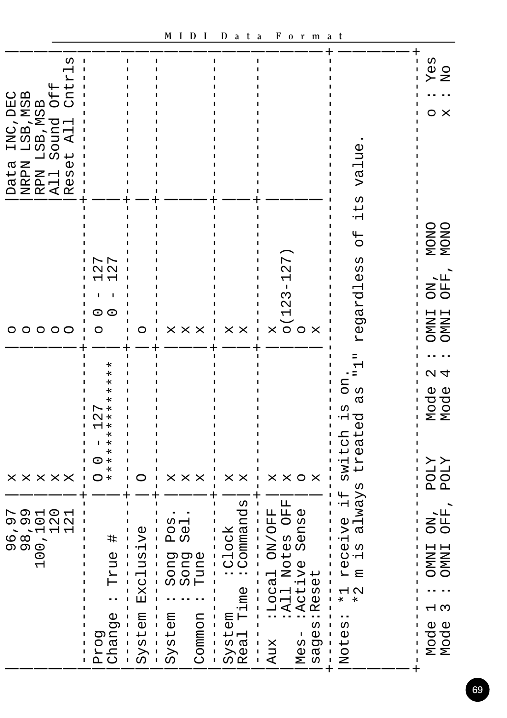| UΩ<br>$^4$<br>↵<br>ðf<br>E<br>C<br>INC, DEC<br>LSB, MSB<br>, MSB<br>LSB, MY<br>⊣<br>LSB.<br>ų<br>Ą<br>↵<br>$\omega$<br>Data<br>NRPN<br>RPN<br>All<br>UΩ<br>$\overline{\mathbb{Q}}$<br>吖 |                                                                                                                                                             |                                                                                                                                                                                               |                                                                                                                                                                   |                                                                                                                                             |                                                                                                                                                                                                    | lue<br>va.                                                                                                                                                               | Yes<br>o<br>No<br>O<br>×                                            |
|-----------------------------------------------------------------------------------------------------------------------------------------------------------------------------------------|-------------------------------------------------------------------------------------------------------------------------------------------------------------|-----------------------------------------------------------------------------------------------------------------------------------------------------------------------------------------------|-------------------------------------------------------------------------------------------------------------------------------------------------------------------|---------------------------------------------------------------------------------------------------------------------------------------------|----------------------------------------------------------------------------------------------------------------------------------------------------------------------------------------------------|--------------------------------------------------------------------------------------------------------------------------------------------------------------------------|---------------------------------------------------------------------|
| 00000                                                                                                                                                                                   | r<br>r<br>N<br>$\mathbf{\Omega}$<br>⊣ ⊣<br>$\circ$<br>O<br>O                                                                                                | O                                                                                                                                                                                             | X<br>X<br>X                                                                                                                                                       | Χ<br>X                                                                                                                                      | ┍<br>2<br>I.<br>Μ<br>N<br>$\overline{\phantom{0}}$<br>$\circ$ o<br>×<br>X                                                                                                                          | $t\overline{a}$<br>Ė<br>H<br>O<br>WΩ<br>S<br>O<br>⊣<br>egard<br>Н                                                                                                        | NONO<br>NONC<br>OFF<br>КO<br><b>TNINO</b><br><b>TNINO</b>           |
| X<br>$\times \times$<br>×<br>×                                                                                                                                                          | $^\ast$<br>$^\ast$<br>$^\ast$<br>$^\star$<br>×<br>$^\ast$<br>D<br>$\ast$<br>N<br>$^\ast$<br>$^\ast$<br>$^\ast$<br>$\ast$<br>$\ast$<br>O<br>×<br>$\ast$<br>O |                                                                                                                                                                                               | X<br>×<br>×                                                                                                                                                       | ×<br>X                                                                                                                                      | X<br>×<br>O<br>×                                                                                                                                                                                   | ⊣<br>EO<br>ω<br>ൽ<br>WΩ<br>Ė<br>ρÓ<br>switch<br>eat<br>$H_1$                                                                                                             | $\sim$ 4<br>Mode<br>Mode<br><b>ZTOd</b><br>ΣT<br>РO                 |
| トのコロ<br>ののつ<br>$\sim$ $\sim$<br>$\overline{\phantom{0}}$<br>6<br>000<br>000<br>0<br>$\overline{\phantom{0}}$                                                                            | ♯<br><b>Pnz</b><br>⊢<br>I<br>Prog<br>Change<br>J.<br>$\mathsf{I}$<br>$\frac{1}{1}$<br>L                                                                     | Ö<br>Āτ.<br>U <sub>0</sub><br>$\frac{1}{2}$<br>Exc<br>$\frac{1}{1}$<br>$\mathbf{I}$<br>L<br>System<br>J<br>$\mathbf{I}$<br>$\mathbf{I}$<br>I<br>j.<br>$\overline{\phantom{a}}$<br>$\mathsf I$ | SO<br>$\overline{\mathbb{Q}}$<br>д<br>Ω<br>eun <sup>.</sup><br><b>Buo</b><br>puo<br>ωω Η<br>System<br>Common<br>L<br>L<br>$\mathbf{I}$<br>$\mathbf{I}$<br>J.<br>T | :Commands<br>I<br>1ock<br>J.<br>T<br>U<br>I<br>System<br>Real Time<br>J.<br>$\mathbf{I}$<br>T<br>$\begin{array}{c} 1 \\ 1 \\ 1 \end{array}$ | OFF<br>Ŀц<br>$\frac{\omega}{\omega}$<br>ON/OF<br>Sen<br>Notes<br>:Local C<br>:All Not<br>:Active<br>:Reset<br>$\overline{\phantom{a}}$<br>L<br>sages<br>L<br>$M \text{es}$<br>Aux<br>$\frac{1}{1}$ | lways<br>$\overline{u}$<br>٠H<br>ive<br>൪<br>v<br>W<br>U<br>٠H<br>Φ<br>Ά<br>I<br>Ε<br>Т<br>T<br>$\overline{a}$<br>×<br>*<br>T<br>ı<br>$\cdot \cdot$<br>Notes<br>J.<br>J. | OFF<br>NO<br><b>TNIND</b><br><b>INDIO</b><br>Γ<br>Τ<br>Mode<br>Mode |

## **M I D I D a t a F o r m a t**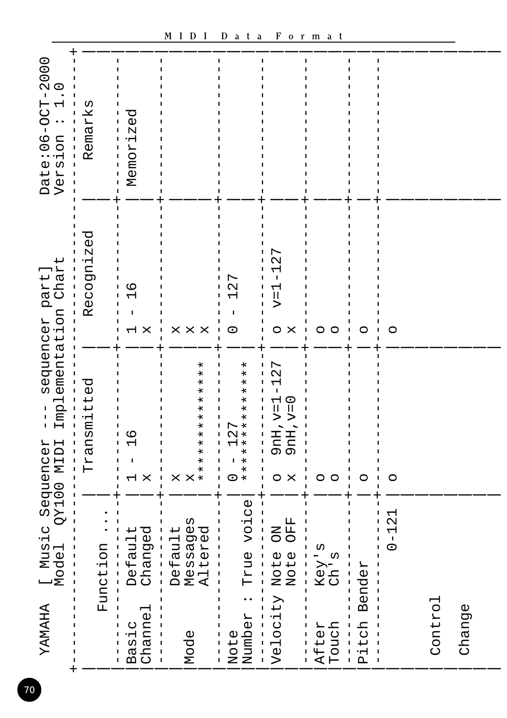| YAMAHA                                 | I Music Sequencer<br>Model QY100 MIDI                       | $\begin{array}{c} 1 \\ 1 \\ 1 \end{array}$                                  | Implementation Chart<br>sequencer part] | Date:06-OCT-2000<br>Version : 1.0                       |
|----------------------------------------|-------------------------------------------------------------|-----------------------------------------------------------------------------|-----------------------------------------|---------------------------------------------------------|
|                                        | Function                                                    | Transmitted                                                                 | Recognized                              | Remarks                                                 |
| Channe<br>Basic                        | Changed<br>Default                                          | $\frac{9}{1}$<br>$\overline{1}$<br>$\mathsf{X}$<br>$\overline{\phantom{0}}$ | $\frac{9}{1}$<br>I<br>I<br>X            | Memorized<br>$\begin{array}{c} 1 \\ 1 \\ 1 \end{array}$ |
| Mode                                   | Messages<br>Altered<br>Default<br>I                         | $*$<br>$\ast$<br>$\ast$<br>$\star$<br>*********<br>X<br>X                   | $\mathsf{X}$<br>X<br>X                  |                                                         |
| Number<br>Note                         | True voice                                                  | **************<br>127<br>I<br>$\circ$                                       | 127<br>$\circ$                          |                                                         |
| Velocity Note<br>Note<br>$\frac{1}{1}$ | OFF<br><b>NO</b>                                            | 27<br>$\overline{1}$<br>$9nH, v=1$<br>$9nH, v=0$<br>$\mathsf{X}$<br>O       | 27<br>I<br>$v=1$<br>$\circ$<br>X        |                                                         |
| Touch<br>After                         | Key's<br>Ch's<br>$\begin{array}{c} 1 \\ 1 \\ 1 \end{array}$ | O<br>O                                                                      | O<br>O                                  |                                                         |
| Pitch Bender                           |                                                             | O                                                                           | O                                       |                                                         |
|                                        | $0 - 121$                                                   | O                                                                           | O                                       |                                                         |
| Control                                |                                                             |                                                                             |                                         |                                                         |
| Change                                 |                                                             |                                                                             |                                         |                                                         |
|                                        |                                                             |                                                                             |                                         |                                                         |

70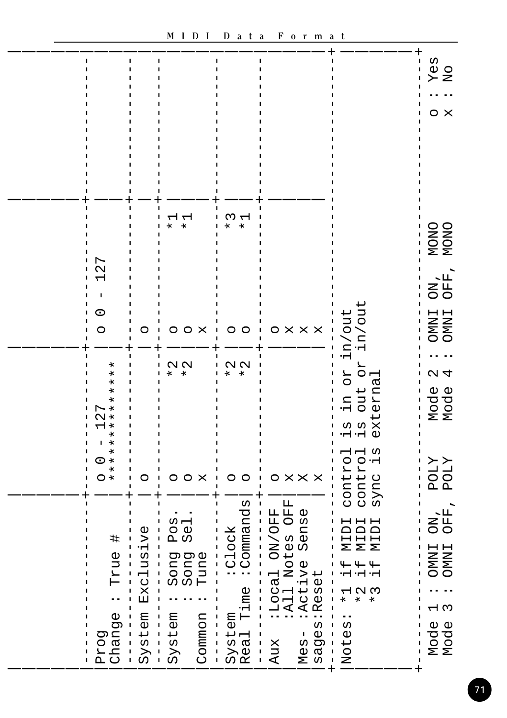|                                                                                                                                                                             |                                                                                                                                                                                      |                                                                                                                                                                                       |                                                                                                                    |                                                                                                                                                                                                                                                                                                                                                                                                                                                                                                                                                                                                                                                  |                                                                                                                                                                                                                             | yes<br>No<br>$\boldsymbol{\mathsf{X}}$<br>O                            |
|-----------------------------------------------------------------------------------------------------------------------------------------------------------------------------|--------------------------------------------------------------------------------------------------------------------------------------------------------------------------------------|---------------------------------------------------------------------------------------------------------------------------------------------------------------------------------------|--------------------------------------------------------------------------------------------------------------------|--------------------------------------------------------------------------------------------------------------------------------------------------------------------------------------------------------------------------------------------------------------------------------------------------------------------------------------------------------------------------------------------------------------------------------------------------------------------------------------------------------------------------------------------------------------------------------------------------------------------------------------------------|-----------------------------------------------------------------------------------------------------------------------------------------------------------------------------------------------------------------------------|------------------------------------------------------------------------|
| r<br>$\mathbf  \Omega$<br>J.<br>0<br>$\circ$                                                                                                                                | O                                                                                                                                                                                    | Н<br>ᆏ<br>$\ast$<br>$^\ast$<br>O<br>$\circ$<br>- X                                                                                                                                    | W<br>↽<br>¥<br>$^\star$<br>O<br>O                                                                                  | O<br>$\times$ $\times$<br>Χ                                                                                                                                                                                                                                                                                                                                                                                                                                                                                                                                                                                                                      | in/out<br>in/out                                                                                                                                                                                                            | NONO<br>NONO<br>ON<br>OFF<br><b>INDIO</b><br><b>TNINO</b>              |
| $\ast$<br>$\ast$<br>$\ast$<br>$^\ast$<br>$^\ast$<br>$\ast$<br>г<br>$\ast$<br>$\scriptstyle\sim$<br>$\ast$<br>$\ast$<br>$\ast$<br>$\star$<br>$\ast$<br>0<br>×<br>$\ast$<br>O | ı<br>O                                                                                                                                                                               | N N<br>$\ast$<br>$\ast$<br>$\circ$<br>O<br>×                                                                                                                                          | N N<br>I.<br>$\ast$<br>$\ast$<br>O<br>O                                                                            | X<br>O<br>×<br>×                                                                                                                                                                                                                                                                                                                                                                                                                                                                                                                                                                                                                                 | RO<br>ЯO<br>external<br>out<br>Ч.<br>ω<br>5<br>-4<br>-4<br>control<br>sync is<br>ᆏᆏ<br>contro<br>sync                                                                                                                       | $\sim$ 4<br>Mode<br>Mode<br>XTOZ<br>XTOZ                               |
| ヰ<br><b>Pnz</b><br>⊢<br>Prog<br>Change<br>ı<br>L<br>I<br>L                                                                                                                  | ı<br>lusive<br>Exc<br>$\begin{array}{c} 1 \\ 1 \\ 1 \end{array}$<br>I<br>L<br>$SY$ stem<br>I<br>T<br>T<br>$\begin{array}{c} 1 \\ 1 \\ 1 \end{array}$<br>$\mathsf I$<br>$\frac{1}{1}$ | Pos<br>592<br>une<br>song<br>pros<br>Fune<br>Tur<br>I<br>L<br>System<br>Common<br>I<br>J.<br>T<br>$\mathbf{I}$<br>$\mathsf I$<br>J.<br>$\overline{\phantom{a}}$<br>п.<br>$\mathbf{I}$ | Commands<br><b>Clock</b><br>System<br>Real Time<br>$\mathbf{I}$<br>$\begin{array}{c} 1 \\ 1 \\ 1 \\ 1 \end{array}$ | OFF<br>ı<br>ON/OFF<br>Sense<br>I<br>I<br>I<br>Notes<br>I<br>I<br>$\begin{array}{c} \rule{0pt}{2.5ex} \rule{0pt}{2.5ex} \rule{0pt}{2.5ex} \rule{0pt}{2.5ex} \rule{0pt}{2.5ex} \rule{0pt}{2.5ex} \rule{0pt}{2.5ex} \rule{0pt}{2.5ex} \rule{0pt}{2.5ex} \rule{0pt}{2.5ex} \rule{0pt}{2.5ex} \rule{0pt}{2.5ex} \rule{0pt}{2.5ex} \rule{0pt}{2.5ex} \rule{0pt}{2.5ex} \rule{0pt}{2.5ex} \rule{0pt}{2.5ex} \rule{0pt}{2.5ex} \rule{0pt}{2.5ex} \rule{0$<br>$\frac{1}{2}$<br>I<br>↵<br>⊣<br>$\frac{1}{1}$<br>:Loca<br>: All<br>:Acti<br>:Rese<br>$\mathbf{I}$<br>T<br>J.<br>sages:<br>I<br>$Mess -$<br>Aux<br>$\overline{\phantom{a}}$<br>$\frac{1}{1}$ | ICIN<br>KIDI<br>IUIN<br>₩<br>Ҹ<br>I<br>۰H<br>ー 1 2 3<br>$\ast$<br>$\star$<br>$\ast$<br>$\mathbf{I}$<br>I<br>I<br>$\cdot \cdot$<br>Notes<br>I<br>I<br>I<br>I<br>$\begin{array}{c} 1 \\ 1 \\ 1 \end{array}$<br>$\overline{+}$ | OFF<br><b>NO</b><br><b>INDIO</b><br><b>TNWO</b><br>പ സ<br>Mode<br>Mode |

 $\overline{a}$